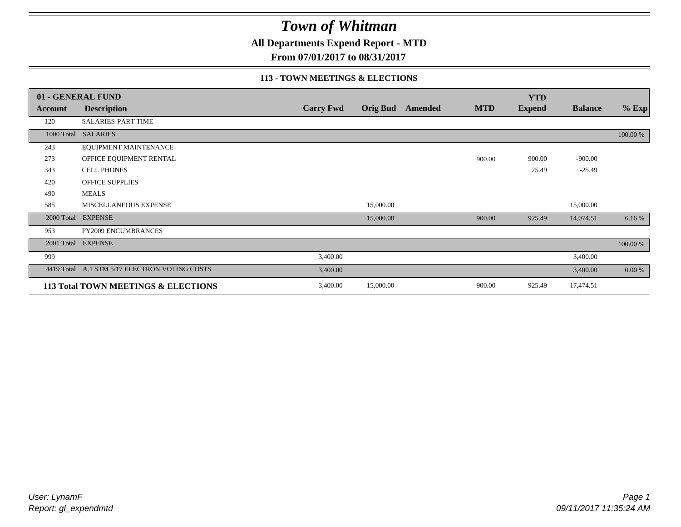**All Departments Expend Report - MTD**

**From 07/01/2017 to 08/31/2017**

### **113 - TOWN MEETINGS & ELECTIONS**

|            | 01 - GENERAL FUND                              |                  |                 |         |            | <b>YTD</b>    |                |          |
|------------|------------------------------------------------|------------------|-----------------|---------|------------|---------------|----------------|----------|
| Account    | <b>Description</b>                             | <b>Carry Fwd</b> | <b>Orig Bud</b> | Amended | <b>MTD</b> | <b>Expend</b> | <b>Balance</b> | $%$ Exp  |
| 120        | <b>SALARIES-PART TIME</b>                      |                  |                 |         |            |               |                |          |
|            | 1000 Total SALARIES                            |                  |                 |         |            |               |                | 100.00 % |
| 243        | EQUIPMENT MAINTENANCE                          |                  |                 |         |            |               |                |          |
| 273        | OFFICE EQUIPMENT RENTAL                        |                  |                 |         | 900.00     | 900.00        | $-900.00$      |          |
| 343        | <b>CELL PHONES</b>                             |                  |                 |         |            | 25.49         | $-25.49$       |          |
| 420        | OFFICE SUPPLIES                                |                  |                 |         |            |               |                |          |
| 490        | <b>MEALS</b>                                   |                  |                 |         |            |               |                |          |
| 585        | MISCELLANEOUS EXPENSE                          |                  | 15,000.00       |         |            |               | 15,000.00      |          |
|            | 2000 Total EXPENSE                             |                  | 15,000.00       |         | 900.00     | 925.49        | 14,074.51      | 6.16 %   |
| 953        | <b>FY2009 ENCUMBRANCES</b>                     |                  |                 |         |            |               |                |          |
| 2001 Total | <b>EXPENSE</b>                                 |                  |                 |         |            |               |                | 100.00 % |
| 999        |                                                | 3,400.00         |                 |         |            |               | 3,400.00       |          |
|            | 4419 Total A.1 STM 5/17 ELECTRON. VOTING COSTS | 3,400.00         |                 |         |            |               | 3,400.00       | 0.00 %   |
|            | 113 Total TOWN MEETINGS & ELECTIONS            | 3,400.00         | 15,000.00       |         | 900.00     | 925.49        | 17,474.51      |          |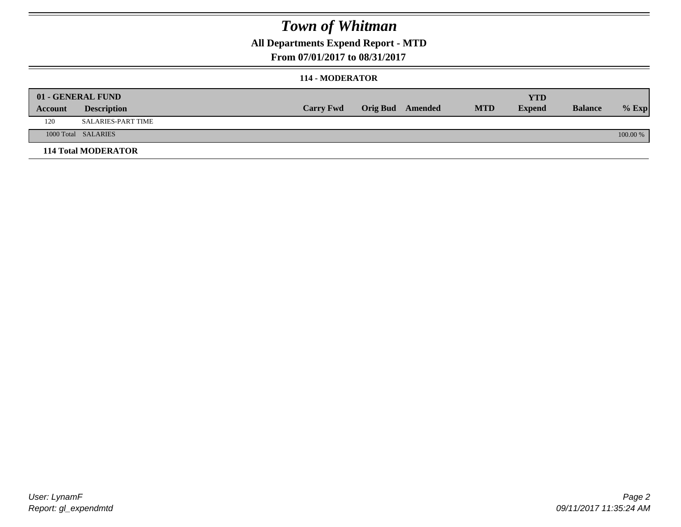### **All Departments Expend Report - MTD**

**From 07/01/2017 to 08/31/2017**

#### **114 - MODERATOR**

|         | 01 - GENERAL FUND          | <b>Carry Fwd</b> | <b>Orig Bud</b> Amended | <b>MTD</b> | <b>YTD</b><br><b>Expend</b> | <b>Balance</b> | $%$ Exp  |
|---------|----------------------------|------------------|-------------------------|------------|-----------------------------|----------------|----------|
| Account | <b>Description</b>         |                  |                         |            |                             |                |          |
| 120     | SALARIES-PART TIME         |                  |                         |            |                             |                |          |
|         | 1000 Total SALARIES        |                  |                         |            |                             |                | 100.00 % |
|         | <b>114 Total MODERATOR</b> |                  |                         |            |                             |                |          |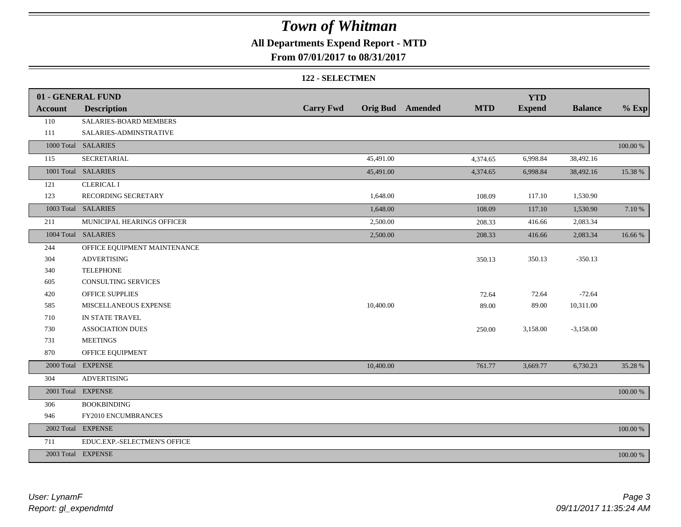### **All Departments Expend Report - MTD**

**From 07/01/2017 to 08/31/2017**

#### **122 - SELECTMEN**

|                | 01 - GENERAL FUND            |                  |           |                         |            | <b>YTD</b>    |                |          |
|----------------|------------------------------|------------------|-----------|-------------------------|------------|---------------|----------------|----------|
| <b>Account</b> | <b>Description</b>           | <b>Carry Fwd</b> |           | <b>Orig Bud</b> Amended | <b>MTD</b> | <b>Expend</b> | <b>Balance</b> | $%$ Exp  |
| 110            | SALARIES-BOARD MEMBERS       |                  |           |                         |            |               |                |          |
| 111            | SALARIES-ADMINSTRATIVE       |                  |           |                         |            |               |                |          |
|                | 1000 Total SALARIES          |                  |           |                         |            |               |                | 100.00 % |
| 115            | <b>SECRETARIAL</b>           |                  | 45,491.00 |                         | 4,374.65   | 6,998.84      | 38,492.16      |          |
|                | 1001 Total SALARIES          |                  | 45,491.00 |                         | 4,374.65   | 6,998.84      | 38,492.16      | 15.38 %  |
| 121            | <b>CLERICAL I</b>            |                  |           |                         |            |               |                |          |
| 123            | RECORDING SECRETARY          |                  | 1,648.00  |                         | 108.09     | 117.10        | 1,530.90       |          |
|                | 1003 Total SALARIES          |                  | 1,648.00  |                         | 108.09     | 117.10        | 1,530.90       | 7.10 %   |
| 211            | MUNICIPAL HEARINGS OFFICER   |                  | 2,500.00  |                         | 208.33     | 416.66        | 2,083.34       |          |
|                | 1004 Total SALARIES          |                  | 2,500.00  |                         | 208.33     | 416.66        | 2,083.34       | 16.66%   |
| 244            | OFFICE EQUIPMENT MAINTENANCE |                  |           |                         |            |               |                |          |
| 304            | <b>ADVERTISING</b>           |                  |           |                         | 350.13     | 350.13        | $-350.13$      |          |
| 340            | <b>TELEPHONE</b>             |                  |           |                         |            |               |                |          |
| 605            | CONSULTING SERVICES          |                  |           |                         |            |               |                |          |
| 420            | <b>OFFICE SUPPLIES</b>       |                  |           |                         | 72.64      | 72.64         | $-72.64$       |          |
| 585            | MISCELLANEOUS EXPENSE        |                  | 10,400.00 |                         | 89.00      | 89.00         | 10,311.00      |          |
| 710            | IN STATE TRAVEL              |                  |           |                         |            |               |                |          |
| 730            | <b>ASSOCIATION DUES</b>      |                  |           |                         | 250.00     | 3,158.00      | $-3,158.00$    |          |
| 731            | <b>MEETINGS</b>              |                  |           |                         |            |               |                |          |
| 870            | OFFICE EQUIPMENT             |                  |           |                         |            |               |                |          |
|                | 2000 Total EXPENSE           |                  | 10,400.00 |                         | 761.77     | 3,669.77      | 6,730.23       | 35.28 %  |
| 304            | <b>ADVERTISING</b>           |                  |           |                         |            |               |                |          |
|                | 2001 Total EXPENSE           |                  |           |                         |            |               |                | 100.00 % |
| 306            | <b>BOOKBINDING</b>           |                  |           |                         |            |               |                |          |
| 946            | FY2010 ENCUMBRANCES          |                  |           |                         |            |               |                |          |
|                | 2002 Total EXPENSE           |                  |           |                         |            |               |                | 100.00 % |
| 711            | EDUC.EXP.-SELECTMEN'S OFFICE |                  |           |                         |            |               |                |          |
|                | 2003 Total EXPENSE           |                  |           |                         |            |               |                | 100.00 % |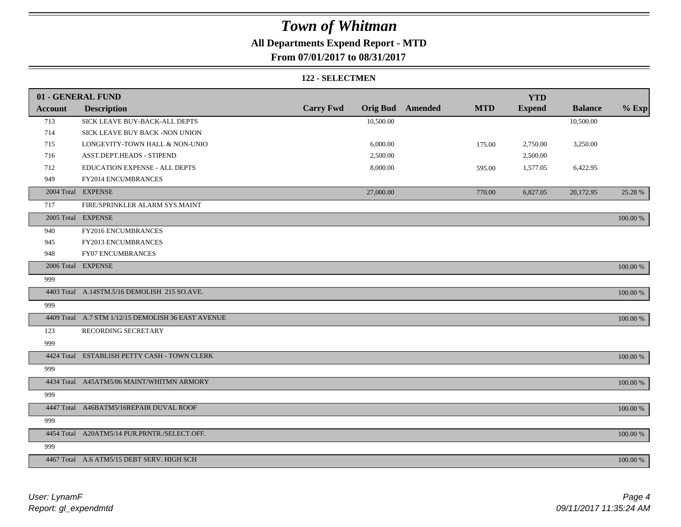### **All Departments Expend Report - MTD**

**From 07/01/2017 to 08/31/2017**

#### **122 - SELECTMEN**

|                | 01 - GENERAL FUND                                  |                  |                 |         |            | <b>YTD</b>    |                |          |
|----------------|----------------------------------------------------|------------------|-----------------|---------|------------|---------------|----------------|----------|
| <b>Account</b> | <b>Description</b>                                 | <b>Carry Fwd</b> | <b>Orig Bud</b> | Amended | <b>MTD</b> | <b>Expend</b> | <b>Balance</b> | $%$ Exp  |
| 713            | SICK LEAVE BUY-BACK-ALL DEPTS                      |                  | 10,500.00       |         |            |               | 10,500.00      |          |
| 714            | SICK LEAVE BUY BACK -NON UNION                     |                  |                 |         |            |               |                |          |
| 715            | LONGEVITY-TOWN HALL & NON-UNIO                     |                  | 6,000.00        |         | 175.00     | 2,750.00      | 3,250.00       |          |
| 716            | ASST.DEPT.HEADS - STIPEND                          |                  | 2,500.00        |         |            | 2,500.00      |                |          |
| 712            | EDUCATION EXPENSE - ALL DEPTS                      |                  | 8,000.00        |         | 595.00     | 1,577.05      | 6,422.95       |          |
| 949            | FY2014 ENCUMBRANCES                                |                  |                 |         |            |               |                |          |
|                | 2004 Total EXPENSE                                 |                  | 27,000.00       |         | 770.00     | 6,827.05      | 20,172.95      | 25.28 %  |
| 717            | FIRE/SPRINKLER ALARM SYS.MAINT                     |                  |                 |         |            |               |                |          |
|                | 2005 Total EXPENSE                                 |                  |                 |         |            |               |                | 100.00 % |
| 940            | FY2016 ENCUMBRANCES                                |                  |                 |         |            |               |                |          |
| 945            | FY2013 ENCUMBRANCES                                |                  |                 |         |            |               |                |          |
| 948            | <b>FY07 ENCUMBRANCES</b>                           |                  |                 |         |            |               |                |          |
|                | 2006 Total EXPENSE                                 |                  |                 |         |            |               |                | 100.00 % |
| 999            |                                                    |                  |                 |         |            |               |                |          |
|                | 4403 Total A.14STM.5/16 DEMOLISH 215 SO.AVE.       |                  |                 |         |            |               |                | 100.00 % |
| 999            |                                                    |                  |                 |         |            |               |                |          |
|                | 4409 Total A.7 STM 1/12/15 DEMOLISH 36 EAST AVENUE |                  |                 |         |            |               |                | 100.00 % |
| 123            | RECORDING SECRETARY                                |                  |                 |         |            |               |                |          |
| 999            |                                                    |                  |                 |         |            |               |                |          |
|                | 4424 Total ESTABLISH PETTY CASH - TOWN CLERK       |                  |                 |         |            |               |                | 100.00 % |
| 999            |                                                    |                  |                 |         |            |               |                |          |
|                | 4434 Total A45ATM5/06 MAINT/WHITMN ARMORY          |                  |                 |         |            |               |                | 100.00 % |
| 999            |                                                    |                  |                 |         |            |               |                |          |
|                | 4447 Total A46BATM5/16REPAIR DUVAL ROOF            |                  |                 |         |            |               |                | 100.00 % |
| 999            |                                                    |                  |                 |         |            |               |                |          |
|                | 4454 Total A20ATM5/14 PUR.PRNTR./SELECT.OFF.       |                  |                 |         |            |               |                | 100.00 % |
| 999            |                                                    |                  |                 |         |            |               |                |          |
|                | 4467 Total A.6 ATM5/15 DEBT SERV. HIGH SCH         |                  |                 |         |            |               |                | 100.00 % |

*Report: gl\_expendmtd User: LynamF*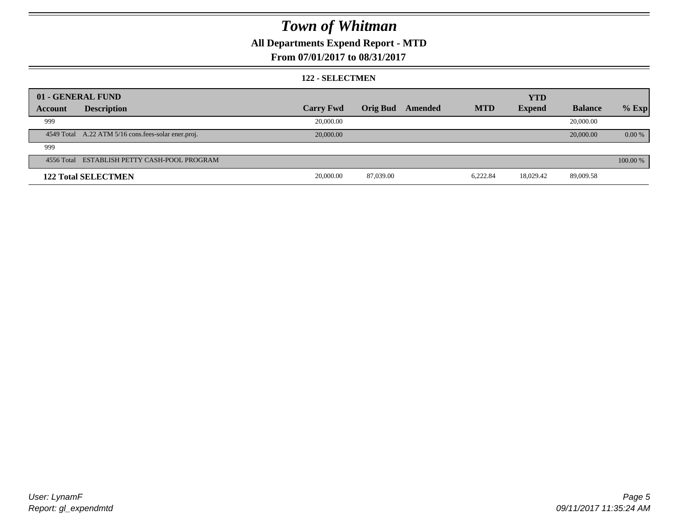### **All Departments Expend Report - MTD**

### **From 07/01/2017 to 08/31/2017**

#### **122 - SELECTMEN**

|         | 01 - GENERAL FUND                                   |                  |                 |         |            | <b>YTD</b>    |                |          |
|---------|-----------------------------------------------------|------------------|-----------------|---------|------------|---------------|----------------|----------|
| Account | <b>Description</b>                                  | <b>Carry Fwd</b> | <b>Orig Bud</b> | Amended | <b>MTD</b> | <b>Expend</b> | <b>Balance</b> | $%$ Exp  |
| 999     |                                                     | 20,000.00        |                 |         |            |               | 20,000.00      |          |
|         | 4549 Total A.22 ATM 5/16 cons.fees-solar ener.proj. | 20,000.00        |                 |         |            |               | 20,000.00      | 0.00 %   |
| 999     |                                                     |                  |                 |         |            |               |                |          |
|         | 4556 Total ESTABLISH PETTY CASH-POOL PROGRAM        |                  |                 |         |            |               |                | 100.00 % |
|         | <b>122 Total SELECTMEN</b>                          | 20,000.00        | 87,039.00       |         | 6,222.84   | 18,029.42     | 89,009.58      |          |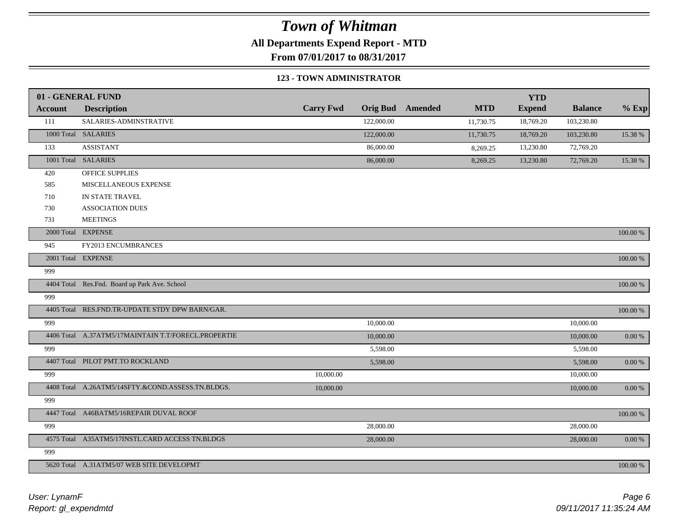**All Departments Expend Report - MTD**

**From 07/01/2017 to 08/31/2017**

#### **123 - TOWN ADMINISTRATOR**

|                | 01 - GENERAL FUND                                   |                  |                 |         |            | <b>YTD</b>    |                |               |
|----------------|-----------------------------------------------------|------------------|-----------------|---------|------------|---------------|----------------|---------------|
| <b>Account</b> | <b>Description</b>                                  | <b>Carry Fwd</b> | <b>Orig Bud</b> | Amended | <b>MTD</b> | <b>Expend</b> | <b>Balance</b> | $%$ Exp       |
| 111            | SALARIES-ADMINSTRATIVE                              |                  | 122,000.00      |         | 11,730.75  | 18,769.20     | 103,230.80     |               |
|                | 1000 Total SALARIES                                 |                  | 122,000.00      |         | 11,730.75  | 18,769.20     | 103,230.80     | 15.38 %       |
| 133            | <b>ASSISTANT</b>                                    |                  | 86,000.00       |         | 8,269.25   | 13,230.80     | 72,769.20      |               |
|                | 1001 Total SALARIES                                 |                  | 86,000.00       |         | 8,269.25   | 13,230.80     | 72,769.20      | 15.38 %       |
| 420            | <b>OFFICE SUPPLIES</b>                              |                  |                 |         |            |               |                |               |
| 585            | MISCELLANEOUS EXPENSE                               |                  |                 |         |            |               |                |               |
| 710            | IN STATE TRAVEL                                     |                  |                 |         |            |               |                |               |
| 730            | <b>ASSOCIATION DUES</b>                             |                  |                 |         |            |               |                |               |
| 731            | <b>MEETINGS</b>                                     |                  |                 |         |            |               |                |               |
|                | 2000 Total EXPENSE                                  |                  |                 |         |            |               |                | 100.00 %      |
| 945            | FY2013 ENCUMBRANCES                                 |                  |                 |         |            |               |                |               |
|                | 2001 Total EXPENSE                                  |                  |                 |         |            |               |                | 100.00 %      |
| 999            |                                                     |                  |                 |         |            |               |                |               |
|                | 4404 Total Res.Fnd. Board up Park Ave. School       |                  |                 |         |            |               |                | $100.00~\%$   |
| 999            |                                                     |                  |                 |         |            |               |                |               |
|                | 4405 Total RES.FND.TR-UPDATE STDY DPW BARN/GAR.     |                  |                 |         |            |               |                | $100.00~\%$   |
| 999            |                                                     |                  | 10,000.00       |         |            |               | 10,000.00      |               |
|                | 4406 Total A.37ATM5/17MAINTAIN T.T/FORECL.PROPERTIE |                  | 10,000.00       |         |            |               | 10,000.00      | $0.00\ \%$    |
| 999            |                                                     |                  | 5,598.00        |         |            |               | 5,598.00       |               |
|                | 4407 Total PILOT PMT.TO ROCKLAND                    |                  | 5,598.00        |         |            |               | 5,598.00       | $0.00\ \%$    |
| 999            |                                                     | 10,000.00        |                 |         |            |               | 10,000.00      |               |
|                | 4408 Total A.26ATM5/14SFTY.&COND.ASSESS.TN.BLDGS.   | 10,000.00        |                 |         |            |               | 10,000.00      | $0.00\,\%$    |
| 999            |                                                     |                  |                 |         |            |               |                |               |
|                | 4447 Total A46BATM5/16REPAIR DUVAL ROOF             |                  |                 |         |            |               |                | $100.00$ $\%$ |
| 999            |                                                     |                  | 28,000.00       |         |            |               | 28,000.00      |               |
|                | 4575 Total A35ATM5/17INSTL.CARD ACCESS TN.BLDGS     |                  | 28,000.00       |         |            |               | 28,000.00      | $0.00\ \%$    |
| 999            |                                                     |                  |                 |         |            |               |                |               |
|                | 5620 Total A.31ATM5/07 WEB SITE DEVELOPMT           |                  |                 |         |            |               |                | 100.00 %      |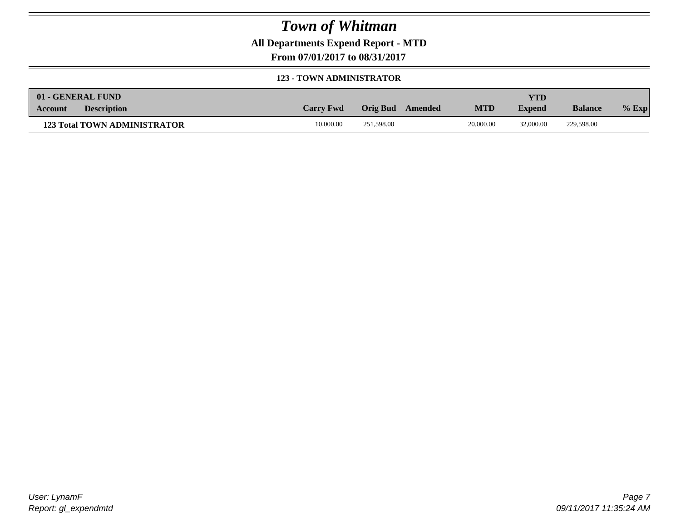**All Departments Expend Report - MTD**

**From 07/01/2017 to 08/31/2017**

#### **123 - TOWN ADMINISTRATOR**

| 01 - GENERAL FUND                    |                  |                  |            | YTD           |                |         |
|--------------------------------------|------------------|------------------|------------|---------------|----------------|---------|
| <b>Description</b><br><b>Account</b> | <b>Carry Fwd</b> | Orig Bud Amended | <b>MTD</b> | <b>Expend</b> | <b>Balance</b> | $%$ Exp |
| <b>123 Total TOWN ADMINISTRATOR</b>  | 10,000.00        | 251,598.00       | 20,000.00  | 32,000.00     | 229,598.00     |         |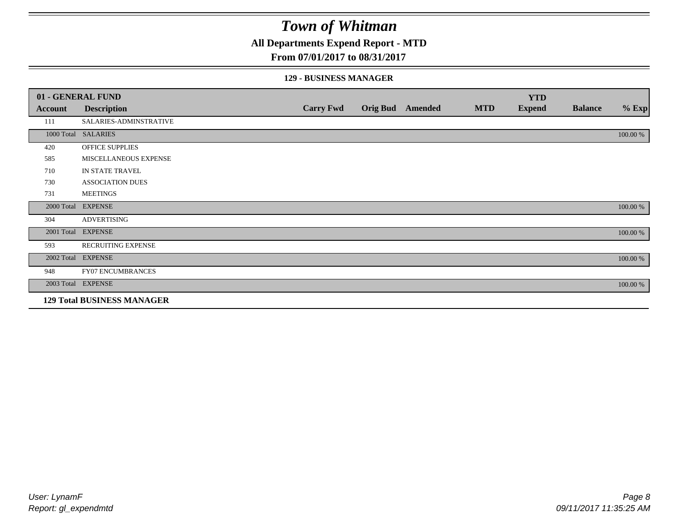### **All Departments Expend Report - MTD**

#### **From 07/01/2017 to 08/31/2017**

#### **129 - BUSINESS MANAGER**

|            | 01 - GENERAL FUND                 |                  |                 |         |            | <b>YTD</b>    |                |          |
|------------|-----------------------------------|------------------|-----------------|---------|------------|---------------|----------------|----------|
| Account    | <b>Description</b>                | <b>Carry Fwd</b> | <b>Orig Bud</b> | Amended | <b>MTD</b> | <b>Expend</b> | <b>Balance</b> | $%$ Exp  |
| 111        | SALARIES-ADMINSTRATIVE            |                  |                 |         |            |               |                |          |
|            | 1000 Total SALARIES               |                  |                 |         |            |               |                | 100.00 % |
| 420        | OFFICE SUPPLIES                   |                  |                 |         |            |               |                |          |
| 585        | MISCELLANEOUS EXPENSE             |                  |                 |         |            |               |                |          |
| 710        | IN STATE TRAVEL                   |                  |                 |         |            |               |                |          |
| 730        | <b>ASSOCIATION DUES</b>           |                  |                 |         |            |               |                |          |
| 731        | <b>MEETINGS</b>                   |                  |                 |         |            |               |                |          |
| 2000 Total | <b>EXPENSE</b>                    |                  |                 |         |            |               |                | 100.00 % |
| 304        | <b>ADVERTISING</b>                |                  |                 |         |            |               |                |          |
| 2001 Total | <b>EXPENSE</b>                    |                  |                 |         |            |               |                | 100.00 % |
| 593        | <b>RECRUITING EXPENSE</b>         |                  |                 |         |            |               |                |          |
|            | 2002 Total EXPENSE                |                  |                 |         |            |               |                | 100.00 % |
| 948        | <b>FY07 ENCUMBRANCES</b>          |                  |                 |         |            |               |                |          |
|            | 2003 Total EXPENSE                |                  |                 |         |            |               |                | 100.00 % |
|            | <b>129 Total BUSINESS MANAGER</b> |                  |                 |         |            |               |                |          |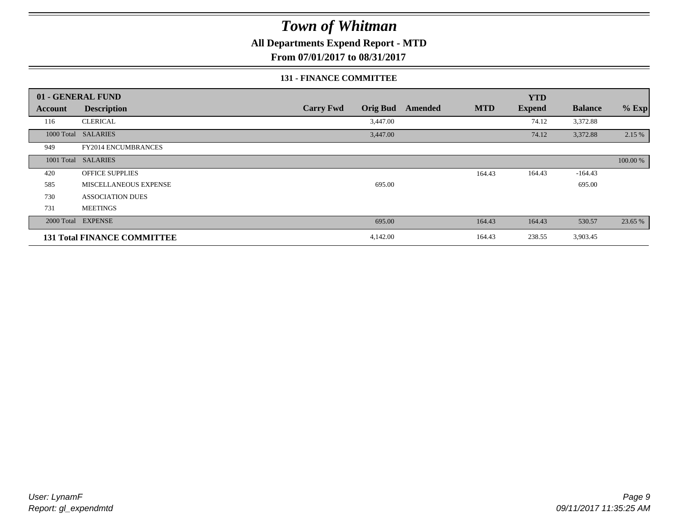### **All Departments Expend Report - MTD**

**From 07/01/2017 to 08/31/2017**

#### **131 - FINANCE COMMITTEE**

|            | 01 - GENERAL FUND                  |                                     |                       | <b>YTD</b>    |                |          |
|------------|------------------------------------|-------------------------------------|-----------------------|---------------|----------------|----------|
| Account    | <b>Description</b>                 | <b>Carry Fwd</b><br><b>Orig Bud</b> | <b>MTD</b><br>Amended | <b>Expend</b> | <b>Balance</b> | $%$ Exp  |
| 116        | <b>CLERICAL</b>                    | 3,447.00                            |                       | 74.12         | 3,372.88       |          |
| 1000 Total | <b>SALARIES</b>                    | 3,447.00                            |                       | 74.12         | 3,372.88       | 2.15 %   |
| 949        | <b>FY2014 ENCUMBRANCES</b>         |                                     |                       |               |                |          |
| 1001 Total | <b>SALARIES</b>                    |                                     |                       |               |                | 100.00 % |
| 420        | <b>OFFICE SUPPLIES</b>             |                                     | 164.43                | 164.43        | $-164.43$      |          |
| 585        | MISCELLANEOUS EXPENSE              | 695.00                              |                       |               | 695.00         |          |
| 730        | <b>ASSOCIATION DUES</b>            |                                     |                       |               |                |          |
| 731        | <b>MEETINGS</b>                    |                                     |                       |               |                |          |
| 2000 Total | <b>EXPENSE</b>                     | 695.00                              | 164.43                | 164.43        | 530.57         | 23.65 %  |
|            | <b>131 Total FINANCE COMMITTEE</b> | 4,142.00                            | 164.43                | 238.55        | 3,903.45       |          |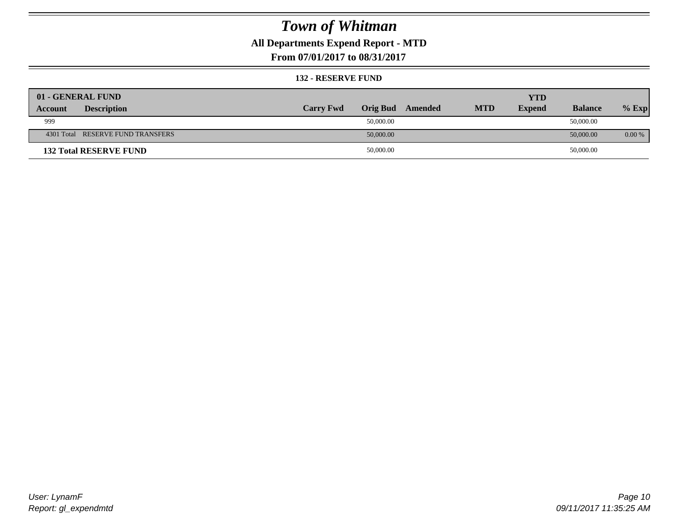### **All Departments Expend Report - MTD**

**From 07/01/2017 to 08/31/2017**

#### **132 - RESERVE FUND**

| 01 - GENERAL FUND                 |                  |                 |         |            | <b>YTD</b>    |                |          |
|-----------------------------------|------------------|-----------------|---------|------------|---------------|----------------|----------|
| <b>Description</b><br>Account     | <b>Carry Fwd</b> | <b>Orig Bud</b> | Amended | <b>MTD</b> | <b>Expend</b> | <b>Balance</b> | $%$ Exp  |
| 999                               |                  | 50,000.00       |         |            |               | 50,000.00      |          |
| 4301 Total RESERVE FUND TRANSFERS |                  | 50,000.00       |         |            |               | 50,000.00      | $0.00\%$ |
| <b>132 Total RESERVE FUND</b>     |                  | 50,000.00       |         |            |               | 50,000.00      |          |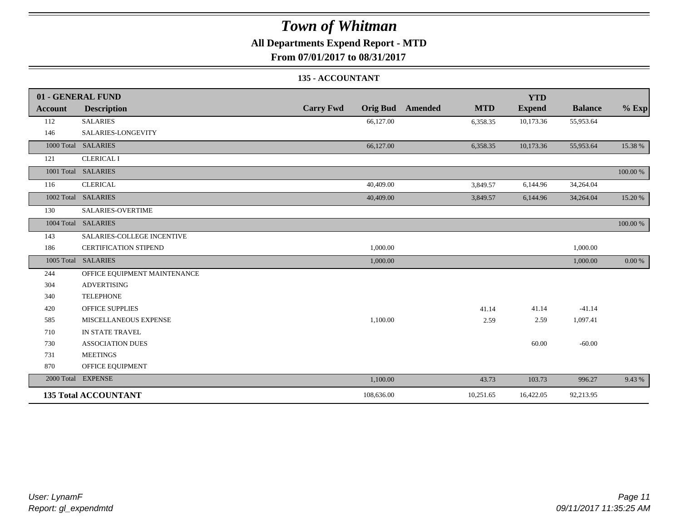### **All Departments Expend Report - MTD**

**From 07/01/2017 to 08/31/2017**

### **135 - ACCOUNTANT**

|         | 01 - GENERAL FUND            |                                     |                       | <b>YTD</b>    |                |          |
|---------|------------------------------|-------------------------------------|-----------------------|---------------|----------------|----------|
| Account | <b>Description</b>           | <b>Carry Fwd</b><br><b>Orig Bud</b> | <b>MTD</b><br>Amended | <b>Expend</b> | <b>Balance</b> | $\%$ Exp |
| 112     | <b>SALARIES</b>              | 66,127.00                           | 6,358.35              | 10,173.36     | 55,953.64      |          |
| 146     | SALARIES-LONGEVITY           |                                     |                       |               |                |          |
|         | 1000 Total SALARIES          | 66,127.00                           | 6,358.35              | 10,173.36     | 55,953.64      | 15.38 %  |
| 121     | <b>CLERICAL I</b>            |                                     |                       |               |                |          |
|         | 1001 Total SALARIES          |                                     |                       |               |                | 100.00 % |
| 116     | <b>CLERICAL</b>              | 40,409.00                           | 3,849.57              | 6,144.96      | 34,264.04      |          |
|         | 1002 Total SALARIES          | 40,409.00                           | 3,849.57              | 6,144.96      | 34,264.04      | 15.20 %  |
| 130     | SALARIES-OVERTIME            |                                     |                       |               |                |          |
|         | 1004 Total SALARIES          |                                     |                       |               |                | 100.00 % |
| 143     | SALARIES-COLLEGE INCENTIVE   |                                     |                       |               |                |          |
| 186     | <b>CERTIFICATION STIPEND</b> | 1,000.00                            |                       |               | 1,000.00       |          |
|         | 1005 Total SALARIES          | 1,000.00                            |                       |               | 1,000.00       | 0.00 %   |
| 244     | OFFICE EQUIPMENT MAINTENANCE |                                     |                       |               |                |          |
| 304     | <b>ADVERTISING</b>           |                                     |                       |               |                |          |
| 340     | <b>TELEPHONE</b>             |                                     |                       |               |                |          |
| 420     | <b>OFFICE SUPPLIES</b>       |                                     | 41.14                 | 41.14         | $-41.14$       |          |
| 585     | MISCELLANEOUS EXPENSE        | 1,100.00                            | 2.59                  | 2.59          | 1,097.41       |          |
| 710     | IN STATE TRAVEL              |                                     |                       |               |                |          |
| 730     | <b>ASSOCIATION DUES</b>      |                                     |                       | 60.00         | $-60.00$       |          |
| 731     | <b>MEETINGS</b>              |                                     |                       |               |                |          |
| 870     | OFFICE EQUIPMENT             |                                     |                       |               |                |          |
|         | 2000 Total EXPENSE           | 1,100.00                            | 43.73                 | 103.73        | 996.27         | 9.43 %   |
|         | <b>135 Total ACCOUNTANT</b>  | 108,636.00                          | 10,251.65             | 16,422.05     | 92,213.95      |          |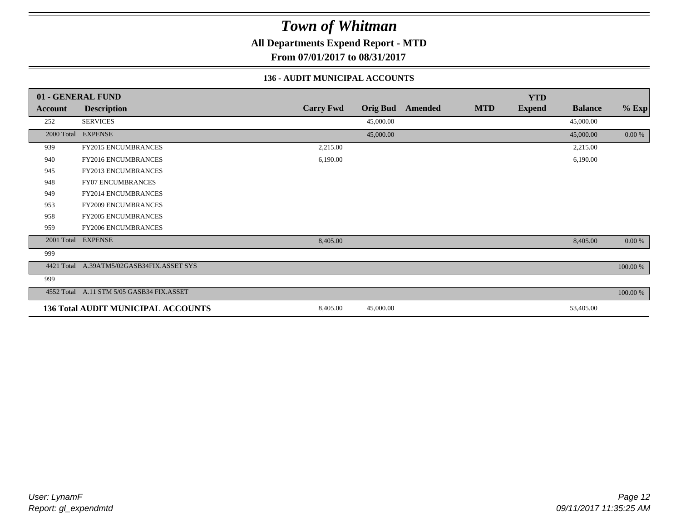**All Departments Expend Report - MTD**

**From 07/01/2017 to 08/31/2017**

### **136 - AUDIT MUNICIPAL ACCOUNTS**

|            | 01 - GENERAL FUND                         |                  |                 |         |            | <b>YTD</b>    |                |           |
|------------|-------------------------------------------|------------------|-----------------|---------|------------|---------------|----------------|-----------|
| Account    | <b>Description</b>                        | <b>Carry Fwd</b> | <b>Orig Bud</b> | Amended | <b>MTD</b> | <b>Expend</b> | <b>Balance</b> | $%$ Exp   |
| 252        | <b>SERVICES</b>                           |                  | 45,000.00       |         |            |               | 45,000.00      |           |
|            | 2000 Total EXPENSE                        |                  | 45,000.00       |         |            |               | 45,000.00      | 0.00 %    |
| 939        | <b>FY2015 ENCUMBRANCES</b>                | 2,215.00         |                 |         |            |               | 2,215.00       |           |
| 940        | FY2016 ENCUMBRANCES                       | 6,190.00         |                 |         |            |               | 6,190.00       |           |
| 945        | FY2013 ENCUMBRANCES                       |                  |                 |         |            |               |                |           |
| 948        | <b>FY07 ENCUMBRANCES</b>                  |                  |                 |         |            |               |                |           |
| 949        | FY2014 ENCUMBRANCES                       |                  |                 |         |            |               |                |           |
| 953        | <b>FY2009 ENCUMBRANCES</b>                |                  |                 |         |            |               |                |           |
| 958        | FY2005 ENCUMBRANCES                       |                  |                 |         |            |               |                |           |
| 959        | <b>FY2006 ENCUMBRANCES</b>                |                  |                 |         |            |               |                |           |
|            | 2001 Total EXPENSE                        | 8,405.00         |                 |         |            |               | 8,405.00       | $0.00 \%$ |
| 999        |                                           |                  |                 |         |            |               |                |           |
| 4421 Total | A.39ATM5/02GASB34FIX.ASSET SYS            |                  |                 |         |            |               |                | 100.00 %  |
| 999        |                                           |                  |                 |         |            |               |                |           |
|            | 4552 Total A.11 STM 5/05 GASB34 FIX.ASSET |                  |                 |         |            |               |                | 100.00 %  |
|            | <b>136 Total AUDIT MUNICIPAL ACCOUNTS</b> | 8,405.00         | 45,000.00       |         |            |               | 53,405.00      |           |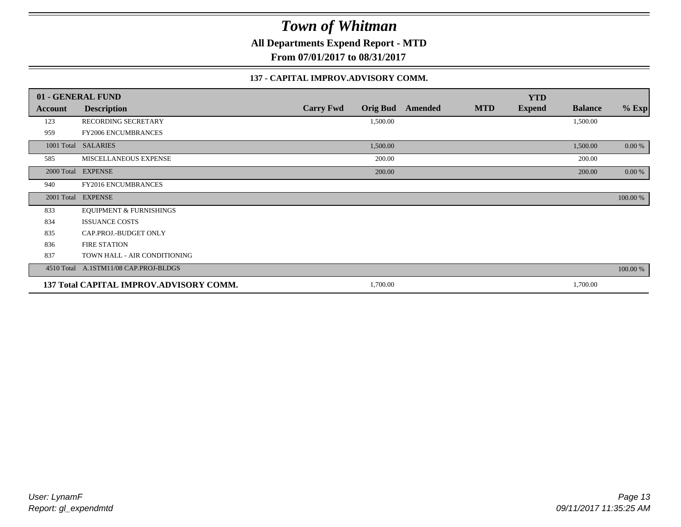**All Departments Expend Report - MTD**

**From 07/01/2017 to 08/31/2017**

#### **137 - CAPITAL IMPROV.ADVISORY COMM.**

|         | 01 - GENERAL FUND                       |                                     |         |            | <b>YTD</b>    |                |          |
|---------|-----------------------------------------|-------------------------------------|---------|------------|---------------|----------------|----------|
| Account | <b>Description</b>                      | <b>Carry Fwd</b><br><b>Orig Bud</b> | Amended | <b>MTD</b> | <b>Expend</b> | <b>Balance</b> | $%$ Exp  |
| 123     | RECORDING SECRETARY                     | 1,500.00                            |         |            |               | 1,500.00       |          |
| 959     | <b>FY2006 ENCUMBRANCES</b>              |                                     |         |            |               |                |          |
|         | 1001 Total SALARIES                     | 1,500.00                            |         |            |               | 1,500.00       | $0.00\%$ |
| 585     | MISCELLANEOUS EXPENSE                   | 200.00                              |         |            |               | 200.00         |          |
|         | 2000 Total EXPENSE                      | 200.00                              |         |            |               | 200.00         | $0.00\%$ |
| 940     | FY2016 ENCUMBRANCES                     |                                     |         |            |               |                |          |
|         | 2001 Total EXPENSE                      |                                     |         |            |               |                | 100.00 % |
| 833     | <b>EQUIPMENT &amp; FURNISHINGS</b>      |                                     |         |            |               |                |          |
| 834     | <b>ISSUANCE COSTS</b>                   |                                     |         |            |               |                |          |
| 835     | CAP.PROJ.-BUDGET ONLY                   |                                     |         |            |               |                |          |
| 836     | <b>FIRE STATION</b>                     |                                     |         |            |               |                |          |
| 837     | TOWN HALL - AIR CONDITIONING            |                                     |         |            |               |                |          |
|         | 4510 Total A.1STM11/08 CAP.PROJ-BLDGS   |                                     |         |            |               |                | 100.00 % |
|         | 137 Total CAPITAL IMPROV.ADVISORY COMM. | 1,700.00                            |         |            |               | 1,700.00       |          |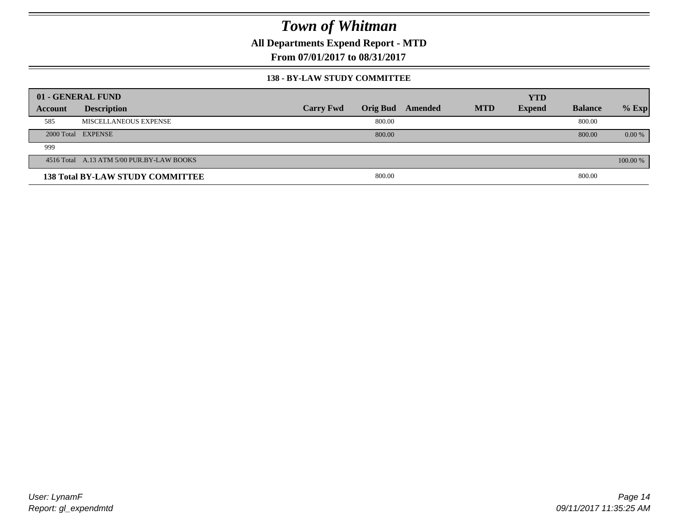**All Departments Expend Report - MTD**

**From 07/01/2017 to 08/31/2017**

#### **138 - BY-LAW STUDY COMMITTEE**

|         | 01 - GENERAL FUND                         |                  |                 |         |            | <b>YTD</b>    |                |          |
|---------|-------------------------------------------|------------------|-----------------|---------|------------|---------------|----------------|----------|
| Account | <b>Description</b>                        | <b>Carry Fwd</b> | <b>Orig Bud</b> | Amended | <b>MTD</b> | <b>Expend</b> | <b>Balance</b> | $%$ Exp  |
| 585     | MISCELLANEOUS EXPENSE                     |                  | 800.00          |         |            |               | 800.00         |          |
|         | 2000 Total EXPENSE                        |                  | 800.00          |         |            |               | 800.00         | $0.00\%$ |
| 999     |                                           |                  |                 |         |            |               |                |          |
|         | 4516 Total A.13 ATM 5/00 PUR.BY-LAW BOOKS |                  |                 |         |            |               |                | 100.00 % |
|         | <b>138 Total BY-LAW STUDY COMMITTEE</b>   |                  | 800.00          |         |            |               | 800.00         |          |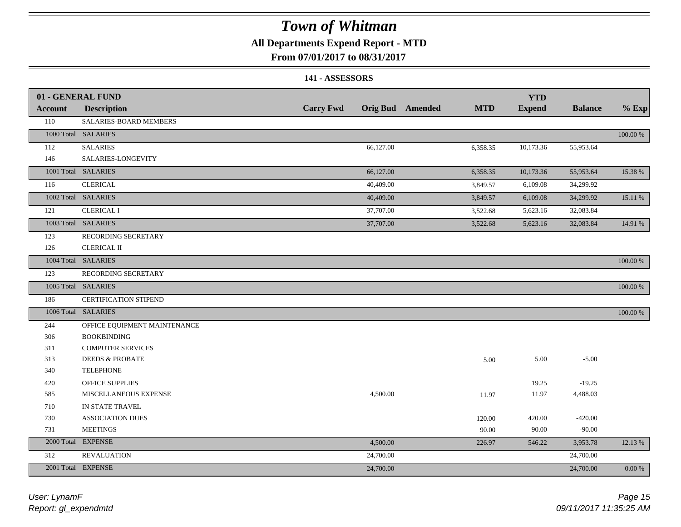### **All Departments Expend Report - MTD**

### **From 07/01/2017 to 08/31/2017**

#### **141 - ASSESSORS**

|         | 01 - GENERAL FUND            |                  |           |                         |            | <b>YTD</b>    |                |          |
|---------|------------------------------|------------------|-----------|-------------------------|------------|---------------|----------------|----------|
| Account | <b>Description</b>           | <b>Carry Fwd</b> |           | <b>Orig Bud</b> Amended | <b>MTD</b> | <b>Expend</b> | <b>Balance</b> | $%$ Exp  |
| 110     | SALARIES-BOARD MEMBERS       |                  |           |                         |            |               |                |          |
|         | 1000 Total SALARIES          |                  |           |                         |            |               |                | 100.00 % |
| 112     | <b>SALARIES</b>              |                  | 66,127.00 |                         | 6,358.35   | 10,173.36     | 55,953.64      |          |
| 146     | SALARIES-LONGEVITY           |                  |           |                         |            |               |                |          |
|         | 1001 Total SALARIES          |                  | 66,127.00 |                         | 6,358.35   | 10,173.36     | 55,953.64      | 15.38 %  |
| 116     | <b>CLERICAL</b>              |                  | 40,409.00 |                         | 3,849.57   | 6,109.08      | 34,299.92      |          |
|         | 1002 Total SALARIES          |                  | 40,409.00 |                         | 3,849.57   | 6,109.08      | 34,299.92      | 15.11 %  |
| 121     | <b>CLERICAL I</b>            |                  | 37,707.00 |                         | 3,522.68   | 5,623.16      | 32,083.84      |          |
|         | 1003 Total SALARIES          |                  | 37,707.00 |                         | 3,522.68   | 5,623.16      | 32,083.84      | 14.91 %  |
| 123     | RECORDING SECRETARY          |                  |           |                         |            |               |                |          |
| 126     | <b>CLERICAL II</b>           |                  |           |                         |            |               |                |          |
|         | 1004 Total SALARIES          |                  |           |                         |            |               |                | 100.00 % |
| 123     | RECORDING SECRETARY          |                  |           |                         |            |               |                |          |
|         | 1005 Total SALARIES          |                  |           |                         |            |               |                | 100.00 % |
| 186     | CERTIFICATION STIPEND        |                  |           |                         |            |               |                |          |
|         | 1006 Total SALARIES          |                  |           |                         |            |               |                | 100.00 % |
| 244     | OFFICE EQUIPMENT MAINTENANCE |                  |           |                         |            |               |                |          |
| 306     | <b>BOOKBINDING</b>           |                  |           |                         |            |               |                |          |
| 311     | <b>COMPUTER SERVICES</b>     |                  |           |                         |            |               |                |          |
| 313     | <b>DEEDS &amp; PROBATE</b>   |                  |           |                         | 5.00       | 5.00          | $-5.00$        |          |
| 340     | <b>TELEPHONE</b>             |                  |           |                         |            |               |                |          |
| 420     | <b>OFFICE SUPPLIES</b>       |                  |           |                         |            | 19.25         | $-19.25$       |          |
| 585     | MISCELLANEOUS EXPENSE        |                  | 4,500.00  |                         | 11.97      | 11.97         | 4,488.03       |          |
| 710     | IN STATE TRAVEL              |                  |           |                         |            |               |                |          |
| 730     | <b>ASSOCIATION DUES</b>      |                  |           |                         | 120.00     | 420.00        | $-420.00$      |          |
| 731     | <b>MEETINGS</b>              |                  |           |                         | 90.00      | 90.00         | $-90.00$       |          |
|         | 2000 Total EXPENSE           |                  | 4,500.00  |                         | 226.97     | 546.22        | 3,953.78       | 12.13 %  |
| 312     | <b>REVALUATION</b>           |                  | 24,700.00 |                         |            |               | 24,700.00      |          |
|         | 2001 Total EXPENSE           |                  | 24,700.00 |                         |            |               | 24,700.00      | 0.00 %   |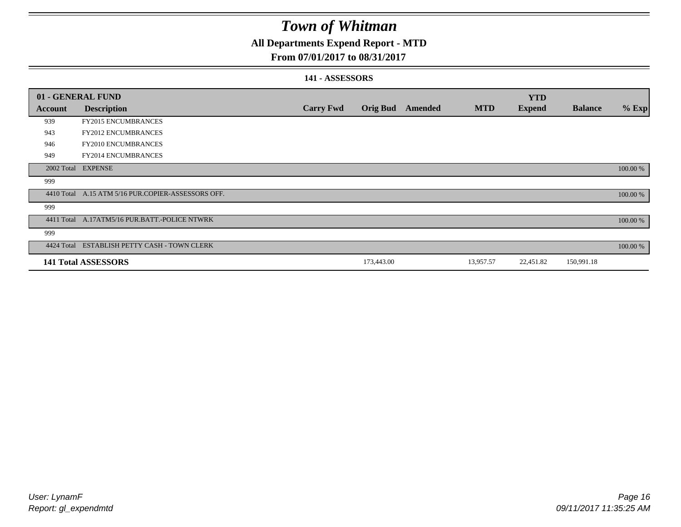### **All Departments Expend Report - MTD**

### **From 07/01/2017 to 08/31/2017**

#### **141 - ASSESSORS**

| 01 - GENERAL FUND |                                                    |                  |                 |         |            | <b>YTD</b>    |                |          |
|-------------------|----------------------------------------------------|------------------|-----------------|---------|------------|---------------|----------------|----------|
| <b>Account</b>    | <b>Description</b>                                 | <b>Carry Fwd</b> | <b>Orig Bud</b> | Amended | <b>MTD</b> | <b>Expend</b> | <b>Balance</b> | $%$ Exp  |
| 939               | <b>FY2015 ENCUMBRANCES</b>                         |                  |                 |         |            |               |                |          |
| 943               | <b>FY2012 ENCUMBRANCES</b>                         |                  |                 |         |            |               |                |          |
| 946               | <b>FY2010 ENCUMBRANCES</b>                         |                  |                 |         |            |               |                |          |
| 949               | FY2014 ENCUMBRANCES                                |                  |                 |         |            |               |                |          |
|                   | 2002 Total EXPENSE                                 |                  |                 |         |            |               |                | 100.00 % |
| 999               |                                                    |                  |                 |         |            |               |                |          |
|                   | 4410 Total A.15 ATM 5/16 PUR.COPIER-ASSESSORS OFF. |                  |                 |         |            |               |                | 100.00 % |
| 999               |                                                    |                  |                 |         |            |               |                |          |
|                   | 4411 Total A.17ATM5/16 PUR.BATT.-POLICE NTWRK      |                  |                 |         |            |               |                | 100.00 % |
| 999               |                                                    |                  |                 |         |            |               |                |          |
|                   | 4424 Total ESTABLISH PETTY CASH - TOWN CLERK       |                  |                 |         |            |               |                | 100.00 % |
|                   | <b>141 Total ASSESSORS</b>                         |                  | 173,443.00      |         | 13,957.57  | 22,451.82     | 150,991.18     |          |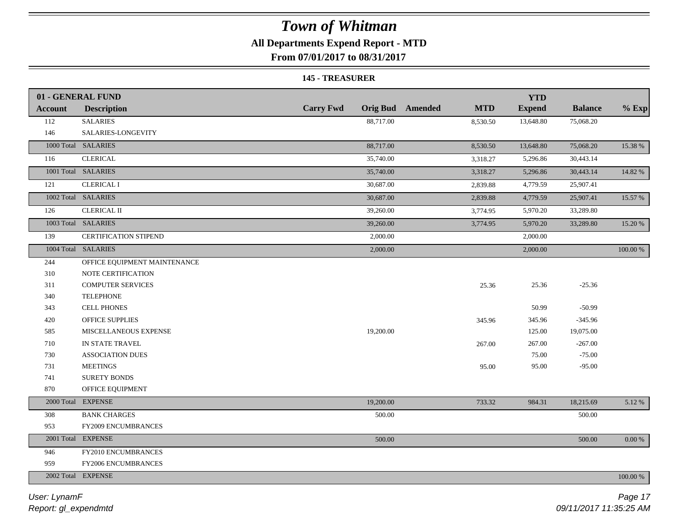### **All Departments Expend Report - MTD**

**From 07/01/2017 to 08/31/2017**

#### **145 - TREASURER**

|                | 01 - GENERAL FUND            |                                             |            | <b>YTD</b>    |                |           |
|----------------|------------------------------|---------------------------------------------|------------|---------------|----------------|-----------|
| <b>Account</b> | <b>Description</b>           | <b>Carry Fwd</b><br><b>Orig Bud</b> Amended | <b>MTD</b> | <b>Expend</b> | <b>Balance</b> | $%$ Exp   |
| 112            | <b>SALARIES</b>              | 88,717.00                                   | 8,530.50   | 13,648.80     | 75,068.20      |           |
| 146            | SALARIES-LONGEVITY           |                                             |            |               |                |           |
|                | 1000 Total SALARIES          | 88,717.00                                   | 8,530.50   | 13,648.80     | 75,068.20      | 15.38 %   |
| 116            | <b>CLERICAL</b>              | 35,740.00                                   | 3,318.27   | 5,296.86      | 30,443.14      |           |
|                | 1001 Total SALARIES          | 35,740.00                                   | 3,318.27   | 5,296.86      | 30,443.14      | 14.82 %   |
| 121            | <b>CLERICAL I</b>            | 30,687.00                                   | 2,839.88   | 4,779.59      | 25,907.41      |           |
|                | 1002 Total SALARIES          | 30,687.00                                   | 2,839.88   | 4,779.59      | 25,907.41      | 15.57 %   |
| 126            | <b>CLERICAL II</b>           | 39,260.00                                   | 3,774.95   | 5,970.20      | 33,289.80      |           |
|                | 1003 Total SALARIES          | 39,260.00                                   | 3,774.95   | 5,970.20      | 33,289.80      | 15.20 %   |
| 139            | <b>CERTIFICATION STIPEND</b> | 2,000.00                                    |            | 2,000.00      |                |           |
|                | 1004 Total SALARIES          | 2,000.00                                    |            | 2,000.00      |                | 100.00 %  |
| 244            | OFFICE EQUIPMENT MAINTENANCE |                                             |            |               |                |           |
| 310            | NOTE CERTIFICATION           |                                             |            |               |                |           |
| 311            | <b>COMPUTER SERVICES</b>     |                                             | 25.36      | 25.36         | $-25.36$       |           |
| 340            | <b>TELEPHONE</b>             |                                             |            |               |                |           |
| 343            | <b>CELL PHONES</b>           |                                             |            | 50.99         | $-50.99$       |           |
| 420            | OFFICE SUPPLIES              |                                             | 345.96     | 345.96        | $-345.96$      |           |
| 585            | MISCELLANEOUS EXPENSE        | 19,200.00                                   |            | 125.00        | 19,075.00      |           |
| 710            | IN STATE TRAVEL              |                                             | 267.00     | 267.00        | $-267.00$      |           |
| 730            | <b>ASSOCIATION DUES</b>      |                                             |            | 75.00         | $-75.00$       |           |
| 731            | <b>MEETINGS</b>              |                                             | 95.00      | 95.00         | $-95.00$       |           |
| 741            | <b>SURETY BONDS</b>          |                                             |            |               |                |           |
| 870            | OFFICE EQUIPMENT             |                                             |            |               |                |           |
| 2000 Total     | <b>EXPENSE</b>               | 19,200.00                                   | 733.32     | 984.31        | 18,215.69      | 5.12%     |
| 308            | <b>BANK CHARGES</b>          | 500.00                                      |            |               | 500.00         |           |
| 953            | FY2009 ENCUMBRANCES          |                                             |            |               |                |           |
|                | 2001 Total EXPENSE           | 500.00                                      |            |               | 500.00         | $0.00~\%$ |
| 946            | FY2010 ENCUMBRANCES          |                                             |            |               |                |           |
| 959            | <b>FY2006 ENCUMBRANCES</b>   |                                             |            |               |                |           |
|                | 2002 Total EXPENSE           |                                             |            |               |                | 100.00 %  |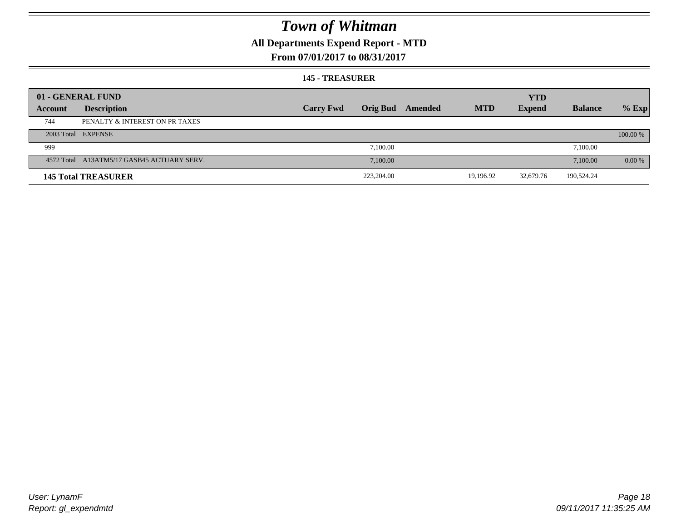### **All Departments Expend Report - MTD**

### **From 07/01/2017 to 08/31/2017**

#### **145 - TREASURER**

|         | 01 - GENERAL FUND                          |                  |                 |         |            | <b>YTD</b>    |                |           |
|---------|--------------------------------------------|------------------|-----------------|---------|------------|---------------|----------------|-----------|
| Account | <b>Description</b>                         | <b>Carry Fwd</b> | <b>Orig Bud</b> | Amended | <b>MTD</b> | <b>Expend</b> | <b>Balance</b> | $%$ Exp   |
| 744     | PENALTY & INTEREST ON PR TAXES             |                  |                 |         |            |               |                |           |
|         | 2003 Total EXPENSE                         |                  |                 |         |            |               |                | 100.00 %  |
| 999     |                                            |                  | 7.100.00        |         |            |               | 7,100.00       |           |
|         | 4572 Total A13ATM5/17 GASB45 ACTUARY SERV. |                  | 7.100.00        |         |            |               | 7,100.00       | $0.00 \%$ |
|         | <b>145 Total TREASURER</b>                 |                  | 223,204.00      |         | 19,196.92  | 32,679.76     | 190,524.24     |           |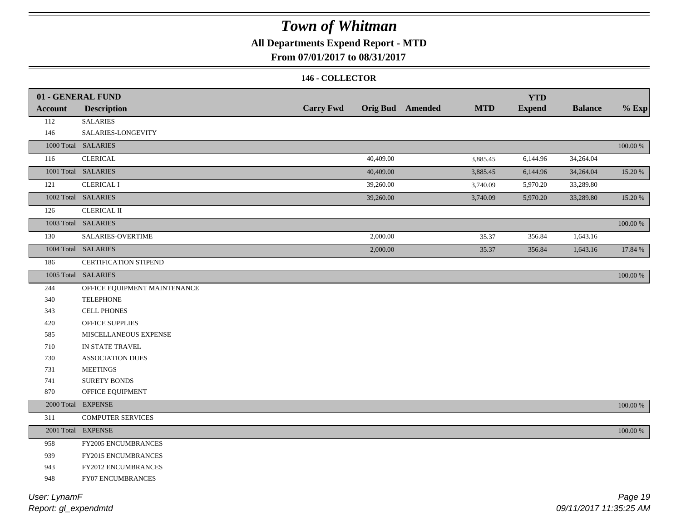### **All Departments Expend Report - MTD**

### **From 07/01/2017 to 08/31/2017**

#### **146 - COLLECTOR**

|                | 01 - GENERAL FUND            |                  |           |                         |            | <b>YTD</b>    |                |             |
|----------------|------------------------------|------------------|-----------|-------------------------|------------|---------------|----------------|-------------|
| <b>Account</b> | <b>Description</b>           | <b>Carry Fwd</b> |           | <b>Orig Bud</b> Amended | <b>MTD</b> | <b>Expend</b> | <b>Balance</b> | $%$ Exp     |
| 112            | <b>SALARIES</b>              |                  |           |                         |            |               |                |             |
| 146            | SALARIES-LONGEVITY           |                  |           |                         |            |               |                |             |
|                | 1000 Total SALARIES          |                  |           |                         |            |               |                | $100.00~\%$ |
| 116            | <b>CLERICAL</b>              |                  | 40,409.00 |                         | 3,885.45   | 6,144.96      | 34,264.04      |             |
|                | 1001 Total SALARIES          |                  | 40,409.00 |                         | 3,885.45   | 6,144.96      | 34,264.04      | 15.20 %     |
| 121            | <b>CLERICAL I</b>            |                  | 39,260.00 |                         | 3,740.09   | 5,970.20      | 33,289.80      |             |
|                | 1002 Total SALARIES          |                  | 39,260.00 |                         | 3,740.09   | 5,970.20      | 33,289.80      | 15.20 %     |
| 126            | CLERICAL II                  |                  |           |                         |            |               |                |             |
|                | 1003 Total SALARIES          |                  |           |                         |            |               |                | $100.00~\%$ |
| 130            | SALARIES-OVERTIME            |                  | 2,000.00  |                         | 35.37      | 356.84        | 1,643.16       |             |
|                | 1004 Total SALARIES          |                  | 2,000.00  |                         | 35.37      | 356.84        | 1,643.16       | 17.84 %     |
| 186            | CERTIFICATION STIPEND        |                  |           |                         |            |               |                |             |
|                | 1005 Total SALARIES          |                  |           |                         |            |               |                | $100.00~\%$ |
| 244            | OFFICE EQUIPMENT MAINTENANCE |                  |           |                         |            |               |                |             |
| 340            | <b>TELEPHONE</b>             |                  |           |                         |            |               |                |             |
| 343            | <b>CELL PHONES</b>           |                  |           |                         |            |               |                |             |
| 420            | OFFICE SUPPLIES              |                  |           |                         |            |               |                |             |
| 585            | MISCELLANEOUS EXPENSE        |                  |           |                         |            |               |                |             |
| 710            | IN STATE TRAVEL              |                  |           |                         |            |               |                |             |
| 730            | ASSOCIATION DUES             |                  |           |                         |            |               |                |             |
| 731            | <b>MEETINGS</b>              |                  |           |                         |            |               |                |             |
| 741            | <b>SURETY BONDS</b>          |                  |           |                         |            |               |                |             |
| 870            | OFFICE EQUIPMENT             |                  |           |                         |            |               |                |             |
|                | 2000 Total EXPENSE           |                  |           |                         |            |               |                | 100.00 %    |
| 311            | <b>COMPUTER SERVICES</b>     |                  |           |                         |            |               |                |             |
|                | 2001 Total EXPENSE           |                  |           |                         |            |               |                | 100.00 %    |
| 958            | FY2005 ENCUMBRANCES          |                  |           |                         |            |               |                |             |
| 939            | FY2015 ENCUMBRANCES          |                  |           |                         |            |               |                |             |
| 943            | FY2012 ENCUMBRANCES          |                  |           |                         |            |               |                |             |
| 948            | FY07 ENCUMBRANCES            |                  |           |                         |            |               |                |             |
|                |                              |                  |           |                         |            |               |                |             |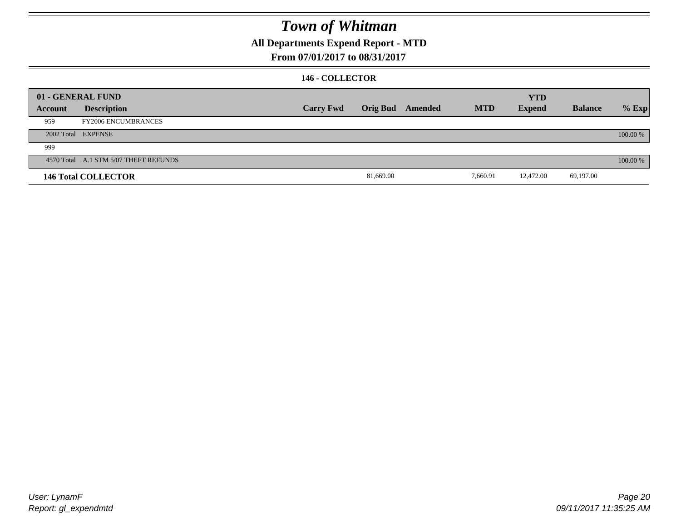### **All Departments Expend Report - MTD**

### **From 07/01/2017 to 08/31/2017**

#### **146 - COLLECTOR**

|         | 01 - GENERAL FUND                     |                  |           |                         |            | <b>YTD</b>    |                |          |
|---------|---------------------------------------|------------------|-----------|-------------------------|------------|---------------|----------------|----------|
| Account | <b>Description</b>                    | <b>Carry Fwd</b> |           | <b>Orig Bud</b> Amended | <b>MTD</b> | <b>Expend</b> | <b>Balance</b> | $%$ Exp  |
| 959     | <b>FY2006 ENCUMBRANCES</b>            |                  |           |                         |            |               |                |          |
|         | 2002 Total EXPENSE                    |                  |           |                         |            |               |                | 100.00 % |
| 999     |                                       |                  |           |                         |            |               |                |          |
|         | 4570 Total A.1 STM 5/07 THEFT REFUNDS |                  |           |                         |            |               |                | 100.00 % |
|         | <b>146 Total COLLECTOR</b>            |                  | 81,669.00 |                         | 7,660.91   | 12,472.00     | 69,197.00      |          |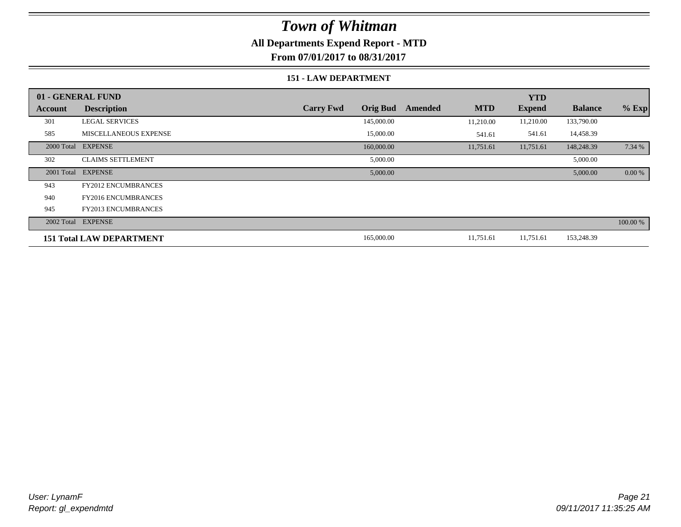### **All Departments Expend Report - MTD**

**From 07/01/2017 to 08/31/2017**

#### **151 - LAW DEPARTMENT**

|         | 01 - GENERAL FUND               |                                     |                       | <b>YTD</b>    |                |           |
|---------|---------------------------------|-------------------------------------|-----------------------|---------------|----------------|-----------|
| Account | <b>Description</b>              | <b>Carry Fwd</b><br><b>Orig Bud</b> | <b>MTD</b><br>Amended | <b>Expend</b> | <b>Balance</b> | $%$ Exp   |
| 301     | <b>LEGAL SERVICES</b>           | 145,000.00                          | 11,210.00             | 11,210.00     | 133,790.00     |           |
| 585     | <b>MISCELLANEOUS EXPENSE</b>    | 15,000.00                           | 541.61                | 541.61        | 14,458.39      |           |
|         | 2000 Total EXPENSE              | 160,000.00                          | 11,751.61             | 11,751.61     | 148,248.39     | 7.34 %    |
| 302     | <b>CLAIMS SETTLEMENT</b>        | 5,000.00                            |                       |               | 5,000.00       |           |
|         | 2001 Total EXPENSE              | 5,000.00                            |                       |               | 5,000.00       | $0.00 \%$ |
| 943     | <b>FY2012 ENCUMBRANCES</b>      |                                     |                       |               |                |           |
| 940     | <b>FY2016 ENCUMBRANCES</b>      |                                     |                       |               |                |           |
| 945     | <b>FY2013 ENCUMBRANCES</b>      |                                     |                       |               |                |           |
|         | 2002 Total EXPENSE              |                                     |                       |               |                | 100.00 %  |
|         | <b>151 Total LAW DEPARTMENT</b> | 165,000.00                          | 11,751.61             | 11,751.61     | 153,248.39     |           |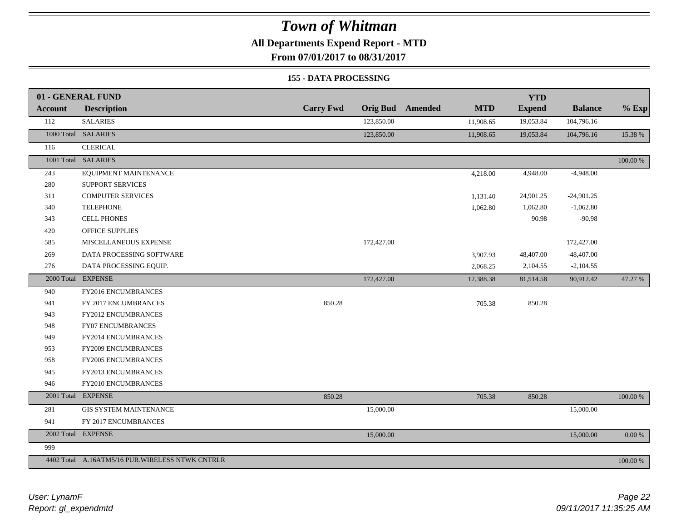### **All Departments Expend Report - MTD**

**From 07/01/2017 to 08/31/2017**

#### **155 - DATA PROCESSING**

|                | 01 - GENERAL FUND                                |                  |                 |         |            | <b>YTD</b>    |                |             |
|----------------|--------------------------------------------------|------------------|-----------------|---------|------------|---------------|----------------|-------------|
| <b>Account</b> | <b>Description</b>                               | <b>Carry Fwd</b> | <b>Orig Bud</b> | Amended | <b>MTD</b> | <b>Expend</b> | <b>Balance</b> | $%$ Exp     |
| 112            | <b>SALARIES</b>                                  |                  | 123,850.00      |         | 11,908.65  | 19,053.84     | 104,796.16     |             |
|                | 1000 Total SALARIES                              |                  | 123,850.00      |         | 11,908.65  | 19,053.84     | 104,796.16     | 15.38 %     |
| 116            | <b>CLERICAL</b>                                  |                  |                 |         |            |               |                |             |
|                | 1001 Total SALARIES                              |                  |                 |         |            |               |                | $100.00~\%$ |
| 243            | EQUIPMENT MAINTENANCE                            |                  |                 |         | 4,218.00   | 4,948.00      | $-4,948.00$    |             |
| 280            | SUPPORT SERVICES                                 |                  |                 |         |            |               |                |             |
| 311            | <b>COMPUTER SERVICES</b>                         |                  |                 |         | 1,131.40   | 24,901.25     | $-24,901.25$   |             |
| 340            | <b>TELEPHONE</b>                                 |                  |                 |         | 1,062.80   | 1,062.80      | $-1,062.80$    |             |
| 343            | <b>CELL PHONES</b>                               |                  |                 |         |            | 90.98         | $-90.98$       |             |
| 420            | <b>OFFICE SUPPLIES</b>                           |                  |                 |         |            |               |                |             |
| 585            | MISCELLANEOUS EXPENSE                            |                  | 172,427.00      |         |            |               | 172,427.00     |             |
| 269            | DATA PROCESSING SOFTWARE                         |                  |                 |         | 3,907.93   | 48,407.00     | $-48,407.00$   |             |
| 276            | DATA PROCESSING EQUIP.                           |                  |                 |         | 2,068.25   | 2,104.55      | $-2,104.55$    |             |
|                | 2000 Total EXPENSE                               |                  | 172,427.00      |         | 12,388.38  | 81,514.58     | 90,912.42      | 47.27 %     |
| 940            | FY2016 ENCUMBRANCES                              |                  |                 |         |            |               |                |             |
| 941            | FY 2017 ENCUMBRANCES                             | 850.28           |                 |         | 705.38     | 850.28        |                |             |
| 943            | FY2012 ENCUMBRANCES                              |                  |                 |         |            |               |                |             |
| 948            | FY07 ENCUMBRANCES                                |                  |                 |         |            |               |                |             |
| 949            | FY2014 ENCUMBRANCES                              |                  |                 |         |            |               |                |             |
| 953            | FY2009 ENCUMBRANCES                              |                  |                 |         |            |               |                |             |
| 958            | FY2005 ENCUMBRANCES                              |                  |                 |         |            |               |                |             |
| 945            | FY2013 ENCUMBRANCES                              |                  |                 |         |            |               |                |             |
| 946            | FY2010 ENCUMBRANCES                              |                  |                 |         |            |               |                |             |
|                | 2001 Total EXPENSE                               | 850.28           |                 |         | 705.38     | 850.28        |                | 100.00 %    |
| 281            | <b>GIS SYSTEM MAINTENANCE</b>                    |                  | 15,000.00       |         |            |               | 15,000.00      |             |
| 941            | FY 2017 ENCUMBRANCES                             |                  |                 |         |            |               |                |             |
|                | 2002 Total EXPENSE                               |                  | 15,000.00       |         |            |               | 15,000.00      | $0.00~\%$   |
| 999            |                                                  |                  |                 |         |            |               |                |             |
|                | 4402 Total A.16ATM5/16 PUR. WIRELESS NTWK CNTRLR |                  |                 |         |            |               |                | 100.00 %    |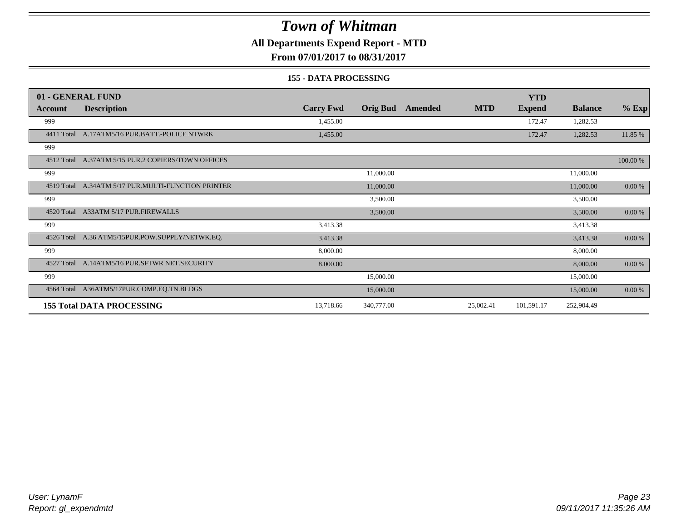### **All Departments Expend Report - MTD**

**From 07/01/2017 to 08/31/2017**

#### **155 - DATA PROCESSING**

|            | 01 - GENERAL FUND                                  |                  |                 |         |            | <b>YTD</b>    |                |           |
|------------|----------------------------------------------------|------------------|-----------------|---------|------------|---------------|----------------|-----------|
| Account    | <b>Description</b>                                 | <b>Carry Fwd</b> | <b>Orig Bud</b> | Amended | <b>MTD</b> | <b>Expend</b> | <b>Balance</b> | $%$ Exp   |
| 999        |                                                    | 1,455.00         |                 |         |            | 172.47        | 1,282.53       |           |
|            | 4411 Total A.17ATM5/16 PUR.BATT.-POLICE NTWRK      | 1,455.00         |                 |         |            | 172.47        | 1,282.53       | 11.85 %   |
| 999        |                                                    |                  |                 |         |            |               |                |           |
|            | 4512 Total A.37ATM 5/15 PUR.2 COPIERS/TOWN OFFICES |                  |                 |         |            |               |                | 100.00 %  |
| 999        |                                                    |                  | 11,000.00       |         |            |               | 11,000.00      |           |
| 4519 Total | A.34ATM 5/17 PUR.MULTI-FUNCTION PRINTER            |                  | 11,000.00       |         |            |               | 11,000.00      | 0.00 %    |
| 999        |                                                    |                  | 3,500.00        |         |            |               | 3,500.00       |           |
|            | 4520 Total A33ATM 5/17 PUR.FIREWALLS               |                  | 3,500.00        |         |            |               | 3,500.00       | $0.00 \%$ |
| 999        |                                                    | 3,413.38         |                 |         |            |               | 3,413.38       |           |
|            | 4526 Total A.36 ATM5/15PUR.POW.SUPPLY/NETWK.EQ.    | 3,413.38         |                 |         |            |               | 3,413.38       | $0.00 \%$ |
| 999        |                                                    | 8,000.00         |                 |         |            |               | 8,000.00       |           |
| 4527 Total | A.14ATM5/16 PUR.SFTWR NET.SECURITY                 | 8,000.00         |                 |         |            |               | 8,000.00       | 0.00 %    |
| 999        |                                                    |                  | 15,000.00       |         |            |               | 15,000.00      |           |
|            | 4564 Total A36ATM5/17PUR.COMP.EQ.TN.BLDGS          |                  | 15,000.00       |         |            |               | 15,000.00      | 0.00 %    |
|            | <b>155 Total DATA PROCESSING</b>                   | 13,718.66        | 340,777.00      |         | 25,002.41  | 101,591.17    | 252,904.49     |           |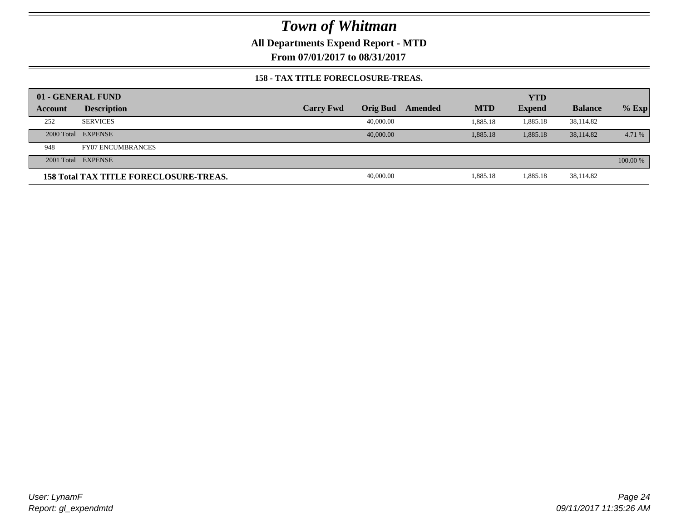**All Departments Expend Report - MTD**

**From 07/01/2017 to 08/31/2017**

#### **158 - TAX TITLE FORECLOSURE-TREAS.**

|         | 01 - GENERAL FUND                             |                  |                 |         |            | <b>YTD</b>    |                |          |
|---------|-----------------------------------------------|------------------|-----------------|---------|------------|---------------|----------------|----------|
| Account | <b>Description</b>                            | <b>Carry Fwd</b> | <b>Orig Bud</b> | Amended | <b>MTD</b> | <b>Expend</b> | <b>Balance</b> | $%$ Exp  |
| 252     | <b>SERVICES</b>                               |                  | 40,000.00       |         | 1,885.18   | 1,885.18      | 38,114.82      |          |
|         | 2000 Total EXPENSE                            |                  | 40,000,00       |         | 1,885.18   | 1,885.18      | 38,114.82      | 4.71 %   |
| 948     | <b>FY07 ENCUMBRANCES</b>                      |                  |                 |         |            |               |                |          |
|         | 2001 Total EXPENSE                            |                  |                 |         |            |               |                | 100.00 % |
|         | <b>158 Total TAX TITLE FORECLOSURE-TREAS.</b> |                  | 40,000.00       |         | 1,885.18   | 1,885.18      | 38,114.82      |          |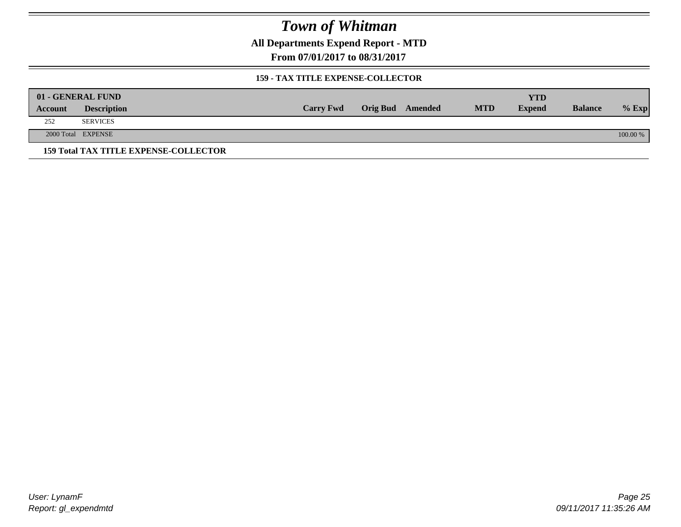**All Departments Expend Report - MTD**

**From 07/01/2017 to 08/31/2017**

#### **159 - TAX TITLE EXPENSE-COLLECTOR**

|         | 01 - GENERAL FUND                            |                  |                         |            | YTD           |                |          |
|---------|----------------------------------------------|------------------|-------------------------|------------|---------------|----------------|----------|
| Account | <b>Description</b>                           | <b>Carry Fwd</b> | <b>Orig Bud</b> Amended | <b>MTD</b> | <b>Expend</b> | <b>Balance</b> | $%$ Exp  |
| 252     | <b>SERVICES</b>                              |                  |                         |            |               |                |          |
|         | 2000 Total EXPENSE                           |                  |                         |            |               |                | 100.00 % |
|         | <b>159 Total TAX TITLE EXPENSE-COLLECTOR</b> |                  |                         |            |               |                |          |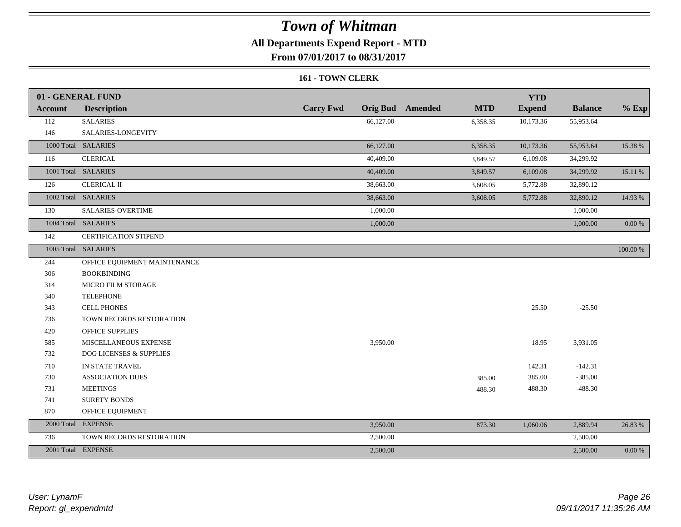### **All Departments Expend Report - MTD**

**From 07/01/2017 to 08/31/2017**

#### **161 - TOWN CLERK**

|                | 01 - GENERAL FUND                  |                  |                                       | <b>YTD</b>    |                |            |
|----------------|------------------------------------|------------------|---------------------------------------|---------------|----------------|------------|
| <b>Account</b> | <b>Description</b>                 | <b>Carry Fwd</b> | <b>Orig Bud</b> Amended<br><b>MTD</b> | <b>Expend</b> | <b>Balance</b> | $%$ Exp    |
| 112            | <b>SALARIES</b>                    | 66,127.00        | 6,358.35                              | 10,173.36     | 55,953.64      |            |
| 146            | SALARIES-LONGEVITY                 |                  |                                       |               |                |            |
|                | 1000 Total SALARIES                | 66,127.00        | 6,358.35                              | 10,173.36     | 55,953.64      | 15.38 %    |
| 116            | <b>CLERICAL</b>                    | 40,409.00        | 3,849.57                              | 6,109.08      | 34,299.92      |            |
|                | 1001 Total SALARIES                | 40,409.00        | 3,849.57                              | 6,109.08      | 34,299.92      | 15.11 %    |
| 126            | <b>CLERICAL II</b>                 | 38,663.00        | 3,608.05                              | 5,772.88      | 32,890.12      |            |
|                | 1002 Total SALARIES                | 38,663.00        | 3,608.05                              | 5,772.88      | 32,890.12      | 14.93 %    |
| 130            | SALARIES-OVERTIME                  | 1,000.00         |                                       |               | 1,000.00       |            |
|                | 1004 Total SALARIES                | 1,000.00         |                                       |               | 1,000.00       | $0.00\ \%$ |
| 142            | CERTIFICATION STIPEND              |                  |                                       |               |                |            |
|                | 1005 Total SALARIES                |                  |                                       |               |                | 100.00 %   |
| 244            | OFFICE EQUIPMENT MAINTENANCE       |                  |                                       |               |                |            |
| 306            | <b>BOOKBINDING</b>                 |                  |                                       |               |                |            |
| 314            | MICRO FILM STORAGE                 |                  |                                       |               |                |            |
| 340            | <b>TELEPHONE</b>                   |                  |                                       |               |                |            |
| 343            | <b>CELL PHONES</b>                 |                  |                                       | 25.50         | $-25.50$       |            |
| 736            | TOWN RECORDS RESTORATION           |                  |                                       |               |                |            |
| 420            | <b>OFFICE SUPPLIES</b>             |                  |                                       |               |                |            |
| 585            | MISCELLANEOUS EXPENSE              | 3,950.00         |                                       | 18.95         | 3,931.05       |            |
| 732            | <b>DOG LICENSES &amp; SUPPLIES</b> |                  |                                       |               |                |            |
| 710            | IN STATE TRAVEL                    |                  |                                       | 142.31        | $-142.31$      |            |
| 730            | <b>ASSOCIATION DUES</b>            |                  | 385.00                                | 385.00        | $-385.00$      |            |
| 731            | <b>MEETINGS</b>                    |                  | 488.30                                | 488.30        | $-488.30$      |            |
| 741            | <b>SURETY BONDS</b>                |                  |                                       |               |                |            |
| 870            | OFFICE EQUIPMENT                   |                  |                                       |               |                |            |
|                | 2000 Total EXPENSE                 | 3,950.00         | 873.30                                | 1,060.06      | 2,889.94       | 26.83 %    |
| 736            | TOWN RECORDS RESTORATION           | 2,500.00         |                                       |               | 2,500.00       |            |
|                | 2001 Total EXPENSE                 | 2,500.00         |                                       |               | 2,500.00       | 0.00 %     |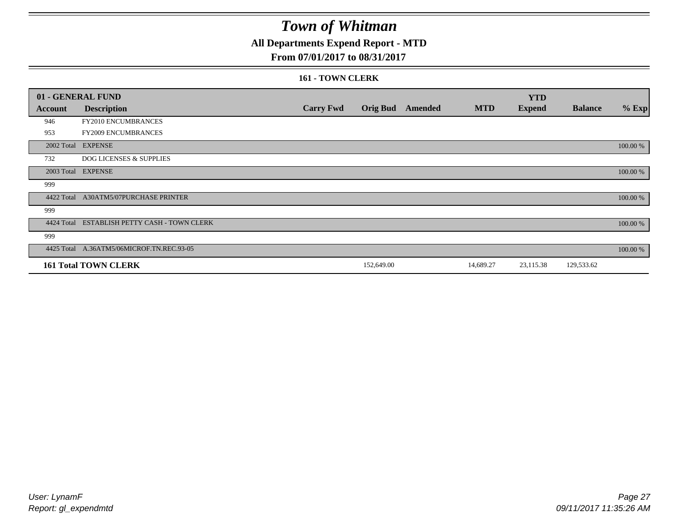### **All Departments Expend Report - MTD**

### **From 07/01/2017 to 08/31/2017**

#### **161 - TOWN CLERK**

|            | 01 - GENERAL FUND                         |                  |                 |                |            | <b>YTD</b>    |                |          |
|------------|-------------------------------------------|------------------|-----------------|----------------|------------|---------------|----------------|----------|
| Account    | <b>Description</b>                        | <b>Carry Fwd</b> | <b>Orig Bud</b> | <b>Amended</b> | <b>MTD</b> | <b>Expend</b> | <b>Balance</b> | $%$ Exp  |
| 946        | FY2010 ENCUMBRANCES                       |                  |                 |                |            |               |                |          |
| 953        | <b>FY2009 ENCUMBRANCES</b>                |                  |                 |                |            |               |                |          |
|            | 2002 Total EXPENSE                        |                  |                 |                |            |               |                | 100.00 % |
| 732        | <b>DOG LICENSES &amp; SUPPLIES</b>        |                  |                 |                |            |               |                |          |
| 2003 Total | <b>EXPENSE</b>                            |                  |                 |                |            |               |                | 100.00 % |
| 999        |                                           |                  |                 |                |            |               |                |          |
| 4422 Total | A30ATM5/07PURCHASE PRINTER                |                  |                 |                |            |               |                | 100.00 % |
| 999        |                                           |                  |                 |                |            |               |                |          |
| 4424 Total | ESTABLISH PETTY CASH - TOWN CLERK         |                  |                 |                |            |               |                | 100.00 % |
| 999        |                                           |                  |                 |                |            |               |                |          |
|            | 4425 Total A.36ATM5/06MICROF.TN.REC.93-05 |                  |                 |                |            |               |                | 100.00 % |
|            | <b>161 Total TOWN CLERK</b>               |                  | 152,649.00      |                | 14,689.27  | 23,115.38     | 129,533.62     |          |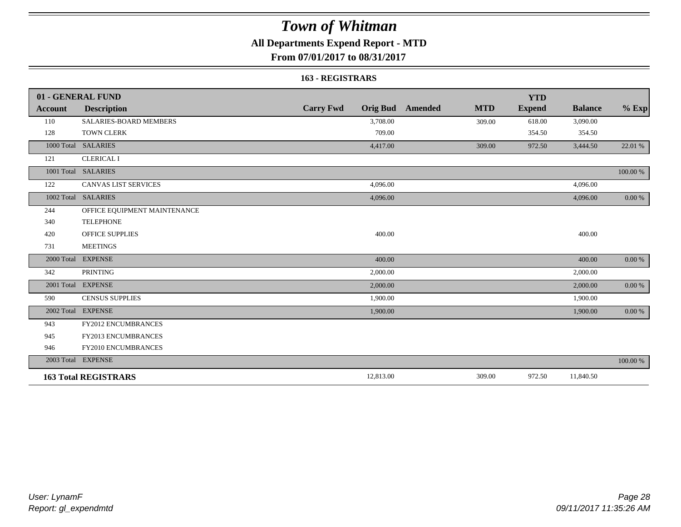### **All Departments Expend Report - MTD**

**From 07/01/2017 to 08/31/2017**

#### **163 - REGISTRARS**

|                | 01 - GENERAL FUND            |                                     |                              | <b>YTD</b>    |                |            |
|----------------|------------------------------|-------------------------------------|------------------------------|---------------|----------------|------------|
| <b>Account</b> | <b>Description</b>           | <b>Carry Fwd</b><br><b>Orig Bud</b> | <b>MTD</b><br><b>Amended</b> | <b>Expend</b> | <b>Balance</b> | $%$ Exp    |
| 110            | SALARIES-BOARD MEMBERS       | 3,708.00                            | 309.00                       | 618.00        | 3,090.00       |            |
| 128            | <b>TOWN CLERK</b>            | 709.00                              |                              | 354.50        | 354.50         |            |
| 1000 Total     | <b>SALARIES</b>              | 4,417.00                            | 309.00                       | 972.50        | 3,444.50       | 22.01 %    |
| 121            | <b>CLERICAL I</b>            |                                     |                              |               |                |            |
|                | 1001 Total SALARIES          |                                     |                              |               |                | 100.00 %   |
| 122            | <b>CANVAS LIST SERVICES</b>  | 4,096.00                            |                              |               | 4,096.00       |            |
| 1002 Total     | <b>SALARIES</b>              | 4,096.00                            |                              |               | 4,096.00       | 0.00 %     |
| 244            | OFFICE EQUIPMENT MAINTENANCE |                                     |                              |               |                |            |
| 340            | <b>TELEPHONE</b>             |                                     |                              |               |                |            |
| 420            | <b>OFFICE SUPPLIES</b>       | 400.00                              |                              |               | 400.00         |            |
| 731            | <b>MEETINGS</b>              |                                     |                              |               |                |            |
| 2000 Total     | <b>EXPENSE</b>               | 400.00                              |                              |               | 400.00         | 0.00 %     |
| 342            | <b>PRINTING</b>              | 2,000.00                            |                              |               | 2,000.00       |            |
|                | 2001 Total EXPENSE           | 2,000.00                            |                              |               | 2,000.00       | $0.00\ \%$ |
| 590            | <b>CENSUS SUPPLIES</b>       | 1,900.00                            |                              |               | 1,900.00       |            |
| 2002 Total     | <b>EXPENSE</b>               | 1,900.00                            |                              |               | 1,900.00       | 0.00 %     |
| 943            | <b>FY2012 ENCUMBRANCES</b>   |                                     |                              |               |                |            |
| 945            | FY2013 ENCUMBRANCES          |                                     |                              |               |                |            |
| 946            | FY2010 ENCUMBRANCES          |                                     |                              |               |                |            |
|                | 2003 Total EXPENSE           |                                     |                              |               |                | 100.00 %   |
|                | <b>163 Total REGISTRARS</b>  | 12,813.00                           | 309.00                       | 972.50        | 11,840.50      |            |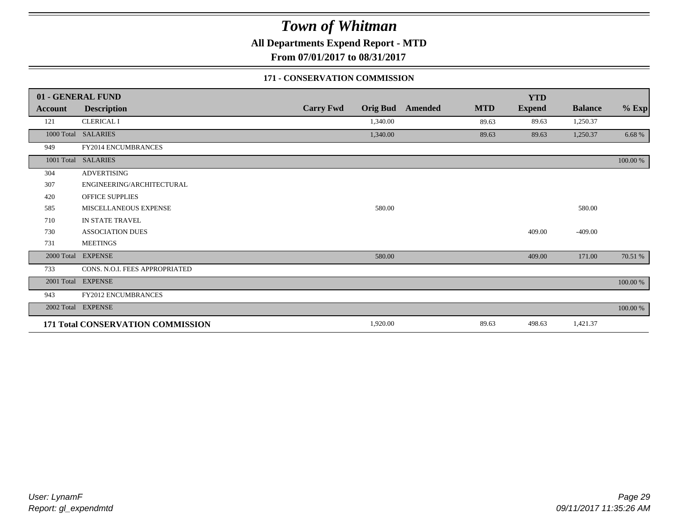**All Departments Expend Report - MTD**

**From 07/01/2017 to 08/31/2017**

### **171 - CONSERVATION COMMISSION**

|            | 01 - GENERAL FUND                 |                  |                 |                |            | <b>YTD</b>    |                |          |
|------------|-----------------------------------|------------------|-----------------|----------------|------------|---------------|----------------|----------|
| Account    | <b>Description</b>                | <b>Carry Fwd</b> | <b>Orig Bud</b> | <b>Amended</b> | <b>MTD</b> | <b>Expend</b> | <b>Balance</b> | $%$ Exp  |
| 121        | <b>CLERICAL I</b>                 |                  | 1,340.00        |                | 89.63      | 89.63         | 1,250.37       |          |
|            | 1000 Total SALARIES               |                  | 1,340.00        |                | 89.63      | 89.63         | 1,250.37       | 6.68 %   |
| 949        | <b>FY2014 ENCUMBRANCES</b>        |                  |                 |                |            |               |                |          |
|            | 1001 Total SALARIES               |                  |                 |                |            |               |                | 100.00 % |
| 304        | <b>ADVERTISING</b>                |                  |                 |                |            |               |                |          |
| 307        | ENGINEERING/ARCHITECTURAL         |                  |                 |                |            |               |                |          |
| 420        | OFFICE SUPPLIES                   |                  |                 |                |            |               |                |          |
| 585        | MISCELLANEOUS EXPENSE             |                  | 580.00          |                |            |               | 580.00         |          |
| 710        | IN STATE TRAVEL                   |                  |                 |                |            |               |                |          |
| 730        | <b>ASSOCIATION DUES</b>           |                  |                 |                |            | 409.00        | $-409.00$      |          |
| 731        | <b>MEETINGS</b>                   |                  |                 |                |            |               |                |          |
| 2000 Total | <b>EXPENSE</b>                    |                  | 580.00          |                |            | 409.00        | 171.00         | 70.51 %  |
| 733        | CONS. N.O.I. FEES APPROPRIATED    |                  |                 |                |            |               |                |          |
| 2001 Total | <b>EXPENSE</b>                    |                  |                 |                |            |               |                | 100.00 % |
| 943        | FY2012 ENCUMBRANCES               |                  |                 |                |            |               |                |          |
| 2002 Total | <b>EXPENSE</b>                    |                  |                 |                |            |               |                | 100.00 % |
|            | 171 Total CONSERVATION COMMISSION |                  | 1,920.00        |                | 89.63      | 498.63        | 1,421.37       |          |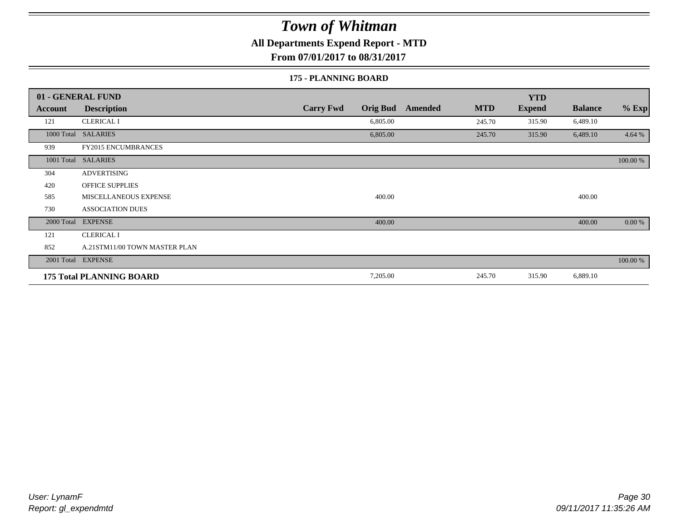### **All Departments Expend Report - MTD**

**From 07/01/2017 to 08/31/2017**

#### **175 - PLANNING BOARD**

|                | 01 - GENERAL FUND               |                                     |                       | <b>YTD</b>    |                |          |
|----------------|---------------------------------|-------------------------------------|-----------------------|---------------|----------------|----------|
| <b>Account</b> | <b>Description</b>              | <b>Carry Fwd</b><br><b>Orig Bud</b> | <b>MTD</b><br>Amended | <b>Expend</b> | <b>Balance</b> | $%$ Exp  |
| 121            | <b>CLERICAL I</b>               | 6,805.00                            | 245.70                | 315.90        | 6,489.10       |          |
| 1000 Total     | <b>SALARIES</b>                 | 6,805.00                            | 245.70                | 315.90        | 6,489.10       | 4.64 %   |
| 939            | <b>FY2015 ENCUMBRANCES</b>      |                                     |                       |               |                |          |
| 1001 Total     | <b>SALARIES</b>                 |                                     |                       |               |                | 100.00 % |
| 304            | <b>ADVERTISING</b>              |                                     |                       |               |                |          |
| 420            | <b>OFFICE SUPPLIES</b>          |                                     |                       |               |                |          |
| 585            | MISCELLANEOUS EXPENSE           | 400.00                              |                       |               | 400.00         |          |
| 730            | <b>ASSOCIATION DUES</b>         |                                     |                       |               |                |          |
| 2000 Total     | <b>EXPENSE</b>                  | 400.00                              |                       |               | 400.00         | 0.00 %   |
| 121            | <b>CLERICAL I</b>               |                                     |                       |               |                |          |
| 852            | A.21STM11/00 TOWN MASTER PLAN   |                                     |                       |               |                |          |
|                | 2001 Total EXPENSE              |                                     |                       |               |                | 100.00 % |
|                | <b>175 Total PLANNING BOARD</b> | 7,205.00                            | 245.70                | 315.90        | 6,889.10       |          |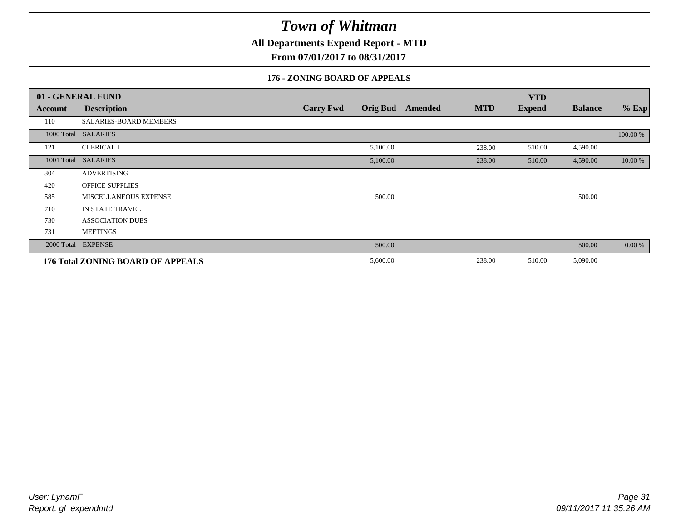**All Departments Expend Report - MTD**

**From 07/01/2017 to 08/31/2017**

### **176 - ZONING BOARD OF APPEALS**

|            | 01 - GENERAL FUND                        |                                     |                              | <b>YTD</b>    |                |          |
|------------|------------------------------------------|-------------------------------------|------------------------------|---------------|----------------|----------|
| Account    | <b>Description</b>                       | <b>Carry Fwd</b><br><b>Orig Bud</b> | <b>MTD</b><br><b>Amended</b> | <b>Expend</b> | <b>Balance</b> | $%$ Exp  |
| 110        | SALARIES-BOARD MEMBERS                   |                                     |                              |               |                |          |
|            | 1000 Total SALARIES                      |                                     |                              |               |                | 100.00 % |
| 121        | <b>CLERICAL I</b>                        | 5,100.00                            | 238.00                       | 510.00        | 4,590.00       |          |
| 1001 Total | <b>SALARIES</b>                          | 5,100.00                            | 238.00                       | 510.00        | 4,590.00       | 10.00 %  |
| 304        | <b>ADVERTISING</b>                       |                                     |                              |               |                |          |
| 420        | <b>OFFICE SUPPLIES</b>                   |                                     |                              |               |                |          |
| 585        | MISCELLANEOUS EXPENSE                    | 500.00                              |                              |               | 500.00         |          |
| 710        | IN STATE TRAVEL                          |                                     |                              |               |                |          |
| 730        | <b>ASSOCIATION DUES</b>                  |                                     |                              |               |                |          |
| 731        | <b>MEETINGS</b>                          |                                     |                              |               |                |          |
| 2000 Total | <b>EXPENSE</b>                           | 500.00                              |                              |               | 500.00         | 0.00 %   |
|            | <b>176 Total ZONING BOARD OF APPEALS</b> | 5,600.00                            | 238.00                       | 510.00        | 5,090.00       |          |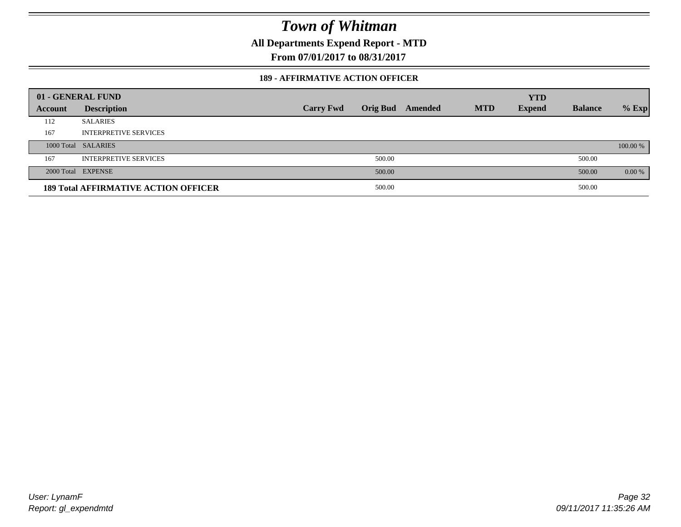**All Departments Expend Report - MTD**

**From 07/01/2017 to 08/31/2017**

#### **189 - AFFIRMATIVE ACTION OFFICER**

|         | 01 - GENERAL FUND                           |                  |                 |         |            | <b>YTD</b>    |                |          |
|---------|---------------------------------------------|------------------|-----------------|---------|------------|---------------|----------------|----------|
| Account | <b>Description</b>                          | <b>Carry Fwd</b> | <b>Orig Bud</b> | Amended | <b>MTD</b> | <b>Expend</b> | <b>Balance</b> | $%$ Exp  |
| 112     | <b>SALARIES</b>                             |                  |                 |         |            |               |                |          |
| 167     | <b>INTERPRETIVE SERVICES</b>                |                  |                 |         |            |               |                |          |
|         | 1000 Total SALARIES                         |                  |                 |         |            |               |                | 100.00 % |
| 167     | <b>INTERPRETIVE SERVICES</b>                |                  | 500.00          |         |            |               | 500.00         |          |
|         | 2000 Total EXPENSE                          |                  | 500.00          |         |            |               | 500.00         | 0.00 %   |
|         | <b>189 Total AFFIRMATIVE ACTION OFFICER</b> |                  | 500.00          |         |            |               | 500.00         |          |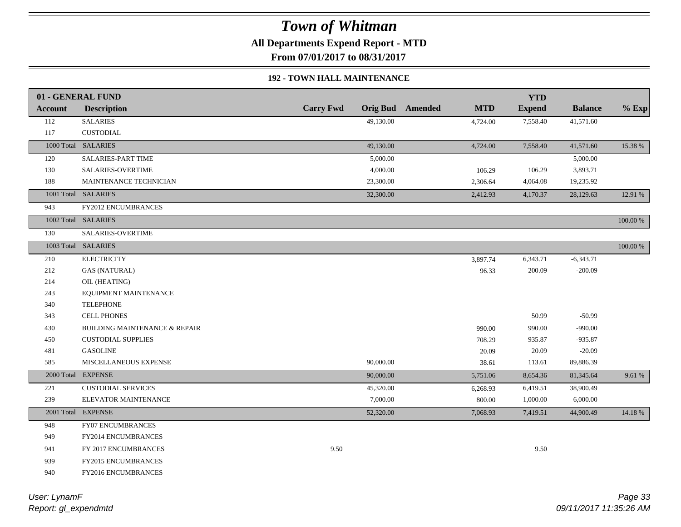**All Departments Expend Report - MTD**

**From 07/01/2017 to 08/31/2017**

### **192 - TOWN HALL MAINTENANCE**

|                | 01 - GENERAL FUND                        |                  |           |                         |            | <b>YTD</b>    |                |          |
|----------------|------------------------------------------|------------------|-----------|-------------------------|------------|---------------|----------------|----------|
| <b>Account</b> | <b>Description</b>                       | <b>Carry Fwd</b> |           | <b>Orig Bud</b> Amended | <b>MTD</b> | <b>Expend</b> | <b>Balance</b> | $%$ Exp  |
| 112            | <b>SALARIES</b>                          |                  | 49,130.00 |                         | 4,724.00   | 7,558.40      | 41,571.60      |          |
| 117            | <b>CUSTODIAL</b>                         |                  |           |                         |            |               |                |          |
|                | 1000 Total SALARIES                      |                  | 49,130.00 |                         | 4,724.00   | 7,558.40      | 41,571.60      | 15.38 %  |
| 120            | <b>SALARIES-PART TIME</b>                |                  | 5,000.00  |                         |            |               | 5,000.00       |          |
| 130            | <b>SALARIES-OVERTIME</b>                 |                  | 4,000.00  |                         | 106.29     | 106.29        | 3,893.71       |          |
| 188            | MAINTENANCE TECHNICIAN                   |                  | 23,300.00 |                         | 2,306.64   | 4,064.08      | 19,235.92      |          |
|                | 1001 Total SALARIES                      |                  | 32,300.00 |                         | 2,412.93   | 4,170.37      | 28,129.63      | 12.91 %  |
| 943            | <b>FY2012 ENCUMBRANCES</b>               |                  |           |                         |            |               |                |          |
|                | 1002 Total SALARIES                      |                  |           |                         |            |               |                | 100.00 % |
| 130            | <b>SALARIES-OVERTIME</b>                 |                  |           |                         |            |               |                |          |
|                | 1003 Total SALARIES                      |                  |           |                         |            |               |                | 100.00 % |
| 210            | <b>ELECTRICITY</b>                       |                  |           |                         | 3,897.74   | 6,343.71      | $-6,343.71$    |          |
| 212            | <b>GAS (NATURAL)</b>                     |                  |           |                         | 96.33      | 200.09        | $-200.09$      |          |
| 214            | OIL (HEATING)                            |                  |           |                         |            |               |                |          |
| 243            | EQUIPMENT MAINTENANCE                    |                  |           |                         |            |               |                |          |
| 340            | <b>TELEPHONE</b>                         |                  |           |                         |            |               |                |          |
| 343            | <b>CELL PHONES</b>                       |                  |           |                         |            | 50.99         | $-50.99$       |          |
| 430            | <b>BUILDING MAINTENANCE &amp; REPAIR</b> |                  |           |                         | 990.00     | 990.00        | $-990.00$      |          |
| 450            | <b>CUSTODIAL SUPPLIES</b>                |                  |           |                         | 708.29     | 935.87        | $-935.87$      |          |
| 481            | <b>GASOLINE</b>                          |                  |           |                         | 20.09      | 20.09         | $-20.09$       |          |
| 585            | MISCELLANEOUS EXPENSE                    |                  | 90,000.00 |                         | 38.61      | 113.61        | 89,886.39      |          |
| 2000 Total     | <b>EXPENSE</b>                           |                  | 90,000.00 |                         | 5,751.06   | 8,654.36      | 81,345.64      | 9.61 %   |
| 221            | <b>CUSTODIAL SERVICES</b>                |                  | 45,320.00 |                         | 6,268.93   | 6,419.51      | 38,900.49      |          |
| 239            | ELEVATOR MAINTENANCE                     |                  | 7,000.00  |                         | 800.00     | 1,000.00      | 6,000.00       |          |
|                | 2001 Total EXPENSE                       |                  | 52,320.00 |                         | 7,068.93   | 7,419.51      | 44,900.49      | 14.18%   |
| 948            | <b>FY07 ENCUMBRANCES</b>                 |                  |           |                         |            |               |                |          |
| 949            | <b>FY2014 ENCUMBRANCES</b>               |                  |           |                         |            |               |                |          |
| 941            | FY 2017 ENCUMBRANCES                     | 9.50             |           |                         |            | 9.50          |                |          |
| 939            | FY2015 ENCUMBRANCES                      |                  |           |                         |            |               |                |          |
| 940            | FY2016 ENCUMBRANCES                      |                  |           |                         |            |               |                |          |
|                |                                          |                  |           |                         |            |               |                |          |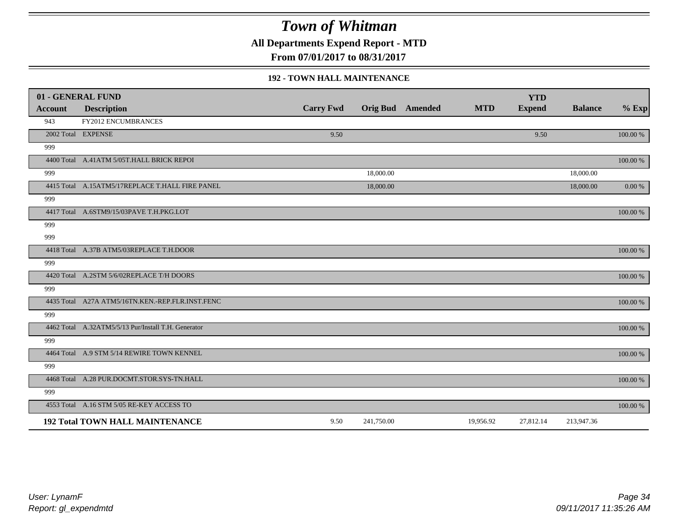**All Departments Expend Report - MTD**

**From 07/01/2017 to 08/31/2017**

#### **192 - TOWN HALL MAINTENANCE**

|                | 01 - GENERAL FUND                                   |                  |            |                         |            | <b>YTD</b>    |                |            |
|----------------|-----------------------------------------------------|------------------|------------|-------------------------|------------|---------------|----------------|------------|
| <b>Account</b> | <b>Description</b>                                  | <b>Carry Fwd</b> |            | <b>Orig Bud</b> Amended | <b>MTD</b> | <b>Expend</b> | <b>Balance</b> | $%$ Exp    |
| 943            | <b>FY2012 ENCUMBRANCES</b>                          |                  |            |                         |            |               |                |            |
|                | 2002 Total EXPENSE                                  | 9.50             |            |                         |            | 9.50          |                | 100.00 %   |
| 999            |                                                     |                  |            |                         |            |               |                |            |
|                | 4400 Total A.41ATM 5/05T.HALL BRICK REPOI           |                  |            |                         |            |               |                | 100.00 %   |
| 999            |                                                     |                  | 18,000.00  |                         |            |               | 18,000.00      |            |
|                | 4415 Total A.15ATM5/17REPLACE T.HALL FIRE PANEL     |                  | 18,000.00  |                         |            |               | 18,000.00      | $0.00\ \%$ |
| 999            |                                                     |                  |            |                         |            |               |                |            |
|                | 4417 Total A.6STM9/15/03PAVE T.H.PKG.LOT            |                  |            |                         |            |               |                | 100.00 %   |
| 999            |                                                     |                  |            |                         |            |               |                |            |
| 999            |                                                     |                  |            |                         |            |               |                |            |
|                | 4418 Total A.37B ATM5/03REPLACE T.H.DOOR            |                  |            |                         |            |               |                | 100.00 %   |
| 999            |                                                     |                  |            |                         |            |               |                |            |
|                | 4420 Total A.2STM 5/6/02REPLACE T/H DOORS           |                  |            |                         |            |               |                | 100.00 %   |
| 999            |                                                     |                  |            |                         |            |               |                |            |
|                | 4435 Total A27A ATM5/16TN.KEN.-REP.FLR.INST.FENC    |                  |            |                         |            |               |                | 100.00 %   |
| 999            |                                                     |                  |            |                         |            |               |                |            |
|                | 4462 Total A.32ATM5/5/13 Pur/Install T.H. Generator |                  |            |                         |            |               |                | 100.00 %   |
| 999            |                                                     |                  |            |                         |            |               |                |            |
|                | 4464 Total A.9 STM 5/14 REWIRE TOWN KENNEL          |                  |            |                         |            |               |                | 100.00 %   |
| 999            |                                                     |                  |            |                         |            |               |                |            |
|                | 4468 Total A.28 PUR.DOCMT.STOR.SYS-TN.HALL          |                  |            |                         |            |               |                | 100.00 %   |
| 999            |                                                     |                  |            |                         |            |               |                |            |
|                | 4553 Total A.16 STM 5/05 RE-KEY ACCESS TO           |                  |            |                         |            |               |                | 100.00 %   |
|                | <b>192 Total TOWN HALL MAINTENANCE</b>              | 9.50             | 241,750.00 |                         | 19,956.92  | 27,812.14     | 213,947.36     |            |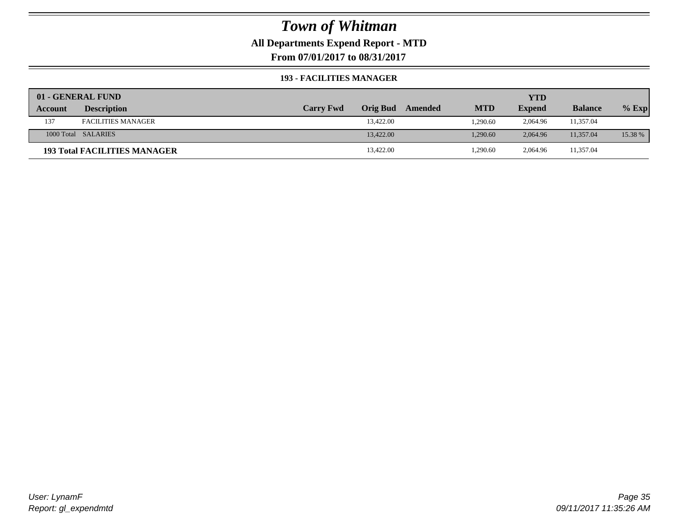**All Departments Expend Report - MTD**

**From 07/01/2017 to 08/31/2017**

#### **193 - FACILITIES MANAGER**

|         | 01 - GENERAL FUND                   |                  |                 |         |            | YTD           |                |         |
|---------|-------------------------------------|------------------|-----------------|---------|------------|---------------|----------------|---------|
| Account | <b>Description</b>                  | <b>Carry Fwd</b> | <b>Orig Bud</b> | Amended | <b>MTD</b> | <b>Expend</b> | <b>Balance</b> | $%$ Exp |
| 137     | <b>FACILITIES MANAGER</b>           |                  | 13,422.00       |         | 1,290.60   | 2,064.96      | 11,357.04      |         |
|         | 1000 Total SALARIES                 |                  | 13,422.00       |         | 1.290.60   | 2.064.96      | 11.357.04      | 15.38 % |
|         | <b>193 Total FACILITIES MANAGER</b> |                  | 13,422.00       |         | 1,290.60   | 2,064.96      | 11,357.04      |         |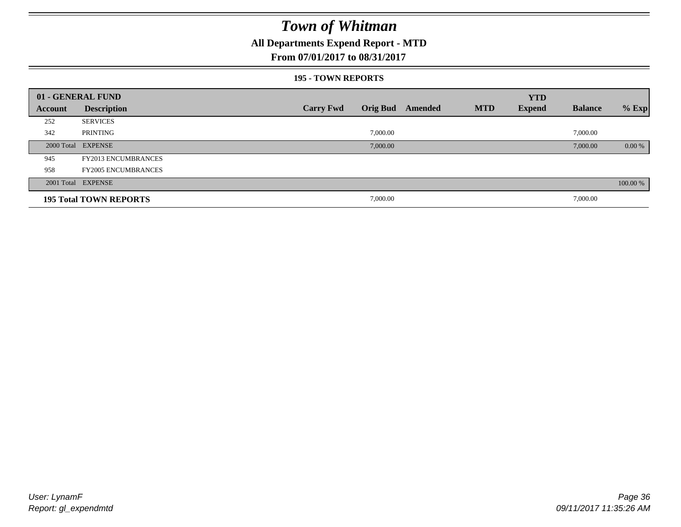### **All Departments Expend Report - MTD**

#### **From 07/01/2017 to 08/31/2017**

#### **195 - TOWN REPORTS**

|         | 01 - GENERAL FUND             |                  |          |                         |            | <b>YTD</b>    |                |          |
|---------|-------------------------------|------------------|----------|-------------------------|------------|---------------|----------------|----------|
| Account | <b>Description</b>            | <b>Carry Fwd</b> |          | <b>Orig Bud</b> Amended | <b>MTD</b> | <b>Expend</b> | <b>Balance</b> | $%$ Exp  |
| 252     | <b>SERVICES</b>               |                  |          |                         |            |               |                |          |
| 342     | PRINTING                      |                  | 7,000.00 |                         |            |               | 7,000.00       |          |
|         | 2000 Total EXPENSE            |                  | 7,000.00 |                         |            |               | 7,000.00       | $0.00\%$ |
| 945     | <b>FY2013 ENCUMBRANCES</b>    |                  |          |                         |            |               |                |          |
| 958     | <b>FY2005 ENCUMBRANCES</b>    |                  |          |                         |            |               |                |          |
|         | 2001 Total EXPENSE            |                  |          |                         |            |               |                | 100.00 % |
|         | <b>195 Total TOWN REPORTS</b> |                  | 7,000.00 |                         |            |               | 7,000.00       |          |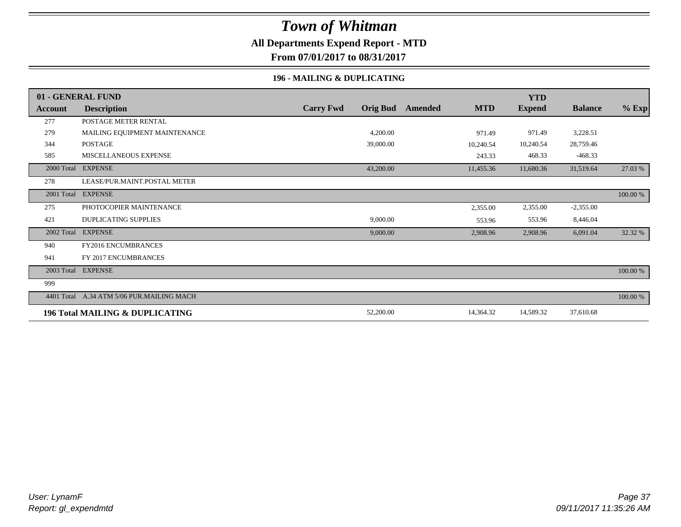### **All Departments Expend Report - MTD**

**From 07/01/2017 to 08/31/2017**

### **196 - MAILING & DUPLICATING**

|            | 01 - GENERAL FUND                          |                                     |         |            | <b>YTD</b>    |                |          |
|------------|--------------------------------------------|-------------------------------------|---------|------------|---------------|----------------|----------|
| Account    | <b>Description</b>                         | <b>Carry Fwd</b><br><b>Orig Bud</b> | Amended | <b>MTD</b> | <b>Expend</b> | <b>Balance</b> | $%$ Exp  |
| 277        | POSTAGE METER RENTAL                       |                                     |         |            |               |                |          |
| 279        | MAILING EQUIPMENT MAINTENANCE              | 4,200.00                            |         | 971.49     | 971.49        | 3,228.51       |          |
| 344        | <b>POSTAGE</b>                             | 39,000.00                           |         | 10,240.54  | 10,240.54     | 28,759.46      |          |
| 585        | MISCELLANEOUS EXPENSE                      |                                     |         | 243.33     | 468.33        | $-468.33$      |          |
|            | 2000 Total EXPENSE                         | 43,200.00                           |         | 11,455.36  | 11,680.36     | 31,519.64      | 27.03 %  |
| 278        | LEASE/PUR.MAINT.POSTAL METER               |                                     |         |            |               |                |          |
|            | 2001 Total EXPENSE                         |                                     |         |            |               |                | 100.00 % |
| 275        | PHOTOCOPIER MAINTENANCE                    |                                     |         | 2,355.00   | 2,355.00      | $-2,355.00$    |          |
| 421        | <b>DUPLICATING SUPPLIES</b>                | 9,000.00                            |         | 553.96     | 553.96        | 8,446.04       |          |
| 2002 Total | <b>EXPENSE</b>                             | 9,000.00                            |         | 2,908.96   | 2,908.96      | 6,091.04       | 32.32 %  |
| 940        | <b>FY2016 ENCUMBRANCES</b>                 |                                     |         |            |               |                |          |
| 941        | FY 2017 ENCUMBRANCES                       |                                     |         |            |               |                |          |
|            | 2003 Total EXPENSE                         |                                     |         |            |               |                | 100.00 % |
| 999        |                                            |                                     |         |            |               |                |          |
| 4401 Total | A.34 ATM 5/06 PUR.MAILING MACH             |                                     |         |            |               |                | 100.00 % |
|            | <b>196 Total MAILING &amp; DUPLICATING</b> | 52,200.00                           |         | 14,364.32  | 14,589.32     | 37,610.68      |          |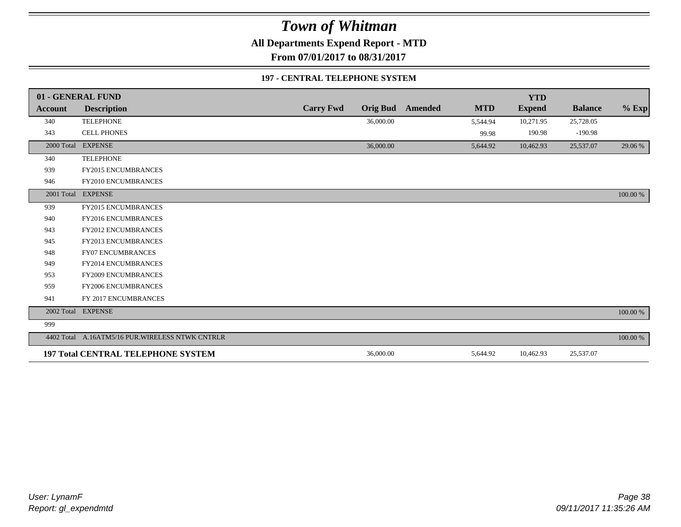**All Departments Expend Report - MTD**

**From 07/01/2017 to 08/31/2017**

#### **197 - CENTRAL TELEPHONE SYSTEM**

|                | 01 - GENERAL FUND                                |                  |                 |                |            | <b>YTD</b>    |                |             |
|----------------|--------------------------------------------------|------------------|-----------------|----------------|------------|---------------|----------------|-------------|
| <b>Account</b> | <b>Description</b>                               | <b>Carry Fwd</b> | <b>Orig Bud</b> | <b>Amended</b> | <b>MTD</b> | <b>Expend</b> | <b>Balance</b> | $%$ Exp     |
| 340            | <b>TELEPHONE</b>                                 |                  | 36,000.00       |                | 5,544.94   | 10,271.95     | 25,728.05      |             |
| 343            | <b>CELL PHONES</b>                               |                  |                 |                | 99.98      | 190.98        | $-190.98$      |             |
| 2000 Total     | <b>EXPENSE</b>                                   |                  | 36,000.00       |                | 5,644.92   | 10,462.93     | 25,537.07      | 29.06 %     |
| 340            | <b>TELEPHONE</b>                                 |                  |                 |                |            |               |                |             |
| 939            | FY2015 ENCUMBRANCES                              |                  |                 |                |            |               |                |             |
| 946            | FY2010 ENCUMBRANCES                              |                  |                 |                |            |               |                |             |
|                | 2001 Total EXPENSE                               |                  |                 |                |            |               |                | 100.00 %    |
| 939            | <b>FY2015 ENCUMBRANCES</b>                       |                  |                 |                |            |               |                |             |
| 940            | <b>FY2016 ENCUMBRANCES</b>                       |                  |                 |                |            |               |                |             |
| 943            | FY2012 ENCUMBRANCES                              |                  |                 |                |            |               |                |             |
| 945            | FY2013 ENCUMBRANCES                              |                  |                 |                |            |               |                |             |
| 948            | <b>FY07 ENCUMBRANCES</b>                         |                  |                 |                |            |               |                |             |
| 949            | FY2014 ENCUMBRANCES                              |                  |                 |                |            |               |                |             |
| 953            | <b>FY2009 ENCUMBRANCES</b>                       |                  |                 |                |            |               |                |             |
| 959            | FY2006 ENCUMBRANCES                              |                  |                 |                |            |               |                |             |
| 941            | FY 2017 ENCUMBRANCES                             |                  |                 |                |            |               |                |             |
| 2002 Total     | <b>EXPENSE</b>                                   |                  |                 |                |            |               |                | $100.00~\%$ |
| 999            |                                                  |                  |                 |                |            |               |                |             |
|                | 4402 Total A.16ATM5/16 PUR. WIRELESS NTWK CNTRLR |                  |                 |                |            |               |                | 100.00 %    |
|                | <b>197 Total CENTRAL TELEPHONE SYSTEM</b>        |                  | 36,000.00       |                | 5,644.92   | 10,462.93     | 25,537.07      |             |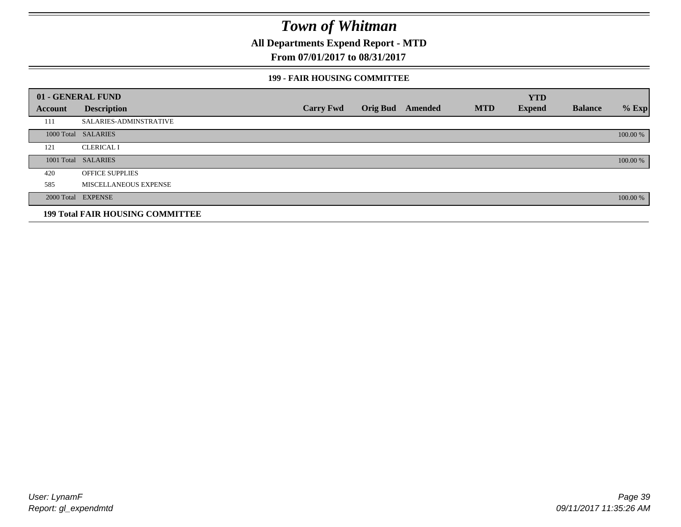**All Departments Expend Report - MTD**

### **From 07/01/2017 to 08/31/2017**

#### **199 - FAIR HOUSING COMMITTEE**

|         | 01 - GENERAL FUND                       |                  |                         |            | <b>YTD</b>    |                |          |
|---------|-----------------------------------------|------------------|-------------------------|------------|---------------|----------------|----------|
| Account | <b>Description</b>                      | <b>Carry Fwd</b> | <b>Orig Bud</b> Amended | <b>MTD</b> | <b>Expend</b> | <b>Balance</b> | $%$ Exp  |
| 111     | <b>SALARIES-ADMINSTRATIVE</b>           |                  |                         |            |               |                |          |
|         | 1000 Total SALARIES                     |                  |                         |            |               |                | 100.00 % |
| 121     | <b>CLERICAL I</b>                       |                  |                         |            |               |                |          |
|         | 1001 Total SALARIES                     |                  |                         |            |               |                | 100.00 % |
| 420     | <b>OFFICE SUPPLIES</b>                  |                  |                         |            |               |                |          |
| 585     | MISCELLANEOUS EXPENSE                   |                  |                         |            |               |                |          |
|         | 2000 Total EXPENSE                      |                  |                         |            |               |                | 100.00 % |
|         | <b>199 Total FAIR HOUSING COMMITTEE</b> |                  |                         |            |               |                |          |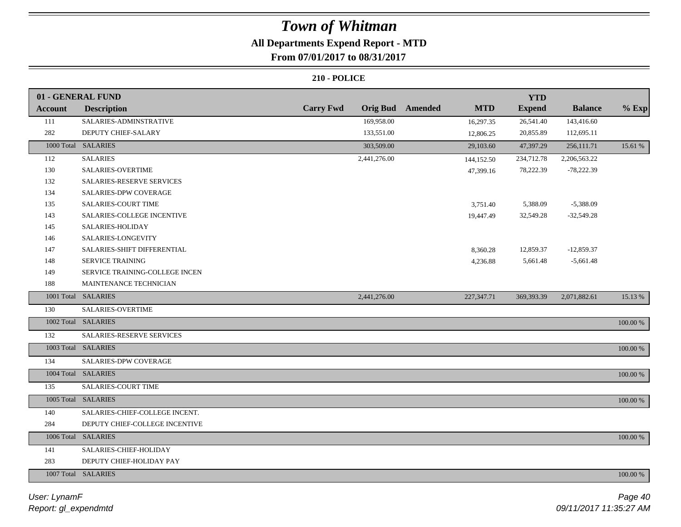## **All Departments Expend Report - MTD**

### **From 07/01/2017 to 08/31/2017**

|                | 01 - GENERAL FUND                |                  |                 |         |            | <b>YTD</b>    |                |             |
|----------------|----------------------------------|------------------|-----------------|---------|------------|---------------|----------------|-------------|
| <b>Account</b> | <b>Description</b>               | <b>Carry Fwd</b> | <b>Orig Bud</b> | Amended | <b>MTD</b> | <b>Expend</b> | <b>Balance</b> | $%$ Exp     |
| 111            | SALARIES-ADMINSTRATIVE           |                  | 169,958.00      |         | 16,297.35  | 26,541.40     | 143,416.60     |             |
| 282            | DEPUTY CHIEF-SALARY              |                  | 133,551.00      |         | 12,806.25  | 20,855.89     | 112,695.11     |             |
|                | 1000 Total SALARIES              |                  | 303,509.00      |         | 29,103.60  | 47,397.29     | 256,111.71     | 15.61 %     |
| 112            | <b>SALARIES</b>                  |                  | 2,441,276.00    |         | 144,152.50 | 234,712.78    | 2,206,563.22   |             |
| 130            | SALARIES-OVERTIME                |                  |                 |         | 47,399.16  | 78,222.39     | $-78,222.39$   |             |
| 132            | <b>SALARIES-RESERVE SERVICES</b> |                  |                 |         |            |               |                |             |
| 134            | <b>SALARIES-DPW COVERAGE</b>     |                  |                 |         |            |               |                |             |
| 135            | <b>SALARIES-COURT TIME</b>       |                  |                 |         | 3,751.40   | 5,388.09      | $-5,388.09$    |             |
| 143            | SALARIES-COLLEGE INCENTIVE       |                  |                 |         | 19,447.49  | 32,549.28     | $-32,549.28$   |             |
| 145            | SALARIES-HOLIDAY                 |                  |                 |         |            |               |                |             |
| 146            | SALARIES-LONGEVITY               |                  |                 |         |            |               |                |             |
| 147            | SALARIES-SHIFT DIFFERENTIAL      |                  |                 |         | 8,360.28   | 12,859.37     | $-12,859.37$   |             |
| 148            | SERVICE TRAINING                 |                  |                 |         | 4,236.88   | 5,661.48      | $-5,661.48$    |             |
| 149            | SERVICE TRAINING-COLLEGE INCEN   |                  |                 |         |            |               |                |             |
| 188            | MAINTENANCE TECHNICIAN           |                  |                 |         |            |               |                |             |
|                | 1001 Total SALARIES              |                  | 2,441,276.00    |         | 227,347.71 | 369,393.39    | 2,071,882.61   | 15.13 %     |
| 130            | SALARIES-OVERTIME                |                  |                 |         |            |               |                |             |
|                | 1002 Total SALARIES              |                  |                 |         |            |               |                | 100.00 %    |
| 132            | SALARIES-RESERVE SERVICES        |                  |                 |         |            |               |                |             |
|                | 1003 Total SALARIES              |                  |                 |         |            |               |                | $100.00~\%$ |
| 134            | SALARIES-DPW COVERAGE            |                  |                 |         |            |               |                |             |
|                | 1004 Total SALARIES              |                  |                 |         |            |               |                | 100.00 %    |
| 135            | SALARIES-COURT TIME              |                  |                 |         |            |               |                |             |
|                | 1005 Total SALARIES              |                  |                 |         |            |               |                | 100.00 %    |
| 140            | SALARIES-CHIEF-COLLEGE INCENT.   |                  |                 |         |            |               |                |             |
| 284            | DEPUTY CHIEF-COLLEGE INCENTIVE   |                  |                 |         |            |               |                |             |
|                | 1006 Total SALARIES              |                  |                 |         |            |               |                | 100.00 %    |
| 141            | SALARIES-CHIEF-HOLIDAY           |                  |                 |         |            |               |                |             |
| 283            | DEPUTY CHIEF-HOLIDAY PAY         |                  |                 |         |            |               |                |             |
|                | 1007 Total SALARIES              |                  |                 |         |            |               |                | 100.00 %    |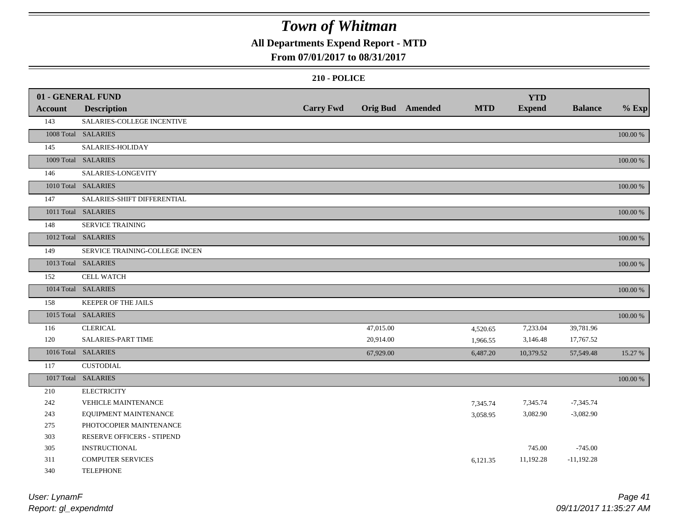## **All Departments Expend Report - MTD**

### **From 07/01/2017 to 08/31/2017**

|                | 01 - GENERAL FUND              |                  |           |                         |            | <b>YTD</b>    |                |          |
|----------------|--------------------------------|------------------|-----------|-------------------------|------------|---------------|----------------|----------|
| <b>Account</b> | <b>Description</b>             | <b>Carry Fwd</b> |           | <b>Orig Bud</b> Amended | <b>MTD</b> | <b>Expend</b> | <b>Balance</b> | $%$ Exp  |
| 143            | SALARIES-COLLEGE INCENTIVE     |                  |           |                         |            |               |                |          |
|                | 1008 Total SALARIES            |                  |           |                         |            |               |                | 100.00 % |
| 145            | SALARIES-HOLIDAY               |                  |           |                         |            |               |                |          |
|                | 1009 Total SALARIES            |                  |           |                         |            |               |                | 100.00 % |
| 146            | SALARIES-LONGEVITY             |                  |           |                         |            |               |                |          |
|                | 1010 Total SALARIES            |                  |           |                         |            |               |                | 100.00 % |
| 147            | SALARIES-SHIFT DIFFERENTIAL    |                  |           |                         |            |               |                |          |
|                | 1011 Total SALARIES            |                  |           |                         |            |               |                | 100.00 % |
| 148            | <b>SERVICE TRAINING</b>        |                  |           |                         |            |               |                |          |
|                | 1012 Total SALARIES            |                  |           |                         |            |               |                | 100.00 % |
| 149            | SERVICE TRAINING-COLLEGE INCEN |                  |           |                         |            |               |                |          |
|                | 1013 Total SALARIES            |                  |           |                         |            |               |                | 100.00 % |
| 152            | <b>CELL WATCH</b>              |                  |           |                         |            |               |                |          |
|                | 1014 Total SALARIES            |                  |           |                         |            |               |                | 100.00 % |
| 158            | KEEPER OF THE JAILS            |                  |           |                         |            |               |                |          |
|                | 1015 Total SALARIES            |                  |           |                         |            |               |                | 100.00 % |
| 116            | <b>CLERICAL</b>                |                  | 47,015.00 |                         | 4,520.65   | 7,233.04      | 39,781.96      |          |
| 120            | SALARIES-PART TIME             |                  | 20,914.00 |                         | 1,966.55   | 3,146.48      | 17,767.52      |          |
|                | 1016 Total SALARIES            |                  | 67,929.00 |                         | 6,487.20   | 10,379.52     | 57,549.48      | 15.27 %  |
| 117            | <b>CUSTODIAL</b>               |                  |           |                         |            |               |                |          |
|                | 1017 Total SALARIES            |                  |           |                         |            |               |                | 100.00 % |
| 210            | <b>ELECTRICITY</b>             |                  |           |                         |            |               |                |          |
| 242            | VEHICLE MAINTENANCE            |                  |           |                         | 7,345.74   | 7,345.74      | $-7,345.74$    |          |
| 243            | EQUIPMENT MAINTENANCE          |                  |           |                         | 3,058.95   | 3,082.90      | $-3,082.90$    |          |
| 275            | PHOTOCOPIER MAINTENANCE        |                  |           |                         |            |               |                |          |
| 303            | RESERVE OFFICERS - STIPEND     |                  |           |                         |            |               |                |          |
| 305            | <b>INSTRUCTIONAL</b>           |                  |           |                         |            | 745.00        | $-745.00$      |          |
| 311            | <b>COMPUTER SERVICES</b>       |                  |           |                         | 6,121.35   | 11,192.28     | $-11,192.28$   |          |
| 340            | <b>TELEPHONE</b>               |                  |           |                         |            |               |                |          |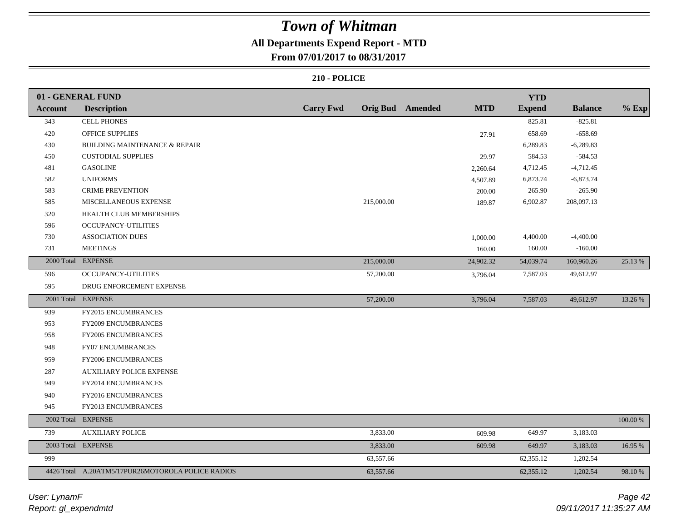## **All Departments Expend Report - MTD**

**From 07/01/2017 to 08/31/2017**

|                | 01 - GENERAL FUND                                 |                  |            |                         |            | <b>YTD</b>    |                |          |
|----------------|---------------------------------------------------|------------------|------------|-------------------------|------------|---------------|----------------|----------|
| <b>Account</b> | <b>Description</b>                                | <b>Carry Fwd</b> |            | <b>Orig Bud</b> Amended | <b>MTD</b> | <b>Expend</b> | <b>Balance</b> | $%$ Exp  |
| 343            | <b>CELL PHONES</b>                                |                  |            |                         |            | 825.81        | $-825.81$      |          |
| 420            | <b>OFFICE SUPPLIES</b>                            |                  |            |                         | 27.91      | 658.69        | $-658.69$      |          |
| 430            | BUILDING MAINTENANCE & REPAIR                     |                  |            |                         |            | 6,289.83      | $-6,289.83$    |          |
| 450            | <b>CUSTODIAL SUPPLIES</b>                         |                  |            |                         | 29.97      | 584.53        | $-584.53$      |          |
| 481            | <b>GASOLINE</b>                                   |                  |            |                         | 2,260.64   | 4,712.45      | $-4,712.45$    |          |
| 582            | <b>UNIFORMS</b>                                   |                  |            |                         | 4,507.89   | 6,873.74      | $-6,873.74$    |          |
| 583            | <b>CRIME PREVENTION</b>                           |                  |            |                         | 200.00     | 265.90        | $-265.90$      |          |
| 585            | MISCELLANEOUS EXPENSE                             |                  | 215,000.00 |                         | 189.87     | 6,902.87      | 208,097.13     |          |
| 320            | HEALTH CLUB MEMBERSHIPS                           |                  |            |                         |            |               |                |          |
| 596            | <b>OCCUPANCY-UTILITIES</b>                        |                  |            |                         |            |               |                |          |
| 730            | <b>ASSOCIATION DUES</b>                           |                  |            |                         | 1,000.00   | 4,400.00      | $-4,400.00$    |          |
| 731            | <b>MEETINGS</b>                                   |                  |            |                         | 160.00     | 160.00        | $-160.00$      |          |
|                | 2000 Total EXPENSE                                |                  | 215,000.00 |                         | 24,902.32  | 54,039.74     | 160,960.26     | 25.13 %  |
| 596            | OCCUPANCY-UTILITIES                               |                  | 57,200.00  |                         | 3,796.04   | 7,587.03      | 49,612.97      |          |
| 595            | DRUG ENFORCEMENT EXPENSE                          |                  |            |                         |            |               |                |          |
|                | 2001 Total EXPENSE                                |                  | 57,200.00  |                         | 3,796.04   | 7,587.03      | 49,612.97      | 13.26 %  |
| 939            | FY2015 ENCUMBRANCES                               |                  |            |                         |            |               |                |          |
| 953            | <b>FY2009 ENCUMBRANCES</b>                        |                  |            |                         |            |               |                |          |
| 958            | FY2005 ENCUMBRANCES                               |                  |            |                         |            |               |                |          |
| 948            | <b>FY07 ENCUMBRANCES</b>                          |                  |            |                         |            |               |                |          |
| 959            | <b>FY2006 ENCUMBRANCES</b>                        |                  |            |                         |            |               |                |          |
| 287            | <b>AUXILIARY POLICE EXPENSE</b>                   |                  |            |                         |            |               |                |          |
| 949            | FY2014 ENCUMBRANCES                               |                  |            |                         |            |               |                |          |
| 940            | FY2016 ENCUMBRANCES                               |                  |            |                         |            |               |                |          |
| 945            | FY2013 ENCUMBRANCES                               |                  |            |                         |            |               |                |          |
|                | 2002 Total EXPENSE                                |                  |            |                         |            |               |                | 100.00 % |
| 739            | <b>AUXILIARY POLICE</b>                           |                  | 3,833.00   |                         | 609.98     | 649.97        | 3,183.03       |          |
|                | 2003 Total EXPENSE                                |                  | 3,833.00   |                         | 609.98     | 649.97        | 3,183.03       | 16.95 %  |
| 999            |                                                   |                  | 63,557.66  |                         |            | 62,355.12     | 1,202.54       |          |
|                | 4426 Total A.20ATM5/17PUR26MOTOROLA POLICE RADIOS |                  | 63,557.66  |                         |            | 62,355.12     | 1,202.54       | 98.10 %  |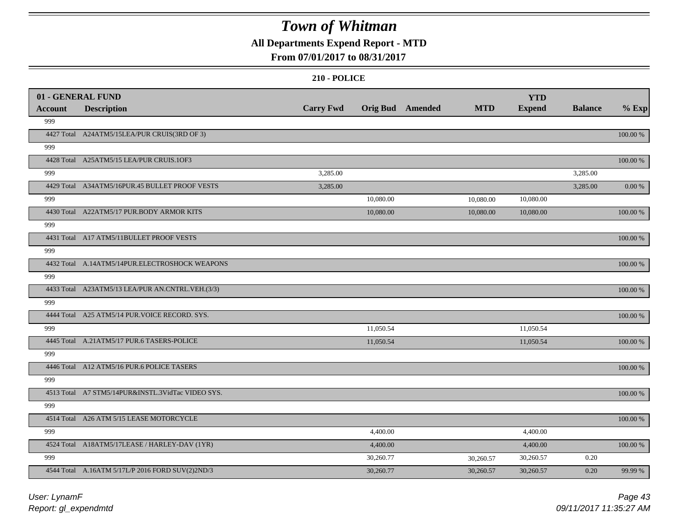## **All Departments Expend Report - MTD**

### **From 07/01/2017 to 08/31/2017**

|                | 01 - GENERAL FUND                                 |                  |                         |            | <b>YTD</b>    |                |             |
|----------------|---------------------------------------------------|------------------|-------------------------|------------|---------------|----------------|-------------|
| <b>Account</b> | <b>Description</b>                                | <b>Carry Fwd</b> | <b>Orig Bud</b> Amended | <b>MTD</b> | <b>Expend</b> | <b>Balance</b> | $%$ Exp     |
| 999            |                                                   |                  |                         |            |               |                |             |
|                | 4427 Total A24ATM5/15LEA/PUR CRUIS(3RD OF 3)      |                  |                         |            |               |                | 100.00 %    |
| 999            |                                                   |                  |                         |            |               |                |             |
|                | 4428 Total A25ATM5/15 LEA/PUR CRUIS.10F3          |                  |                         |            |               |                | 100.00 %    |
| 999            |                                                   | 3,285.00         |                         |            |               | 3,285.00       |             |
|                | 4429 Total A34ATM5/16PUR.45 BULLET PROOF VESTS    | 3,285.00         |                         |            |               | 3,285.00       | 0.00 %      |
| 999            |                                                   |                  | 10,080.00               | 10,080.00  | 10,080.00     |                |             |
|                | 4430 Total A22ATM5/17 PUR.BODY ARMOR KITS         |                  | 10,080.00               | 10,080.00  | 10,080.00     |                | 100.00 %    |
| 999            |                                                   |                  |                         |            |               |                |             |
|                | 4431 Total A17 ATM5/11BULLET PROOF VESTS          |                  |                         |            |               |                | 100.00 %    |
| 999            |                                                   |                  |                         |            |               |                |             |
|                | 4432 Total A.14ATM5/14PUR.ELECTROSHOCK WEAPONS    |                  |                         |            |               |                | 100.00 %    |
| 999            |                                                   |                  |                         |            |               |                |             |
|                | 4433 Total A23ATM5/13 LEA/PUR AN.CNTRL.VEH.(3/3)  |                  |                         |            |               |                | 100.00 %    |
| 999            |                                                   |                  |                         |            |               |                |             |
|                | 4444 Total A25 ATM5/14 PUR. VOICE RECORD. SYS.    |                  |                         |            |               |                | 100.00 %    |
| 999            |                                                   |                  | 11,050.54               |            | 11,050.54     |                |             |
|                | 4445 Total A.21ATM5/17 PUR.6 TASERS-POLICE        |                  | 11,050.54               |            | 11,050.54     |                | $100.00~\%$ |
| 999            |                                                   |                  |                         |            |               |                |             |
|                | 4446 Total A12 ATM5/16 PUR.6 POLICE TASERS        |                  |                         |            |               |                | 100.00 %    |
| 999            |                                                   |                  |                         |            |               |                |             |
|                | 4513 Total A7 STM5/14PUR&INSTL.3VidTac VIDEO SYS. |                  |                         |            |               |                | 100.00 %    |
| 999            |                                                   |                  |                         |            |               |                |             |
|                | 4514 Total A26 ATM 5/15 LEASE MOTORCYCLE          |                  |                         |            |               |                | 100.00 %    |
| 999            |                                                   |                  | 4,400.00                |            | 4,400.00      |                |             |
|                | 4524 Total A18ATM5/17LEASE / HARLEY-DAV (1YR)     |                  | 4,400.00                |            | 4,400.00      |                | 100.00 %    |
| 999            |                                                   |                  | 30,260.77               | 30,260.57  | 30,260.57     | 0.20           |             |
|                | 4544 Total A.16ATM 5/17L/P 2016 FORD SUV(2)2ND/3  |                  | 30,260.77               | 30,260.57  | 30,260.57     | 0.20           | 99.99 %     |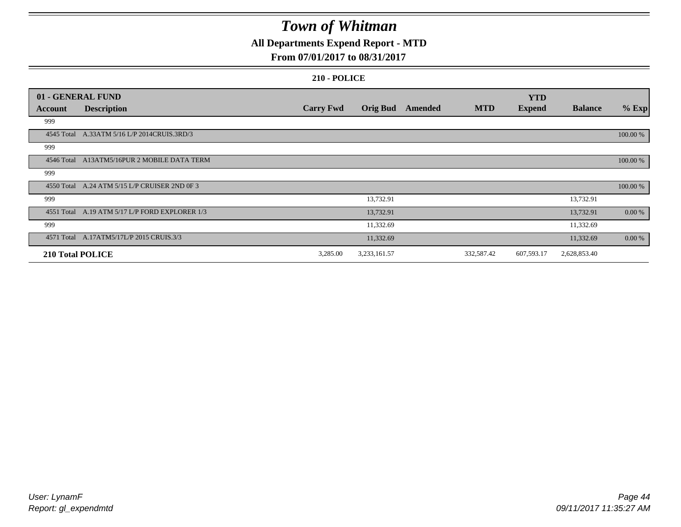## **All Departments Expend Report - MTD**

### **From 07/01/2017 to 08/31/2017**

|         | 01 - GENERAL FUND                              |                  |                 |         |            | <b>YTD</b>    |                |          |
|---------|------------------------------------------------|------------------|-----------------|---------|------------|---------------|----------------|----------|
| Account | <b>Description</b>                             | <b>Carry Fwd</b> | <b>Orig Bud</b> | Amended | <b>MTD</b> | <b>Expend</b> | <b>Balance</b> | $%$ Exp  |
| 999     |                                                |                  |                 |         |            |               |                |          |
|         | 4545 Total A.33ATM 5/16 L/P 2014CRUIS.3RD/3    |                  |                 |         |            |               |                | 100.00 % |
| 999     |                                                |                  |                 |         |            |               |                |          |
|         | 4546 Total A13ATM5/16PUR 2 MOBILE DATA TERM    |                  |                 |         |            |               |                | 100.00 % |
| 999     |                                                |                  |                 |         |            |               |                |          |
|         | 4550 Total A.24 ATM 5/15 L/P CRUISER 2ND 0F 3  |                  |                 |         |            |               |                | 100.00 % |
| 999     |                                                |                  | 13,732.91       |         |            |               | 13,732.91      |          |
|         | 4551 Total A.19 ATM 5/17 L/P FORD EXPLORER 1/3 |                  | 13,732.91       |         |            |               | 13,732.91      | 0.00 %   |
| 999     |                                                |                  | 11,332.69       |         |            |               | 11,332.69      |          |
|         | 4571 Total A.17ATM5/17L/P 2015 CRUIS.3/3       |                  | 11,332.69       |         |            |               | 11,332.69      | 0.00 %   |
|         | 210 Total POLICE                               | 3,285.00         | 3,233,161.57    |         | 332,587.42 | 607,593.17    | 2,628,853.40   |          |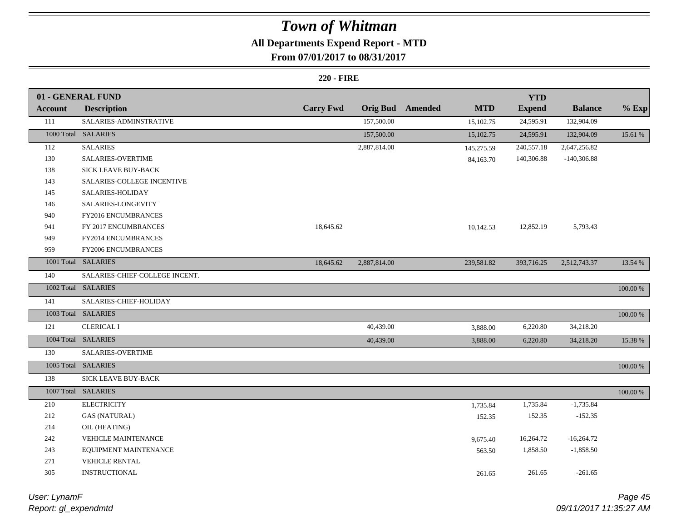## **All Departments Expend Report - MTD**

### **From 07/01/2017 to 08/31/2017**

|                | 01 - GENERAL FUND              |                  |                 |         |            | <b>YTD</b>    |                |             |
|----------------|--------------------------------|------------------|-----------------|---------|------------|---------------|----------------|-------------|
| <b>Account</b> | <b>Description</b>             | <b>Carry Fwd</b> | <b>Orig Bud</b> | Amended | <b>MTD</b> | <b>Expend</b> | <b>Balance</b> | $%$ Exp     |
| 111            | SALARIES-ADMINSTRATIVE         |                  | 157,500.00      |         | 15,102.75  | 24,595.91     | 132,904.09     |             |
|                | 1000 Total SALARIES            |                  | 157,500.00      |         | 15,102.75  | 24,595.91     | 132,904.09     | 15.61 %     |
| 112            | <b>SALARIES</b>                |                  | 2,887,814.00    |         | 145,275.59 | 240,557.18    | 2,647,256.82   |             |
| 130            | <b>SALARIES-OVERTIME</b>       |                  |                 |         | 84,163.70  | 140,306.88    | $-140,306.88$  |             |
| 138            | SICK LEAVE BUY-BACK            |                  |                 |         |            |               |                |             |
| 143            | SALARIES-COLLEGE INCENTIVE     |                  |                 |         |            |               |                |             |
| 145            | SALARIES-HOLIDAY               |                  |                 |         |            |               |                |             |
| 146            | SALARIES-LONGEVITY             |                  |                 |         |            |               |                |             |
| 940            | FY2016 ENCUMBRANCES            |                  |                 |         |            |               |                |             |
| 941            | FY 2017 ENCUMBRANCES           | 18,645.62        |                 |         | 10,142.53  | 12,852.19     | 5,793.43       |             |
| 949            | FY2014 ENCUMBRANCES            |                  |                 |         |            |               |                |             |
| 959            | FY2006 ENCUMBRANCES            |                  |                 |         |            |               |                |             |
|                | 1001 Total SALARIES            | 18,645.62        | 2,887,814.00    |         | 239,581.82 | 393,716.25    | 2,512,743.37   | 13.54 %     |
| 140            | SALARIES-CHIEF-COLLEGE INCENT. |                  |                 |         |            |               |                |             |
|                | 1002 Total SALARIES            |                  |                 |         |            |               |                | 100.00 %    |
| 141            | SALARIES-CHIEF-HOLIDAY         |                  |                 |         |            |               |                |             |
|                | 1003 Total SALARIES            |                  |                 |         |            |               |                | 100.00 %    |
| 121            | <b>CLERICAL I</b>              |                  | 40,439.00       |         | 3,888.00   | 6,220.80      | 34,218.20      |             |
|                | 1004 Total SALARIES            |                  | 40,439.00       |         | 3,888.00   | 6,220.80      | 34,218.20      | 15.38 %     |
| 130            | SALARIES-OVERTIME              |                  |                 |         |            |               |                |             |
|                | 1005 Total SALARIES            |                  |                 |         |            |               |                | 100.00 %    |
| 138            | SICK LEAVE BUY-BACK            |                  |                 |         |            |               |                |             |
|                | 1007 Total SALARIES            |                  |                 |         |            |               |                | $100.00~\%$ |
| 210            | <b>ELECTRICITY</b>             |                  |                 |         | 1,735.84   | 1,735.84      | $-1,735.84$    |             |
| 212            | <b>GAS (NATURAL)</b>           |                  |                 |         | 152.35     | 152.35        | $-152.35$      |             |
| 214            | OIL (HEATING)                  |                  |                 |         |            |               |                |             |
| 242            | <b>VEHICLE MAINTENANCE</b>     |                  |                 |         | 9,675.40   | 16,264.72     | $-16,264.72$   |             |
| 243            | EQUIPMENT MAINTENANCE          |                  |                 |         | 563.50     | 1,858.50      | $-1,858.50$    |             |
| 271            | VEHICLE RENTAL                 |                  |                 |         |            |               |                |             |
| 305            | INSTRUCTIONAL                  |                  |                 |         | 261.65     | 261.65        | $-261.65$      |             |
|                |                                |                  |                 |         |            |               |                |             |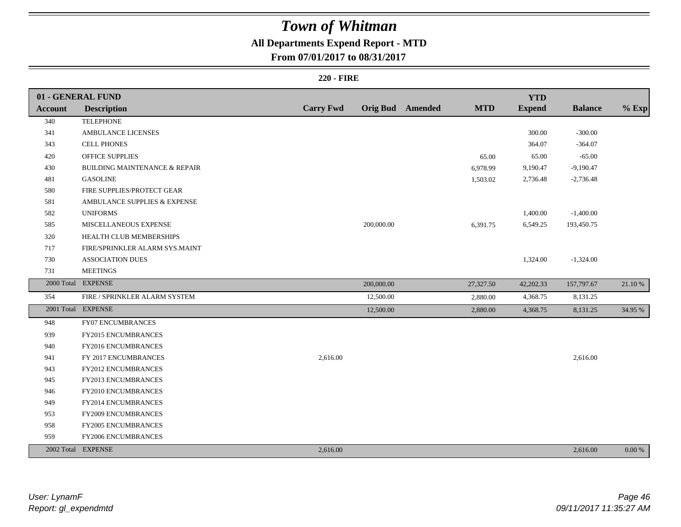## **All Departments Expend Report - MTD**

**From 07/01/2017 to 08/31/2017**

|                | 01 - GENERAL FUND                        |                  |            |                         |            | <b>YTD</b>    |                |         |
|----------------|------------------------------------------|------------------|------------|-------------------------|------------|---------------|----------------|---------|
| <b>Account</b> | <b>Description</b>                       | <b>Carry Fwd</b> |            | <b>Orig Bud</b> Amended | <b>MTD</b> | <b>Expend</b> | <b>Balance</b> | $%$ Exp |
| 340            | <b>TELEPHONE</b>                         |                  |            |                         |            |               |                |         |
| 341            | <b>AMBULANCE LICENSES</b>                |                  |            |                         |            | 300.00        | $-300.00$      |         |
| 343            | <b>CELL PHONES</b>                       |                  |            |                         |            | 364.07        | $-364.07$      |         |
| 420            | <b>OFFICE SUPPLIES</b>                   |                  |            |                         | 65.00      | 65.00         | $-65.00$       |         |
| 430            | <b>BUILDING MAINTENANCE &amp; REPAIR</b> |                  |            |                         | 6,978.99   | 9,190.47      | $-9,190.47$    |         |
| 481            | <b>GASOLINE</b>                          |                  |            |                         | 1,503.02   | 2,736.48      | $-2,736.48$    |         |
| 580            | FIRE SUPPLIES/PROTECT GEAR               |                  |            |                         |            |               |                |         |
| 581            | AMBULANCE SUPPLIES & EXPENSE             |                  |            |                         |            |               |                |         |
| 582            | <b>UNIFORMS</b>                          |                  |            |                         |            | 1,400.00      | $-1,400.00$    |         |
| 585            | MISCELLANEOUS EXPENSE                    |                  | 200,000.00 |                         | 6,391.75   | 6,549.25      | 193,450.75     |         |
| 320            | HEALTH CLUB MEMBERSHIPS                  |                  |            |                         |            |               |                |         |
| 717            | FIRE/SPRINKLER ALARM SYS.MAINT           |                  |            |                         |            |               |                |         |
| 730            | <b>ASSOCIATION DUES</b>                  |                  |            |                         |            | 1,324.00      | $-1,324.00$    |         |
| 731            | <b>MEETINGS</b>                          |                  |            |                         |            |               |                |         |
|                | 2000 Total EXPENSE                       |                  | 200,000.00 |                         | 27,327.50  | 42,202.33     | 157,797.67     | 21.10 % |
| 354            | FIRE / SPRINKLER ALARM SYSTEM            |                  | 12,500.00  |                         | 2,880.00   | 4,368.75      | 8,131.25       |         |
|                | 2001 Total EXPENSE                       |                  | 12,500.00  |                         | 2,880.00   | 4,368.75      | 8,131.25       | 34.95 % |
| 948            | FY07 ENCUMBRANCES                        |                  |            |                         |            |               |                |         |
| 939            | FY2015 ENCUMBRANCES                      |                  |            |                         |            |               |                |         |
| 940            | FY2016 ENCUMBRANCES                      |                  |            |                         |            |               |                |         |
| 941            | FY 2017 ENCUMBRANCES                     | 2,616.00         |            |                         |            |               | 2,616.00       |         |
| 943            | <b>FY2012 ENCUMBRANCES</b>               |                  |            |                         |            |               |                |         |
| 945            | FY2013 ENCUMBRANCES                      |                  |            |                         |            |               |                |         |
| 946            | FY2010 ENCUMBRANCES                      |                  |            |                         |            |               |                |         |
| 949            | FY2014 ENCUMBRANCES                      |                  |            |                         |            |               |                |         |
| 953            | FY2009 ENCUMBRANCES                      |                  |            |                         |            |               |                |         |
| 958            | <b>FY2005 ENCUMBRANCES</b>               |                  |            |                         |            |               |                |         |
| 959            | FY2006 ENCUMBRANCES                      |                  |            |                         |            |               |                |         |
|                | 2002 Total EXPENSE                       | 2,616.00         |            |                         |            |               | 2,616.00       | 0.00 %  |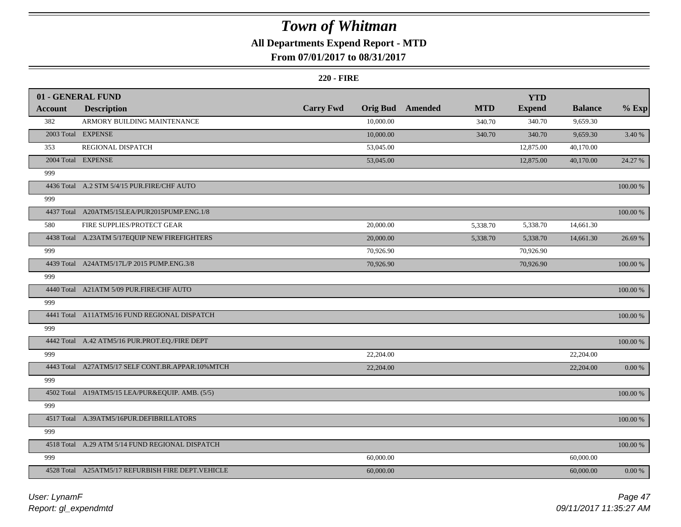## **All Departments Expend Report - MTD**

### **From 07/01/2017 to 08/31/2017**

|                | 01 - GENERAL FUND                                  |                  |           |                         |            | <b>YTD</b>    |                |             |
|----------------|----------------------------------------------------|------------------|-----------|-------------------------|------------|---------------|----------------|-------------|
| <b>Account</b> | <b>Description</b>                                 | <b>Carry Fwd</b> |           | <b>Orig Bud</b> Amended | <b>MTD</b> | <b>Expend</b> | <b>Balance</b> | $%$ Exp     |
| 382            | ARMORY BUILDING MAINTENANCE                        |                  | 10,000.00 |                         | 340.70     | 340.70        | 9,659.30       |             |
|                | 2003 Total EXPENSE                                 |                  | 10,000.00 |                         | 340.70     | 340.70        | 9,659.30       | 3.40 %      |
| 353            | REGIONAL DISPATCH                                  |                  | 53,045.00 |                         |            | 12,875.00     | 40,170.00      |             |
|                | 2004 Total EXPENSE                                 |                  | 53,045.00 |                         |            | 12,875.00     | 40,170.00      | 24.27 %     |
| 999            |                                                    |                  |           |                         |            |               |                |             |
|                | 4436 Total A.2 STM 5/4/15 PUR.FIRE/CHF AUTO        |                  |           |                         |            |               |                | 100.00 %    |
| 999            |                                                    |                  |           |                         |            |               |                |             |
|                | 4437 Total A20ATM5/15LEA/PUR2015PUMP.ENG.1/8       |                  |           |                         |            |               |                | $100.00~\%$ |
| 580            | FIRE SUPPLIES/PROTECT GEAR                         |                  | 20,000.00 |                         | 5,338.70   | 5,338.70      | 14,661.30      |             |
|                | 4438 Total A.23ATM 5/17EQUIP NEW FIREFIGHTERS      |                  | 20,000.00 |                         | 5,338.70   | 5,338.70      | 14,661.30      | 26.69 %     |
| 999            |                                                    |                  | 70,926.90 |                         |            | 70,926.90     |                |             |
|                | 4439 Total A24ATM5/17L/P 2015 PUMP.ENG.3/8         |                  | 70,926.90 |                         |            | 70,926.90     |                | 100.00 %    |
| 999            |                                                    |                  |           |                         |            |               |                |             |
|                | 4440 Total A21ATM 5/09 PUR.FIRE/CHF AUTO           |                  |           |                         |            |               |                | 100.00 %    |
| 999            |                                                    |                  |           |                         |            |               |                |             |
|                | 4441 Total A11ATM5/16 FUND REGIONAL DISPATCH       |                  |           |                         |            |               |                | 100.00 %    |
| 999            |                                                    |                  |           |                         |            |               |                |             |
|                | 4442 Total A.42 ATM5/16 PUR.PROT.EQ./FIRE DEPT     |                  |           |                         |            |               |                | $100.00~\%$ |
| 999            |                                                    |                  | 22,204.00 |                         |            |               | 22,204.00      |             |
|                | 4443 Total A27ATM5/17 SELF CONT.BR.APPAR.10%MTCH   |                  | 22,204.00 |                         |            |               | 22,204.00      | 0.00 %      |
| 999            |                                                    |                  |           |                         |            |               |                |             |
|                | 4502 Total A19ATM5/15 LEA/PUR&EQUIP. AMB. (5/5)    |                  |           |                         |            |               |                | 100.00 %    |
| 999            |                                                    |                  |           |                         |            |               |                |             |
|                | 4517 Total A.39ATM5/16PUR.DEFIBRILLATORS           |                  |           |                         |            |               |                | 100.00 %    |
| 999            |                                                    |                  |           |                         |            |               |                |             |
|                | 4518 Total A.29 ATM 5/14 FUND REGIONAL DISPATCH    |                  |           |                         |            |               |                | 100.00 %    |
| 999            |                                                    |                  | 60,000.00 |                         |            |               | 60,000.00      |             |
|                | 4528 Total A25ATM5/17 REFURBISH FIRE DEPT. VEHICLE |                  | 60,000.00 |                         |            |               | 60,000.00      | 0.00 %      |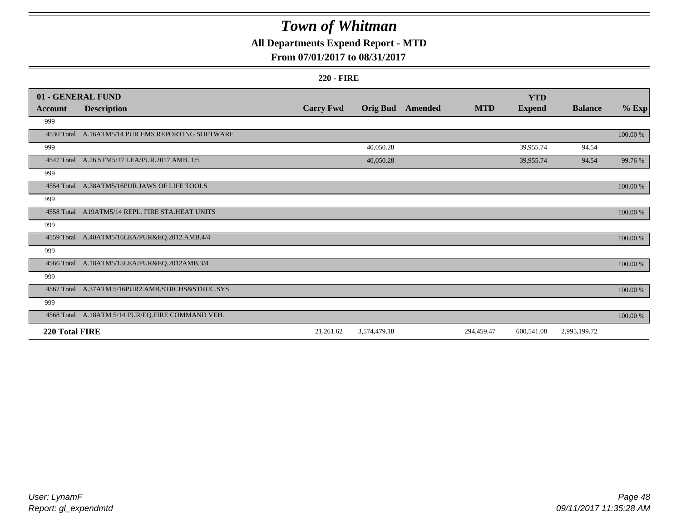## **All Departments Expend Report - MTD**

### **From 07/01/2017 to 08/31/2017**

|                | 01 - GENERAL FUND                                 |                  |                 |                |            | <b>YTD</b>    |                |          |
|----------------|---------------------------------------------------|------------------|-----------------|----------------|------------|---------------|----------------|----------|
| <b>Account</b> | <b>Description</b>                                | <b>Carry Fwd</b> | <b>Orig Bud</b> | <b>Amended</b> | <b>MTD</b> | <b>Expend</b> | <b>Balance</b> | $%$ Exp  |
| 999            |                                                   |                  |                 |                |            |               |                |          |
|                | 4530 Total A.16ATM5/14 PUR EMS REPORTING SOFTWARE |                  |                 |                |            |               |                | 100.00 % |
| 999            |                                                   |                  | 40,050.28       |                |            | 39,955.74     | 94.54          |          |
|                | 4547 Total A.26 STM5/17 LEA/PUR.2017 AMB. 1/5     |                  | 40,050.28       |                |            | 39,955.74     | 94.54          | 99.76 %  |
| 999            |                                                   |                  |                 |                |            |               |                |          |
|                | 4554 Total A.38ATM5/16PUR.JAWS OF LIFE TOOLS      |                  |                 |                |            |               |                | 100.00 % |
| 999            |                                                   |                  |                 |                |            |               |                |          |
|                | 4558 Total A19ATM5/14 REPL. FIRE STA.HEAT UNITS   |                  |                 |                |            |               |                | 100.00 % |
| 999            |                                                   |                  |                 |                |            |               |                |          |
|                | 4559 Total A.40ATM5/16LEA/PUR&EQ.2012.AMB.4/4     |                  |                 |                |            |               |                | 100.00 % |
| 999            |                                                   |                  |                 |                |            |               |                |          |
|                | 4566 Total A.18ATM5/15LEA/PUR&EQ.2012AMB.3/4      |                  |                 |                |            |               |                | 100.00 % |
| 999            |                                                   |                  |                 |                |            |               |                |          |
|                | 4567 Total A.37ATM 5/16PUR2.AMB.STRCHS&STRUC.SYS  |                  |                 |                |            |               |                | 100.00 % |
| 999            |                                                   |                  |                 |                |            |               |                |          |
|                | 4568 Total A.18ATM 5/14 PUR/EQ.FIRE COMMAND VEH.  |                  |                 |                |            |               |                | 100.00 % |
| 220 Total FIRE |                                                   | 21,261.62        | 3,574,479.18    |                | 294,459.47 | 600,541.08    | 2,995,199.72   |          |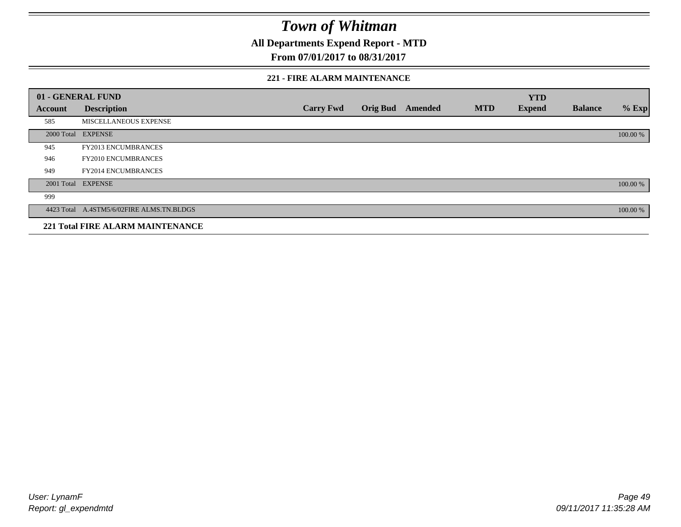**All Departments Expend Report - MTD**

**From 07/01/2017 to 08/31/2017**

#### **221 - FIRE ALARM MAINTENANCE**

|         | 01 - GENERAL FUND                         |                  |                 |         |            | <b>YTD</b>    |                |          |
|---------|-------------------------------------------|------------------|-----------------|---------|------------|---------------|----------------|----------|
| Account | <b>Description</b>                        | <b>Carry Fwd</b> | <b>Orig Bud</b> | Amended | <b>MTD</b> | <b>Expend</b> | <b>Balance</b> | $%$ Exp  |
| 585     | MISCELLANEOUS EXPENSE                     |                  |                 |         |            |               |                |          |
|         | 2000 Total EXPENSE                        |                  |                 |         |            |               |                | 100.00 % |
| 945     | <b>FY2013 ENCUMBRANCES</b>                |                  |                 |         |            |               |                |          |
| 946     | <b>FY2010 ENCUMBRANCES</b>                |                  |                 |         |            |               |                |          |
| 949     | <b>FY2014 ENCUMBRANCES</b>                |                  |                 |         |            |               |                |          |
|         | 2001 Total EXPENSE                        |                  |                 |         |            |               |                | 100.00 % |
| 999     |                                           |                  |                 |         |            |               |                |          |
|         | 4423 Total A.4STM5/6/02FIRE ALMS.TN.BLDGS |                  |                 |         |            |               |                | 100.00 % |
|         | <b>221 Total FIRE ALARM MAINTENANCE</b>   |                  |                 |         |            |               |                |          |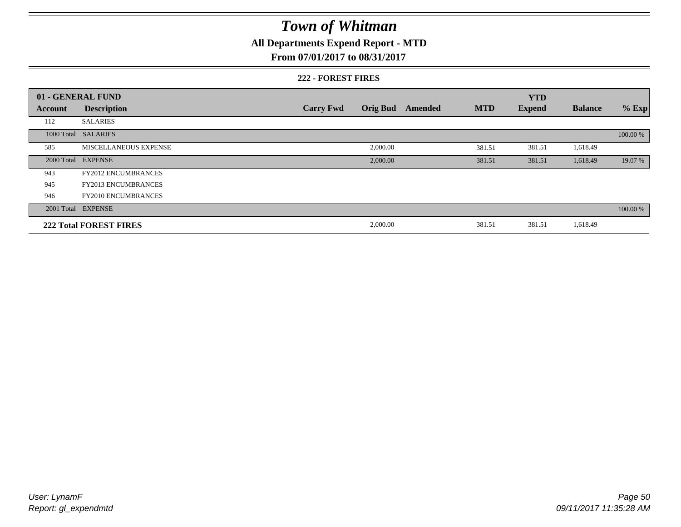## **All Departments Expend Report - MTD**

### **From 07/01/2017 to 08/31/2017**

#### **222 - FOREST FIRES**

|         | 01 - GENERAL FUND             |                  |                 |         |            | <b>YTD</b>    |                |          |
|---------|-------------------------------|------------------|-----------------|---------|------------|---------------|----------------|----------|
| Account | <b>Description</b>            | <b>Carry Fwd</b> | <b>Orig Bud</b> | Amended | <b>MTD</b> | <b>Expend</b> | <b>Balance</b> | $%$ Exp  |
| 112     | <b>SALARIES</b>               |                  |                 |         |            |               |                |          |
|         | 1000 Total SALARIES           |                  |                 |         |            |               |                | 100.00 % |
| 585     | MISCELLANEOUS EXPENSE         |                  | 2,000.00        |         | 381.51     | 381.51        | 1,618.49       |          |
|         | 2000 Total EXPENSE            |                  | 2,000.00        |         | 381.51     | 381.51        | 1,618.49       | 19.07 %  |
| 943     | <b>FY2012 ENCUMBRANCES</b>    |                  |                 |         |            |               |                |          |
| 945     | <b>FY2013 ENCUMBRANCES</b>    |                  |                 |         |            |               |                |          |
| 946     | <b>FY2010 ENCUMBRANCES</b>    |                  |                 |         |            |               |                |          |
|         | 2001 Total EXPENSE            |                  |                 |         |            |               |                | 100.00 % |
|         | <b>222 Total FOREST FIRES</b> |                  | 2,000.00        |         | 381.51     | 381.51        | 1,618.49       |          |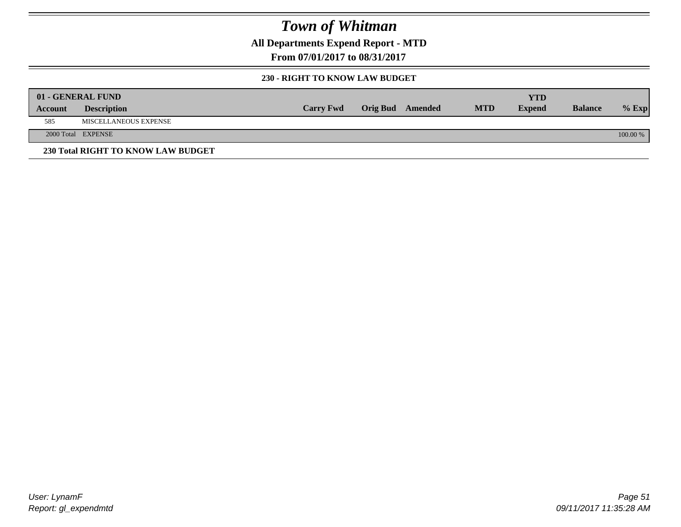**All Departments Expend Report - MTD**

**From 07/01/2017 to 08/31/2017**

#### **230 - RIGHT TO KNOW LAW BUDGET**

|         | 01 - GENERAL FUND                  |                  |                         |            | YTD           |                |            |
|---------|------------------------------------|------------------|-------------------------|------------|---------------|----------------|------------|
| Account | <b>Description</b>                 | <b>Carry Fwd</b> | <b>Orig Bud</b> Amended | <b>MTD</b> | <b>Expend</b> | <b>Balance</b> | $%$ Exp    |
| 585     | MISCELLANEOUS EXPENSE              |                  |                         |            |               |                |            |
|         | 2000 Total EXPENSE                 |                  |                         |            |               |                | $100.00\%$ |
|         | 230 Total RIGHT TO KNOW LAW BUDGET |                  |                         |            |               |                |            |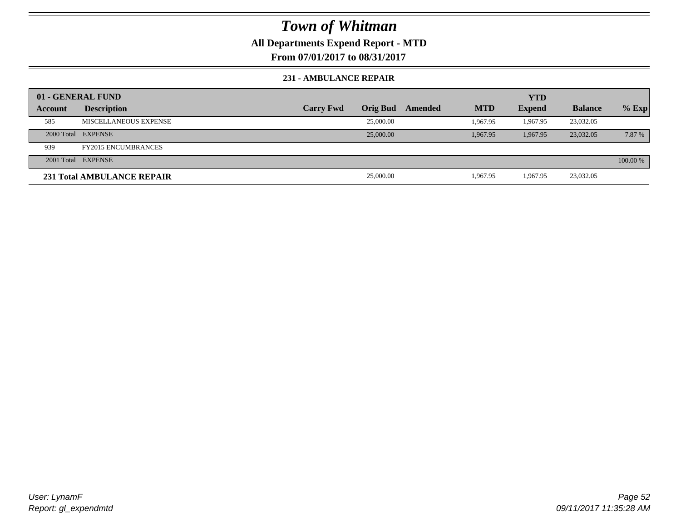### **All Departments Expend Report - MTD**

**From 07/01/2017 to 08/31/2017**

#### **231 - AMBULANCE REPAIR**

|         | 01 - GENERAL FUND                 |                  |                 |         |            | <b>YTD</b>    |                |          |
|---------|-----------------------------------|------------------|-----------------|---------|------------|---------------|----------------|----------|
| Account | <b>Description</b>                | <b>Carry Fwd</b> | <b>Orig Bud</b> | Amended | <b>MTD</b> | <b>Expend</b> | <b>Balance</b> | $%$ Exp  |
| 585     | MISCELLANEOUS EXPENSE             |                  | 25,000.00       |         | 1.967.95   | 1.967.95      | 23,032.05      |          |
|         | 2000 Total EXPENSE                |                  | 25,000.00       |         | 1.967.95   | 1.967.95      | 23,032.05      | 7.87 %   |
| 939     | <b>FY2015 ENCUMBRANCES</b>        |                  |                 |         |            |               |                |          |
|         | 2001 Total EXPENSE                |                  |                 |         |            |               |                | 100.00 % |
|         | <b>231 Total AMBULANCE REPAIR</b> |                  | 25,000.00       |         | 1,967.95   | 1,967.95      | 23,032.05      |          |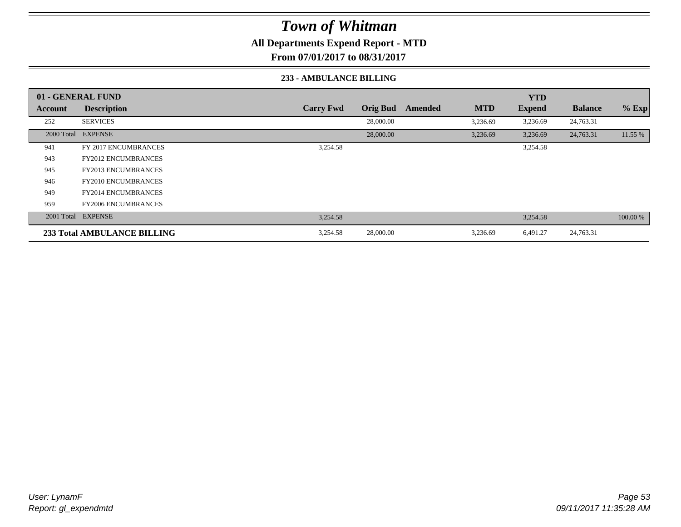**All Departments Expend Report - MTD**

**From 07/01/2017 to 08/31/2017**

#### **233 - AMBULANCE BILLING**

|         | 01 - GENERAL FUND           |                  |                 |         |            | <b>YTD</b>    |                |          |
|---------|-----------------------------|------------------|-----------------|---------|------------|---------------|----------------|----------|
| Account | <b>Description</b>          | <b>Carry Fwd</b> | <b>Orig Bud</b> | Amended | <b>MTD</b> | <b>Expend</b> | <b>Balance</b> | $%$ Exp  |
| 252     | <b>SERVICES</b>             |                  | 28,000.00       |         | 3,236.69   | 3,236.69      | 24,763.31      |          |
|         | 2000 Total EXPENSE          |                  | 28,000.00       |         | 3,236.69   | 3,236.69      | 24,763.31      | 11.55 %  |
| 941     | <b>FY 2017 ENCUMBRANCES</b> | 3,254.58         |                 |         |            | 3,254.58      |                |          |
| 943     | <b>FY2012 ENCUMBRANCES</b>  |                  |                 |         |            |               |                |          |
| 945     | <b>FY2013 ENCUMBRANCES</b>  |                  |                 |         |            |               |                |          |
| 946     | <b>FY2010 ENCUMBRANCES</b>  |                  |                 |         |            |               |                |          |
| 949     | <b>FY2014 ENCUMBRANCES</b>  |                  |                 |         |            |               |                |          |
| 959     | <b>FY2006 ENCUMBRANCES</b>  |                  |                 |         |            |               |                |          |
|         | 2001 Total EXPENSE          | 3,254.58         |                 |         |            | 3,254.58      |                | 100.00 % |
|         | 233 Total AMBULANCE BILLING | 3,254.58         | 28,000.00       |         | 3,236.69   | 6,491.27      | 24,763.31      |          |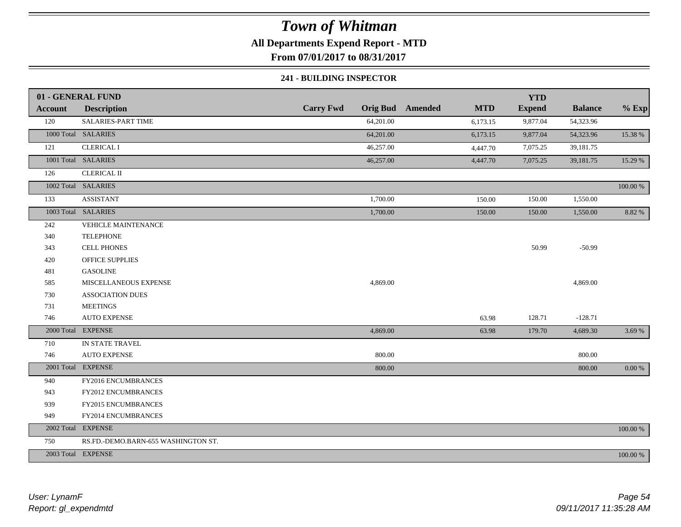## **All Departments Expend Report - MTD**

**From 07/01/2017 to 08/31/2017**

#### **241 - BUILDING INSPECTOR**

|                | 01 - GENERAL FUND                   |                  |                         |            | <b>YTD</b>    |                |             |
|----------------|-------------------------------------|------------------|-------------------------|------------|---------------|----------------|-------------|
| <b>Account</b> | <b>Description</b>                  | <b>Carry Fwd</b> | <b>Orig Bud</b> Amended | <b>MTD</b> | <b>Expend</b> | <b>Balance</b> | $%$ Exp     |
| 120            | SALARIES-PART TIME                  | 64,201.00        |                         | 6,173.15   | 9,877.04      | 54,323.96      |             |
|                | 1000 Total SALARIES                 | 64,201.00        |                         | 6,173.15   | 9,877.04      | 54,323.96      | 15.38 %     |
| 121            | <b>CLERICAL I</b>                   | 46,257.00        |                         | 4,447.70   | 7,075.25      | 39,181.75      |             |
|                | 1001 Total SALARIES                 | 46,257.00        |                         | 4,447.70   | 7,075.25      | 39,181.75      | 15.29 %     |
| 126            | <b>CLERICAL II</b>                  |                  |                         |            |               |                |             |
|                | 1002 Total SALARIES                 |                  |                         |            |               |                | $100.00~\%$ |
| 133            | <b>ASSISTANT</b>                    | 1,700.00         |                         | 150.00     | 150.00        | 1,550.00       |             |
|                | 1003 Total SALARIES                 | 1,700.00         |                         | 150.00     | 150.00        | 1,550.00       | 8.82%       |
| 242            | <b>VEHICLE MAINTENANCE</b>          |                  |                         |            |               |                |             |
| 340            | <b>TELEPHONE</b>                    |                  |                         |            |               |                |             |
| 343            | <b>CELL PHONES</b>                  |                  |                         |            | 50.99         | $-50.99$       |             |
| 420            | <b>OFFICE SUPPLIES</b>              |                  |                         |            |               |                |             |
| 481            | <b>GASOLINE</b>                     |                  |                         |            |               |                |             |
| 585            | MISCELLANEOUS EXPENSE               | 4,869.00         |                         |            |               | 4,869.00       |             |
| 730            | <b>ASSOCIATION DUES</b>             |                  |                         |            |               |                |             |
| 731            | <b>MEETINGS</b>                     |                  |                         |            |               |                |             |
| 746            | <b>AUTO EXPENSE</b>                 |                  |                         | 63.98      | 128.71        | $-128.71$      |             |
|                | 2000 Total EXPENSE                  | 4,869.00         |                         | 63.98      | 179.70        | 4,689.30       | 3.69 %      |
| 710            | IN STATE TRAVEL                     |                  |                         |            |               |                |             |
| 746            | <b>AUTO EXPENSE</b>                 | 800.00           |                         |            |               | 800.00         |             |
|                | 2001 Total EXPENSE                  | 800.00           |                         |            |               | 800.00         | 0.00 %      |
| 940            | FY2016 ENCUMBRANCES                 |                  |                         |            |               |                |             |
| 943            | FY2012 ENCUMBRANCES                 |                  |                         |            |               |                |             |
| 939            | FY2015 ENCUMBRANCES                 |                  |                         |            |               |                |             |
| 949            | FY2014 ENCUMBRANCES                 |                  |                         |            |               |                |             |
|                | 2002 Total EXPENSE                  |                  |                         |            |               |                | 100.00 %    |
| 750            | RS.FD.-DEMO.BARN-655 WASHINGTON ST. |                  |                         |            |               |                |             |
|                | 2003 Total EXPENSE                  |                  |                         |            |               |                | 100.00 %    |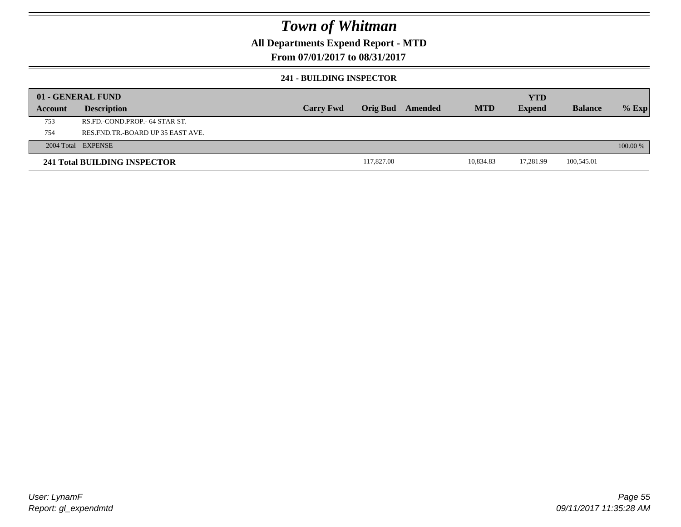### **All Departments Expend Report - MTD**

### **From 07/01/2017 to 08/31/2017**

#### **241 - BUILDING INSPECTOR**

|         | 01 - GENERAL FUND                     |                  |            |         |            | <b>YTD</b>    |                |            |
|---------|---------------------------------------|------------------|------------|---------|------------|---------------|----------------|------------|
| Account | <b>Description</b>                    | <b>Carry Fwd</b> | Orig Bud   | Amended | <b>MTD</b> | <b>Expend</b> | <b>Balance</b> | $%$ Exp    |
| 753     | RS.FD.-COND.PROP.- 64 STAR ST.        |                  |            |         |            |               |                |            |
| 754     | RES. FND. TR. - BOARD UP 35 EAST AVE. |                  |            |         |            |               |                |            |
|         | 2004 Total EXPENSE                    |                  |            |         |            |               |                | $100.00\%$ |
|         | 241 Total BUILDING INSPECTOR          |                  | 117,827.00 |         | 10,834.83  | 17,281.99     | 100,545.01     |            |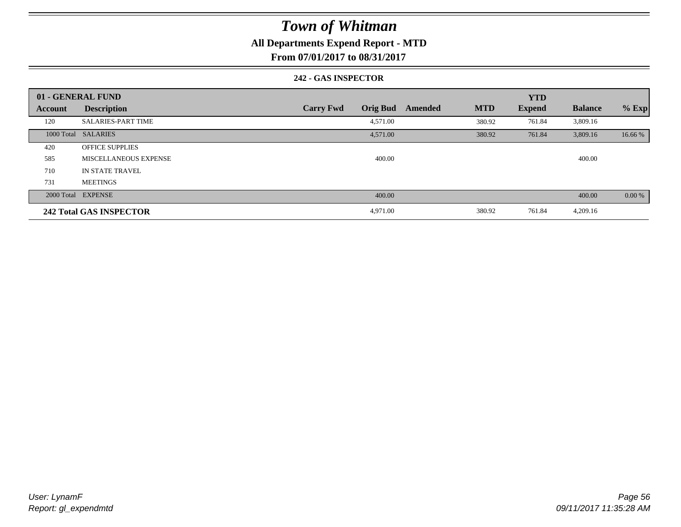### **All Departments Expend Report - MTD**

**From 07/01/2017 to 08/31/2017**

#### **242 - GAS INSPECTOR**

|         | 01 - GENERAL FUND              |                                     |                       | <b>YTD</b>    |                |         |
|---------|--------------------------------|-------------------------------------|-----------------------|---------------|----------------|---------|
| Account | <b>Description</b>             | <b>Orig Bud</b><br><b>Carry Fwd</b> | <b>MTD</b><br>Amended | <b>Expend</b> | <b>Balance</b> | $%$ Exp |
| 120     | <b>SALARIES-PART TIME</b>      | 4,571.00                            | 380.92                | 761.84        | 3,809.16       |         |
|         | 1000 Total SALARIES            | 4,571.00                            | 380.92                | 761.84        | 3,809.16       | 16.66 % |
| 420     | <b>OFFICE SUPPLIES</b>         |                                     |                       |               |                |         |
| 585     | <b>MISCELLANEOUS EXPENSE</b>   | 400.00                              |                       |               | 400.00         |         |
| 710     | IN STATE TRAVEL                |                                     |                       |               |                |         |
| 731     | <b>MEETINGS</b>                |                                     |                       |               |                |         |
|         | 2000 Total EXPENSE             | 400.00                              |                       |               | 400.00         | 0.00 %  |
|         | <b>242 Total GAS INSPECTOR</b> | 4,971.00                            | 380.92                | 761.84        | 4,209.16       |         |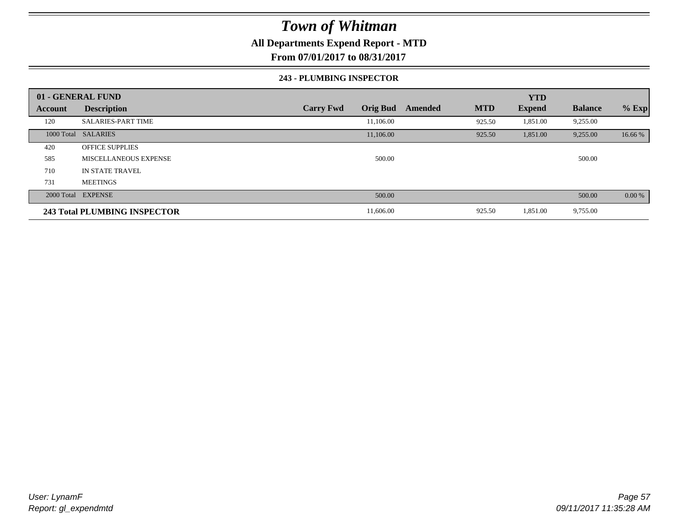### **All Departments Expend Report - MTD**

**From 07/01/2017 to 08/31/2017**

#### **243 - PLUMBING INSPECTOR**

|                | 01 - GENERAL FUND            |                                     |                       | <b>YTD</b>    |                |         |
|----------------|------------------------------|-------------------------------------|-----------------------|---------------|----------------|---------|
| <b>Account</b> | <b>Description</b>           | <b>Orig Bud</b><br><b>Carry Fwd</b> | <b>MTD</b><br>Amended | <b>Expend</b> | <b>Balance</b> | $%$ Exp |
| 120            | <b>SALARIES-PART TIME</b>    | 11,106.00                           | 925.50                | 1,851.00      | 9,255.00       |         |
|                | 1000 Total SALARIES          | 11,106.00                           | 925.50                | 1,851.00      | 9,255.00       | 16.66 % |
| 420            | <b>OFFICE SUPPLIES</b>       |                                     |                       |               |                |         |
| 585            | MISCELLANEOUS EXPENSE        | 500.00                              |                       |               | 500.00         |         |
| 710            | IN STATE TRAVEL              |                                     |                       |               |                |         |
| 731            | <b>MEETINGS</b>              |                                     |                       |               |                |         |
|                | 2000 Total EXPENSE           | 500.00                              |                       |               | 500.00         | 0.00 %  |
|                | 243 Total PLUMBING INSPECTOR | 11,606.00                           | 925.50                | 1,851.00      | 9,755.00       |         |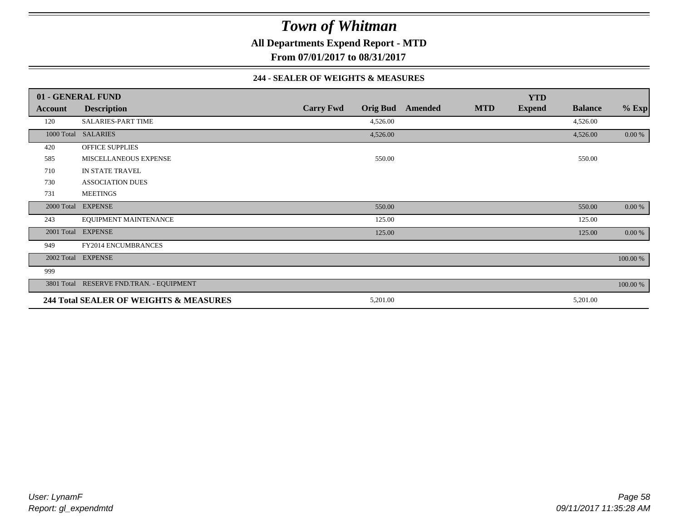**All Departments Expend Report - MTD**

**From 07/01/2017 to 08/31/2017**

#### **244 - SEALER OF WEIGHTS & MEASURES**

|                | 01 - GENERAL FUND                        |                  |                 |         |            | <b>YTD</b>    |                |          |
|----------------|------------------------------------------|------------------|-----------------|---------|------------|---------------|----------------|----------|
| <b>Account</b> | <b>Description</b>                       | <b>Carry Fwd</b> | <b>Orig Bud</b> | Amended | <b>MTD</b> | <b>Expend</b> | <b>Balance</b> | $%$ Exp  |
| 120            | SALARIES-PART TIME                       |                  | 4,526.00        |         |            |               | 4,526.00       |          |
|                | 1000 Total SALARIES                      |                  | 4,526.00        |         |            |               | 4,526.00       | 0.00 %   |
| 420            | <b>OFFICE SUPPLIES</b>                   |                  |                 |         |            |               |                |          |
| 585            | MISCELLANEOUS EXPENSE                    |                  | 550.00          |         |            |               | 550.00         |          |
| 710            | IN STATE TRAVEL                          |                  |                 |         |            |               |                |          |
| 730            | <b>ASSOCIATION DUES</b>                  |                  |                 |         |            |               |                |          |
| 731            | <b>MEETINGS</b>                          |                  |                 |         |            |               |                |          |
| 2000 Total     | <b>EXPENSE</b>                           |                  | 550.00          |         |            |               | 550.00         | $0.00\%$ |
| 243            | EQUIPMENT MAINTENANCE                    |                  | 125.00          |         |            |               | 125.00         |          |
| 2001 Total     | <b>EXPENSE</b>                           |                  | 125.00          |         |            |               | 125.00         | 0.00 %   |
| 949            | <b>FY2014 ENCUMBRANCES</b>               |                  |                 |         |            |               |                |          |
|                | 2002 Total EXPENSE                       |                  |                 |         |            |               |                | 100.00 % |
| 999            |                                          |                  |                 |         |            |               |                |          |
|                | 3801 Total RESERVE FND.TRAN. - EQUIPMENT |                  |                 |         |            |               |                | 100.00 % |
|                | 244 Total SEALER OF WEIGHTS & MEASURES   |                  | 5,201.00        |         |            |               | 5,201.00       |          |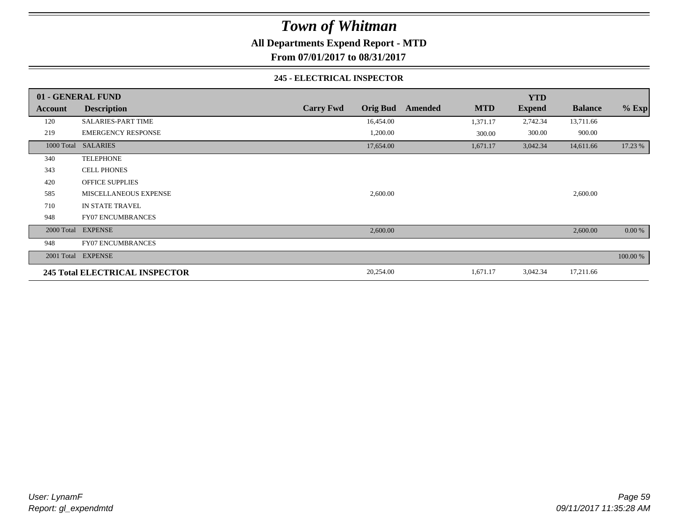**All Departments Expend Report - MTD**

**From 07/01/2017 to 08/31/2017**

#### **245 - ELECTRICAL INSPECTOR**

|         | 01 - GENERAL FUND              |                  |                 |         |            | <b>YTD</b>    |                |          |
|---------|--------------------------------|------------------|-----------------|---------|------------|---------------|----------------|----------|
| Account | <b>Description</b>             | <b>Carry Fwd</b> | <b>Orig Bud</b> | Amended | <b>MTD</b> | <b>Expend</b> | <b>Balance</b> | $%$ Exp  |
| 120     | <b>SALARIES-PART TIME</b>      |                  | 16,454.00       |         | 1,371.17   | 2,742.34      | 13,711.66      |          |
| 219     | <b>EMERGENCY RESPONSE</b>      |                  | 1,200.00        |         | 300.00     | 300.00        | 900.00         |          |
|         | 1000 Total SALARIES            |                  | 17,654.00       |         | 1,671.17   | 3,042.34      | 14,611.66      | 17.23 %  |
| 340     | <b>TELEPHONE</b>               |                  |                 |         |            |               |                |          |
| 343     | <b>CELL PHONES</b>             |                  |                 |         |            |               |                |          |
| 420     | <b>OFFICE SUPPLIES</b>         |                  |                 |         |            |               |                |          |
| 585     | MISCELLANEOUS EXPENSE          |                  | 2,600.00        |         |            |               | 2,600.00       |          |
| 710     | IN STATE TRAVEL                |                  |                 |         |            |               |                |          |
| 948     | <b>FY07 ENCUMBRANCES</b>       |                  |                 |         |            |               |                |          |
|         | 2000 Total EXPENSE             |                  | 2,600.00        |         |            |               | 2,600.00       | 0.00 %   |
| 948     | <b>FY07 ENCUMBRANCES</b>       |                  |                 |         |            |               |                |          |
|         | 2001 Total EXPENSE             |                  |                 |         |            |               |                | 100.00 % |
|         | 245 Total ELECTRICAL INSPECTOR |                  | 20,254.00       |         | 1,671.17   | 3,042.34      | 17,211.66      |          |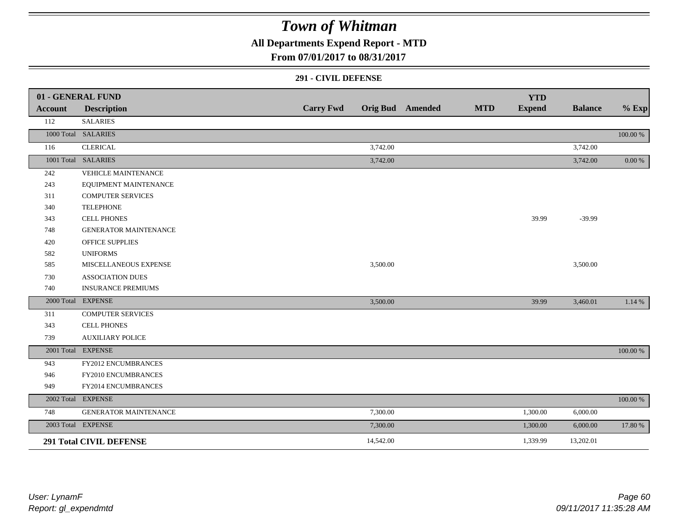## **All Departments Expend Report - MTD**

### **From 07/01/2017 to 08/31/2017**

#### **291 - CIVIL DEFENSE**

|         | 01 - GENERAL FUND              |                  |           |                         |            | <b>YTD</b>    |                |            |
|---------|--------------------------------|------------------|-----------|-------------------------|------------|---------------|----------------|------------|
| Account | <b>Description</b>             | <b>Carry Fwd</b> |           | <b>Orig Bud</b> Amended | <b>MTD</b> | <b>Expend</b> | <b>Balance</b> | $%$ Exp    |
| 112     | <b>SALARIES</b>                |                  |           |                         |            |               |                |            |
|         | 1000 Total SALARIES            |                  |           |                         |            |               |                | 100.00 %   |
| 116     | <b>CLERICAL</b>                |                  | 3,742.00  |                         |            |               | 3,742.00       |            |
|         | 1001 Total SALARIES            |                  | 3,742.00  |                         |            |               | 3,742.00       | $0.00\,\%$ |
| 242     | <b>VEHICLE MAINTENANCE</b>     |                  |           |                         |            |               |                |            |
| 243     | EQUIPMENT MAINTENANCE          |                  |           |                         |            |               |                |            |
| 311     | <b>COMPUTER SERVICES</b>       |                  |           |                         |            |               |                |            |
| 340     | <b>TELEPHONE</b>               |                  |           |                         |            |               |                |            |
| 343     | <b>CELL PHONES</b>             |                  |           |                         |            | 39.99         | $-39.99$       |            |
| 748     | <b>GENERATOR MAINTENANCE</b>   |                  |           |                         |            |               |                |            |
| 420     | <b>OFFICE SUPPLIES</b>         |                  |           |                         |            |               |                |            |
| 582     | <b>UNIFORMS</b>                |                  |           |                         |            |               |                |            |
| 585     | MISCELLANEOUS EXPENSE          |                  | 3,500.00  |                         |            |               | 3,500.00       |            |
| 730     | <b>ASSOCIATION DUES</b>        |                  |           |                         |            |               |                |            |
| 740     | <b>INSURANCE PREMIUMS</b>      |                  |           |                         |            |               |                |            |
|         | 2000 Total EXPENSE             |                  | 3,500.00  |                         |            | 39.99         | 3,460.01       | 1.14 %     |
| 311     | <b>COMPUTER SERVICES</b>       |                  |           |                         |            |               |                |            |
| 343     | CELL PHONES                    |                  |           |                         |            |               |                |            |
| 739     | <b>AUXILIARY POLICE</b>        |                  |           |                         |            |               |                |            |
|         | 2001 Total EXPENSE             |                  |           |                         |            |               |                | 100.00 %   |
| 943     | FY2012 ENCUMBRANCES            |                  |           |                         |            |               |                |            |
| 946     | FY2010 ENCUMBRANCES            |                  |           |                         |            |               |                |            |
| 949     | FY2014 ENCUMBRANCES            |                  |           |                         |            |               |                |            |
|         | 2002 Total EXPENSE             |                  |           |                         |            |               |                | 100.00 %   |
| 748     | GENERATOR MAINTENANCE          |                  | 7,300.00  |                         |            | 1,300.00      | 6,000.00       |            |
|         | 2003 Total EXPENSE             |                  | 7,300.00  |                         |            | 1,300.00      | 6,000.00       | 17.80 %    |
|         | <b>291 Total CIVIL DEFENSE</b> |                  | 14,542.00 |                         |            | 1,339.99      | 13,202.01      |            |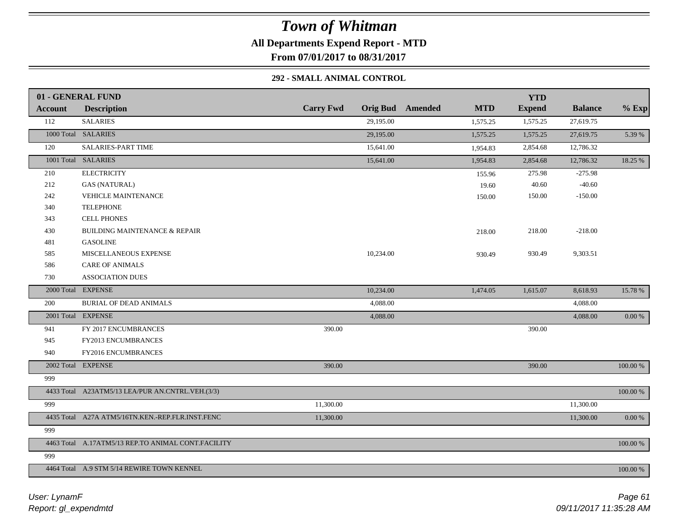**All Departments Expend Report - MTD**

**From 07/01/2017 to 08/31/2017**

### **292 - SMALL ANIMAL CONTROL**

|                | 01 - GENERAL FUND                                  |                  |                                       | <b>YTD</b>    |                |          |
|----------------|----------------------------------------------------|------------------|---------------------------------------|---------------|----------------|----------|
| <b>Account</b> | <b>Description</b>                                 | <b>Carry Fwd</b> | <b>Orig Bud</b> Amended<br><b>MTD</b> | <b>Expend</b> | <b>Balance</b> | $%$ Exp  |
| 112            | <b>SALARIES</b>                                    | 29,195.00        | 1,575.25                              | 1,575.25      | 27,619.75      |          |
|                | 1000 Total SALARIES                                | 29,195.00        | 1,575.25                              | 1,575.25      | 27,619.75      | 5.39 %   |
| 120            | <b>SALARIES-PART TIME</b>                          | 15,641.00        | 1,954.83                              | 2,854.68      | 12,786.32      |          |
|                | 1001 Total SALARIES                                | 15,641.00        | 1,954.83                              | 2,854.68      | 12,786.32      | 18.25 %  |
| 210            | <b>ELECTRICITY</b>                                 |                  | 155.96                                | 275.98        | $-275.98$      |          |
| 212            | <b>GAS (NATURAL)</b>                               |                  | 19.60                                 | 40.60         | $-40.60$       |          |
| 242            | <b>VEHICLE MAINTENANCE</b>                         |                  | 150.00                                | 150.00        | $-150.00$      |          |
| 340            | <b>TELEPHONE</b>                                   |                  |                                       |               |                |          |
| 343            | CELL PHONES                                        |                  |                                       |               |                |          |
| 430            | <b>BUILDING MAINTENANCE &amp; REPAIR</b>           |                  | 218.00                                | 218.00        | $-218.00$      |          |
| 481            | <b>GASOLINE</b>                                    |                  |                                       |               |                |          |
| 585            | MISCELLANEOUS EXPENSE                              | 10,234.00        | 930.49                                | 930.49        | 9,303.51       |          |
| 586            | <b>CARE OF ANIMALS</b>                             |                  |                                       |               |                |          |
| 730            | <b>ASSOCIATION DUES</b>                            |                  |                                       |               |                |          |
|                | 2000 Total EXPENSE                                 | 10,234.00        | 1,474.05                              | 1,615.07      | 8,618.93       | 15.78 %  |
| 200            | <b>BURIAL OF DEAD ANIMALS</b>                      | 4,088.00         |                                       |               | 4,088.00       |          |
|                | 2001 Total EXPENSE                                 | 4,088.00         |                                       |               | 4,088.00       | 0.00 %   |
| 941            | FY 2017 ENCUMBRANCES                               | 390.00           |                                       | 390.00        |                |          |
| 945            | FY2013 ENCUMBRANCES                                |                  |                                       |               |                |          |
| 940            | FY2016 ENCUMBRANCES                                |                  |                                       |               |                |          |
|                | 2002 Total EXPENSE                                 | 390.00           |                                       | 390.00        |                | 100.00 % |
| 999            |                                                    |                  |                                       |               |                |          |
|                | 4433 Total A23ATM5/13 LEA/PUR AN.CNTRL.VEH.(3/3)   |                  |                                       |               |                | 100.00 % |
| 999            |                                                    | 11,300.00        |                                       |               | 11,300.00      |          |
|                | 4435 Total A27A ATM5/16TN.KEN.-REP.FLR.INST.FENC   | 11,300.00        |                                       |               | 11,300.00      | 0.00 %   |
| 999            |                                                    |                  |                                       |               |                |          |
|                | 4463 Total A.17ATM5/13 REP.TO ANIMAL CONT.FACILITY |                  |                                       |               |                | 100.00 % |
| 999            |                                                    |                  |                                       |               |                |          |
|                | 4464 Total A.9 STM 5/14 REWIRE TOWN KENNEL         |                  |                                       |               |                | 100.00 % |
|                |                                                    |                  |                                       |               |                |          |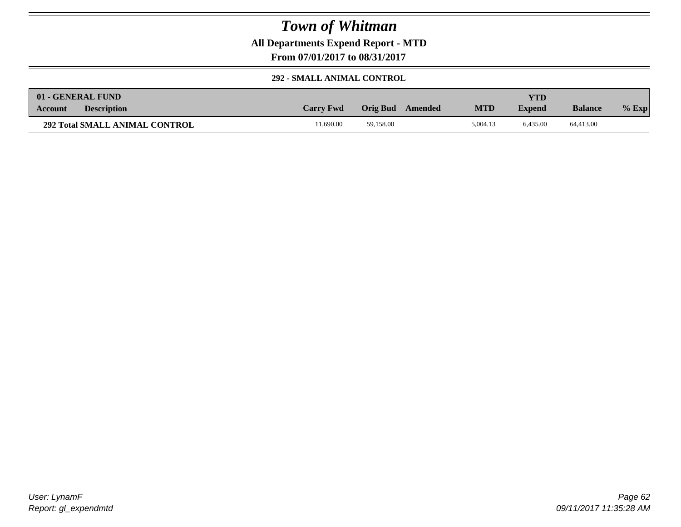**All Departments Expend Report - MTD**

**From 07/01/2017 to 08/31/2017**

#### **292 - SMALL ANIMAL CONTROL**

|                | 01 - GENERAL FUND                     |                  |           |         |            | YTD           |                |         |
|----------------|---------------------------------------|------------------|-----------|---------|------------|---------------|----------------|---------|
| <b>Account</b> | <b>Description</b>                    | <b>Carry Fwd</b> | Orig Bud  | Amended | <b>MTD</b> | <b>Expend</b> | <b>Balance</b> | $%$ Exp |
|                | <b>292 Total SMALL ANIMAL CONTROL</b> | 1.690.00         | 59.158.00 |         | 5.004.13   | 6.435.00      | 64,413.00      |         |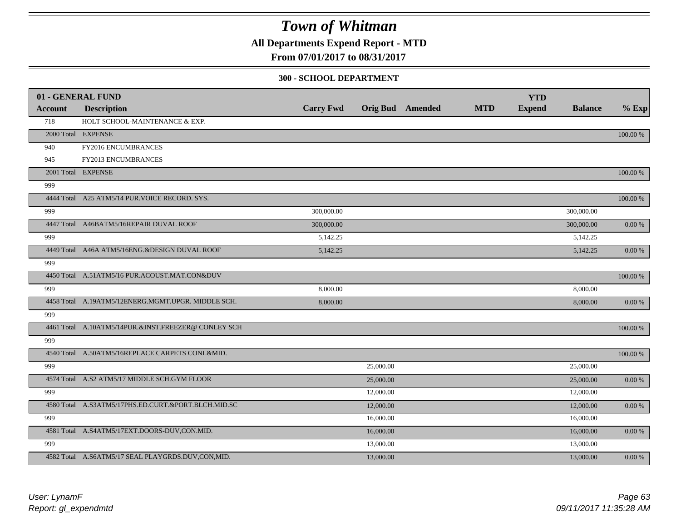**All Departments Expend Report - MTD**

### **From 07/01/2017 to 08/31/2017**

#### **300 - SCHOOL DEPARTMENT**

|         | 01 - GENERAL FUND                                   | <b>Carry Fwd</b> |           | <b>Orig Bud</b> Amended | <b>MTD</b> | <b>YTD</b><br><b>Expend</b> | <b>Balance</b> | $%$ Exp     |
|---------|-----------------------------------------------------|------------------|-----------|-------------------------|------------|-----------------------------|----------------|-------------|
| Account | <b>Description</b>                                  |                  |           |                         |            |                             |                |             |
| 718     | HOLT SCHOOL-MAINTENANCE & EXP.                      |                  |           |                         |            |                             |                |             |
|         | 2000 Total EXPENSE                                  |                  |           |                         |            |                             |                | 100.00 %    |
| 940     | FY2016 ENCUMBRANCES                                 |                  |           |                         |            |                             |                |             |
| 945     | FY2013 ENCUMBRANCES                                 |                  |           |                         |            |                             |                |             |
|         | 2001 Total EXPENSE                                  |                  |           |                         |            |                             |                | 100.00 %    |
| 999     |                                                     |                  |           |                         |            |                             |                |             |
|         | 4444 Total A25 ATM5/14 PUR. VOICE RECORD. SYS.      |                  |           |                         |            |                             |                | 100.00 %    |
| 999     |                                                     | 300,000.00       |           |                         |            |                             | 300,000.00     |             |
|         | 4447 Total A46BATM5/16REPAIR DUVAL ROOF             | 300,000.00       |           |                         |            |                             | 300,000.00     | $0.00~\%$   |
| 999     |                                                     | 5,142.25         |           |                         |            |                             | 5,142.25       |             |
|         | 4449 Total A46A ATM5/16ENG.&DESIGN DUVAL ROOF       | 5,142.25         |           |                         |            |                             | 5,142.25       | $0.00\ \%$  |
| 999     |                                                     |                  |           |                         |            |                             |                |             |
|         | 4450 Total A.51ATM5/16 PUR.ACOUST.MAT.CON&DUV       |                  |           |                         |            |                             |                | $100.00~\%$ |
| 999     |                                                     | 8,000.00         |           |                         |            |                             | 8,000.00       |             |
|         | 4458 Total A.19ATM5/12ENERG.MGMT.UPGR. MIDDLE SCH.  | 8,000.00         |           |                         |            |                             | 8,000.00       | $0.00\ \%$  |
| 999     |                                                     |                  |           |                         |            |                             |                |             |
|         | 4461 Total A.10ATM5/14PUR.&INST.FREEZER@ CONLEY SCH |                  |           |                         |            |                             |                | 100.00 %    |
| 999     |                                                     |                  |           |                         |            |                             |                |             |
|         | 4540 Total A.50ATM5/16REPLACE CARPETS CONL&MID.     |                  |           |                         |            |                             |                | 100.00 %    |
| 999     |                                                     |                  | 25,000.00 |                         |            |                             | 25,000.00      |             |
|         | 4574 Total A.S2 ATM5/17 MIDDLE SCH.GYM FLOOR        |                  | 25,000.00 |                         |            |                             | 25,000.00      | $0.00~\%$   |
| 999     |                                                     |                  | 12,000.00 |                         |            |                             | 12,000.00      |             |
|         | 4580 Total A.S3ATM5/17PHS.ED.CURT.&PORT.BLCH.MID.SC |                  | 12,000.00 |                         |            |                             | 12,000.00      | $0.00\ \%$  |
| 999     |                                                     |                  | 16,000.00 |                         |            |                             | 16,000.00      |             |
|         | 4581 Total A.S4ATM5/17EXT.DOORS-DUV,CON.MID.        |                  | 16,000.00 |                         |            |                             | 16,000.00      | 0.00 %      |
| 999     |                                                     |                  | 13,000.00 |                         |            |                             | 13,000.00      |             |
|         | 4582 Total A.S6ATM5/17 SEAL PLAYGRDS.DUV,CON,MID.   |                  | 13,000.00 |                         |            |                             | 13,000.00      | $0.00\ \%$  |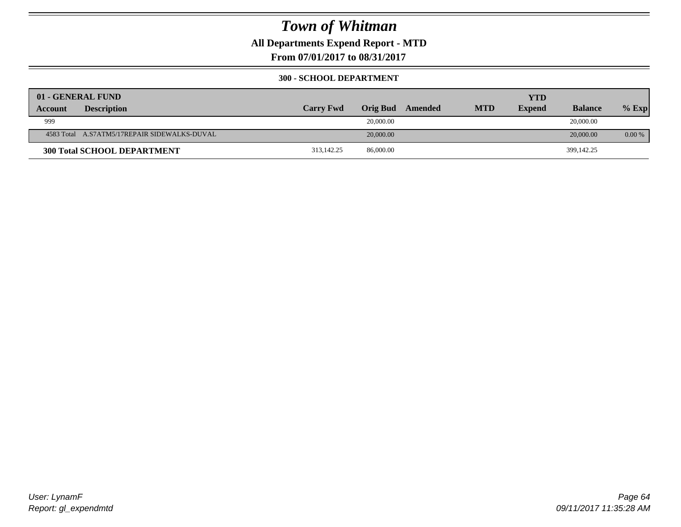**All Departments Expend Report - MTD**

**From 07/01/2017 to 08/31/2017**

### **300 - SCHOOL DEPARTMENT**

|                | 01 - GENERAL FUND                            |                  |                 |         |            | <b>YTD</b>    |                |          |
|----------------|----------------------------------------------|------------------|-----------------|---------|------------|---------------|----------------|----------|
| <b>Account</b> | <b>Description</b>                           | <b>Carry Fwd</b> | <b>Orig Bud</b> | Amended | <b>MTD</b> | <b>Expend</b> | <b>Balance</b> | $%$ Exp  |
| 999            |                                              |                  | 20,000.00       |         |            |               | 20,000.00      |          |
|                | 4583 Total A.S7ATM5/17REPAIR SIDEWALKS-DUVAL |                  | 20,000.00       |         |            |               | 20,000.00      | $0.00\%$ |
|                | <b>300 Total SCHOOL DEPARTMENT</b>           | 313,142.25       | 86,000.00       |         |            |               | 399,142.25     |          |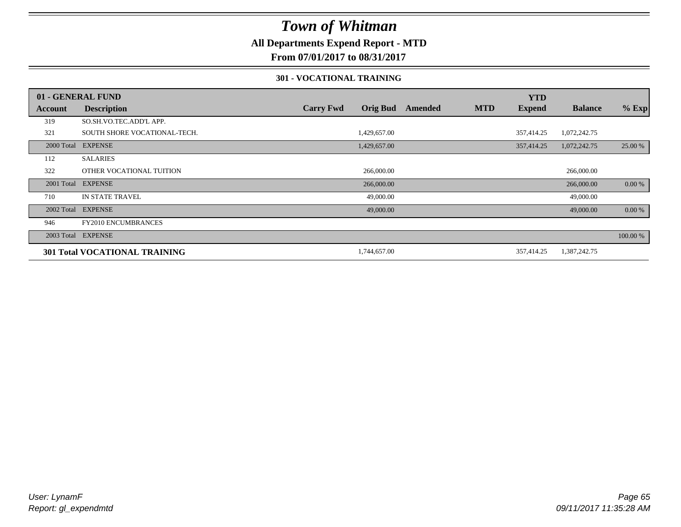### **All Departments Expend Report - MTD**

**From 07/01/2017 to 08/31/2017**

#### **301 - VOCATIONAL TRAINING**

|         | 01 - GENERAL FUND                    |                  |                 |         |            | <b>YTD</b>    |                |          |
|---------|--------------------------------------|------------------|-----------------|---------|------------|---------------|----------------|----------|
| Account | <b>Description</b>                   | <b>Carry Fwd</b> | <b>Orig Bud</b> | Amended | <b>MTD</b> | <b>Expend</b> | <b>Balance</b> | $%$ Exp  |
| 319     | SO.SH.VO.TEC.ADD'L APP.              |                  |                 |         |            |               |                |          |
| 321     | SOUTH SHORE VOCATIONAL-TECH.         |                  | 1,429,657.00    |         |            | 357,414.25    | 1,072,242.75   |          |
|         | 2000 Total EXPENSE                   |                  | 1,429,657.00    |         |            | 357,414.25    | 1,072,242.75   | 25.00 %  |
| 112     | <b>SALARIES</b>                      |                  |                 |         |            |               |                |          |
| 322     | OTHER VOCATIONAL TUITION             |                  | 266,000.00      |         |            |               | 266,000.00     |          |
|         | 2001 Total EXPENSE                   |                  | 266,000.00      |         |            |               | 266,000.00     | 0.00 %   |
| 710     | IN STATE TRAVEL                      |                  | 49,000.00       |         |            |               | 49,000.00      |          |
|         | 2002 Total EXPENSE                   |                  | 49,000.00       |         |            |               | 49,000.00      | 0.00 %   |
| 946     | <b>FY2010 ENCUMBRANCES</b>           |                  |                 |         |            |               |                |          |
|         | 2003 Total EXPENSE                   |                  |                 |         |            |               |                | 100.00 % |
|         | <b>301 Total VOCATIONAL TRAINING</b> |                  | 1,744,657.00    |         |            | 357,414.25    | 1,387,242.75   |          |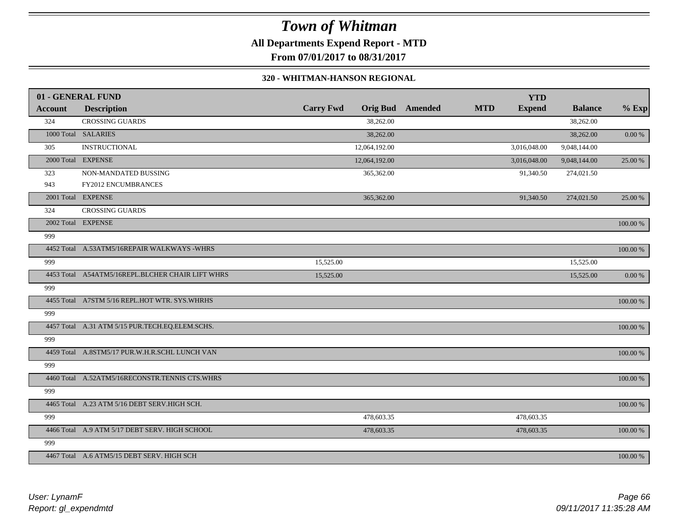**All Departments Expend Report - MTD**

**From 07/01/2017 to 08/31/2017**

#### **320 - WHITMAN-HANSON REGIONAL**

|                | 01 - GENERAL FUND                                |                  |               |                         |            | <b>YTD</b>    |                |            |
|----------------|--------------------------------------------------|------------------|---------------|-------------------------|------------|---------------|----------------|------------|
| <b>Account</b> | <b>Description</b>                               | <b>Carry Fwd</b> |               | <b>Orig Bud</b> Amended | <b>MTD</b> | <b>Expend</b> | <b>Balance</b> | $%$ Exp    |
| 324            | <b>CROSSING GUARDS</b>                           |                  | 38,262.00     |                         |            |               | 38,262.00      |            |
|                | 1000 Total SALARIES                              |                  | 38,262.00     |                         |            |               | 38,262.00      | 0.00 %     |
| 305            | <b>INSTRUCTIONAL</b>                             |                  | 12,064,192.00 |                         |            | 3,016,048.00  | 9,048,144.00   |            |
|                | 2000 Total EXPENSE                               |                  | 12,064,192.00 |                         |            | 3,016,048.00  | 9,048,144.00   | 25.00 %    |
| 323            | NON-MANDATED BUSSING                             |                  | 365,362.00    |                         |            | 91,340.50     | 274,021.50     |            |
| 943            | FY2012 ENCUMBRANCES                              |                  |               |                         |            |               |                |            |
|                | 2001 Total EXPENSE                               |                  | 365,362.00    |                         |            | 91,340.50     | 274,021.50     | 25.00 %    |
| 324            | <b>CROSSING GUARDS</b>                           |                  |               |                         |            |               |                |            |
|                | 2002 Total EXPENSE                               |                  |               |                         |            |               |                | 100.00 %   |
| 999            |                                                  |                  |               |                         |            |               |                |            |
|                | 4452 Total A.53ATM5/16REPAIR WALKWAYS -WHRS      |                  |               |                         |            |               |                | 100.00 %   |
| 999            |                                                  | 15,525.00        |               |                         |            |               | 15,525.00      |            |
|                | 4453 Total A54ATM5/16REPL.BLCHER CHAIR LIFT WHRS | 15,525.00        |               |                         |            |               | 15,525.00      | $0.00\ \%$ |
| 999            |                                                  |                  |               |                         |            |               |                |            |
|                | 4455 Total A7STM 5/16 REPL.HOT WTR. SYS.WHRHS    |                  |               |                         |            |               |                | 100.00 %   |
| 999            |                                                  |                  |               |                         |            |               |                |            |
|                | 4457 Total A.31 ATM 5/15 PUR.TECH.EQ.ELEM.SCHS.  |                  |               |                         |            |               |                | 100.00 %   |
| 999            |                                                  |                  |               |                         |            |               |                |            |
|                | 4459 Total A.8STM5/17 PUR.W.H.R.SCHL LUNCH VAN   |                  |               |                         |            |               |                | 100.00 %   |
| 999            |                                                  |                  |               |                         |            |               |                |            |
|                | 4460 Total A.52ATM5/16RECONSTR.TENNIS CTS.WHRS   |                  |               |                         |            |               |                | 100.00 %   |
| 999            |                                                  |                  |               |                         |            |               |                |            |
|                | 4465 Total A.23 ATM 5/16 DEBT SERV.HIGH SCH.     |                  |               |                         |            |               |                | 100.00 %   |
| 999            |                                                  |                  | 478,603.35    |                         |            | 478,603.35    |                |            |
|                | 4466 Total A.9 ATM 5/17 DEBT SERV. HIGH SCHOOL   |                  | 478,603.35    |                         |            | 478,603.35    |                | 100.00 %   |
| 999            |                                                  |                  |               |                         |            |               |                |            |
|                | 4467 Total A.6 ATM5/15 DEBT SERV. HIGH SCH       |                  |               |                         |            |               |                | 100.00 %   |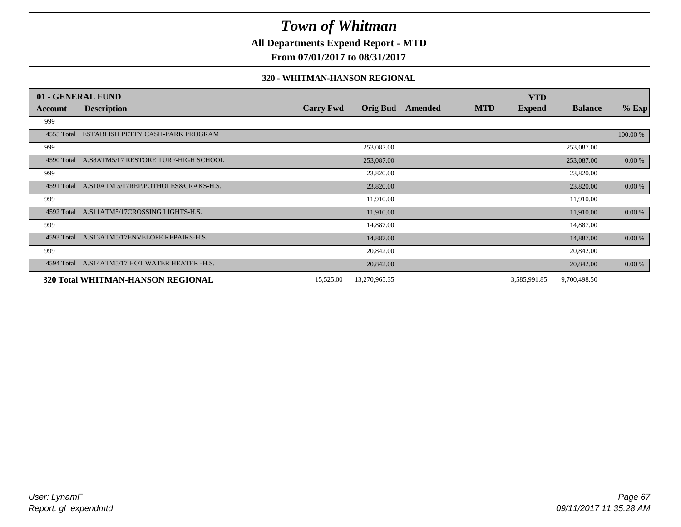### **All Departments Expend Report - MTD**

**From 07/01/2017 to 08/31/2017**

#### **320 - WHITMAN-HANSON REGIONAL**

|            | 01 - GENERAL FUND                               |                  |                 |         |            | <b>YTD</b>    |                |           |
|------------|-------------------------------------------------|------------------|-----------------|---------|------------|---------------|----------------|-----------|
| Account    | <b>Description</b>                              | <b>Carry Fwd</b> | <b>Orig Bud</b> | Amended | <b>MTD</b> | <b>Expend</b> | <b>Balance</b> | $%$ Exp   |
| 999        |                                                 |                  |                 |         |            |               |                |           |
| 4555 Total | ESTABLISH PETTY CASH-PARK PROGRAM               |                  |                 |         |            |               |                | 100.00 %  |
| 999        |                                                 |                  | 253,087.00      |         |            |               | 253,087.00     |           |
|            | 4590 Total A.S8ATM5/17 RESTORE TURF-HIGH SCHOOL |                  | 253,087.00      |         |            |               | 253,087.00     | 0.00 %    |
| 999        |                                                 |                  | 23,820.00       |         |            |               | 23,820.00      |           |
| 4591 Total | A.S10ATM 5/17REP.POTHOLES&CRAKS-H.S.            |                  | 23,820.00       |         |            |               | 23,820.00      | $0.00 \%$ |
| 999        |                                                 |                  | 11,910.00       |         |            |               | 11,910.00      |           |
| 4592 Total | A.S11ATM5/17CROSSING LIGHTS-H.S.                |                  | 11,910.00       |         |            |               | 11,910.00      | $0.00 \%$ |
| 999        |                                                 |                  | 14,887.00       |         |            |               | 14,887.00      |           |
|            | 4593 Total A.S13ATM5/17ENVELOPE REPAIRS-H.S.    |                  | 14,887.00       |         |            |               | 14,887.00      | $0.00 \%$ |
| 999        |                                                 |                  | 20,842.00       |         |            |               | 20,842.00      |           |
|            | 4594 Total A.S14ATM5/17 HOT WATER HEATER -H.S.  |                  | 20,842.00       |         |            |               | 20,842.00      | 0.00 %    |
|            | 320 Total WHITMAN-HANSON REGIONAL               | 15,525.00        | 13,270,965.35   |         |            | 3,585,991.85  | 9,700,498.50   |           |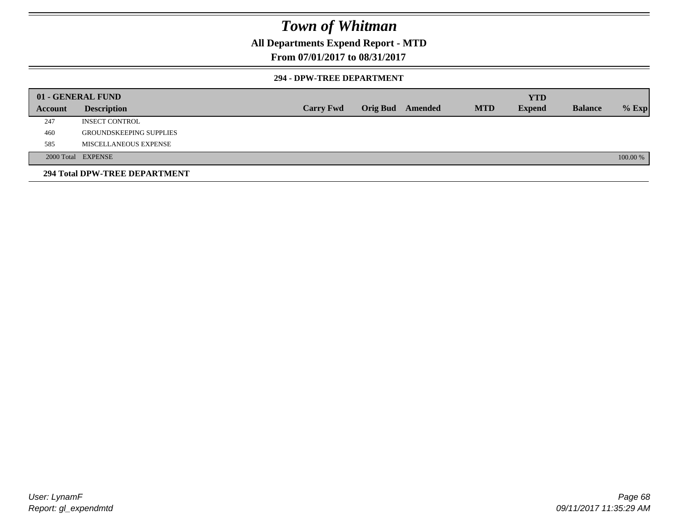### **All Departments Expend Report - MTD**

### **From 07/01/2017 to 08/31/2017**

#### **294 - DPW-TREE DEPARTMENT**

|         | 01 - GENERAL FUND              |                  |                         |            | <b>YTD</b>    |                |          |
|---------|--------------------------------|------------------|-------------------------|------------|---------------|----------------|----------|
| Account | <b>Description</b>             | <b>Carry Fwd</b> | <b>Orig Bud</b> Amended | <b>MTD</b> | <b>Expend</b> | <b>Balance</b> | $%$ Exp  |
| 247     | <b>INSECT CONTROL</b>          |                  |                         |            |               |                |          |
| 460     | <b>GROUNDSKEEPING SUPPLIES</b> |                  |                         |            |               |                |          |
| 585     | MISCELLANEOUS EXPENSE          |                  |                         |            |               |                |          |
|         | 2000 Total EXPENSE             |                  |                         |            |               |                | 100.00 % |
|         | 294 Total DPW-TREE DEPARTMENT  |                  |                         |            |               |                |          |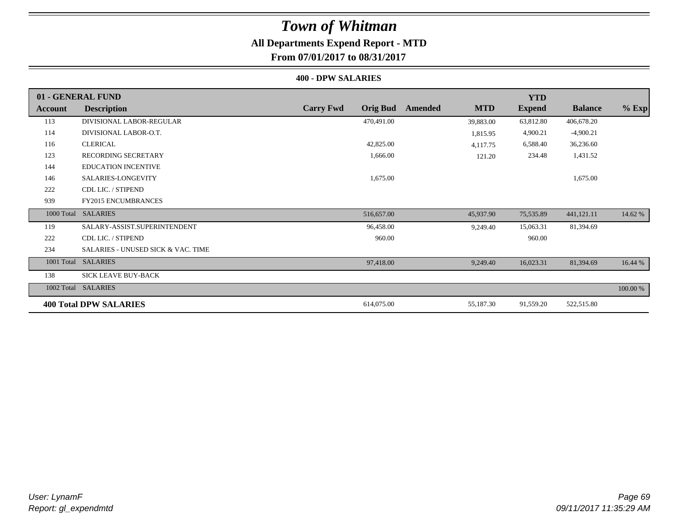### **All Departments Expend Report - MTD**

**From 07/01/2017 to 08/31/2017**

#### **400 - DPW SALARIES**

|            | 01 - GENERAL FUND                             |                                     |                       | <b>YTD</b>    |                |          |
|------------|-----------------------------------------------|-------------------------------------|-----------------------|---------------|----------------|----------|
| Account    | <b>Description</b>                            | <b>Carry Fwd</b><br><b>Orig Bud</b> | <b>MTD</b><br>Amended | <b>Expend</b> | <b>Balance</b> | $%$ Exp  |
| 113        | DIVISIONAL LABOR-REGULAR                      | 470,491.00                          | 39,883.00             | 63,812.80     | 406,678.20     |          |
| 114        | DIVISIONAL LABOR-O.T.                         |                                     | 1,815.95              | 4,900.21      | $-4,900.21$    |          |
| 116        | <b>CLERICAL</b>                               | 42,825.00                           | 4,117.75              | 6,588.40      | 36,236.60      |          |
| 123        | <b>RECORDING SECRETARY</b>                    | 1,666.00                            | 121.20                | 234.48        | 1,431.52       |          |
| 144        | <b>EDUCATION INCENTIVE</b>                    |                                     |                       |               |                |          |
| 146        | SALARIES-LONGEVITY                            | 1,675.00                            |                       |               | 1,675.00       |          |
| 222        | CDL LIC. / STIPEND                            |                                     |                       |               |                |          |
| 939        | <b>FY2015 ENCUMBRANCES</b>                    |                                     |                       |               |                |          |
| 1000 Total | <b>SALARIES</b>                               | 516,657.00                          | 45,937.90             | 75,535.89     | 441,121.11     | 14.62 %  |
| 119        | SALARY-ASSIST.SUPERINTENDENT                  | 96,458.00                           | 9,249.40              | 15,063.31     | 81,394.69      |          |
| 222        | CDL LIC. / STIPEND                            | 960.00                              |                       | 960.00        |                |          |
| 234        | <b>SALARIES - UNUSED SICK &amp; VAC. TIME</b> |                                     |                       |               |                |          |
| 1001 Total | <b>SALARIES</b>                               | 97,418.00                           | 9,249.40              | 16,023.31     | 81,394.69      | 16.44 %  |
| 138        | <b>SICK LEAVE BUY-BACK</b>                    |                                     |                       |               |                |          |
|            | 1002 Total SALARIES                           |                                     |                       |               |                | 100.00 % |
|            | <b>400 Total DPW SALARIES</b>                 | 614,075.00                          | 55,187.30             | 91,559.20     | 522,515.80     |          |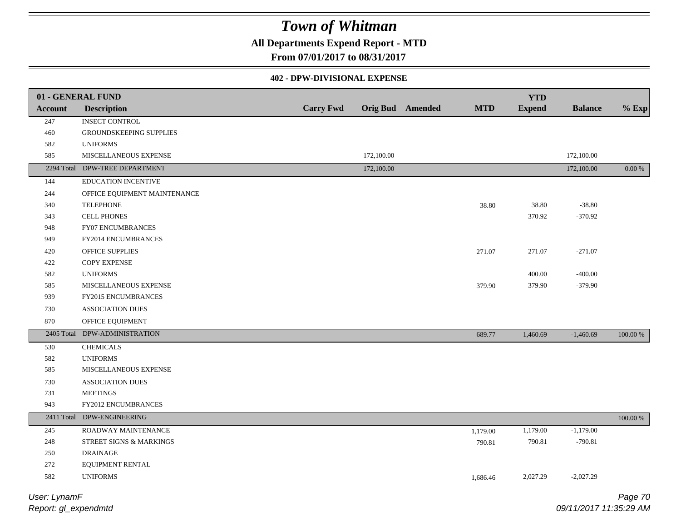### **All Departments Expend Report - MTD**

### **From 07/01/2017 to 08/31/2017**

### **402 - DPW-DIVISIONAL EXPENSE**

|                | 01 - GENERAL FUND              |                  |            |                         |            | <b>YTD</b>    |                |           |
|----------------|--------------------------------|------------------|------------|-------------------------|------------|---------------|----------------|-----------|
| <b>Account</b> | <b>Description</b>             | <b>Carry Fwd</b> |            | <b>Orig Bud</b> Amended | <b>MTD</b> | <b>Expend</b> | <b>Balance</b> | $%$ Exp   |
| 247            | <b>INSECT CONTROL</b>          |                  |            |                         |            |               |                |           |
| 460            | GROUNDSKEEPING SUPPLIES        |                  |            |                         |            |               |                |           |
| 582            | <b>UNIFORMS</b>                |                  |            |                         |            |               |                |           |
| 585            | MISCELLANEOUS EXPENSE          |                  | 172,100.00 |                         |            |               | 172,100.00     |           |
|                | 2294 Total DPW-TREE DEPARTMENT |                  | 172,100.00 |                         |            |               | 172,100.00     | $0.00 \%$ |
| 144            | EDUCATION INCENTIVE            |                  |            |                         |            |               |                |           |
| 244            | OFFICE EQUIPMENT MAINTENANCE   |                  |            |                         |            |               |                |           |
| 340            | <b>TELEPHONE</b>               |                  |            |                         | 38.80      | 38.80         | $-38.80$       |           |
| 343            | <b>CELL PHONES</b>             |                  |            |                         |            | 370.92        | $-370.92$      |           |
| 948            | FY07 ENCUMBRANCES              |                  |            |                         |            |               |                |           |
| 949            | FY2014 ENCUMBRANCES            |                  |            |                         |            |               |                |           |
| 420            | <b>OFFICE SUPPLIES</b>         |                  |            |                         | 271.07     | 271.07        | $-271.07$      |           |
| 422            | COPY EXPENSE                   |                  |            |                         |            |               |                |           |
| 582            | <b>UNIFORMS</b>                |                  |            |                         |            | 400.00        | $-400.00$      |           |
| 585            | MISCELLANEOUS EXPENSE          |                  |            |                         | 379.90     | 379.90        | $-379.90$      |           |
| 939            | FY2015 ENCUMBRANCES            |                  |            |                         |            |               |                |           |
| 730            | <b>ASSOCIATION DUES</b>        |                  |            |                         |            |               |                |           |
| 870            | OFFICE EQUIPMENT               |                  |            |                         |            |               |                |           |
| 2405 Total     | DPW-ADMINISTRATION             |                  |            |                         | 689.77     | 1,460.69      | $-1,460.69$    | 100.00 %  |
| 530            | <b>CHEMICALS</b>               |                  |            |                         |            |               |                |           |
| 582            | <b>UNIFORMS</b>                |                  |            |                         |            |               |                |           |
| 585            | MISCELLANEOUS EXPENSE          |                  |            |                         |            |               |                |           |
| 730            | <b>ASSOCIATION DUES</b>        |                  |            |                         |            |               |                |           |
| 731            | <b>MEETINGS</b>                |                  |            |                         |            |               |                |           |
| 943            | FY2012 ENCUMBRANCES            |                  |            |                         |            |               |                |           |
|                | 2411 Total DPW-ENGINEERING     |                  |            |                         |            |               |                | 100.00 %  |
| 245            | ROADWAY MAINTENANCE            |                  |            |                         | 1,179.00   | 1,179.00      | $-1,179.00$    |           |
| 248            | STREET SIGNS & MARKINGS        |                  |            |                         | 790.81     | 790.81        | $-790.81$      |           |
| 250            | <b>DRAINAGE</b>                |                  |            |                         |            |               |                |           |
| 272            | EQUIPMENT RENTAL               |                  |            |                         |            |               |                |           |
| 582            | <b>UNIFORMS</b>                |                  |            |                         | 1,686.46   | 2,027.29      | $-2,027.29$    |           |
|                |                                |                  |            |                         |            |               |                |           |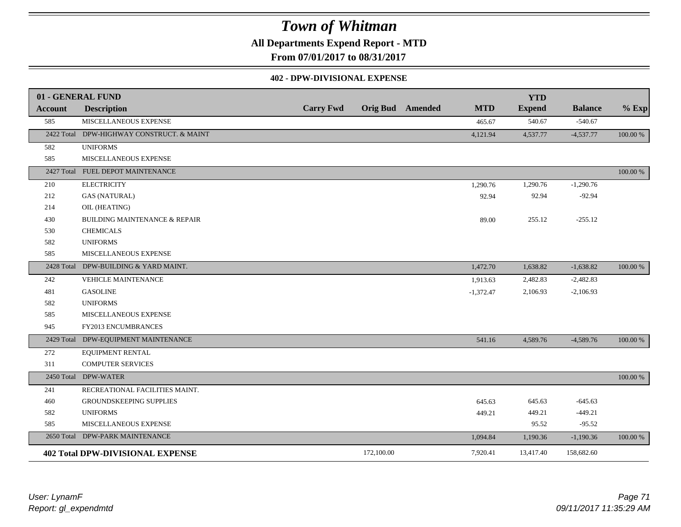**All Departments Expend Report - MTD**

**From 07/01/2017 to 08/31/2017**

### **402 - DPW-DIVISIONAL EXPENSE**

|                | 01 - GENERAL FUND                         |                  |            |                         |             | <b>YTD</b>    |                |          |
|----------------|-------------------------------------------|------------------|------------|-------------------------|-------------|---------------|----------------|----------|
| <b>Account</b> | <b>Description</b>                        | <b>Carry Fwd</b> |            | <b>Orig Bud</b> Amended | <b>MTD</b>  | <b>Expend</b> | <b>Balance</b> | $%$ Exp  |
| 585            | MISCELLANEOUS EXPENSE                     |                  |            |                         | 465.67      | 540.67        | $-540.67$      |          |
|                | 2422 Total DPW-HIGHWAY CONSTRUCT. & MAINT |                  |            |                         | 4,121.94    | 4,537.77      | $-4,537.77$    | 100.00 % |
| 582            | <b>UNIFORMS</b>                           |                  |            |                         |             |               |                |          |
| 585            | MISCELLANEOUS EXPENSE                     |                  |            |                         |             |               |                |          |
|                | 2427 Total FUEL DEPOT MAINTENANCE         |                  |            |                         |             |               |                | 100.00 % |
| 210            | <b>ELECTRICITY</b>                        |                  |            |                         | 1,290.76    | 1,290.76      | $-1,290.76$    |          |
| 212            | <b>GAS (NATURAL)</b>                      |                  |            |                         | 92.94       | 92.94         | $-92.94$       |          |
| 214            | OIL (HEATING)                             |                  |            |                         |             |               |                |          |
| 430            | <b>BUILDING MAINTENANCE &amp; REPAIR</b>  |                  |            |                         | 89.00       | 255.12        | $-255.12$      |          |
| 530            | <b>CHEMICALS</b>                          |                  |            |                         |             |               |                |          |
| 582            | <b>UNIFORMS</b>                           |                  |            |                         |             |               |                |          |
| 585            | MISCELLANEOUS EXPENSE                     |                  |            |                         |             |               |                |          |
|                | 2428 Total DPW-BUILDING & YARD MAINT.     |                  |            |                         | 1,472.70    | 1,638.82      | $-1,638.82$    | 100.00 % |
| 242            | <b>VEHICLE MAINTENANCE</b>                |                  |            |                         | 1,913.63    | 2,482.83      | $-2,482.83$    |          |
| 481            | <b>GASOLINE</b>                           |                  |            |                         | $-1,372.47$ | 2,106.93      | $-2,106.93$    |          |
| 582            | <b>UNIFORMS</b>                           |                  |            |                         |             |               |                |          |
| 585            | MISCELLANEOUS EXPENSE                     |                  |            |                         |             |               |                |          |
| 945            | FY2013 ENCUMBRANCES                       |                  |            |                         |             |               |                |          |
|                | 2429 Total DPW-EQUIPMENT MAINTENANCE      |                  |            |                         | 541.16      | 4,589.76      | $-4,589.76$    | 100.00 % |
| 272            | EQUIPMENT RENTAL                          |                  |            |                         |             |               |                |          |
| 311            | <b>COMPUTER SERVICES</b>                  |                  |            |                         |             |               |                |          |
| 2450 Total     | <b>DPW-WATER</b>                          |                  |            |                         |             |               |                | 100.00 % |
| 241            | RECREATIONAL FACILITIES MAINT.            |                  |            |                         |             |               |                |          |
| 460            | GROUNDSKEEPING SUPPLIES                   |                  |            |                         | 645.63      | 645.63        | $-645.63$      |          |
| 582            | <b>UNIFORMS</b>                           |                  |            |                         | 449.21      | 449.21        | $-449.21$      |          |
| 585            | MISCELLANEOUS EXPENSE                     |                  |            |                         |             | 95.52         | $-95.52$       |          |
|                | 2650 Total DPW-PARK MAINTENANCE           |                  |            |                         | 1,094.84    | 1,190.36      | $-1,190.36$    | 100.00 % |
|                | <b>402 Total DPW-DIVISIONAL EXPENSE</b>   |                  | 172,100.00 |                         | 7,920.41    | 13,417.40     | 158,682.60     |          |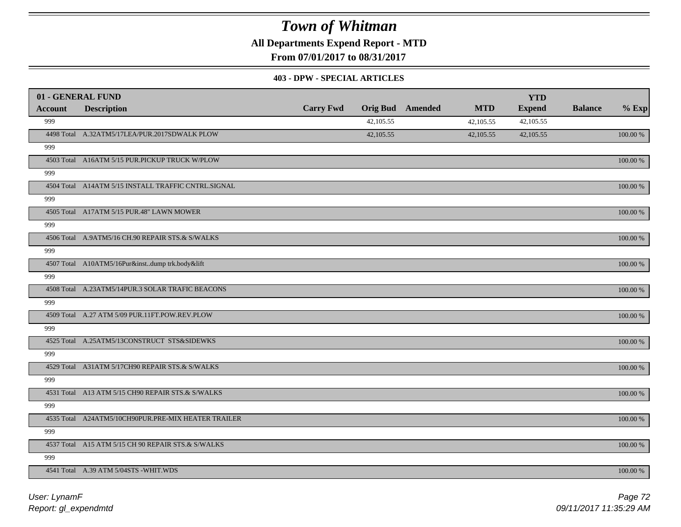**All Departments Expend Report - MTD**

**From 07/01/2017 to 08/31/2017**

#### **403 - DPW - SPECIAL ARTICLES**

|                | 01 - GENERAL FUND                                   |                  |           |                         |            | <b>YTD</b>    |                |             |
|----------------|-----------------------------------------------------|------------------|-----------|-------------------------|------------|---------------|----------------|-------------|
| <b>Account</b> | <b>Description</b>                                  | <b>Carry Fwd</b> |           | <b>Orig Bud</b> Amended | <b>MTD</b> | <b>Expend</b> | <b>Balance</b> | $%$ Exp     |
| 999            |                                                     |                  | 42,105.55 |                         | 42,105.55  | 42,105.55     |                |             |
|                | 4498 Total A.32ATM5/17LEA/PUR.2017SDWALK PLOW       |                  | 42,105.55 |                         | 42,105.55  | 42,105.55     |                | $100.00~\%$ |
| 999            |                                                     |                  |           |                         |            |               |                |             |
|                | 4503 Total A16ATM 5/15 PUR.PICKUP TRUCK W/PLOW      |                  |           |                         |            |               |                | 100.00 %    |
| 999            |                                                     |                  |           |                         |            |               |                |             |
|                | 4504 Total A14ATM 5/15 INSTALL TRAFFIC CNTRL.SIGNAL |                  |           |                         |            |               |                | 100.00 %    |
| 999            |                                                     |                  |           |                         |            |               |                |             |
|                | 4505 Total A17ATM 5/15 PUR.48" LAWN MOWER           |                  |           |                         |            |               |                | 100.00 %    |
| 999            |                                                     |                  |           |                         |            |               |                |             |
|                | 4506 Total A.9ATM5/16 CH.90 REPAIR STS.& S/WALKS    |                  |           |                         |            |               |                | 100.00 %    |
| 999            |                                                     |                  |           |                         |            |               |                |             |
|                | 4507 Total A10ATM5/16Pur&instdump trk.body&lift     |                  |           |                         |            |               |                | 100.00 %    |
| 999            |                                                     |                  |           |                         |            |               |                |             |
|                | 4508 Total A.23ATM5/14PUR.3 SOLAR TRAFIC BEACONS    |                  |           |                         |            |               |                | 100.00 %    |
| 999            |                                                     |                  |           |                         |            |               |                |             |
|                | 4509 Total A.27 ATM 5/09 PUR.11FT.POW.REV.PLOW      |                  |           |                         |            |               |                | 100.00 %    |
| 999            |                                                     |                  |           |                         |            |               |                |             |
|                | 4525 Total A.25ATM5/13CONSTRUCT STS&SIDEWKS         |                  |           |                         |            |               |                | 100.00 %    |
| 999            |                                                     |                  |           |                         |            |               |                |             |
|                | 4529 Total A31ATM 5/17CH90 REPAIR STS.& S/WALKS     |                  |           |                         |            |               |                | $100.00~\%$ |
| 999            |                                                     |                  |           |                         |            |               |                |             |
|                | 4531 Total A13 ATM 5/15 CH90 REPAIR STS.& S/WALKS   |                  |           |                         |            |               |                | $100.00~\%$ |
| 999            |                                                     |                  |           |                         |            |               |                |             |
|                | 4535 Total A24ATM5/10CH90PUR.PRE-MIX HEATER TRAILER |                  |           |                         |            |               |                | 100.00 %    |
| 999            |                                                     |                  |           |                         |            |               |                |             |
|                | 4537 Total A15 ATM 5/15 CH 90 REPAIR STS.& S/WALKS  |                  |           |                         |            |               |                | 100.00 %    |
| 999            |                                                     |                  |           |                         |            |               |                |             |
|                | 4541 Total A.39 ATM 5/04STS -WHIT.WDS               |                  |           |                         |            |               |                | 100.00 %    |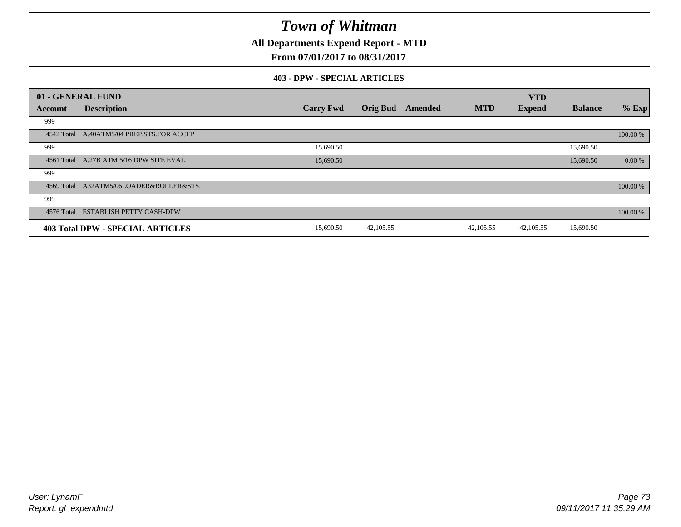**All Departments Expend Report - MTD**

## **From 07/01/2017 to 08/31/2017**

#### **403 - DPW - SPECIAL ARTICLES**

|            | 01 - GENERAL FUND                         |                  |                 |         |            | <b>YTD</b>    |                |          |
|------------|-------------------------------------------|------------------|-----------------|---------|------------|---------------|----------------|----------|
| Account    | <b>Description</b>                        | <b>Carry Fwd</b> | <b>Orig Bud</b> | Amended | <b>MTD</b> | <b>Expend</b> | <b>Balance</b> | $%$ Exp  |
| 999        |                                           |                  |                 |         |            |               |                |          |
|            | 4542 Total A.40ATM5/04 PREP.STS.FOR ACCEP |                  |                 |         |            |               |                | 100.00 % |
| 999        |                                           | 15,690.50        |                 |         |            |               | 15,690.50      |          |
|            | 4561 Total A.27B ATM 5/16 DPW SITE EVAL.  | 15,690.50        |                 |         |            |               | 15,690.50      | 0.00 %   |
| 999        |                                           |                  |                 |         |            |               |                |          |
|            | 4569 Total A32ATM5/06LOADER&ROLLER&STS.   |                  |                 |         |            |               |                | 100.00 % |
| 999        |                                           |                  |                 |         |            |               |                |          |
| 4576 Total | <b>ESTABLISH PETTY CASH-DPW</b>           |                  |                 |         |            |               |                | 100.00 % |
|            | <b>403 Total DPW - SPECIAL ARTICLES</b>   | 15,690.50        | 42,105.55       |         | 42,105.55  | 42,105.55     | 15,690.50      |          |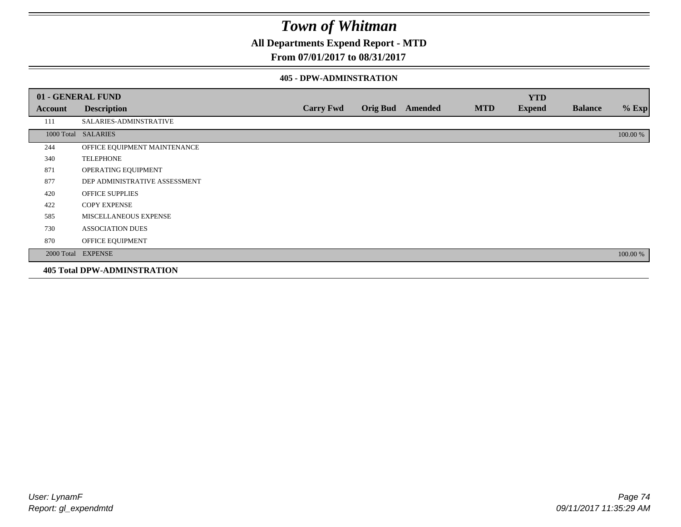## **All Departments Expend Report - MTD**

### **From 07/01/2017 to 08/31/2017**

#### **405 - DPW-ADMINSTRATION**

|         | 01 - GENERAL FUND                  |                  |                  |            | <b>YTD</b>    |                |          |
|---------|------------------------------------|------------------|------------------|------------|---------------|----------------|----------|
| Account | <b>Description</b>                 | <b>Carry Fwd</b> | Orig Bud Amended | <b>MTD</b> | <b>Expend</b> | <b>Balance</b> | $%$ Exp  |
| 111     | SALARIES-ADMINSTRATIVE             |                  |                  |            |               |                |          |
|         | 1000 Total SALARIES                |                  |                  |            |               |                | 100.00 % |
| 244     | OFFICE EQUIPMENT MAINTENANCE       |                  |                  |            |               |                |          |
| 340     | <b>TELEPHONE</b>                   |                  |                  |            |               |                |          |
| 871     | OPERATING EQUIPMENT                |                  |                  |            |               |                |          |
| 877     | DEP ADMINISTRATIVE ASSESSMENT      |                  |                  |            |               |                |          |
| 420     | <b>OFFICE SUPPLIES</b>             |                  |                  |            |               |                |          |
| 422     | <b>COPY EXPENSE</b>                |                  |                  |            |               |                |          |
| 585     | MISCELLANEOUS EXPENSE              |                  |                  |            |               |                |          |
| 730     | <b>ASSOCIATION DUES</b>            |                  |                  |            |               |                |          |
| 870     | OFFICE EQUIPMENT                   |                  |                  |            |               |                |          |
|         | 2000 Total EXPENSE                 |                  |                  |            |               |                | 100.00 % |
|         | <b>405 Total DPW-ADMINSTRATION</b> |                  |                  |            |               |                |          |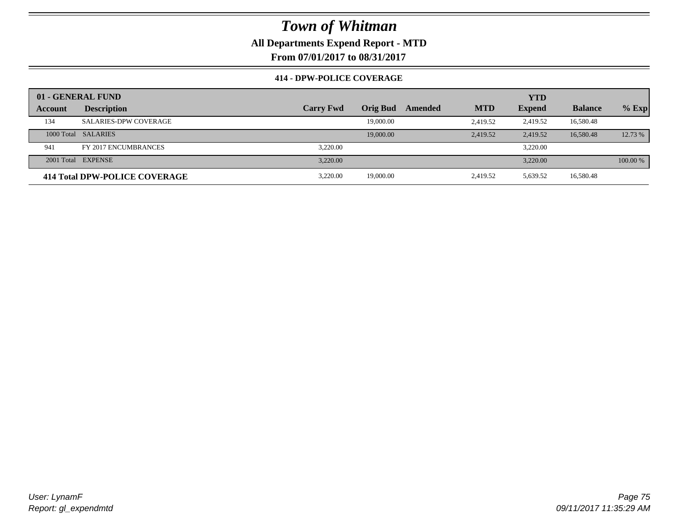**All Departments Expend Report - MTD**

**From 07/01/2017 to 08/31/2017**

### **414 - DPW-POLICE COVERAGE**

|         | 01 - GENERAL FUND             |                  |                 |         |            | <b>YTD</b>    |                |          |
|---------|-------------------------------|------------------|-----------------|---------|------------|---------------|----------------|----------|
| Account | <b>Description</b>            | <b>Carry Fwd</b> | <b>Orig Bud</b> | Amended | <b>MTD</b> | <b>Expend</b> | <b>Balance</b> | $%$ Exp  |
| 134     | <b>SALARIES-DPW COVERAGE</b>  |                  | 19,000.00       |         | 2.419.52   | 2,419.52      | 16,580.48      |          |
|         | 1000 Total SALARIES           |                  | 19,000.00       |         | 2.419.52   | 2.419.52      | 16,580.48      | 12.73 %  |
| 941     | FY 2017 ENCUMBRANCES          | 3.220.00         |                 |         |            | 3.220.00      |                |          |
|         | 2001 Total EXPENSE            | 3.220.00         |                 |         |            | 3.220.00      |                | 100.00 % |
|         | 414 Total DPW-POLICE COVERAGE | 3.220.00         | 19,000.00       |         | 2,419.52   | 5,639.52      | 16,580.48      |          |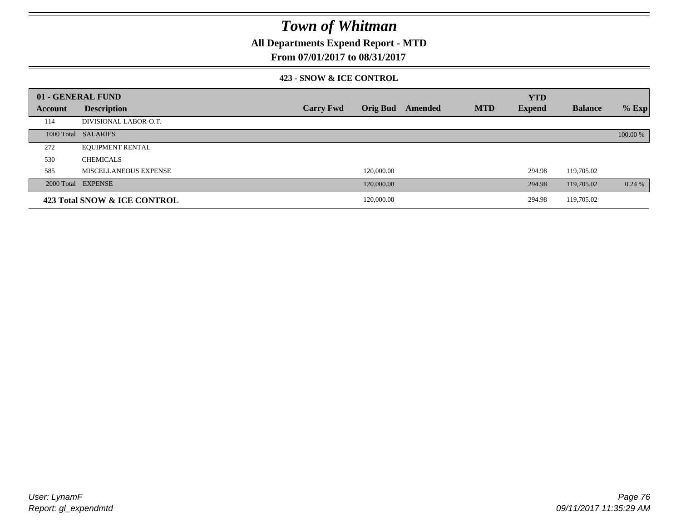## **All Departments Expend Report - MTD**

### **From 07/01/2017 to 08/31/2017**

### **423 - SNOW & ICE CONTROL**

|                | 01 - GENERAL FUND            |                  |                 |         |            | <b>YTD</b>    |                |          |
|----------------|------------------------------|------------------|-----------------|---------|------------|---------------|----------------|----------|
| <b>Account</b> | <b>Description</b>           | <b>Carry Fwd</b> | <b>Orig Bud</b> | Amended | <b>MTD</b> | <b>Expend</b> | <b>Balance</b> | $%$ Exp  |
| 114            | DIVISIONAL LABOR-O.T.        |                  |                 |         |            |               |                |          |
|                | 1000 Total SALARIES          |                  |                 |         |            |               |                | 100.00 % |
| 272            | <b>EQUIPMENT RENTAL</b>      |                  |                 |         |            |               |                |          |
| 530            | <b>CHEMICALS</b>             |                  |                 |         |            |               |                |          |
| 585            | MISCELLANEOUS EXPENSE        |                  | 120,000.00      |         |            | 294.98        | 119,705.02     |          |
|                | 2000 Total EXPENSE           |                  | 120,000.00      |         |            | 294.98        | 119,705.02     | 0.24%    |
|                | 423 Total SNOW & ICE CONTROL |                  | 120,000.00      |         |            | 294.98        | 119,705.02     |          |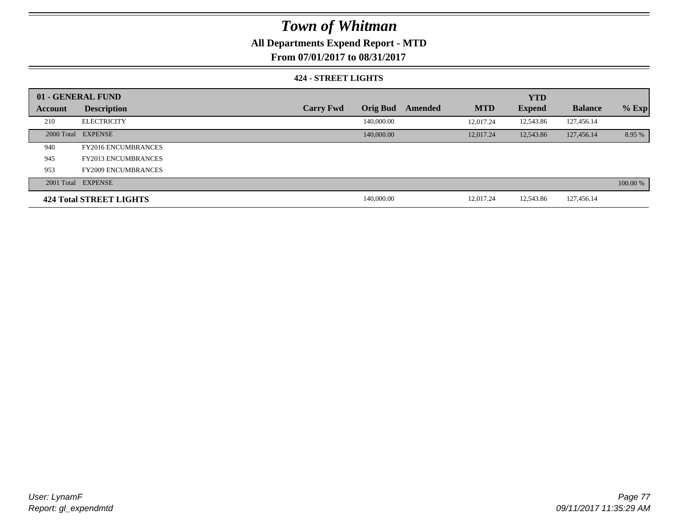## **All Departments Expend Report - MTD**

**From 07/01/2017 to 08/31/2017**

### **424 - STREET LIGHTS**

|         | 01 - GENERAL FUND          |                  |                 |         |            | <b>YTD</b>    |                |          |
|---------|----------------------------|------------------|-----------------|---------|------------|---------------|----------------|----------|
| Account | <b>Description</b>         | <b>Carry Fwd</b> | <b>Orig Bud</b> | Amended | <b>MTD</b> | <b>Expend</b> | <b>Balance</b> | $%$ Exp  |
| 210     | <b>ELECTRICITY</b>         |                  | 140,000.00      |         | 12,017.24  | 12,543.86     | 127,456.14     |          |
|         | 2000 Total EXPENSE         |                  | 140,000.00      |         | 12,017.24  | 12,543.86     | 127,456.14     | 8.95 %   |
| 940     | <b>FY2016 ENCUMBRANCES</b> |                  |                 |         |            |               |                |          |
| 945     | <b>FY2013 ENCUMBRANCES</b> |                  |                 |         |            |               |                |          |
| 953     | <b>FY2009 ENCUMBRANCES</b> |                  |                 |         |            |               |                |          |
|         | 2001 Total EXPENSE         |                  |                 |         |            |               |                | 100.00 % |
|         | 424 Total STREET LIGHTS    |                  | 140,000.00      |         | 12,017.24  | 12,543.86     | 127,456.14     |          |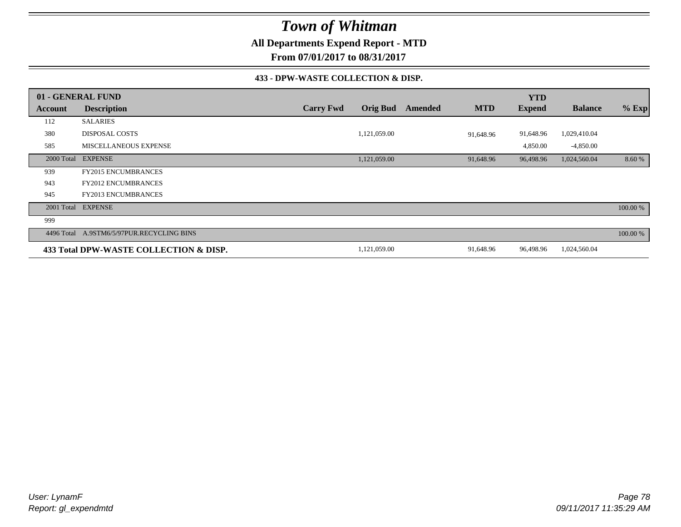**All Departments Expend Report - MTD**

**From 07/01/2017 to 08/31/2017**

### **433 - DPW-WASTE COLLECTION & DISP.**

|            | 01 - GENERAL FUND                      |                  |                 |                |            | <b>YTD</b>    |                |          |
|------------|----------------------------------------|------------------|-----------------|----------------|------------|---------------|----------------|----------|
| Account    | <b>Description</b>                     | <b>Carry Fwd</b> | <b>Orig Bud</b> | <b>Amended</b> | <b>MTD</b> | <b>Expend</b> | <b>Balance</b> | $%$ Exp  |
| 112        | <b>SALARIES</b>                        |                  |                 |                |            |               |                |          |
| 380        | <b>DISPOSAL COSTS</b>                  |                  | 1,121,059.00    |                | 91,648.96  | 91,648.96     | 1,029,410.04   |          |
| 585        | <b>MISCELLANEOUS EXPENSE</b>           |                  |                 |                |            | 4,850.00      | $-4,850.00$    |          |
| 2000 Total | <b>EXPENSE</b>                         |                  | 1,121,059.00    |                | 91,648.96  | 96,498.96     | 1,024,560.04   | 8.60 %   |
| 939        | <b>FY2015 ENCUMBRANCES</b>             |                  |                 |                |            |               |                |          |
| 943        | <b>FY2012 ENCUMBRANCES</b>             |                  |                 |                |            |               |                |          |
| 945        | FY2013 ENCUMBRANCES                    |                  |                 |                |            |               |                |          |
| 2001 Total | <b>EXPENSE</b>                         |                  |                 |                |            |               |                | 100.00 % |
| 999        |                                        |                  |                 |                |            |               |                |          |
| 4496 Total | A.9STM6/5/97PUR.RECYCLING BINS         |                  |                 |                |            |               |                | 100.00 % |
|            | 433 Total DPW-WASTE COLLECTION & DISP. |                  | 1,121,059.00    |                | 91,648.96  | 96,498.96     | 1,024,560.04   |          |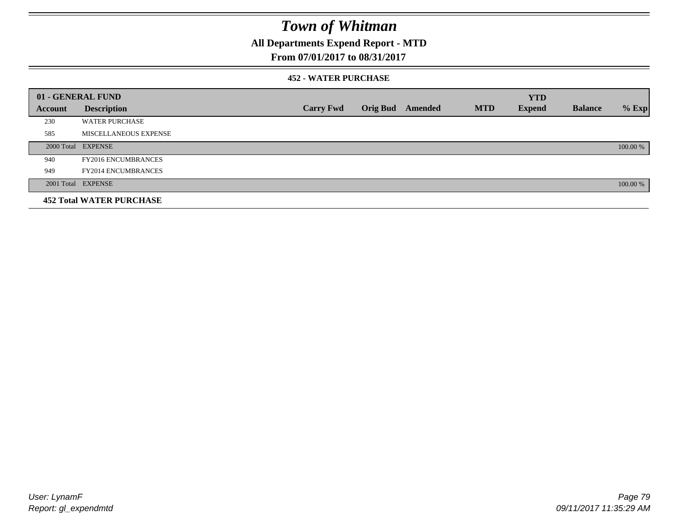## **All Departments Expend Report - MTD**

## **From 07/01/2017 to 08/31/2017**

### **452 - WATER PURCHASE**

|         | 01 - GENERAL FUND               |                  |                 |         |            | <b>YTD</b>    |                |          |
|---------|---------------------------------|------------------|-----------------|---------|------------|---------------|----------------|----------|
| Account | <b>Description</b>              | <b>Carry Fwd</b> | <b>Orig Bud</b> | Amended | <b>MTD</b> | <b>Expend</b> | <b>Balance</b> | $%$ Exp  |
| 230     | <b>WATER PURCHASE</b>           |                  |                 |         |            |               |                |          |
| 585     | MISCELLANEOUS EXPENSE           |                  |                 |         |            |               |                |          |
|         | 2000 Total EXPENSE              |                  |                 |         |            |               |                | 100.00 % |
| 940     | <b>FY2016 ENCUMBRANCES</b>      |                  |                 |         |            |               |                |          |
| 949     | <b>FY2014 ENCUMBRANCES</b>      |                  |                 |         |            |               |                |          |
|         | 2001 Total EXPENSE              |                  |                 |         |            |               |                | 100.00 % |
|         | <b>452 Total WATER PURCHASE</b> |                  |                 |         |            |               |                |          |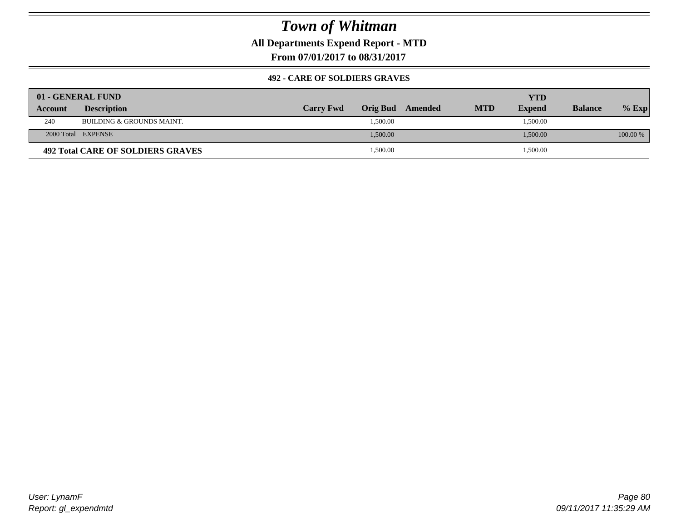**All Departments Expend Report - MTD**

**From 07/01/2017 to 08/31/2017**

### **492 - CARE OF SOLDIERS GRAVES**

|                | 01 - GENERAL FUND                    |                  |                  |            | YTD           |                |          |
|----------------|--------------------------------------|------------------|------------------|------------|---------------|----------------|----------|
| <b>Account</b> | <b>Description</b>                   | <b>Carry Fwd</b> | Orig Bud Amended | <b>MTD</b> | <b>Expend</b> | <b>Balance</b> | $%$ Exp  |
| 240            | <b>BUILDING &amp; GROUNDS MAINT.</b> |                  | 1,500.00         |            | 1,500.00      |                |          |
|                | 2000 Total EXPENSE                   |                  | 1.500.00         |            | 1,500.00      |                | 100.00 % |
|                | 492 Total CARE OF SOLDIERS GRAVES    |                  | 1,500.00         |            | 1,500.00      |                |          |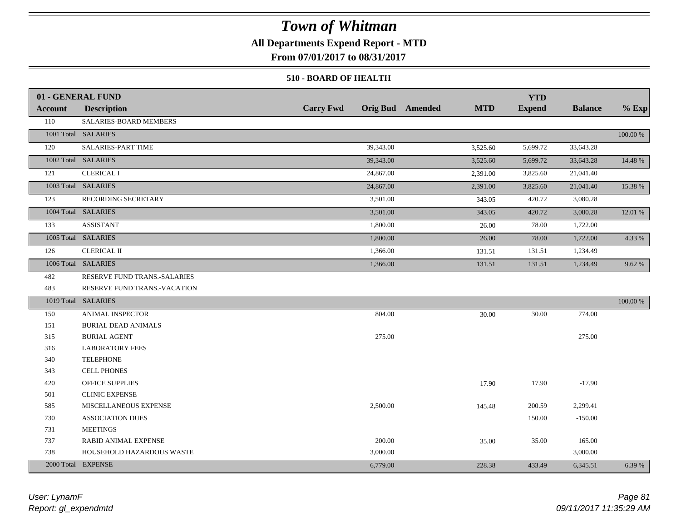## **All Departments Expend Report - MTD**

**From 07/01/2017 to 08/31/2017**

### **510 - BOARD OF HEALTH**

|                | 01 - GENERAL FUND            |                  |                                       | <b>YTD</b>    |                |          |
|----------------|------------------------------|------------------|---------------------------------------|---------------|----------------|----------|
| <b>Account</b> | <b>Description</b>           | <b>Carry Fwd</b> | <b>MTD</b><br><b>Orig Bud</b> Amended | <b>Expend</b> | <b>Balance</b> | $%$ Exp  |
| 110            | SALARIES-BOARD MEMBERS       |                  |                                       |               |                |          |
|                | 1001 Total SALARIES          |                  |                                       |               |                | 100.00 % |
| 120            | <b>SALARIES-PART TIME</b>    | 39,343.00        | 3,525.60                              | 5,699.72      | 33,643.28      |          |
|                | 1002 Total SALARIES          | 39,343.00        | 3,525.60                              | 5,699.72      | 33,643.28      | 14.48 %  |
| 121            | <b>CLERICAL I</b>            | 24,867.00        | 2,391.00                              | 3,825.60      | 21,041.40      |          |
|                | 1003 Total SALARIES          | 24,867.00        | 2,391.00                              | 3,825.60      | 21,041.40      | 15.38 %  |
| 123            | RECORDING SECRETARY          | 3,501.00         | 343.05                                | 420.72        | 3,080.28       |          |
|                | 1004 Total SALARIES          | 3,501.00         | 343.05                                | 420.72        | 3,080.28       | 12.01 %  |
| 133            | <b>ASSISTANT</b>             | 1,800.00         | 26.00                                 | 78.00         | 1,722.00       |          |
|                | 1005 Total SALARIES          | 1,800.00         | 26.00                                 | 78.00         | 1,722.00       | 4.33 %   |
| 126            | <b>CLERICAL II</b>           | 1,366.00         | 131.51                                | 131.51        | 1,234.49       |          |
|                | 1006 Total SALARIES          | 1,366.00         | 131.51                                | 131.51        | 1,234.49       | 9.62 %   |
| 482            | RESERVE FUND TRANS.-SALARIES |                  |                                       |               |                |          |
| 483            | RESERVE FUND TRANS.-VACATION |                  |                                       |               |                |          |
|                | 1019 Total SALARIES          |                  |                                       |               |                | 100.00 % |
| 150            | <b>ANIMAL INSPECTOR</b>      | 804.00           | 30.00                                 | 30.00         | 774.00         |          |
| 151            | <b>BURIAL DEAD ANIMALS</b>   |                  |                                       |               |                |          |
| 315            | <b>BURIAL AGENT</b>          | 275.00           |                                       |               | 275.00         |          |
| 316            | <b>LABORATORY FEES</b>       |                  |                                       |               |                |          |
| 340            | <b>TELEPHONE</b>             |                  |                                       |               |                |          |
| 343            | <b>CELL PHONES</b>           |                  |                                       |               |                |          |
| 420            | <b>OFFICE SUPPLIES</b>       |                  | 17.90                                 | 17.90         | $-17.90$       |          |
| 501            | <b>CLINIC EXPENSE</b>        |                  |                                       |               |                |          |
| 585            | MISCELLANEOUS EXPENSE        | 2,500.00         | 145.48                                | 200.59        | 2,299.41       |          |
| 730            | <b>ASSOCIATION DUES</b>      |                  |                                       | 150.00        | $-150.00$      |          |
| 731            | <b>MEETINGS</b>              |                  |                                       |               |                |          |
| 737            | <b>RABID ANIMAL EXPENSE</b>  | 200.00           | 35.00                                 | 35.00         | 165.00         |          |
| 738            | HOUSEHOLD HAZARDOUS WASTE    | 3,000.00         |                                       |               | 3,000.00       |          |
|                | 2000 Total EXPENSE           | 6,779.00         | 228.38                                | 433.49        | 6,345.51       | 6.39 %   |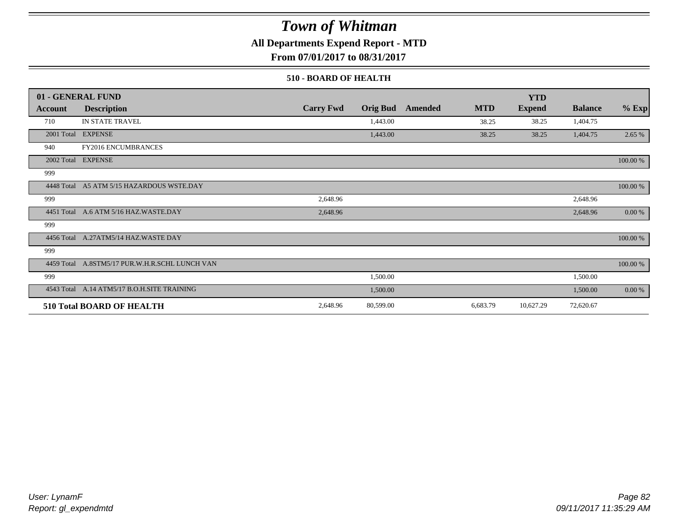## **All Departments Expend Report - MTD**

**From 07/01/2017 to 08/31/2017**

### **510 - BOARD OF HEALTH**

|            | 01 - GENERAL FUND                           |                  |                 |         |            | <b>YTD</b>    |                |           |
|------------|---------------------------------------------|------------------|-----------------|---------|------------|---------------|----------------|-----------|
| Account    | <b>Description</b>                          | <b>Carry Fwd</b> | <b>Orig Bud</b> | Amended | <b>MTD</b> | <b>Expend</b> | <b>Balance</b> | $%$ Exp   |
| 710        | IN STATE TRAVEL                             |                  | 1,443.00        |         | 38.25      | 38.25         | 1,404.75       |           |
|            | 2001 Total EXPENSE                          |                  | 1,443.00        |         | 38.25      | 38.25         | 1,404.75       | 2.65 %    |
| 940        | <b>FY2016 ENCUMBRANCES</b>                  |                  |                 |         |            |               |                |           |
|            | 2002 Total EXPENSE                          |                  |                 |         |            |               |                | 100.00 %  |
| 999        |                                             |                  |                 |         |            |               |                |           |
| 4448 Total | A5 ATM 5/15 HAZARDOUS WSTE.DAY              |                  |                 |         |            |               |                | 100.00 %  |
| 999        |                                             | 2,648.96         |                 |         |            |               | 2,648.96       |           |
|            | 4451 Total A.6 ATM 5/16 HAZ.WASTE.DAY       | 2,648.96         |                 |         |            |               | 2,648.96       | 0.00 %    |
| 999        |                                             |                  |                 |         |            |               |                |           |
|            | 4456 Total A.27ATM5/14 HAZ.WASTE DAY        |                  |                 |         |            |               |                | 100.00 %  |
| 999        |                                             |                  |                 |         |            |               |                |           |
| 4459 Total | A.8STM5/17 PUR.W.H.R.SCHL LUNCH VAN         |                  |                 |         |            |               |                | 100.00 %  |
| 999        |                                             |                  | 1,500.00        |         |            |               | 1,500.00       |           |
|            | 4543 Total A.14 ATM5/17 B.O.H.SITE TRAINING |                  | 1,500.00        |         |            |               | 1,500.00       | $0.00 \%$ |
|            | <b>510 Total BOARD OF HEALTH</b>            | 2,648.96         | 80,599.00       |         | 6,683.79   | 10,627.29     | 72,620.67      |           |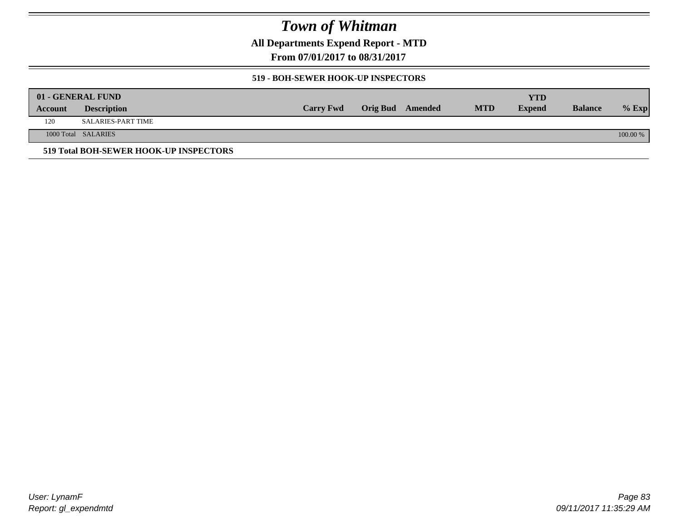**All Departments Expend Report - MTD**

**From 07/01/2017 to 08/31/2017**

### **519 - BOH-SEWER HOOK-UP INSPECTORS**

|         | 01 - GENERAL FUND                      |                  |                  |            | YTD           |                |          |
|---------|----------------------------------------|------------------|------------------|------------|---------------|----------------|----------|
| Account | <b>Description</b>                     | <b>Carry Fwd</b> | Orig Bud Amended | <b>MTD</b> | <b>Expend</b> | <b>Balance</b> | $%$ Exp  |
| 120     | SALARIES-PART TIME                     |                  |                  |            |               |                |          |
|         | 1000 Total SALARIES                    |                  |                  |            |               |                | 100.00 % |
|         | 519 Total BOH-SEWER HOOK-UP INSPECTORS |                  |                  |            |               |                |          |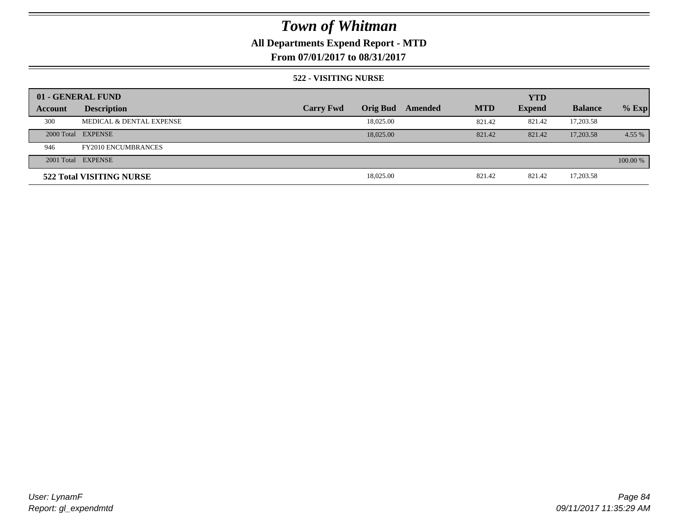## **All Departments Expend Report - MTD**

**From 07/01/2017 to 08/31/2017**

### **522 - VISITING NURSE**

|         | 01 - GENERAL FUND          |                  |                 |         |            | <b>YTD</b>    |                |          |
|---------|----------------------------|------------------|-----------------|---------|------------|---------------|----------------|----------|
| Account | <b>Description</b>         | <b>Carry Fwd</b> | <b>Orig Bud</b> | Amended | <b>MTD</b> | <b>Expend</b> | <b>Balance</b> | $%$ Exp  |
| 300     | MEDICAL & DENTAL EXPENSE   |                  | 18,025.00       |         | 821.42     | 821.42        | 17,203.58      |          |
|         | 2000 Total EXPENSE         |                  | 18,025,00       |         | 821.42     | 821.42        | 17,203.58      | 4.55 %   |
| 946     | <b>FY2010 ENCUMBRANCES</b> |                  |                 |         |            |               |                |          |
|         | 2001 Total EXPENSE         |                  |                 |         |            |               |                | 100.00 % |
|         | 522 Total VISITING NURSE   |                  | 18,025.00       |         | 821.42     | 821.42        | 17,203.58      |          |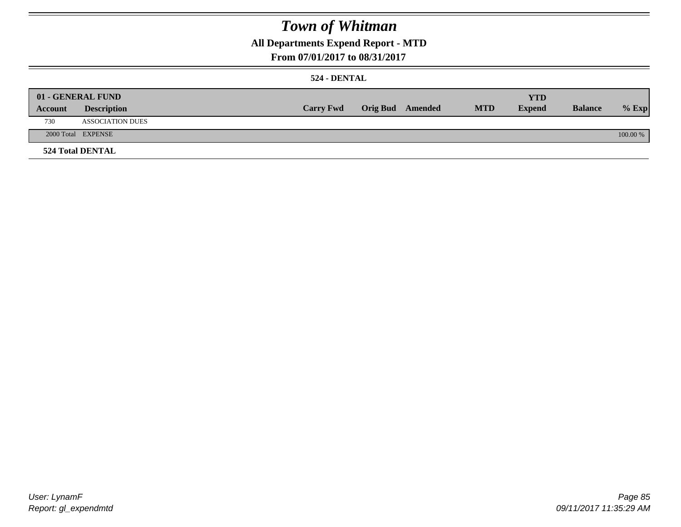## **All Departments Expend Report - MTD**

### **From 07/01/2017 to 08/31/2017**

### **524 - DENTAL**

|         | 01 - GENERAL FUND       |                  |                  |            | <b>YTD</b>    |                |          |
|---------|-------------------------|------------------|------------------|------------|---------------|----------------|----------|
| Account | <b>Description</b>      | <b>Carry Fwd</b> | Orig Bud Amended | <b>MTD</b> | <b>Expend</b> | <b>Balance</b> | $%$ Exp  |
| 730     | <b>ASSOCIATION DUES</b> |                  |                  |            |               |                |          |
|         | 2000 Total EXPENSE      |                  |                  |            |               |                | 100.00 % |
|         | <b>524 Total DENTAL</b> |                  |                  |            |               |                |          |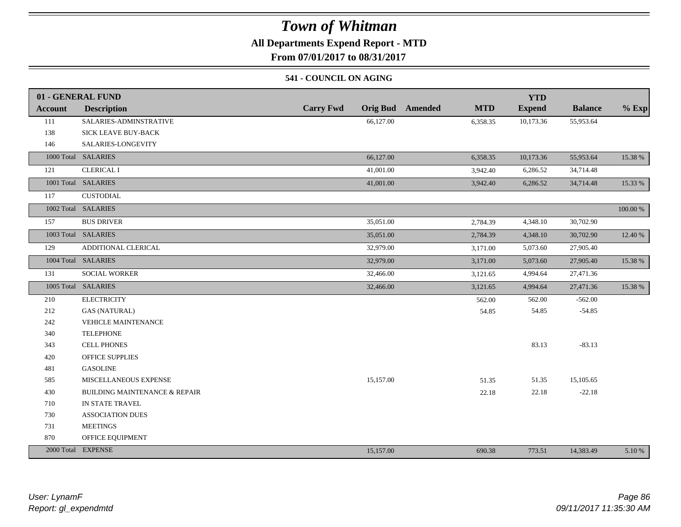## **All Departments Expend Report - MTD**

**From 07/01/2017 to 08/31/2017**

### **541 - COUNCIL ON AGING**

|         | 01 - GENERAL FUND                        |                                     |                       | <b>YTD</b>    |                |          |
|---------|------------------------------------------|-------------------------------------|-----------------------|---------------|----------------|----------|
| Account | <b>Description</b>                       | <b>Carry Fwd</b><br><b>Orig Bud</b> | Amended<br><b>MTD</b> | <b>Expend</b> | <b>Balance</b> | $%$ Exp  |
| 111     | SALARIES-ADMINSTRATIVE                   | 66,127.00                           | 6,358.35              | 10,173.36     | 55,953.64      |          |
| 138     | SICK LEAVE BUY-BACK                      |                                     |                       |               |                |          |
| 146     | SALARIES-LONGEVITY                       |                                     |                       |               |                |          |
|         | 1000 Total SALARIES                      | 66,127.00                           | 6,358.35              | 10,173.36     | 55,953.64      | 15.38 %  |
| 121     | <b>CLERICAL I</b>                        | 41,001.00                           | 3,942.40              | 6,286.52      | 34,714.48      |          |
|         | 1001 Total SALARIES                      | 41,001.00                           | 3,942.40              | 6,286.52      | 34,714.48      | 15.33 %  |
| 117     | CUSTODIAL                                |                                     |                       |               |                |          |
|         | 1002 Total SALARIES                      |                                     |                       |               |                | 100.00 % |
| 157     | <b>BUS DRIVER</b>                        | 35,051.00                           | 2,784.39              | 4,348.10      | 30,702.90      |          |
|         | 1003 Total SALARIES                      | 35,051.00                           | 2,784.39              | 4,348.10      | 30,702.90      | 12.40 %  |
| 129     | ADDITIONAL CLERICAL                      | 32,979.00                           | 3,171.00              | 5,073.60      | 27,905.40      |          |
|         | 1004 Total SALARIES                      | 32,979.00                           | 3,171.00              | 5,073.60      | 27,905.40      | 15.38 %  |
| 131     | <b>SOCIAL WORKER</b>                     | 32,466.00                           | 3,121.65              | 4,994.64      | 27,471.36      |          |
|         | 1005 Total SALARIES                      | 32,466.00                           | 3,121.65              | 4,994.64      | 27,471.36      | 15.38 %  |
| 210     | <b>ELECTRICITY</b>                       |                                     | 562.00                | 562.00        | $-562.00$      |          |
| 212     | <b>GAS (NATURAL)</b>                     |                                     | 54.85                 | 54.85         | $-54.85$       |          |
| 242     | <b>VEHICLE MAINTENANCE</b>               |                                     |                       |               |                |          |
| 340     | <b>TELEPHONE</b>                         |                                     |                       |               |                |          |
| 343     | <b>CELL PHONES</b>                       |                                     |                       | 83.13         | $-83.13$       |          |
| 420     | <b>OFFICE SUPPLIES</b>                   |                                     |                       |               |                |          |
| 481     | <b>GASOLINE</b>                          |                                     |                       |               |                |          |
| 585     | MISCELLANEOUS EXPENSE                    | 15,157.00                           | 51.35                 | 51.35         | 15,105.65      |          |
| 430     | <b>BUILDING MAINTENANCE &amp; REPAIR</b> |                                     | 22.18                 | 22.18         | $-22.18$       |          |
| 710     | IN STATE TRAVEL                          |                                     |                       |               |                |          |
| 730     | <b>ASSOCIATION DUES</b>                  |                                     |                       |               |                |          |
| 731     | <b>MEETINGS</b>                          |                                     |                       |               |                |          |
| 870     | OFFICE EQUIPMENT                         |                                     |                       |               |                |          |
|         | 2000 Total EXPENSE                       | 15,157.00                           | 690.38                | 773.51        | 14,383.49      | 5.10 %   |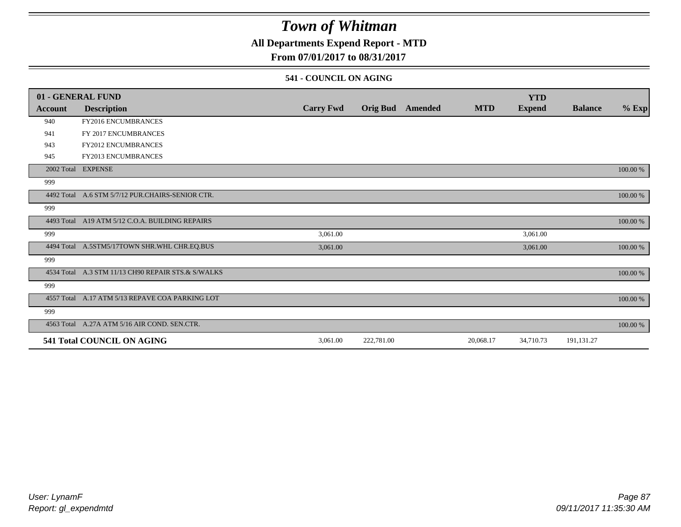## **All Departments Expend Report - MTD**

## **From 07/01/2017 to 08/31/2017**

### **541 - COUNCIL ON AGING**

|         | 01 - GENERAL FUND                                  |                  |                 |                |            | <b>YTD</b>    |                |          |
|---------|----------------------------------------------------|------------------|-----------------|----------------|------------|---------------|----------------|----------|
| Account | <b>Description</b>                                 | <b>Carry Fwd</b> | <b>Orig Bud</b> | <b>Amended</b> | <b>MTD</b> | <b>Expend</b> | <b>Balance</b> | $%$ Exp  |
| 940     | FY2016 ENCUMBRANCES                                |                  |                 |                |            |               |                |          |
| 941     | FY 2017 ENCUMBRANCES                               |                  |                 |                |            |               |                |          |
| 943     | FY2012 ENCUMBRANCES                                |                  |                 |                |            |               |                |          |
| 945     | <b>FY2013 ENCUMBRANCES</b>                         |                  |                 |                |            |               |                |          |
|         | 2002 Total EXPENSE                                 |                  |                 |                |            |               |                | 100.00 % |
| 999     |                                                    |                  |                 |                |            |               |                |          |
|         | 4492 Total A.6 STM 5/7/12 PUR.CHAIRS-SENIOR CTR.   |                  |                 |                |            |               |                | 100.00 % |
| 999     |                                                    |                  |                 |                |            |               |                |          |
|         | 4493 Total A19 ATM 5/12 C.O.A. BUILDING REPAIRS    |                  |                 |                |            |               |                | 100.00 % |
| 999     |                                                    | 3,061.00         |                 |                |            | 3,061.00      |                |          |
|         | 4494 Total A.5STM5/17TOWN SHR.WHL CHR.EQ.BUS       | 3,061.00         |                 |                |            | 3,061.00      |                | 100.00 % |
| 999     |                                                    |                  |                 |                |            |               |                |          |
|         | 4534 Total A.3 STM 11/13 CH90 REPAIR STS.& S/WALKS |                  |                 |                |            |               |                | 100.00 % |
| 999     |                                                    |                  |                 |                |            |               |                |          |
|         | 4557 Total A.17 ATM 5/13 REPAVE COA PARKING LOT    |                  |                 |                |            |               |                | 100.00 % |
| 999     |                                                    |                  |                 |                |            |               |                |          |
|         | 4563 Total A.27A ATM 5/16 AIR COND. SEN.CTR.       |                  |                 |                |            |               |                | 100.00 % |
|         | 541 Total COUNCIL ON AGING                         | 3,061.00         | 222,781.00      |                | 20,068.17  | 34,710.73     | 191,131.27     |          |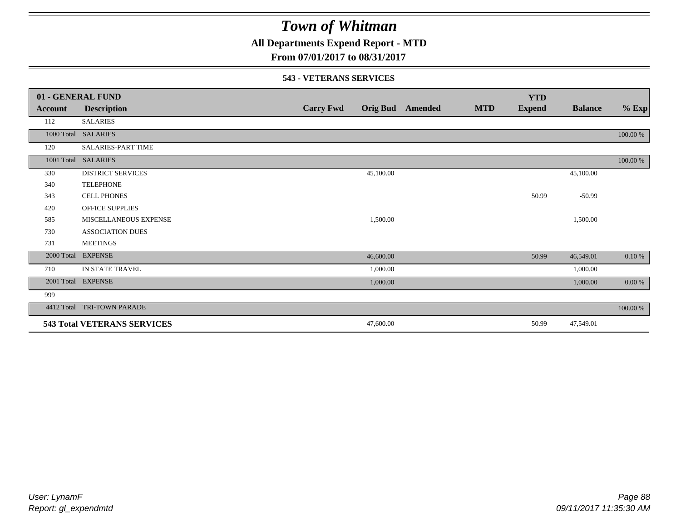## **All Departments Expend Report - MTD**

**From 07/01/2017 to 08/31/2017**

### **543 - VETERANS SERVICES**

|            | 01 - GENERAL FUND                  |                  |           |                         |            | <b>YTD</b>    |                |          |
|------------|------------------------------------|------------------|-----------|-------------------------|------------|---------------|----------------|----------|
| Account    | <b>Description</b>                 | <b>Carry Fwd</b> |           | <b>Orig Bud</b> Amended | <b>MTD</b> | <b>Expend</b> | <b>Balance</b> | $%$ Exp  |
| 112        | <b>SALARIES</b>                    |                  |           |                         |            |               |                |          |
|            | 1000 Total SALARIES                |                  |           |                         |            |               |                | 100.00 % |
| 120        | SALARIES-PART TIME                 |                  |           |                         |            |               |                |          |
| 1001 Total | <b>SALARIES</b>                    |                  |           |                         |            |               |                | 100.00 % |
| 330        | <b>DISTRICT SERVICES</b>           |                  | 45,100.00 |                         |            |               | 45,100.00      |          |
| 340        | <b>TELEPHONE</b>                   |                  |           |                         |            |               |                |          |
| 343        | <b>CELL PHONES</b>                 |                  |           |                         |            | 50.99         | $-50.99$       |          |
| 420        | OFFICE SUPPLIES                    |                  |           |                         |            |               |                |          |
| 585        | MISCELLANEOUS EXPENSE              |                  | 1,500.00  |                         |            |               | 1,500.00       |          |
| 730        | <b>ASSOCIATION DUES</b>            |                  |           |                         |            |               |                |          |
| 731        | <b>MEETINGS</b>                    |                  |           |                         |            |               |                |          |
| 2000 Total | <b>EXPENSE</b>                     |                  | 46,600.00 |                         |            | 50.99         | 46,549.01      | 0.10%    |
| 710        | IN STATE TRAVEL                    |                  | 1,000.00  |                         |            |               | 1,000.00       |          |
| 2001 Total | <b>EXPENSE</b>                     |                  | 1,000.00  |                         |            |               | 1,000.00       | 0.00 %   |
| 999        |                                    |                  |           |                         |            |               |                |          |
| 4412 Total | TRI-TOWN PARADE                    |                  |           |                         |            |               |                | 100.00 % |
|            | <b>543 Total VETERANS SERVICES</b> |                  | 47,600.00 |                         |            | 50.99         | 47,549.01      |          |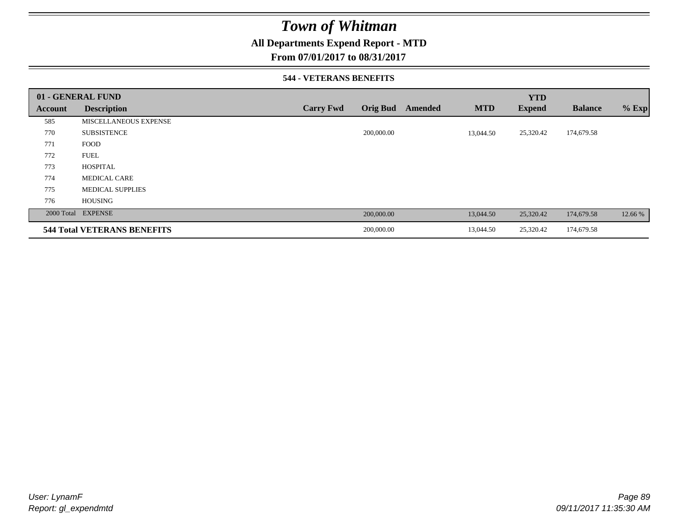## **All Departments Expend Report - MTD**

### **From 07/01/2017 to 08/31/2017**

### **544 - VETERANS BENEFITS**

|         | 01 - GENERAL FUND                  |                  |                            |            | <b>YTD</b>    |                |         |
|---------|------------------------------------|------------------|----------------------------|------------|---------------|----------------|---------|
| Account | <b>Description</b>                 | <b>Carry Fwd</b> | <b>Orig Bud</b><br>Amended | <b>MTD</b> | <b>Expend</b> | <b>Balance</b> | $%$ Exp |
| 585     | <b>MISCELLANEOUS EXPENSE</b>       |                  |                            |            |               |                |         |
| 770     | <b>SUBSISTENCE</b>                 |                  | 200,000.00                 | 13,044.50  | 25,320.42     | 174,679.58     |         |
| 771     | <b>FOOD</b>                        |                  |                            |            |               |                |         |
| 772     | <b>FUEL</b>                        |                  |                            |            |               |                |         |
| 773     | <b>HOSPITAL</b>                    |                  |                            |            |               |                |         |
| 774     | <b>MEDICAL CARE</b>                |                  |                            |            |               |                |         |
| 775     | <b>MEDICAL SUPPLIES</b>            |                  |                            |            |               |                |         |
| 776     | <b>HOUSING</b>                     |                  |                            |            |               |                |         |
|         | 2000 Total EXPENSE                 |                  | 200,000.00                 | 13,044.50  | 25,320.42     | 174,679.58     | 12.66 % |
|         | <b>544 Total VETERANS BENEFITS</b> |                  | 200,000.00                 | 13,044.50  | 25,320.42     | 174,679.58     |         |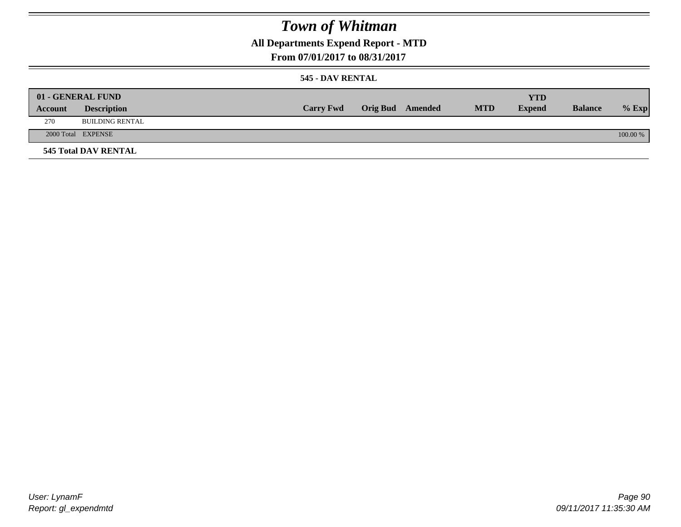## **All Departments Expend Report - MTD**

**From 07/01/2017 to 08/31/2017**

### **545 - DAV RENTAL**

|         | 01 - GENERAL FUND           |                  |                         |            | <b>YTD</b>    |                |          |
|---------|-----------------------------|------------------|-------------------------|------------|---------------|----------------|----------|
| Account | <b>Description</b>          | <b>Carry Fwd</b> | <b>Orig Bud</b> Amended | <b>MTD</b> | <b>Expend</b> | <b>Balance</b> | $%$ Exp  |
| 270     | BUILDING RENTAL             |                  |                         |            |               |                |          |
|         | 2000 Total EXPENSE          |                  |                         |            |               |                | 100.00 % |
|         | <b>545 Total DAV RENTAL</b> |                  |                         |            |               |                |          |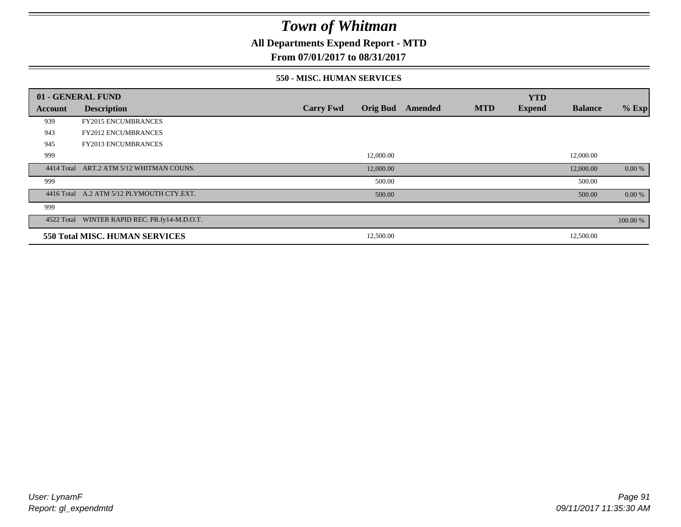## **All Departments Expend Report - MTD**

## **From 07/01/2017 to 08/31/2017**

#### **550 - MISC. HUMAN SERVICES**

|         | 01 - GENERAL FUND                             |                  |                 |                |            | <b>YTD</b>    |                |          |
|---------|-----------------------------------------------|------------------|-----------------|----------------|------------|---------------|----------------|----------|
| Account | <b>Description</b>                            | <b>Carry Fwd</b> | <b>Orig Bud</b> | <b>Amended</b> | <b>MTD</b> | <b>Expend</b> | <b>Balance</b> | $%$ Exp  |
| 939     | <b>FY2015 ENCUMBRANCES</b>                    |                  |                 |                |            |               |                |          |
| 943     | <b>FY2012 ENCUMBRANCES</b>                    |                  |                 |                |            |               |                |          |
| 945     | <b>FY2013 ENCUMBRANCES</b>                    |                  |                 |                |            |               |                |          |
| 999     |                                               |                  | 12,000.00       |                |            |               | 12,000.00      |          |
|         | 4414 Total ART.2 ATM 5/12 WHITMAN COUNS.      |                  | 12,000.00       |                |            |               | 12,000.00      | 0.00 %   |
| 999     |                                               |                  | 500.00          |                |            |               | 500.00         |          |
|         | 4416 Total A.2 ATM 5/12 PLYMOUTH CTY.EXT.     |                  | 500.00          |                |            |               | 500.00         | 0.00 %   |
| 999     |                                               |                  |                 |                |            |               |                |          |
|         | 4522 Total WINTER RAPID REC. PR.fy14-M.D.O.T. |                  |                 |                |            |               |                | 100.00 % |
|         | 550 Total MISC. HUMAN SERVICES                |                  | 12,500.00       |                |            |               | 12,500.00      |          |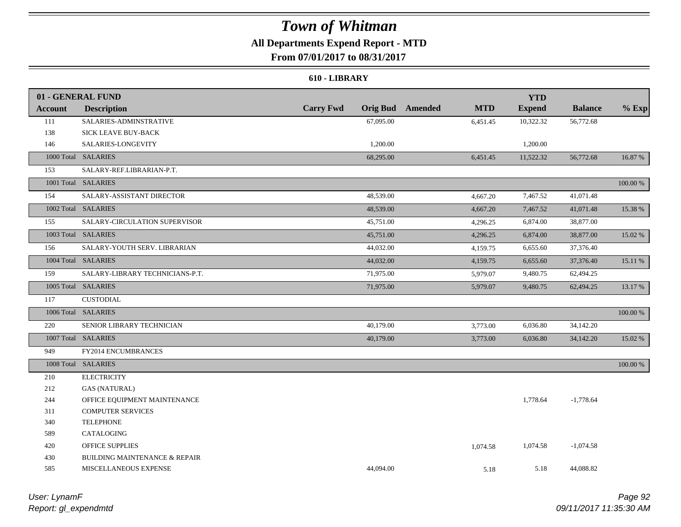## **All Departments Expend Report - MTD**

**From 07/01/2017 to 08/31/2017**

### **610 - LIBRARY**

|                | 01 - GENERAL FUND                        |                  |           |                         |            | <b>YTD</b>    |                |          |
|----------------|------------------------------------------|------------------|-----------|-------------------------|------------|---------------|----------------|----------|
| <b>Account</b> | <b>Description</b>                       | <b>Carry Fwd</b> |           | <b>Orig Bud</b> Amended | <b>MTD</b> | <b>Expend</b> | <b>Balance</b> | $%$ Exp  |
| 111            | SALARIES-ADMINSTRATIVE                   |                  | 67,095.00 |                         | 6,451.45   | 10,322.32     | 56,772.68      |          |
| 138            | SICK LEAVE BUY-BACK                      |                  |           |                         |            |               |                |          |
| 146            | SALARIES-LONGEVITY                       |                  | 1,200.00  |                         |            | 1,200.00      |                |          |
|                | 1000 Total SALARIES                      |                  | 68,295.00 |                         | 6,451.45   | 11,522.32     | 56,772.68      | 16.87 %  |
| 153            | SALARY-REF.LIBRARIAN-P.T.                |                  |           |                         |            |               |                |          |
|                | 1001 Total SALARIES                      |                  |           |                         |            |               |                | 100.00 % |
| 154            | SALARY-ASSISTANT DIRECTOR                |                  | 48,539.00 |                         | 4,667.20   | 7,467.52      | 41,071.48      |          |
|                | 1002 Total SALARIES                      |                  | 48,539.00 |                         | 4,667.20   | 7,467.52      | 41,071.48      | 15.38 %  |
| 155            | SALARY-CIRCULATION SUPERVISOR            |                  | 45,751.00 |                         | 4,296.25   | 6,874.00      | 38,877.00      |          |
|                | 1003 Total SALARIES                      |                  | 45,751.00 |                         | 4,296.25   | 6,874.00      | 38,877.00      | 15.02 %  |
| 156            | SALARY-YOUTH SERV. LIBRARIAN             |                  | 44,032.00 |                         | 4,159.75   | 6,655.60      | 37,376.40      |          |
|                | 1004 Total SALARIES                      |                  | 44,032.00 |                         | 4,159.75   | 6,655.60      | 37,376.40      | 15.11 %  |
| 159            | SALARY-LIBRARY TECHNICIANS-P.T.          |                  | 71,975.00 |                         | 5,979.07   | 9,480.75      | 62,494.25      |          |
|                | 1005 Total SALARIES                      |                  | 71,975.00 |                         | 5,979.07   | 9,480.75      | 62,494.25      | 13.17 %  |
| 117            | <b>CUSTODIAL</b>                         |                  |           |                         |            |               |                |          |
|                | 1006 Total SALARIES                      |                  |           |                         |            |               |                | 100.00 % |
| 220            | SENIOR LIBRARY TECHNICIAN                |                  | 40,179.00 |                         | 3,773.00   | 6,036.80      | 34,142.20      |          |
|                | 1007 Total SALARIES                      |                  | 40,179.00 |                         | 3,773.00   | 6,036.80      | 34,142.20      | 15.02 %  |
| 949            | FY2014 ENCUMBRANCES                      |                  |           |                         |            |               |                |          |
|                | 1008 Total SALARIES                      |                  |           |                         |            |               |                | 100.00 % |
| 210            | <b>ELECTRICITY</b>                       |                  |           |                         |            |               |                |          |
| 212            | <b>GAS (NATURAL)</b>                     |                  |           |                         |            |               |                |          |
| 244            | OFFICE EQUIPMENT MAINTENANCE             |                  |           |                         |            | 1,778.64      | $-1,778.64$    |          |
| 311            | <b>COMPUTER SERVICES</b>                 |                  |           |                         |            |               |                |          |
| 340            | <b>TELEPHONE</b>                         |                  |           |                         |            |               |                |          |
| 589            | CATALOGING                               |                  |           |                         |            |               |                |          |
| 420            | <b>OFFICE SUPPLIES</b>                   |                  |           |                         | 1,074.58   | 1,074.58      | $-1,074.58$    |          |
| 430            | <b>BUILDING MAINTENANCE &amp; REPAIR</b> |                  |           |                         |            |               |                |          |
| 585            | MISCELLANEOUS EXPENSE                    |                  | 44,094.00 |                         | 5.18       | 5.18          | 44,088.82      |          |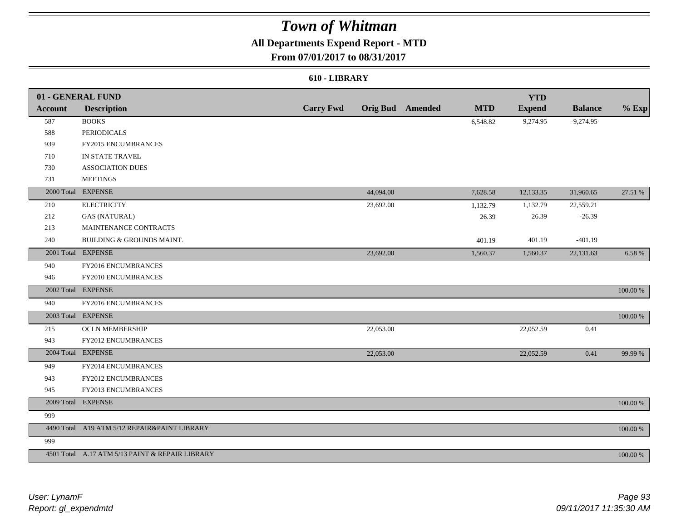## **All Departments Expend Report - MTD**

## **From 07/01/2017 to 08/31/2017**

### **610 - LIBRARY**

|                | 01 - GENERAL FUND                               |                  |           |                         |            | <b>YTD</b>    |                |             |
|----------------|-------------------------------------------------|------------------|-----------|-------------------------|------------|---------------|----------------|-------------|
| <b>Account</b> | <b>Description</b>                              | <b>Carry Fwd</b> |           | <b>Orig Bud</b> Amended | <b>MTD</b> | <b>Expend</b> | <b>Balance</b> | $%$ Exp     |
| 587            | <b>BOOKS</b>                                    |                  |           |                         | 6,548.82   | 9,274.95      | $-9,274.95$    |             |
| 588            | <b>PERIODICALS</b>                              |                  |           |                         |            |               |                |             |
| 939            | FY2015 ENCUMBRANCES                             |                  |           |                         |            |               |                |             |
| 710            | IN STATE TRAVEL                                 |                  |           |                         |            |               |                |             |
| 730            | <b>ASSOCIATION DUES</b>                         |                  |           |                         |            |               |                |             |
| 731            | <b>MEETINGS</b>                                 |                  |           |                         |            |               |                |             |
|                | 2000 Total EXPENSE                              |                  | 44,094.00 |                         | 7,628.58   | 12,133.35     | 31,960.65      | 27.51 %     |
| 210            | <b>ELECTRICITY</b>                              |                  | 23,692.00 |                         | 1,132.79   | 1,132.79      | 22,559.21      |             |
| 212            | <b>GAS (NATURAL)</b>                            |                  |           |                         | 26.39      | 26.39         | $-26.39$       |             |
| 213            | MAINTENANCE CONTRACTS                           |                  |           |                         |            |               |                |             |
| 240            | BUILDING & GROUNDS MAINT.                       |                  |           |                         | 401.19     | 401.19        | $-401.19$      |             |
|                | 2001 Total EXPENSE                              |                  | 23,692.00 |                         | 1,560.37   | 1,560.37      | 22,131.63      | 6.58 %      |
| 940            | FY2016 ENCUMBRANCES                             |                  |           |                         |            |               |                |             |
| 946            | FY2010 ENCUMBRANCES                             |                  |           |                         |            |               |                |             |
| 2002 Total     | <b>EXPENSE</b>                                  |                  |           |                         |            |               |                | $100.00~\%$ |
| 940            | FY2016 ENCUMBRANCES                             |                  |           |                         |            |               |                |             |
|                | 2003 Total EXPENSE                              |                  |           |                         |            |               |                | 100.00 %    |
| 215            | <b>OCLN MEMBERSHIP</b>                          |                  | 22,053.00 |                         |            | 22,052.59     | 0.41           |             |
| 943            | FY2012 ENCUMBRANCES                             |                  |           |                         |            |               |                |             |
|                | 2004 Total EXPENSE                              |                  | 22,053.00 |                         |            | 22,052.59     | 0.41           | 99.99 %     |
| 949            | FY2014 ENCUMBRANCES                             |                  |           |                         |            |               |                |             |
| 943            | FY2012 ENCUMBRANCES                             |                  |           |                         |            |               |                |             |
| 945            | FY2013 ENCUMBRANCES                             |                  |           |                         |            |               |                |             |
|                | 2009 Total EXPENSE                              |                  |           |                         |            |               |                | $100.00~\%$ |
| 999            |                                                 |                  |           |                         |            |               |                |             |
|                | 4490 Total A19 ATM 5/12 REPAIR&PAINT LIBRARY    |                  |           |                         |            |               |                | 100.00 %    |
| 999            |                                                 |                  |           |                         |            |               |                |             |
|                | 4501 Total A.17 ATM 5/13 PAINT & REPAIR LIBRARY |                  |           |                         |            |               |                | 100.00 %    |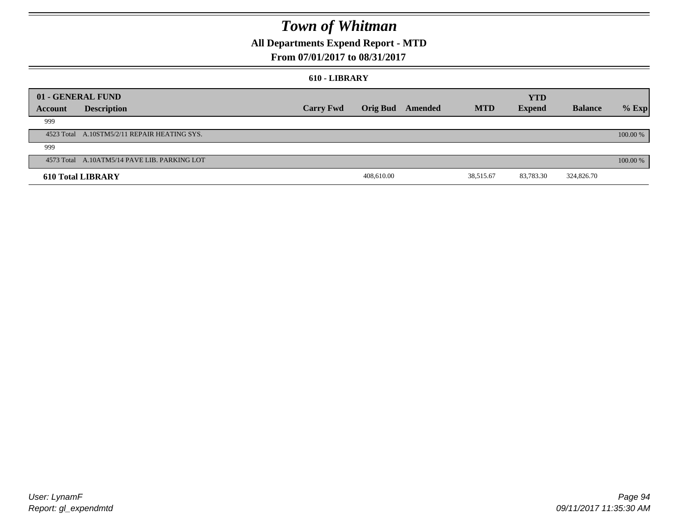## **All Departments Expend Report - MTD**

## **From 07/01/2017 to 08/31/2017**

#### **610 - LIBRARY**

|         | 01 - GENERAL FUND                            |                  |            |                         |            | <b>YTD</b>    |                |          |
|---------|----------------------------------------------|------------------|------------|-------------------------|------------|---------------|----------------|----------|
| Account | <b>Description</b>                           | <b>Carry Fwd</b> |            | <b>Orig Bud</b> Amended | <b>MTD</b> | <b>Expend</b> | <b>Balance</b> | $%$ Exp  |
| 999     |                                              |                  |            |                         |            |               |                |          |
|         | 4523 Total A.10STM5/2/11 REPAIR HEATING SYS. |                  |            |                         |            |               |                | 100.00 % |
| 999     |                                              |                  |            |                         |            |               |                |          |
|         | 4573 Total A.10ATM5/14 PAVE LIB. PARKING LOT |                  |            |                         |            |               |                | 100.00 % |
|         | <b>610 Total LIBRARY</b>                     |                  | 408,610.00 |                         | 38,515.67  | 83,783.30     | 324,826.70     |          |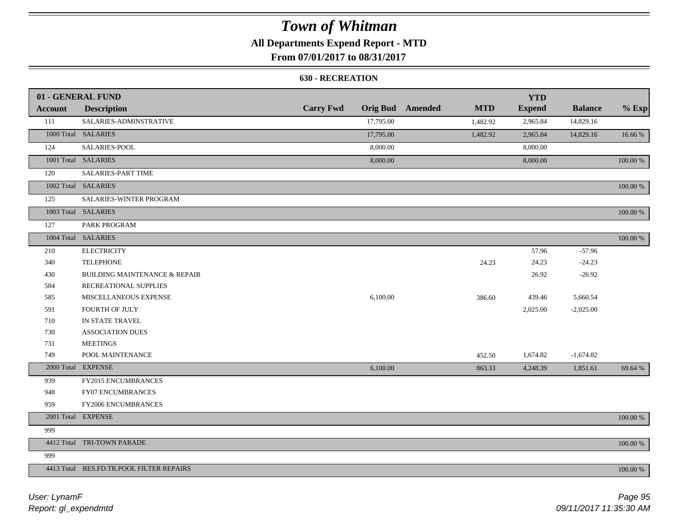## **All Departments Expend Report - MTD**

## **From 07/01/2017 to 08/31/2017**

### **630 - RECREATION**

|                | 01 - GENERAL FUND                        |                  |           |                         |            | <b>YTD</b>    |                |          |
|----------------|------------------------------------------|------------------|-----------|-------------------------|------------|---------------|----------------|----------|
| <b>Account</b> | <b>Description</b>                       | <b>Carry Fwd</b> |           | <b>Orig Bud</b> Amended | <b>MTD</b> | <b>Expend</b> | <b>Balance</b> | $%$ Exp  |
| 111            | SALARIES-ADMINSTRATIVE                   |                  | 17,795.00 |                         | 1,482.92   | 2,965.84      | 14,829.16      |          |
|                | 1000 Total SALARIES                      |                  | 17,795.00 |                         | 1,482.92   | 2,965.84      | 14,829.16      | 16.66%   |
| 124            | SALARIES-POOL                            |                  | 8,000.00  |                         |            | 8,000.00      |                |          |
|                | 1001 Total SALARIES                      |                  | 8,000.00  |                         |            | 8,000.00      |                | 100.00 % |
| 120            | <b>SALARIES-PART TIME</b>                |                  |           |                         |            |               |                |          |
|                | 1002 Total SALARIES                      |                  |           |                         |            |               |                | 100.00 % |
| 125            | SALARIES-WINTER PROGRAM                  |                  |           |                         |            |               |                |          |
|                | 1003 Total SALARIES                      |                  |           |                         |            |               |                | 100.00 % |
| 127            | PARK PROGRAM                             |                  |           |                         |            |               |                |          |
|                | 1004 Total SALARIES                      |                  |           |                         |            |               |                | 100.00 % |
| 210            | <b>ELECTRICITY</b>                       |                  |           |                         |            | 57.96         | $-57.96$       |          |
| 340            | <b>TELEPHONE</b>                         |                  |           |                         | 24.23      | 24.23         | $-24.23$       |          |
| 430            | <b>BUILDING MAINTENANCE &amp; REPAIR</b> |                  |           |                         |            | 26.92         | $-26.92$       |          |
| 584            | RECREATIONAL SUPPLIES                    |                  |           |                         |            |               |                |          |
| 585            | MISCELLANEOUS EXPENSE                    |                  | 6,100.00  |                         | 386.60     | 439.46        | 5,660.54       |          |
| 591            | <b>FOURTH OF JULY</b>                    |                  |           |                         |            | 2,025.00      | $-2,025.00$    |          |
| 710            | IN STATE TRAVEL                          |                  |           |                         |            |               |                |          |
| 730            | <b>ASSOCIATION DUES</b>                  |                  |           |                         |            |               |                |          |
| 731            | <b>MEETINGS</b>                          |                  |           |                         |            |               |                |          |
| 749            | POOL MAINTENANCE                         |                  |           |                         | 452.50     | 1,674.82      | $-1,674.82$    |          |
|                | 2000 Total EXPENSE                       |                  | 6,100.00  |                         | 863.33     | 4,248.39      | 1,851.61       | 69.64 %  |
| 939            | <b>FY2015 ENCUMBRANCES</b>               |                  |           |                         |            |               |                |          |
| 948            | <b>FY07 ENCUMBRANCES</b>                 |                  |           |                         |            |               |                |          |
| 959            | FY2006 ENCUMBRANCES                      |                  |           |                         |            |               |                |          |
|                | 2001 Total EXPENSE                       |                  |           |                         |            |               |                | 100.00 % |
| 999            |                                          |                  |           |                         |            |               |                |          |
|                | 4412 Total TRI-TOWN PARADE               |                  |           |                         |            |               |                | 100.00 % |
| 999            |                                          |                  |           |                         |            |               |                |          |
|                | 4413 Total RES.FD.TR.POOL FILTER REPAIRS |                  |           |                         |            |               |                | 100.00 % |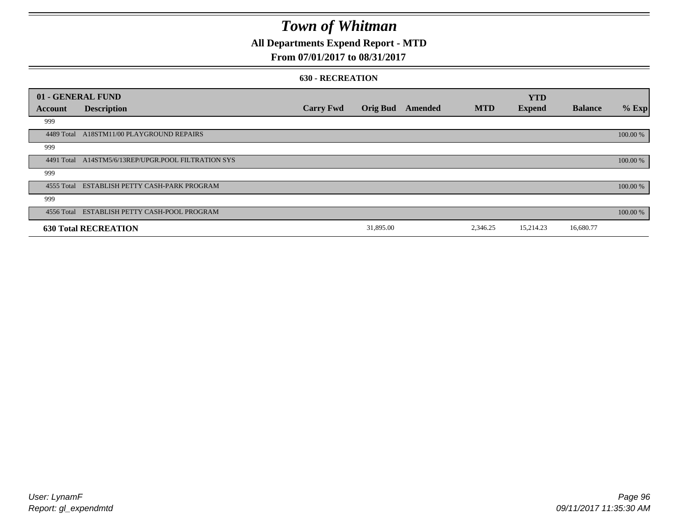## **All Departments Expend Report - MTD**

## **From 07/01/2017 to 08/31/2017**

#### **630 - RECREATION**

| 01 - GENERAL FUND |                                                     |                  |                 |         |            | <b>YTD</b>    |                |          |
|-------------------|-----------------------------------------------------|------------------|-----------------|---------|------------|---------------|----------------|----------|
| Account           | <b>Description</b>                                  | <b>Carry Fwd</b> | <b>Orig Bud</b> | Amended | <b>MTD</b> | <b>Expend</b> | <b>Balance</b> | % Exp    |
| 999               |                                                     |                  |                 |         |            |               |                |          |
| 4489 Total        | A18STM11/00 PLAYGROUND REPAIRS                      |                  |                 |         |            |               |                | 100.00 % |
| 999               |                                                     |                  |                 |         |            |               |                |          |
|                   | 4491 Total A14STM5/6/13REP/UPGR.POOL FILTRATION SYS |                  |                 |         |            |               |                | 100.00 % |
| 999               |                                                     |                  |                 |         |            |               |                |          |
|                   | 4555 Total ESTABLISH PETTY CASH-PARK PROGRAM        |                  |                 |         |            |               |                | 100.00 % |
| 999               |                                                     |                  |                 |         |            |               |                |          |
|                   | 4556 Total ESTABLISH PETTY CASH-POOL PROGRAM        |                  |                 |         |            |               |                | 100.00 % |
|                   | <b>630 Total RECREATION</b>                         |                  | 31,895.00       |         | 2,346.25   | 15,214.23     | 16,680.77      |          |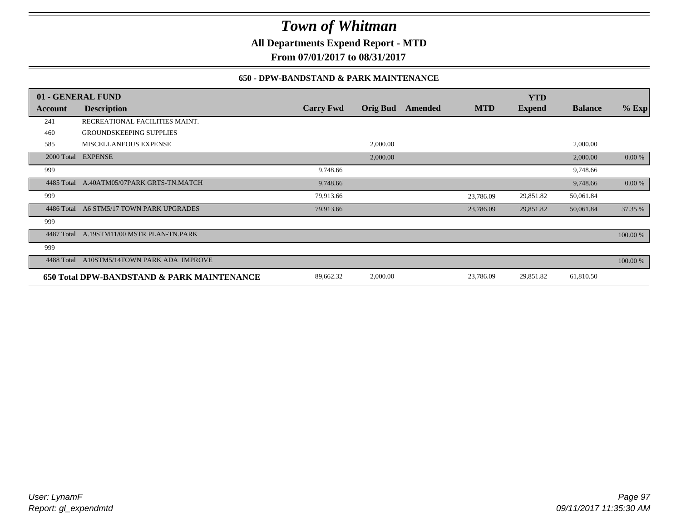**All Departments Expend Report - MTD**

**From 07/01/2017 to 08/31/2017**

### **650 - DPW-BANDSTAND & PARK MAINTENANCE**

|            | 01 - GENERAL FUND                          |                  |                 |         |            | <b>YTD</b>    |                |          |
|------------|--------------------------------------------|------------------|-----------------|---------|------------|---------------|----------------|----------|
| Account    | <b>Description</b>                         | <b>Carry Fwd</b> | <b>Orig Bud</b> | Amended | <b>MTD</b> | <b>Expend</b> | <b>Balance</b> | $%$ Exp  |
| 241        | RECREATIONAL FACILITIES MAINT.             |                  |                 |         |            |               |                |          |
| 460        | <b>GROUNDSKEEPING SUPPLIES</b>             |                  |                 |         |            |               |                |          |
| 585        | <b>MISCELLANEOUS EXPENSE</b>               |                  | 2,000.00        |         |            |               | 2,000.00       |          |
|            | 2000 Total EXPENSE                         |                  | 2,000.00        |         |            |               | 2,000.00       | 0.00 %   |
| 999        |                                            | 9,748.66         |                 |         |            |               | 9,748.66       |          |
| 4485 Total | A.40ATM05/07PARK GRTS-TN.MATCH             | 9,748.66         |                 |         |            |               | 9,748.66       | 0.00 %   |
| 999        |                                            | 79,913.66        |                 |         | 23,786.09  | 29,851.82     | 50,061.84      |          |
| 4486 Total | A6 STM5/17 TOWN PARK UPGRADES              | 79,913.66        |                 |         | 23,786.09  | 29,851.82     | 50,061.84      | 37.35 %  |
| 999        |                                            |                  |                 |         |            |               |                |          |
| 4487 Total | A.19STM11/00 MSTR PLAN-TN.PARK             |                  |                 |         |            |               |                | 100.00 % |
| 999        |                                            |                  |                 |         |            |               |                |          |
| 4488 Total | A10STM5/14TOWN PARK ADA IMPROVE            |                  |                 |         |            |               |                | 100.00 % |
|            | 650 Total DPW-BANDSTAND & PARK MAINTENANCE | 89,662.32        | 2,000.00        |         | 23,786.09  | 29,851.82     | 61,810.50      |          |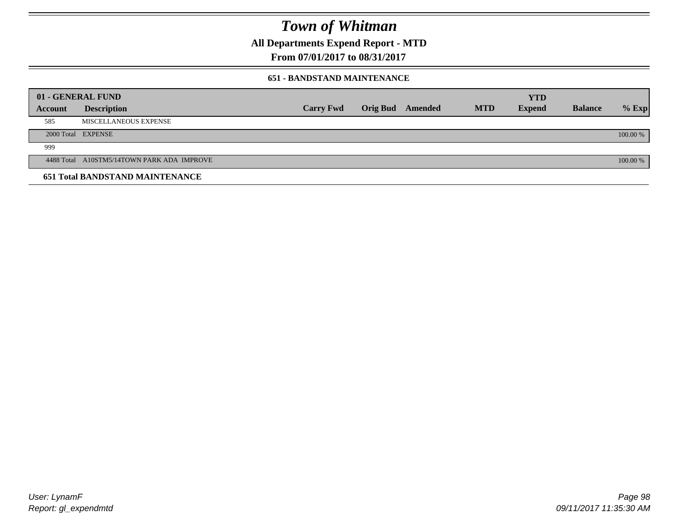**All Departments Expend Report - MTD**

**From 07/01/2017 to 08/31/2017**

### **651 - BANDSTAND MAINTENANCE**

| 01 - GENERAL FUND |                                            |                  |                         |            | <b>YTD</b>    |                |          |
|-------------------|--------------------------------------------|------------------|-------------------------|------------|---------------|----------------|----------|
| <b>Account</b>    | <b>Description</b>                         | <b>Carry Fwd</b> | <b>Orig Bud</b> Amended | <b>MTD</b> | <b>Expend</b> | <b>Balance</b> | $%$ Exp  |
| 585               | MISCELLANEOUS EXPENSE                      |                  |                         |            |               |                |          |
|                   | 2000 Total EXPENSE                         |                  |                         |            |               |                | 100.00 % |
| 999               |                                            |                  |                         |            |               |                |          |
|                   | 4488 Total A10STM5/14TOWN PARK ADA IMPROVE |                  |                         |            |               |                | 100.00 % |
|                   | <b>651 Total BANDSTAND MAINTENANCE</b>     |                  |                         |            |               |                |          |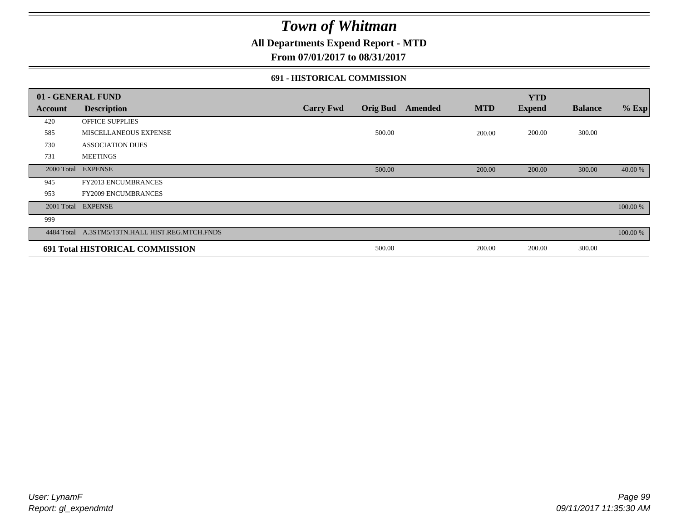## **All Departments Expend Report - MTD**

**From 07/01/2017 to 08/31/2017**

### **691 - HISTORICAL COMMISSION**

|                | 01 - GENERAL FUND                               |                  |                 |         |            | <b>YTD</b>    |                |          |
|----------------|-------------------------------------------------|------------------|-----------------|---------|------------|---------------|----------------|----------|
| <b>Account</b> | <b>Description</b>                              | <b>Carry Fwd</b> | <b>Orig Bud</b> | Amended | <b>MTD</b> | <b>Expend</b> | <b>Balance</b> | $%$ Exp  |
| 420            | <b>OFFICE SUPPLIES</b>                          |                  |                 |         |            |               |                |          |
| 585            | MISCELLANEOUS EXPENSE                           |                  | 500.00          |         | 200.00     | 200.00        | 300.00         |          |
| 730            | <b>ASSOCIATION DUES</b>                         |                  |                 |         |            |               |                |          |
| 731            | <b>MEETINGS</b>                                 |                  |                 |         |            |               |                |          |
|                | 2000 Total EXPENSE                              |                  | 500.00          |         | 200.00     | 200.00        | 300.00         | 40.00 %  |
| 945            | FY2013 ENCUMBRANCES                             |                  |                 |         |            |               |                |          |
| 953            | <b>FY2009 ENCUMBRANCES</b>                      |                  |                 |         |            |               |                |          |
|                | 2001 Total EXPENSE                              |                  |                 |         |            |               |                | 100.00 % |
| 999            |                                                 |                  |                 |         |            |               |                |          |
|                | 4484 Total A.3STM5/13TN.HALL HIST.REG.MTCH.FNDS |                  |                 |         |            |               |                | 100.00 % |
|                | 691 Total HISTORICAL COMMISSION                 |                  | 500.00          |         | 200.00     | 200.00        | 300.00         |          |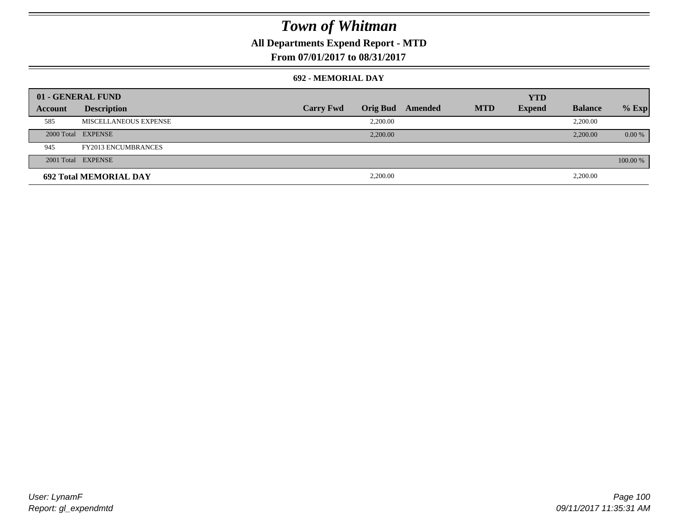## **All Departments Expend Report - MTD**

**From 07/01/2017 to 08/31/2017**

### **692 - MEMORIAL DAY**

|         | 01 - GENERAL FUND             |                  |                 |         |            | <b>YTD</b>    |                |          |
|---------|-------------------------------|------------------|-----------------|---------|------------|---------------|----------------|----------|
| Account | <b>Description</b>            | <b>Carry Fwd</b> | <b>Orig Bud</b> | Amended | <b>MTD</b> | <b>Expend</b> | <b>Balance</b> | $%$ Exp  |
| 585     | MISCELLANEOUS EXPENSE         |                  | 2.200.00        |         |            |               | 2,200.00       |          |
|         | 2000 Total EXPENSE            |                  | 2,200.00        |         |            |               | 2,200.00       | 0.00 %   |
| 945     | <b>FY2013 ENCUMBRANCES</b>    |                  |                 |         |            |               |                |          |
|         | 2001 Total EXPENSE            |                  |                 |         |            |               |                | 100.00 % |
|         | <b>692 Total MEMORIAL DAY</b> |                  | 2,200.00        |         |            |               | 2,200.00       |          |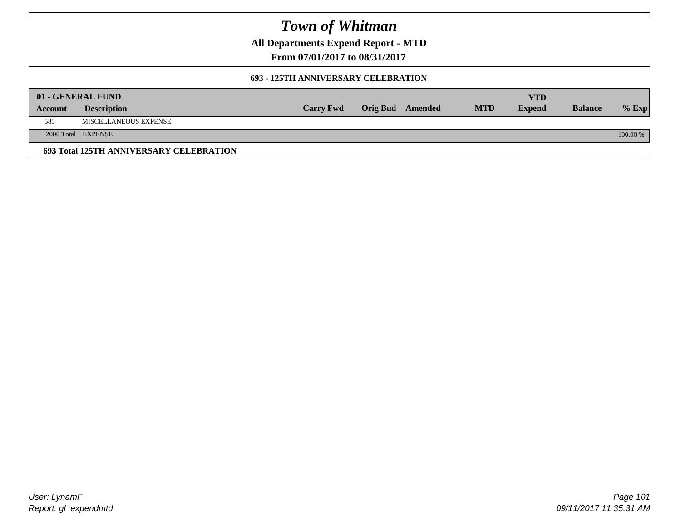**All Departments Expend Report - MTD**

**From 07/01/2017 to 08/31/2017**

### **693 - 125TH ANNIVERSARY CELEBRATION**

|         | 01 - GENERAL FUND                       |                  |                         |            | YTD           |                |          |
|---------|-----------------------------------------|------------------|-------------------------|------------|---------------|----------------|----------|
| Account | <b>Description</b>                      | <b>Carry Fwd</b> | <b>Orig Bud</b> Amended | <b>MTD</b> | <b>Expend</b> | <b>Balance</b> | $%$ Exp  |
| 585     | MISCELLANEOUS EXPENSE                   |                  |                         |            |               |                |          |
|         | 2000 Total EXPENSE                      |                  |                         |            |               |                | 100.00 % |
|         | 693 Total 125TH ANNIVERSARY CELEBRATION |                  |                         |            |               |                |          |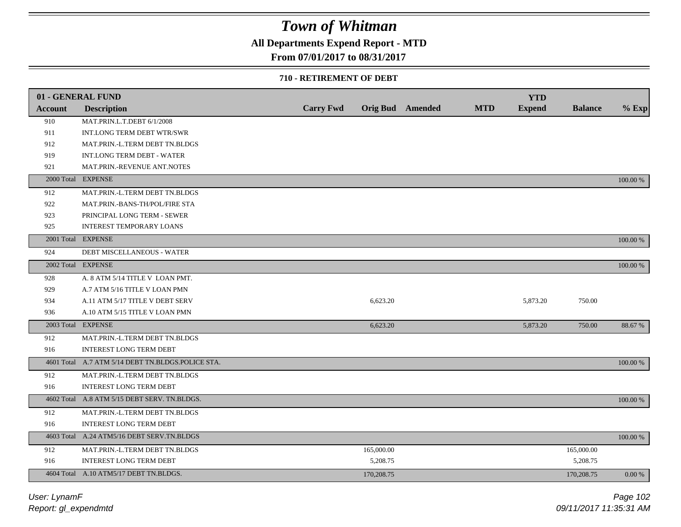## **All Departments Expend Report - MTD**

### **From 07/01/2017 to 08/31/2017**

### **710 - RETIREMENT OF DEBT**

|                | 01 - GENERAL FUND                                 |                  |            |                  |            | <b>YTD</b>    |                |          |
|----------------|---------------------------------------------------|------------------|------------|------------------|------------|---------------|----------------|----------|
| <b>Account</b> | <b>Description</b>                                | <b>Carry Fwd</b> |            | Orig Bud Amended | <b>MTD</b> | <b>Expend</b> | <b>Balance</b> | $%$ Exp  |
| 910            | MAT.PRIN.L.T.DEBT 6/1/2008                        |                  |            |                  |            |               |                |          |
| 911            | INT.LONG TERM DEBT WTR/SWR                        |                  |            |                  |            |               |                |          |
| 912            | MAT.PRIN.-L.TERM DEBT TN.BLDGS                    |                  |            |                  |            |               |                |          |
| 919            | <b>INT.LONG TERM DEBT - WATER</b>                 |                  |            |                  |            |               |                |          |
| 921            | MAT.PRIN.-REVENUE ANT.NOTES                       |                  |            |                  |            |               |                |          |
|                | 2000 Total EXPENSE                                |                  |            |                  |            |               |                | 100.00 % |
| 912            | MAT.PRIN.-L.TERM DEBT TN.BLDGS                    |                  |            |                  |            |               |                |          |
| 922            | MAT.PRIN.-BANS-TH/POL/FIRE STA                    |                  |            |                  |            |               |                |          |
| 923            | PRINCIPAL LONG TERM - SEWER                       |                  |            |                  |            |               |                |          |
| 925            | <b>INTEREST TEMPORARY LOANS</b>                   |                  |            |                  |            |               |                |          |
|                | 2001 Total EXPENSE                                |                  |            |                  |            |               |                | 100.00 % |
| 924            | <b>DEBT MISCELLANEOUS - WATER</b>                 |                  |            |                  |            |               |                |          |
|                | 2002 Total EXPENSE                                |                  |            |                  |            |               |                | 100.00 % |
| 928            | A. 8 ATM 5/14 TITLE V LOAN PMT.                   |                  |            |                  |            |               |                |          |
| 929            | A.7 ATM 5/16 TITLE V LOAN PMN                     |                  |            |                  |            |               |                |          |
| 934            | A.11 ATM 5/17 TITLE V DEBT SERV                   |                  | 6,623.20   |                  |            | 5,873.20      | 750.00         |          |
| 936            | A.10 ATM 5/15 TITLE V LOAN PMN                    |                  |            |                  |            |               |                |          |
|                | 2003 Total EXPENSE                                |                  | 6,623.20   |                  |            | 5,873.20      | 750.00         | 88.67 %  |
| 912            | MAT.PRIN.-L.TERM DEBT TN.BLDGS                    |                  |            |                  |            |               |                |          |
| 916            | <b>INTEREST LONG TERM DEBT</b>                    |                  |            |                  |            |               |                |          |
|                | 4601 Total A.7 ATM 5/14 DEBT TN.BLDGS.POLICE STA. |                  |            |                  |            |               |                | 100.00 % |
| 912            | MAT.PRIN.-L.TERM DEBT TN.BLDGS                    |                  |            |                  |            |               |                |          |
| 916            | <b>INTEREST LONG TERM DEBT</b>                    |                  |            |                  |            |               |                |          |
|                | 4602 Total A.8 ATM 5/15 DEBT SERV. TN.BLDGS.      |                  |            |                  |            |               |                | 100.00 % |
| 912            | MAT.PRIN.-L.TERM DEBT TN.BLDGS                    |                  |            |                  |            |               |                |          |
| 916            | <b>INTEREST LONG TERM DEBT</b>                    |                  |            |                  |            |               |                |          |
|                | 4603 Total A.24 ATM5/16 DEBT SERV.TN.BLDGS        |                  |            |                  |            |               |                | 100.00 % |
| 912            | MAT.PRIN.-L.TERM DEBT TN.BLDGS                    |                  | 165,000.00 |                  |            |               | 165,000.00     |          |
| 916            | <b>INTEREST LONG TERM DEBT</b>                    |                  | 5,208.75   |                  |            |               | 5,208.75       |          |
|                | 4604 Total A.10 ATM5/17 DEBT TN.BLDGS.            |                  | 170,208.75 |                  |            |               | 170,208.75     | 0.00 %   |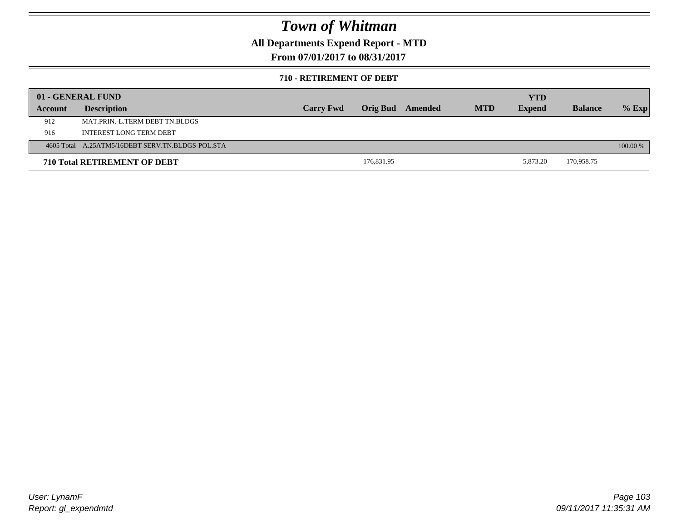## **All Departments Expend Report - MTD**

**From 07/01/2017 to 08/31/2017**

### **710 - RETIREMENT OF DEBT**

|         | 01 - GENERAL FUND                                |                  |            |         |            | YTD           |                |          |
|---------|--------------------------------------------------|------------------|------------|---------|------------|---------------|----------------|----------|
| Account | <b>Description</b>                               | <b>Carry Fwd</b> | Orig Bud   | Amended | <b>MTD</b> | <b>Expend</b> | <b>Balance</b> | $%$ Exp  |
| 912     | MAT.PRIN.-L.TERM DEBT TN.BLDGS                   |                  |            |         |            |               |                |          |
| 916     | INTEREST LONG TERM DEBT                          |                  |            |         |            |               |                |          |
|         | 4605 Total A.25ATM5/16DEBT SERV.TN.BLDGS-POL.STA |                  |            |         |            |               |                | 100.00 % |
|         | <b>710 Total RETIREMENT OF DEBT</b>              |                  | 176,831.95 |         |            | 5.873.20      | 170,958.75     |          |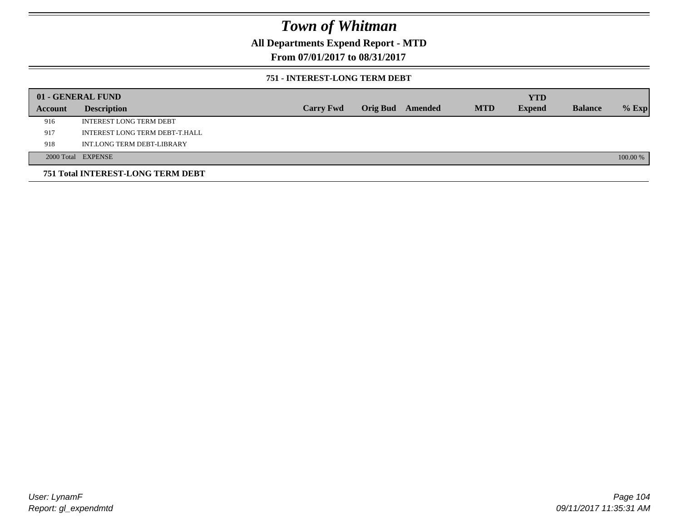**All Departments Expend Report - MTD**

**From 07/01/2017 to 08/31/2017**

### **751 - INTEREST-LONG TERM DEBT**

|         | 01 - GENERAL FUND                 |                  |  |                  |            | <b>YTD</b>    |                |          |
|---------|-----------------------------------|------------------|--|------------------|------------|---------------|----------------|----------|
| Account | <b>Description</b>                | <b>Carry Fwd</b> |  | Orig Bud Amended | <b>MTD</b> | <b>Expend</b> | <b>Balance</b> | $%$ Exp  |
| 916     | <b>INTEREST LONG TERM DEBT</b>    |                  |  |                  |            |               |                |          |
| 917     | INTEREST LONG TERM DEBT-T.HALL    |                  |  |                  |            |               |                |          |
| 918     | INT.LONG TERM DEBT-LIBRARY        |                  |  |                  |            |               |                |          |
|         | 2000 Total EXPENSE                |                  |  |                  |            |               |                | 100.00 % |
|         | 751 Total INTEREST-LONG TERM DEBT |                  |  |                  |            |               |                |          |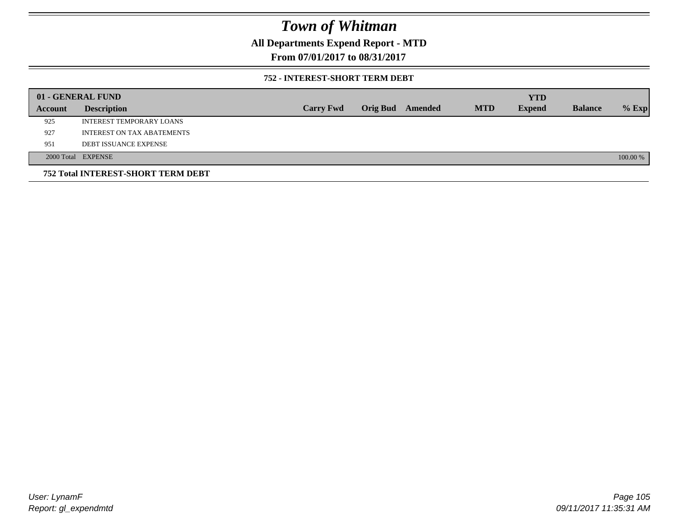## **All Departments Expend Report - MTD**

**From 07/01/2017 to 08/31/2017**

### **752 - INTEREST-SHORT TERM DEBT**

|                | 01 - GENERAL FUND                  |                  |                 |         |            | <b>YTD</b>    |                |          |
|----------------|------------------------------------|------------------|-----------------|---------|------------|---------------|----------------|----------|
| <b>Account</b> | <b>Description</b>                 | <b>Carry Fwd</b> | <b>Orig Bud</b> | Amended | <b>MTD</b> | <b>Expend</b> | <b>Balance</b> | $%$ Exp  |
| 925            | INTEREST TEMPORARY LOANS           |                  |                 |         |            |               |                |          |
| 927            | <b>INTEREST ON TAX ABATEMENTS</b>  |                  |                 |         |            |               |                |          |
| 951            | <b>DEBT ISSUANCE EXPENSE</b>       |                  |                 |         |            |               |                |          |
|                | 2000 Total EXPENSE                 |                  |                 |         |            |               |                | 100.00 % |
|                | 752 Total INTEREST-SHORT TERM DEBT |                  |                 |         |            |               |                |          |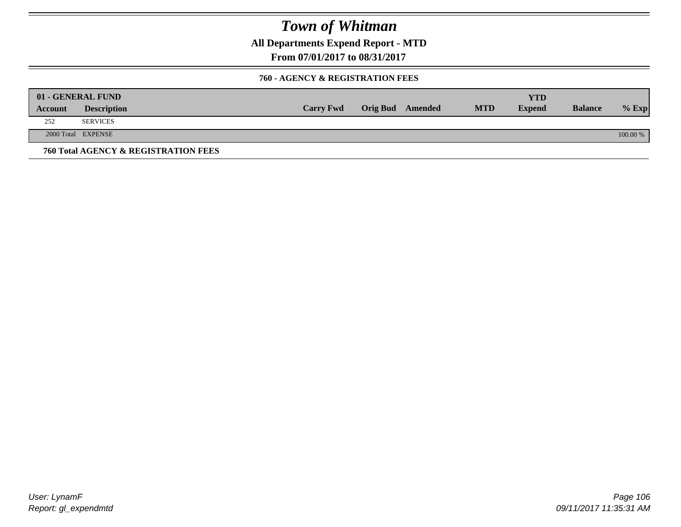**All Departments Expend Report - MTD**

**From 07/01/2017 to 08/31/2017**

### **760 - AGENCY & REGISTRATION FEES**

|         | 01 - GENERAL FUND                    |                  |                         |            | YTD           |                |          |
|---------|--------------------------------------|------------------|-------------------------|------------|---------------|----------------|----------|
| Account | <b>Description</b>                   | <b>Carry Fwd</b> | <b>Orig Bud</b> Amended | <b>MTD</b> | <b>Expend</b> | <b>Balance</b> | $%$ Exp  |
| 252     | <b>SERVICES</b>                      |                  |                         |            |               |                |          |
|         | 2000 Total EXPENSE                   |                  |                         |            |               |                | 100.00 % |
|         | 760 Total AGENCY & REGISTRATION FEES |                  |                         |            |               |                |          |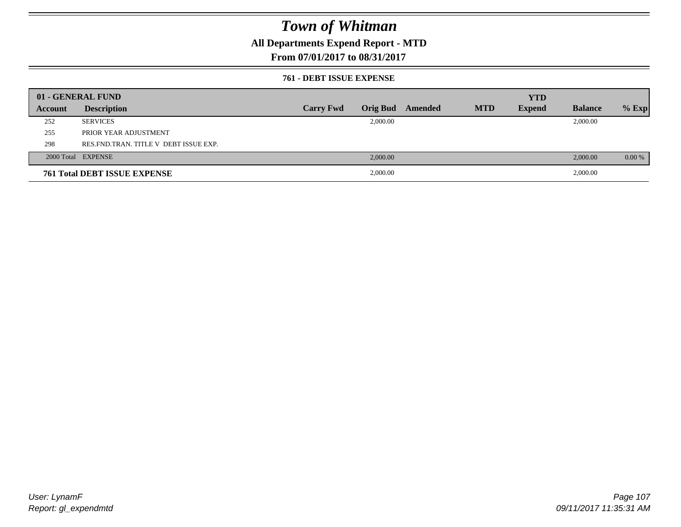## **All Departments Expend Report - MTD**

## **From 07/01/2017 to 08/31/2017**

### **761 - DEBT ISSUE EXPENSE**

|         | 01 - GENERAL FUND                       |                  |          |                  |            | <b>YTD</b>    |                |          |
|---------|-----------------------------------------|------------------|----------|------------------|------------|---------------|----------------|----------|
| Account | <b>Description</b>                      | <b>Carry Fwd</b> |          | Orig Bud Amended | <b>MTD</b> | <b>Expend</b> | <b>Balance</b> | $%$ Exp  |
| 252     | <b>SERVICES</b>                         |                  | 2,000.00 |                  |            |               | 2,000.00       |          |
| 255     | PRIOR YEAR ADJUSTMENT                   |                  |          |                  |            |               |                |          |
| 298     | RES. FND. TRAN. TITLE V DEBT ISSUE EXP. |                  |          |                  |            |               |                |          |
|         | 2000 Total EXPENSE                      |                  | 2,000.00 |                  |            |               | 2,000.00       | $0.00\%$ |
|         | <b>761 Total DEBT ISSUE EXPENSE</b>     |                  | 2,000.00 |                  |            |               | 2,000.00       |          |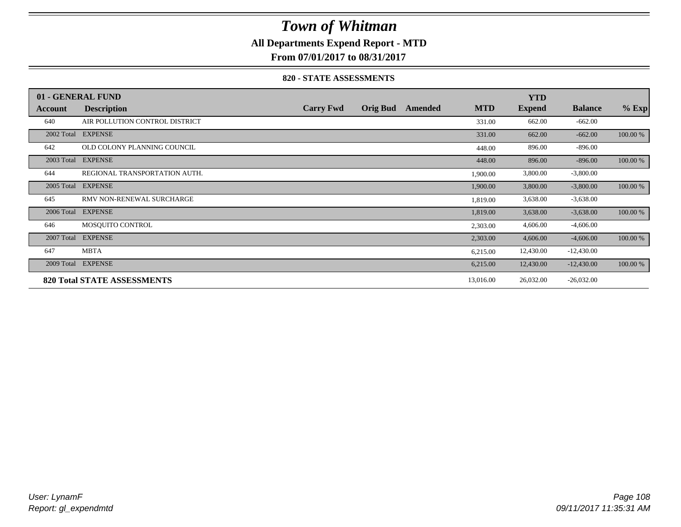## **All Departments Expend Report - MTD**

**From 07/01/2017 to 08/31/2017**

### **820 - STATE ASSESSMENTS**

|            | 01 - GENERAL FUND                  |                  |                 |         |            | <b>YTD</b>    |                |          |
|------------|------------------------------------|------------------|-----------------|---------|------------|---------------|----------------|----------|
| Account    | <b>Description</b>                 | <b>Carry Fwd</b> | <b>Orig Bud</b> | Amended | <b>MTD</b> | <b>Expend</b> | <b>Balance</b> | $%$ Exp  |
| 640        | AIR POLLUTION CONTROL DISTRICT     |                  |                 |         | 331.00     | 662.00        | $-662.00$      |          |
| 2002 Total | <b>EXPENSE</b>                     |                  |                 |         | 331.00     | 662.00        | $-662.00$      | 100.00 % |
| 642        | OLD COLONY PLANNING COUNCIL        |                  |                 |         | 448.00     | 896.00        | $-896.00$      |          |
| 2003 Total | <b>EXPENSE</b>                     |                  |                 |         | 448.00     | 896.00        | $-896.00$      | 100.00 % |
| 644        | REGIONAL TRANSPORTATION AUTH.      |                  |                 |         | 1,900.00   | 3,800.00      | $-3,800.00$    |          |
| 2005 Total | <b>EXPENSE</b>                     |                  |                 |         | 1,900.00   | 3,800.00      | $-3,800.00$    | 100.00 % |
| 645        | RMV NON-RENEWAL SURCHARGE          |                  |                 |         | 1,819.00   | 3,638.00      | $-3,638.00$    |          |
| 2006 Total | <b>EXPENSE</b>                     |                  |                 |         | 1,819.00   | 3,638.00      | $-3,638.00$    | 100.00 % |
| 646        | MOSOUITO CONTROL                   |                  |                 |         | 2,303.00   | 4,606.00      | $-4,606.00$    |          |
| 2007 Total | <b>EXPENSE</b>                     |                  |                 |         | 2,303.00   | 4,606.00      | $-4,606.00$    | 100.00 % |
| 647        | <b>MBTA</b>                        |                  |                 |         | 6,215.00   | 12,430.00     | $-12,430.00$   |          |
| 2009 Total | <b>EXPENSE</b>                     |                  |                 |         | 6,215.00   | 12,430.00     | $-12,430.00$   | 100.00 % |
|            | <b>820 Total STATE ASSESSMENTS</b> |                  |                 |         | 13,016.00  | 26,032.00     | $-26,032.00$   |          |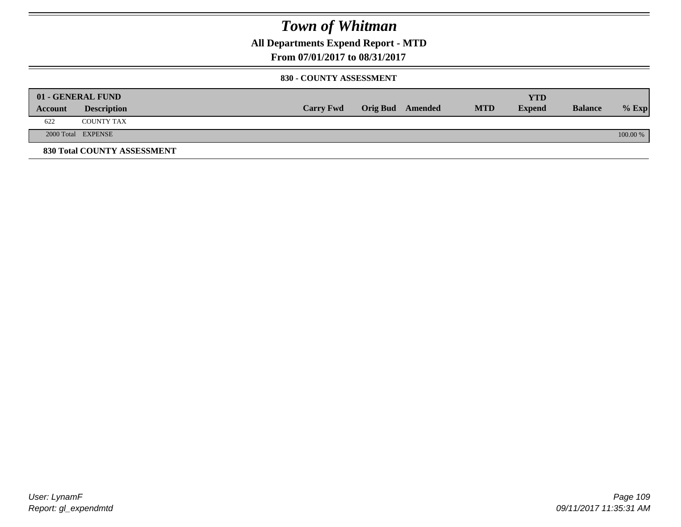**All Departments Expend Report - MTD**

**From 07/01/2017 to 08/31/2017**

#### **830 - COUNTY ASSESSMENT**

|         | 01 - GENERAL FUND           |                  |                         |            | <b>YTD</b>    |                |          |
|---------|-----------------------------|------------------|-------------------------|------------|---------------|----------------|----------|
| Account | <b>Description</b>          | <b>Carry Fwd</b> | <b>Orig Bud</b> Amended | <b>MTD</b> | <b>Expend</b> | <b>Balance</b> | $%$ Exp  |
| 622     | <b>COUNTY TAX</b>           |                  |                         |            |               |                |          |
|         | 2000 Total EXPENSE          |                  |                         |            |               |                | 100.00 % |
|         | 830 Total COUNTY ASSESSMENT |                  |                         |            |               |                |          |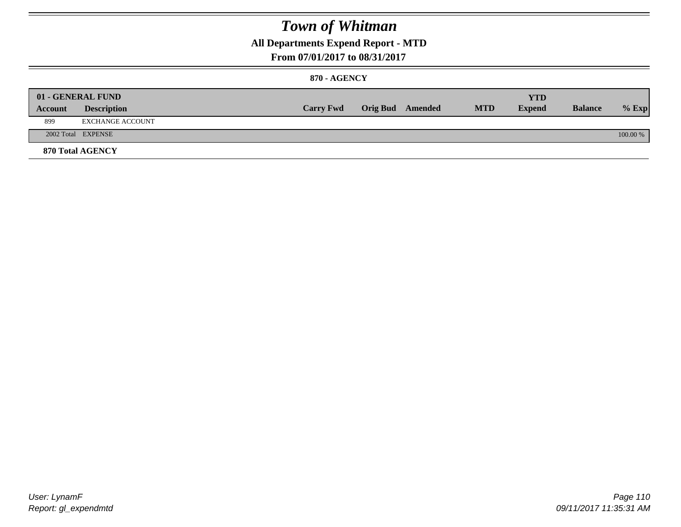### **All Departments Expend Report - MTD**

#### **From 07/01/2017 to 08/31/2017**

#### **870 - AGENCY**

|         | 01 - GENERAL FUND       |                  |                         |            | YTD           |                |            |
|---------|-------------------------|------------------|-------------------------|------------|---------------|----------------|------------|
| Account | <b>Description</b>      | <b>Carry Fwd</b> | <b>Orig Bud</b> Amended | <b>MTD</b> | <b>Expend</b> | <b>Balance</b> | $%$ Exp    |
| 899     | EXCHANGE ACCOUNT        |                  |                         |            |               |                |            |
|         | 2002 Total EXPENSE      |                  |                         |            |               |                | $100.00\%$ |
|         | <b>870 Total AGENCY</b> |                  |                         |            |               |                |            |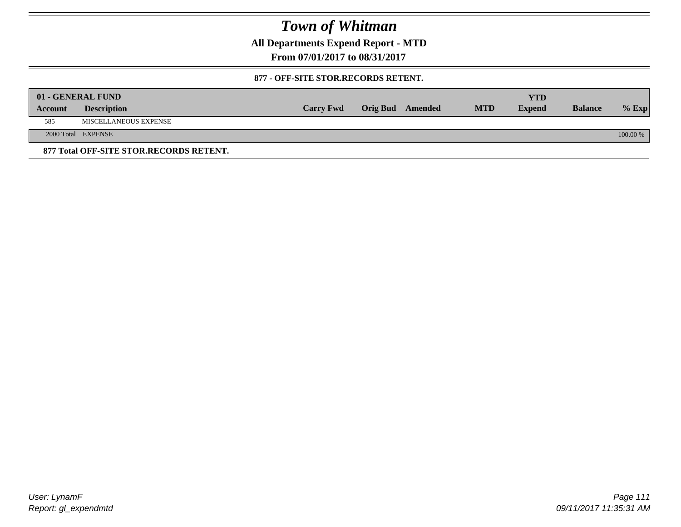**All Departments Expend Report - MTD**

**From 07/01/2017 to 08/31/2017**

#### **877 - OFF-SITE STOR.RECORDS RETENT.**

|         | 01 - GENERAL FUND                       |                  |                         |            | YTD           |                |          |
|---------|-----------------------------------------|------------------|-------------------------|------------|---------------|----------------|----------|
| Account | <b>Description</b>                      | <b>Carry Fwd</b> | <b>Orig Bud</b> Amended | <b>MTD</b> | <b>Expend</b> | <b>Balance</b> | $%$ Exp  |
| 585     | MISCELLANEOUS EXPENSE                   |                  |                         |            |               |                |          |
|         | 2000 Total EXPENSE                      |                  |                         |            |               |                | 100.00 % |
|         | 877 Total OFF-SITE STOR.RECORDS RETENT. |                  |                         |            |               |                |          |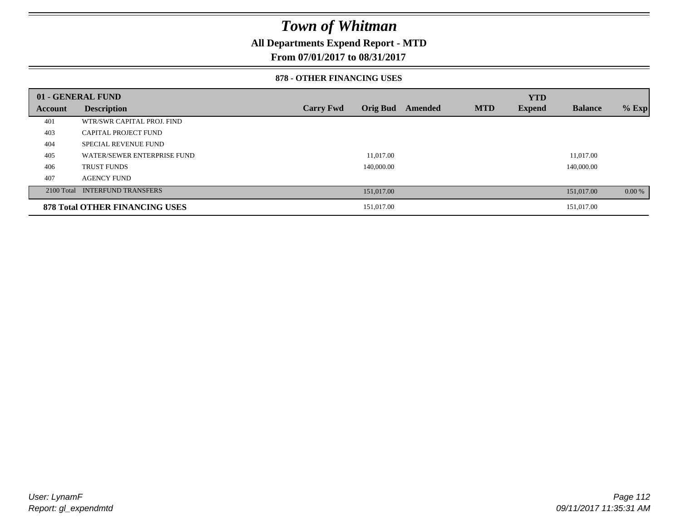### **All Departments Expend Report - MTD**

**From 07/01/2017 to 08/31/2017**

#### **878 - OTHER FINANCING USES**

|         | 01 - GENERAL FUND                     |                  |                 |         |            | <b>YTD</b>    |                |         |
|---------|---------------------------------------|------------------|-----------------|---------|------------|---------------|----------------|---------|
| Account | <b>Description</b>                    | <b>Carry Fwd</b> | <b>Orig Bud</b> | Amended | <b>MTD</b> | <b>Expend</b> | <b>Balance</b> | $%$ Exp |
| 401     | WTR/SWR CAPITAL PROJ. FIND            |                  |                 |         |            |               |                |         |
| 403     | <b>CAPITAL PROJECT FUND</b>           |                  |                 |         |            |               |                |         |
| 404     | <b>SPECIAL REVENUE FUND</b>           |                  |                 |         |            |               |                |         |
| 405     | WATER/SEWER ENTERPRISE FUND           |                  | 11.017.00       |         |            |               | 11.017.00      |         |
| 406     | <b>TRUST FUNDS</b>                    |                  | 140,000.00      |         |            |               | 140,000.00     |         |
| 407     | <b>AGENCY FUND</b>                    |                  |                 |         |            |               |                |         |
|         | 2100 Total INTERFUND TRANSFERS        |                  | 151,017.00      |         |            |               | 151,017.00     | 0.00 %  |
|         | <b>878 Total OTHER FINANCING USES</b> |                  | 151,017.00      |         |            |               | 151,017.00     |         |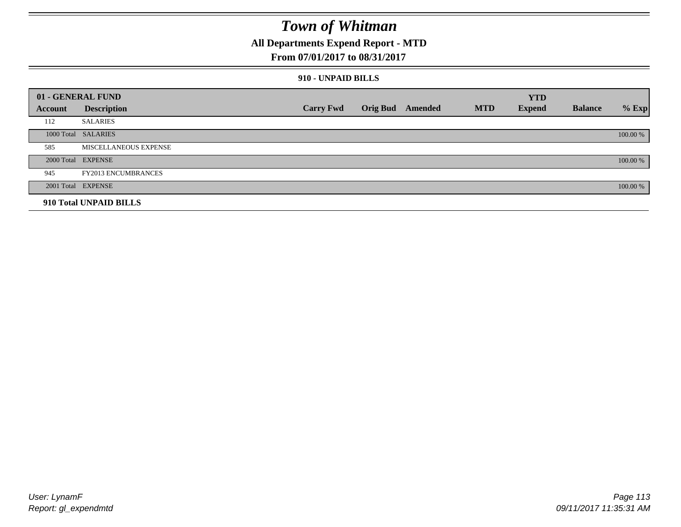### **All Departments Expend Report - MTD**

### **From 07/01/2017 to 08/31/2017**

#### **910 - UNPAID BILLS**

|         | 01 - GENERAL FUND            |                  |                  |            | <b>YTD</b>    |                |          |
|---------|------------------------------|------------------|------------------|------------|---------------|----------------|----------|
| Account | <b>Description</b>           | <b>Carry Fwd</b> | Orig Bud Amended | <b>MTD</b> | <b>Expend</b> | <b>Balance</b> | $%$ Exp  |
| 112     | <b>SALARIES</b>              |                  |                  |            |               |                |          |
|         | 1000 Total SALARIES          |                  |                  |            |               |                | 100.00 % |
| 585     | <b>MISCELLANEOUS EXPENSE</b> |                  |                  |            |               |                |          |
|         | 2000 Total EXPENSE           |                  |                  |            |               |                | 100.00 % |
| 945     | <b>FY2013 ENCUMBRANCES</b>   |                  |                  |            |               |                |          |
|         | 2001 Total EXPENSE           |                  |                  |            |               |                | 100.00 % |
|         | 910 Total UNPAID BILLS       |                  |                  |            |               |                |          |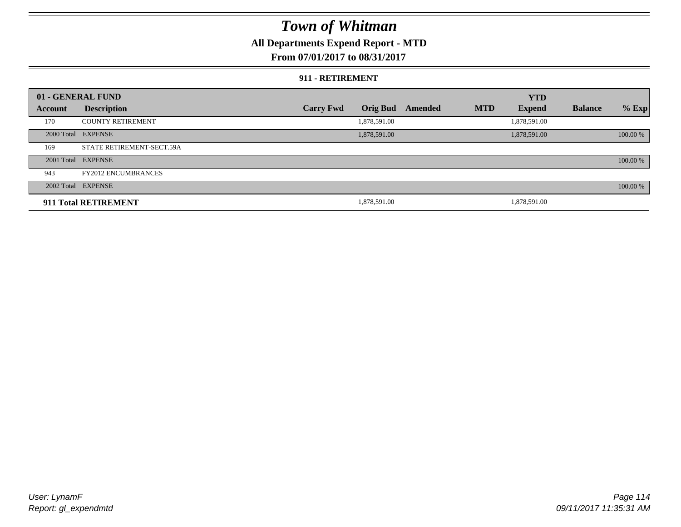### **All Departments Expend Report - MTD**

### **From 07/01/2017 to 08/31/2017**

#### **911 - RETIREMENT**

|         | 01 - GENERAL FUND          |                  |                 |         |            | <b>YTD</b>    |                |          |
|---------|----------------------------|------------------|-----------------|---------|------------|---------------|----------------|----------|
| Account | <b>Description</b>         | <b>Carry Fwd</b> | <b>Orig Bud</b> | Amended | <b>MTD</b> | <b>Expend</b> | <b>Balance</b> | $%$ Exp  |
| 170     | <b>COUNTY RETIREMENT</b>   |                  | 1,878,591.00    |         |            | 1,878,591.00  |                |          |
|         | 2000 Total EXPENSE         |                  | 1,878,591.00    |         |            | 1,878,591.00  |                | 100.00 % |
| 169     | STATE RETIREMENT-SECT.59A  |                  |                 |         |            |               |                |          |
|         | 2001 Total EXPENSE         |                  |                 |         |            |               |                | 100.00 % |
| 943     | <b>FY2012 ENCUMBRANCES</b> |                  |                 |         |            |               |                |          |
|         | 2002 Total EXPENSE         |                  |                 |         |            |               |                | 100.00 % |
|         | 911 Total RETIREMENT       |                  | 1,878,591.00    |         |            | 1.878.591.00  |                |          |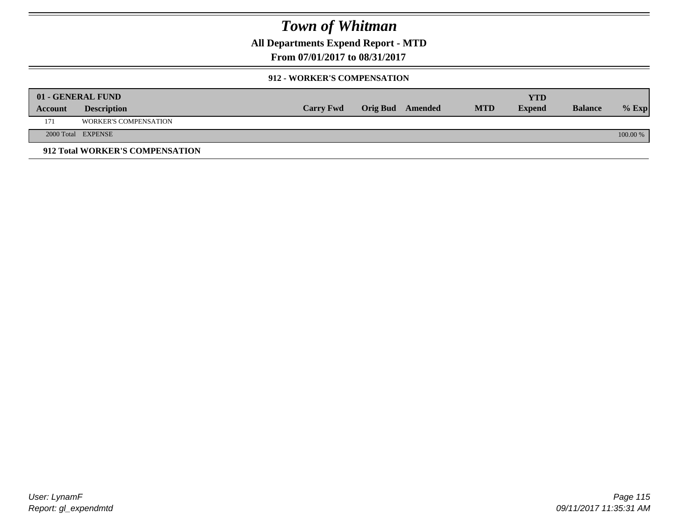**All Departments Expend Report - MTD**

**From 07/01/2017 to 08/31/2017**

### **912 - WORKER'S COMPENSATION**

|         | 01 - GENERAL FUND               |                  |                  |            | <b>YTD</b>    |                |          |
|---------|---------------------------------|------------------|------------------|------------|---------------|----------------|----------|
| Account | <b>Description</b>              | <b>Carry Fwd</b> | Orig Bud Amended | <b>MTD</b> | <b>Expend</b> | <b>Balance</b> | $%$ Exp  |
| 171     | <b>WORKER'S COMPENSATION</b>    |                  |                  |            |               |                |          |
|         | 2000 Total EXPENSE              |                  |                  |            |               |                | 100.00 % |
|         | 912 Total WORKER'S COMPENSATION |                  |                  |            |               |                |          |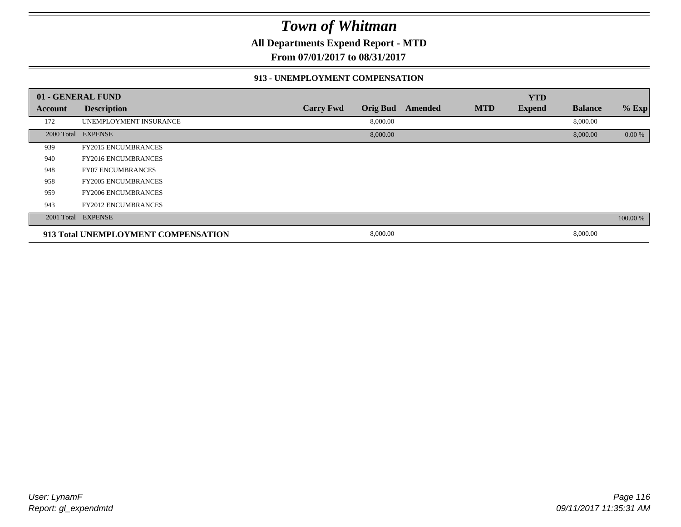**All Departments Expend Report - MTD**

**From 07/01/2017 to 08/31/2017**

#### **913 - UNEMPLOYMENT COMPENSATION**

|                | 01 - GENERAL FUND                   |                  |                 |                |            | <b>YTD</b>    |                |          |
|----------------|-------------------------------------|------------------|-----------------|----------------|------------|---------------|----------------|----------|
| <b>Account</b> | <b>Description</b>                  | <b>Carry Fwd</b> | <b>Orig Bud</b> | <b>Amended</b> | <b>MTD</b> | <b>Expend</b> | <b>Balance</b> | $%$ Exp  |
| 172            | UNEMPLOYMENT INSURANCE              |                  | 8,000.00        |                |            |               | 8,000.00       |          |
|                | 2000 Total EXPENSE                  |                  | 8,000.00        |                |            |               | 8,000.00       | 0.00 %   |
| 939            | <b>FY2015 ENCUMBRANCES</b>          |                  |                 |                |            |               |                |          |
| 940            | <b>FY2016 ENCUMBRANCES</b>          |                  |                 |                |            |               |                |          |
| 948            | <b>FY07 ENCUMBRANCES</b>            |                  |                 |                |            |               |                |          |
| 958            | <b>FY2005 ENCUMBRANCES</b>          |                  |                 |                |            |               |                |          |
| 959            | <b>FY2006 ENCUMBRANCES</b>          |                  |                 |                |            |               |                |          |
| 943            | <b>FY2012 ENCUMBRANCES</b>          |                  |                 |                |            |               |                |          |
|                | 2001 Total EXPENSE                  |                  |                 |                |            |               |                | 100.00 % |
|                | 913 Total UNEMPLOYMENT COMPENSATION |                  | 8,000.00        |                |            |               | 8,000.00       |          |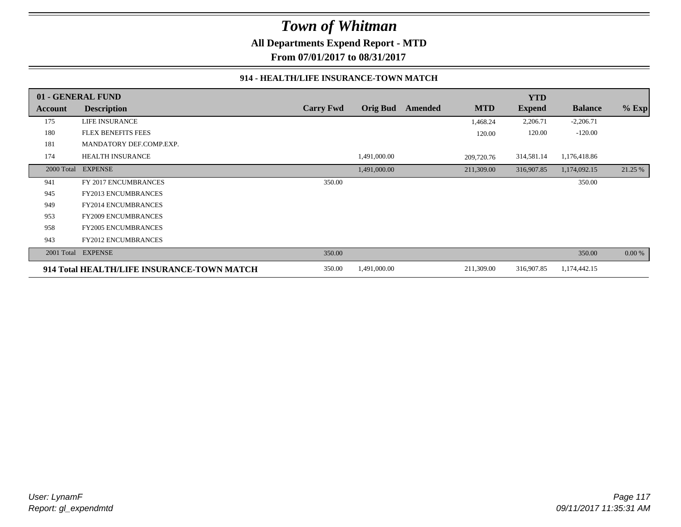**All Departments Expend Report - MTD**

**From 07/01/2017 to 08/31/2017**

#### **914 - HEALTH/LIFE INSURANCE-TOWN MATCH**

|            | 01 - GENERAL FUND                          |                  |                 |         |            | <b>YTD</b>    |                |         |
|------------|--------------------------------------------|------------------|-----------------|---------|------------|---------------|----------------|---------|
| Account    | <b>Description</b>                         | <b>Carry Fwd</b> | <b>Orig Bud</b> | Amended | <b>MTD</b> | <b>Expend</b> | <b>Balance</b> | $%$ Exp |
| 175        | LIFE INSURANCE                             |                  |                 |         | 1,468.24   | 2,206.71      | $-2,206.71$    |         |
| 180        | <b>FLEX BENEFITS FEES</b>                  |                  |                 |         | 120.00     | 120.00        | $-120.00$      |         |
| 181        | MANDATORY DEF.COMP.EXP.                    |                  |                 |         |            |               |                |         |
| 174        | <b>HEALTH INSURANCE</b>                    |                  | 1,491,000.00    |         | 209,720.76 | 314,581.14    | 1,176,418.86   |         |
| 2000 Total | <b>EXPENSE</b>                             |                  | 1,491,000.00    |         | 211,309.00 | 316,907.85    | 1,174,092.15   | 21.25 % |
| 941        | FY 2017 ENCUMBRANCES                       | 350.00           |                 |         |            |               | 350.00         |         |
| 945        | FY2013 ENCUMBRANCES                        |                  |                 |         |            |               |                |         |
| 949        | <b>FY2014 ENCUMBRANCES</b>                 |                  |                 |         |            |               |                |         |
| 953        | FY2009 ENCUMBRANCES                        |                  |                 |         |            |               |                |         |
| 958        | <b>FY2005 ENCUMBRANCES</b>                 |                  |                 |         |            |               |                |         |
| 943        | <b>FY2012 ENCUMBRANCES</b>                 |                  |                 |         |            |               |                |         |
| 2001 Total | <b>EXPENSE</b>                             | 350.00           |                 |         |            |               | 350.00         | 0.00 %  |
|            | 914 Total HEALTH/LIFE INSURANCE-TOWN MATCH | 350.00           | 1,491,000.00    |         | 211,309.00 | 316,907.85    | 1,174,442.15   |         |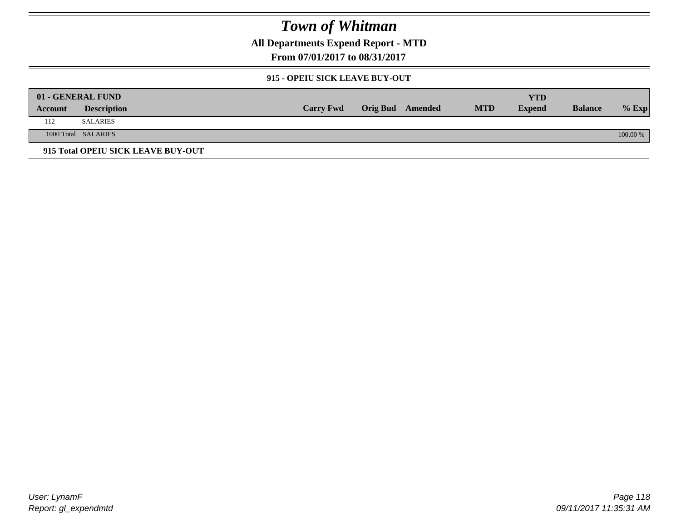**All Departments Expend Report - MTD**

**From 07/01/2017 to 08/31/2017**

### **915 - OPEIU SICK LEAVE BUY-OUT**

|         | 01 - GENERAL FUND                  |                  |                         |            | YTD           |                |            |
|---------|------------------------------------|------------------|-------------------------|------------|---------------|----------------|------------|
| Account | <b>Description</b>                 | <b>Carry Fwd</b> | <b>Orig Bud</b> Amended | <b>MTD</b> | <b>Expend</b> | <b>Balance</b> | $%$ Exp    |
| 112     | <b>SALARIES</b>                    |                  |                         |            |               |                |            |
|         | 1000 Total SALARIES                |                  |                         |            |               |                | $100.00\%$ |
|         | 915 Total OPEIU SICK LEAVE BUY-OUT |                  |                         |            |               |                |            |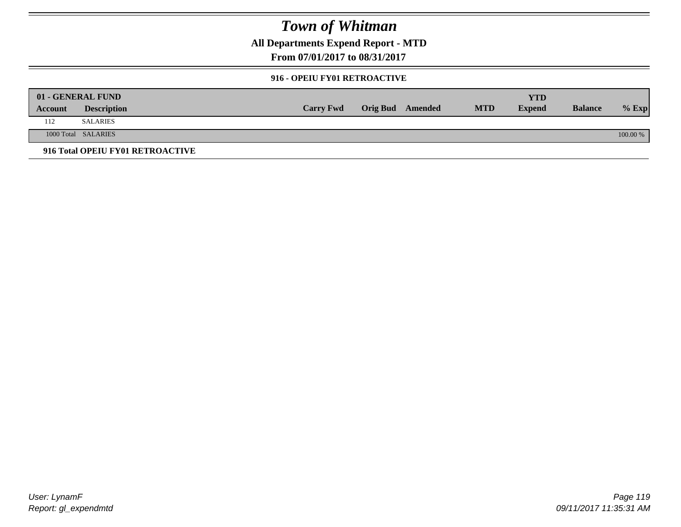**All Departments Expend Report - MTD**

**From 07/01/2017 to 08/31/2017**

#### **916 - OPEIU FY01 RETROACTIVE**

|         | 01 - GENERAL FUND                |                  |                         |            | YTD           |                |          |
|---------|----------------------------------|------------------|-------------------------|------------|---------------|----------------|----------|
| Account | <b>Description</b>               | <b>Carry Fwd</b> | <b>Orig Bud</b> Amended | <b>MTD</b> | <b>Expend</b> | <b>Balance</b> | $%$ Exp  |
| 112     | <b>SALARIES</b>                  |                  |                         |            |               |                |          |
|         | 1000 Total SALARIES              |                  |                         |            |               |                | 100.00 % |
|         | 916 Total OPEIU FY01 RETROACTIVE |                  |                         |            |               |                |          |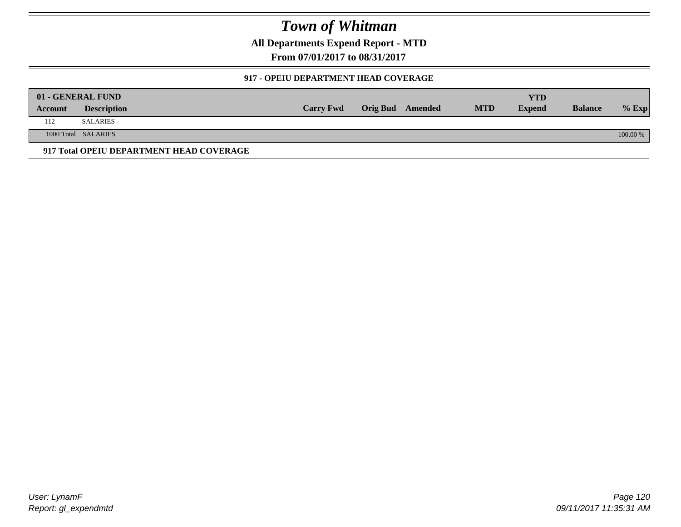**All Departments Expend Report - MTD**

**From 07/01/2017 to 08/31/2017**

### **917 - OPEIU DEPARTMENT HEAD COVERAGE**

|         | 01 - GENERAL FUND                        |                  |                         |            | YTD           |                |          |
|---------|------------------------------------------|------------------|-------------------------|------------|---------------|----------------|----------|
| Account | <b>Description</b>                       | <b>Carry Fwd</b> | <b>Orig Bud</b> Amended | <b>MTD</b> | <b>Expend</b> | <b>Balance</b> | $%$ Exp  |
| 112     | <b>SALARIES</b>                          |                  |                         |            |               |                |          |
|         | 1000 Total SALARIES                      |                  |                         |            |               |                | 100.00 % |
|         | 917 Total OPEIU DEPARTMENT HEAD COVERAGE |                  |                         |            |               |                |          |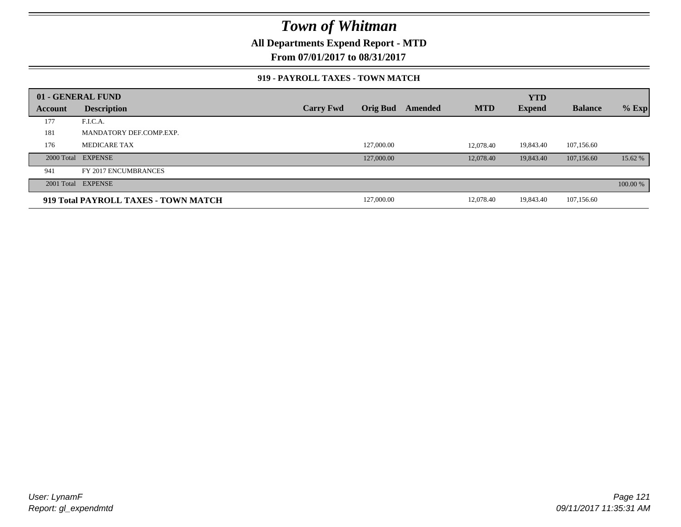**All Departments Expend Report - MTD**

**From 07/01/2017 to 08/31/2017**

#### **919 - PAYROLL TAXES - TOWN MATCH**

|         | 01 - GENERAL FUND                    |                  |                 |         |            | <b>YTD</b>    |                |          |
|---------|--------------------------------------|------------------|-----------------|---------|------------|---------------|----------------|----------|
| Account | <b>Description</b>                   | <b>Carry Fwd</b> | <b>Orig Bud</b> | Amended | <b>MTD</b> | <b>Expend</b> | <b>Balance</b> | $%$ Exp  |
| 177     | F.I.C.A.                             |                  |                 |         |            |               |                |          |
| 181     | MANDATORY DEF.COMP.EXP.              |                  |                 |         |            |               |                |          |
| 176     | <b>MEDICARE TAX</b>                  |                  | 127,000.00      |         | 12,078.40  | 19,843.40     | 107,156.60     |          |
|         | 2000 Total EXPENSE                   |                  | 127,000.00      |         | 12,078.40  | 19,843.40     | 107,156.60     | 15.62 %  |
| 941     | FY 2017 ENCUMBRANCES                 |                  |                 |         |            |               |                |          |
|         | 2001 Total EXPENSE                   |                  |                 |         |            |               |                | 100.00 % |
|         | 919 Total PAYROLL TAXES - TOWN MATCH |                  | 127,000.00      |         | 12,078.40  | 19,843.40     | 107,156.60     |          |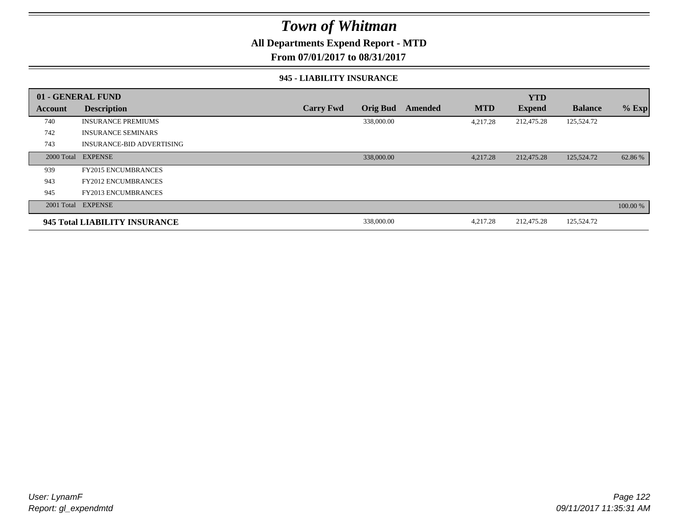### **All Departments Expend Report - MTD**

**From 07/01/2017 to 08/31/2017**

#### **945 - LIABILITY INSURANCE**

|                | 01 - GENERAL FUND                |                  |                 |         |            | <b>YTD</b>    |                |          |
|----------------|----------------------------------|------------------|-----------------|---------|------------|---------------|----------------|----------|
| <b>Account</b> | <b>Description</b>               | <b>Carry Fwd</b> | <b>Orig Bud</b> | Amended | <b>MTD</b> | <b>Expend</b> | <b>Balance</b> | $%$ Exp  |
| 740            | <b>INSURANCE PREMIUMS</b>        |                  | 338,000.00      |         | 4,217.28   | 212,475.28    | 125,524.72     |          |
| 742            | <b>INSURANCE SEMINARS</b>        |                  |                 |         |            |               |                |          |
| 743            | <b>INSURANCE-BID ADVERTISING</b> |                  |                 |         |            |               |                |          |
|                | 2000 Total EXPENSE               |                  | 338,000.00      |         | 4,217.28   | 212,475.28    | 125,524.72     | 62.86 %  |
| 939            | <b>FY2015 ENCUMBRANCES</b>       |                  |                 |         |            |               |                |          |
| 943            | <b>FY2012 ENCUMBRANCES</b>       |                  |                 |         |            |               |                |          |
| 945            | <b>FY2013 ENCUMBRANCES</b>       |                  |                 |         |            |               |                |          |
|                | 2001 Total EXPENSE               |                  |                 |         |            |               |                | 100.00 % |
|                | 945 Total LIABILITY INSURANCE    |                  | 338,000.00      |         | 4,217.28   | 212,475.28    | 125,524.72     |          |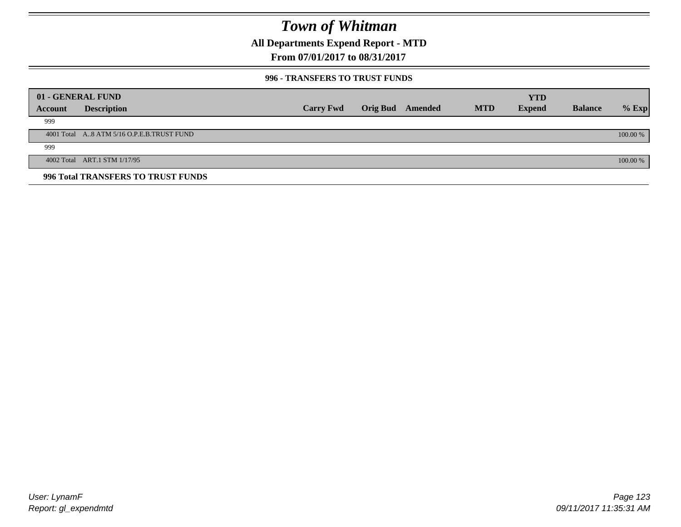**All Departments Expend Report - MTD**

**From 07/01/2017 to 08/31/2017**

### **996 - TRANSFERS TO TRUST FUNDS**

|         | 01 - GENERAL FUND                         |                  |                 |         |            | <b>YTD</b>    |                |            |
|---------|-------------------------------------------|------------------|-----------------|---------|------------|---------------|----------------|------------|
|         |                                           |                  |                 |         |            |               |                |            |
| Account | <b>Description</b>                        | <b>Carry Fwd</b> | <b>Orig Bud</b> | Amended | <b>MTD</b> | <b>Expend</b> | <b>Balance</b> | $%$ Exp    |
| 999     |                                           |                  |                 |         |            |               |                |            |
|         | 4001 Total A8 ATM 5/16 O.P.E.B.TRUST FUND |                  |                 |         |            |               |                | $100.00\%$ |
| 999     |                                           |                  |                 |         |            |               |                |            |
|         | 4002 Total ART.1 STM 1/17/95              |                  |                 |         |            |               |                | 100.00 %   |
|         | 996 Total TRANSFERS TO TRUST FUNDS        |                  |                 |         |            |               |                |            |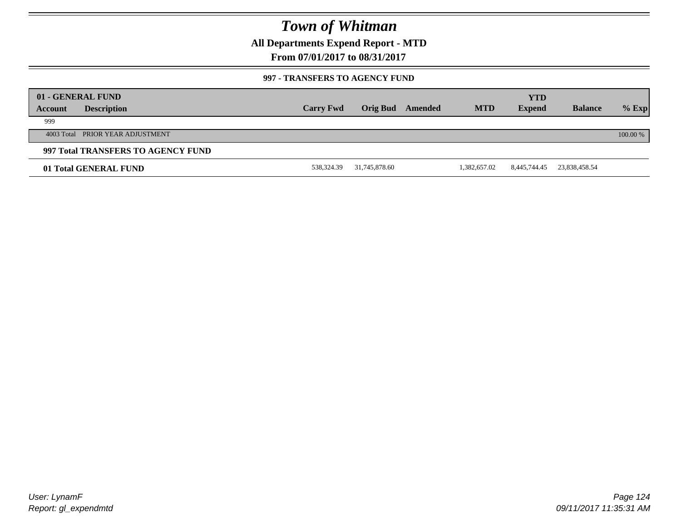**All Departments Expend Report - MTD**

**From 07/01/2017 to 08/31/2017**

### **997 - TRANSFERS TO AGENCY FUND**

|         | 01 - GENERAL FUND                  |                  |               |         |              | <b>YTD</b>    |                |          |
|---------|------------------------------------|------------------|---------------|---------|--------------|---------------|----------------|----------|
| Account | <b>Description</b>                 | <b>Carry Fwd</b> | Orig Bud      | Amended | <b>MTD</b>   | <b>Expend</b> | <b>Balance</b> | $%$ Exp  |
| 999     |                                    |                  |               |         |              |               |                |          |
|         | 4003 Total PRIOR YEAR ADJUSTMENT   |                  |               |         |              |               |                | 100.00 % |
|         | 997 Total TRANSFERS TO AGENCY FUND |                  |               |         |              |               |                |          |
|         | 01 Total GENERAL FUND              | 538,324.39       | 31,745,878.60 |         | 1,382,657.02 | 8,445,744.45  | 23,838,458.54  |          |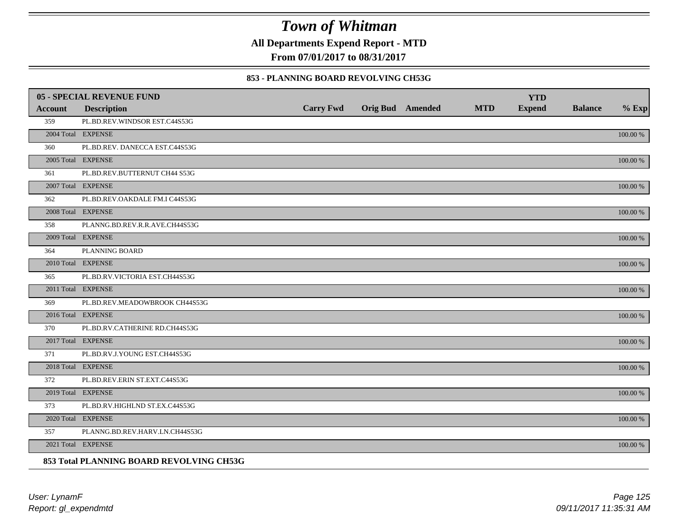**All Departments Expend Report - MTD**

**From 07/01/2017 to 08/31/2017**

#### **853 - PLANNING BOARD REVOLVING CH53G**

|         | <b>05 - SPECIAL REVENUE FUND</b>         |                  |                  |            | <b>YTD</b>    |                |             |
|---------|------------------------------------------|------------------|------------------|------------|---------------|----------------|-------------|
| Account | <b>Description</b>                       | <b>Carry Fwd</b> | Orig Bud Amended | <b>MTD</b> | <b>Expend</b> | <b>Balance</b> | $%$ Exp     |
| 359     | PL.BD.REV.WINDSOR EST.C44S53G            |                  |                  |            |               |                |             |
|         | 2004 Total EXPENSE                       |                  |                  |            |               |                | 100.00 %    |
| 360     | PL.BD.REV. DANECCA EST.C44S53G           |                  |                  |            |               |                |             |
|         | 2005 Total EXPENSE                       |                  |                  |            |               |                | 100.00 %    |
| 361     | PL.BD.REV.BUTTERNUT CH44 S53G            |                  |                  |            |               |                |             |
|         | 2007 Total EXPENSE                       |                  |                  |            |               |                | 100.00 %    |
| 362     | PL.BD.REV.OAKDALE FM.I C44S53G           |                  |                  |            |               |                |             |
|         | 2008 Total EXPENSE                       |                  |                  |            |               |                | $100.00~\%$ |
| 358     | PLANNG.BD.REV.R.R.AVE.CH44S53G           |                  |                  |            |               |                |             |
|         | 2009 Total EXPENSE                       |                  |                  |            |               |                | 100.00 %    |
| 364     | PLANNING BOARD                           |                  |                  |            |               |                |             |
|         | 2010 Total EXPENSE                       |                  |                  |            |               |                | $100.00~\%$ |
| 365     | PL.BD.RV.VICTORIA EST.CH44S53G           |                  |                  |            |               |                |             |
|         | 2011 Total EXPENSE                       |                  |                  |            |               |                | 100.00 %    |
| 369     | PL.BD.REV.MEADOWBROOK CH44S53G           |                  |                  |            |               |                |             |
|         | 2016 Total EXPENSE                       |                  |                  |            |               |                | 100.00 %    |
| 370     | PL.BD.RV.CATHERINE RD.CH44S53G           |                  |                  |            |               |                |             |
|         | 2017 Total EXPENSE                       |                  |                  |            |               |                | 100.00 %    |
| 371     | PL.BD.RV.J.YOUNG EST.CH44S53G            |                  |                  |            |               |                |             |
|         | 2018 Total EXPENSE                       |                  |                  |            |               |                | $100.00~\%$ |
| 372     | PL.BD.REV.ERIN ST.EXT.C44S53G            |                  |                  |            |               |                |             |
|         | 2019 Total EXPENSE                       |                  |                  |            |               |                | 100.00 %    |
| 373     | PL.BD.RV.HIGHLND ST.EX.C44S53G           |                  |                  |            |               |                |             |
|         | 2020 Total EXPENSE                       |                  |                  |            |               |                | 100.00 %    |
| 357     | PLANNG.BD.REV.HARV.LN.CH44S53G           |                  |                  |            |               |                |             |
|         | 2021 Total EXPENSE                       |                  |                  |            |               |                | 100.00 %    |
|         | 853 Total PLANNING BOARD REVOLVING CH53G |                  |                  |            |               |                |             |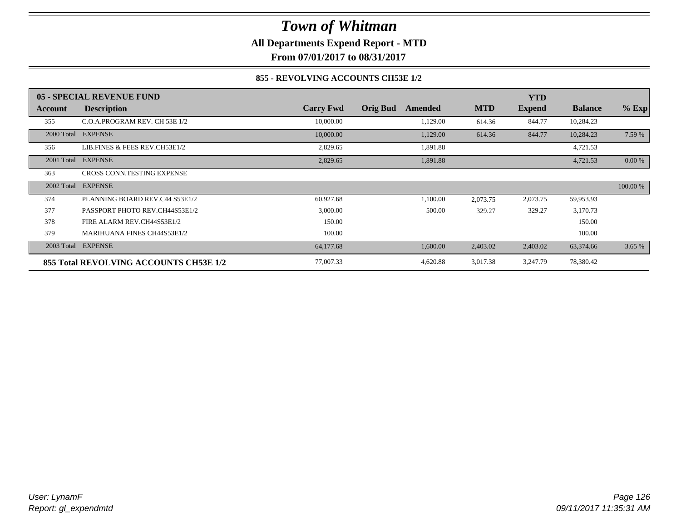**All Departments Expend Report - MTD**

**From 07/01/2017 to 08/31/2017**

### **855 - REVOLVING ACCOUNTS CH53E 1/2**

|            | 05 - SPECIAL REVENUE FUND              |                  |                            |            | <b>YTD</b>    |                |           |
|------------|----------------------------------------|------------------|----------------------------|------------|---------------|----------------|-----------|
| Account    | <b>Description</b>                     | <b>Carry Fwd</b> | <b>Orig Bud</b><br>Amended | <b>MTD</b> | <b>Expend</b> | <b>Balance</b> | $%$ Exp   |
| 355        | C.O.A.PROGRAM REV. CH 53E 1/2          | 10,000.00        | 1,129.00                   | 614.36     | 844.77        | 10,284.23      |           |
|            | 2000 Total EXPENSE                     | 10,000.00        | 1,129.00                   | 614.36     | 844.77        | 10,284.23      | 7.59 %    |
| 356        | LIB.FINES & FEES REV.CH53E1/2          | 2,829.65         | 1,891.88                   |            |               | 4,721.53       |           |
|            | 2001 Total EXPENSE                     | 2,829.65         | 1,891.88                   |            |               | 4,721.53       | $0.00 \%$ |
| 363        | CROSS CONN.TESTING EXPENSE             |                  |                            |            |               |                |           |
| 2002 Total | <b>EXPENSE</b>                         |                  |                            |            |               |                | 100.00 %  |
| 374        | PLANNING BOARD REV.C44 S53E1/2         | 60,927.68        | 1,100.00                   | 2,073.75   | 2,073.75      | 59,953.93      |           |
| 377        | PASSPORT PHOTO REV.CH44S53E1/2         | 3,000.00         | 500.00                     | 329.27     | 329.27        | 3,170.73       |           |
| 378        | FIRE ALARM REV.CH44S53E1/2             | 150.00           |                            |            |               | 150.00         |           |
| 379        | <b>MARIHUANA FINES CH44S53E1/2</b>     | 100.00           |                            |            |               | 100.00         |           |
|            | 2003 Total EXPENSE                     | 64,177.68        | 1,600.00                   | 2,403.02   | 2,403.02      | 63,374.66      | 3.65 %    |
|            | 855 Total REVOLVING ACCOUNTS CH53E 1/2 | 77,007.33        | 4,620.88                   | 3,017.38   | 3,247.79      | 78,380.42      |           |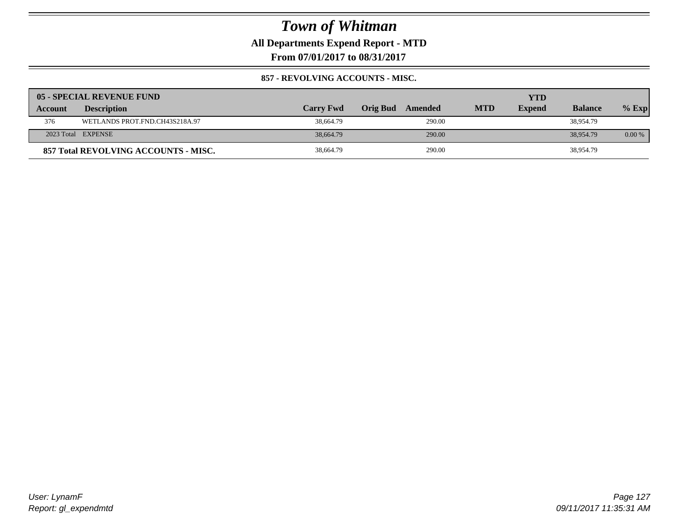**All Departments Expend Report - MTD**

**From 07/01/2017 to 08/31/2017**

### **857 - REVOLVING ACCOUNTS - MISC.**

|                | 05 - SPECIAL REVENUE FUND            |                  |                     |            | YTD           |                |          |
|----------------|--------------------------------------|------------------|---------------------|------------|---------------|----------------|----------|
| <b>Account</b> | <b>Description</b>                   | <b>Carry Fwd</b> | Orig Bud<br>Amended | <b>MTD</b> | <b>Expend</b> | <b>Balance</b> | $%$ Exp  |
| 376            | WETLANDS PROT.FND.CH43S218A.97       | 38,664.79        | 290.00              |            |               | 38,954.79      |          |
|                | 2023 Total EXPENSE                   | 38,664.79        | 290.00              |            |               | 38,954.79      | $0.00\%$ |
|                | 857 Total REVOLVING ACCOUNTS - MISC. | 38,664.79        | 290.00              |            |               | 38,954.79      |          |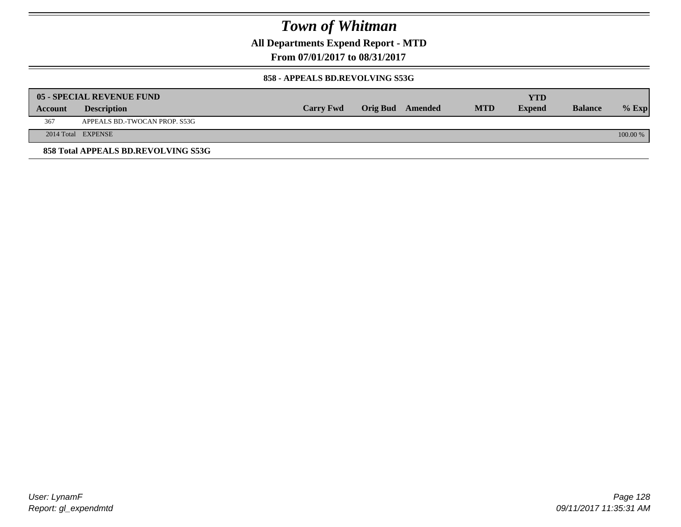**All Departments Expend Report - MTD**

**From 07/01/2017 to 08/31/2017**

#### **858 - APPEALS BD.REVOLVING S53G**

|         | 05 - SPECIAL REVENUE FUND           |                  |                  |            | YTD           |                |            |
|---------|-------------------------------------|------------------|------------------|------------|---------------|----------------|------------|
| Account | <b>Description</b>                  | <b>Carry Fwd</b> | Orig Bud Amended | <b>MTD</b> | <b>Expend</b> | <b>Balance</b> | $\%$ Exp   |
| 367     | APPEALS BD.-TWOCAN PROP. S53G       |                  |                  |            |               |                |            |
|         | 2014 Total EXPENSE                  |                  |                  |            |               |                | $100.00\%$ |
|         | 858 Total APPEALS BD.REVOLVING S53G |                  |                  |            |               |                |            |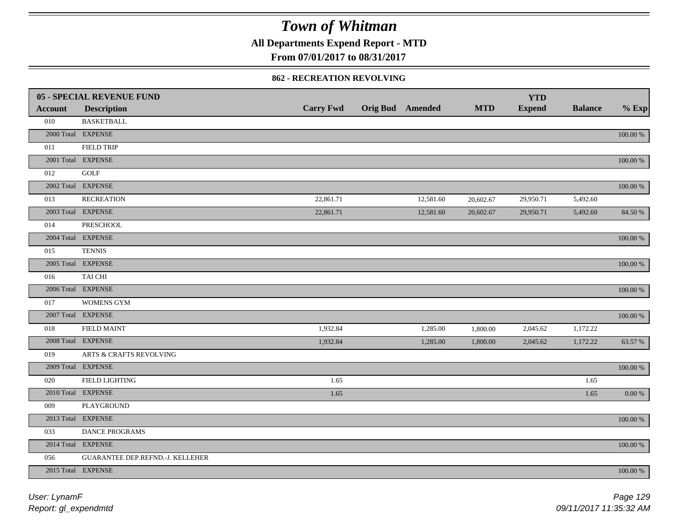**All Departments Expend Report - MTD**

**From 07/01/2017 to 08/31/2017**

#### **862 - RECREATION REVOLVING**

|                | <b>05 - SPECIAL REVENUE FUND</b> |                  |                         |            | <b>YTD</b>    |                |             |
|----------------|----------------------------------|------------------|-------------------------|------------|---------------|----------------|-------------|
| <b>Account</b> | <b>Description</b>               | <b>Carry Fwd</b> | <b>Orig Bud Amended</b> | <b>MTD</b> | <b>Expend</b> | <b>Balance</b> | $%$ Exp     |
| 010            | <b>BASKETBALL</b>                |                  |                         |            |               |                |             |
|                | 2000 Total EXPENSE               |                  |                         |            |               |                | $100.00~\%$ |
| 011            | <b>FIELD TRIP</b>                |                  |                         |            |               |                |             |
|                | 2001 Total EXPENSE               |                  |                         |            |               |                | $100.00~\%$ |
| 012            | <b>GOLF</b>                      |                  |                         |            |               |                |             |
|                | 2002 Total EXPENSE               |                  |                         |            |               |                | 100.00 %    |
| 013            | <b>RECREATION</b>                | 22,861.71        | 12,581.60               | 20,602.67  | 29,950.71     | 5,492.60       |             |
|                | 2003 Total EXPENSE               | 22,861.71        | 12,581.60               | 20,602.67  | 29,950.71     | 5,492.60       | 84.50 %     |
| 014            | PRESCHOOL                        |                  |                         |            |               |                |             |
|                | 2004 Total EXPENSE               |                  |                         |            |               |                | 100.00 %    |
| 015            | <b>TENNIS</b>                    |                  |                         |            |               |                |             |
|                | 2005 Total EXPENSE               |                  |                         |            |               |                | $100.00~\%$ |
| 016            | TAI CHI                          |                  |                         |            |               |                |             |
|                | 2006 Total EXPENSE               |                  |                         |            |               |                | 100.00 %    |
| 017            | <b>WOMENS GYM</b>                |                  |                         |            |               |                |             |
|                | 2007 Total EXPENSE               |                  |                         |            |               |                | $100.00~\%$ |
| 018            | <b>FIELD MAINT</b>               | 1,932.84         | 1,285.00                | 1,800.00   | 2,045.62      | 1,172.22       |             |
|                | 2008 Total EXPENSE               | 1,932.84         | 1,285.00                | 1,800.00   | 2,045.62      | 1,172.22       | 63.57 %     |
| 019            | ARTS & CRAFTS REVOLVING          |                  |                         |            |               |                |             |
|                | 2009 Total EXPENSE               |                  |                         |            |               |                | $100.00~\%$ |
| 020            | FIELD LIGHTING                   | 1.65             |                         |            |               | 1.65           |             |
|                | 2010 Total EXPENSE               | 1.65             |                         |            |               | 1.65           | 0.00 %      |
| 009            | PLAYGROUND                       |                  |                         |            |               |                |             |
|                | 2013 Total EXPENSE               |                  |                         |            |               |                | 100.00 %    |
| 033            | DANCE PROGRAMS                   |                  |                         |            |               |                |             |
|                | 2014 Total EXPENSE               |                  |                         |            |               |                | 100.00 %    |
| 056            | GUARANTEE DEP.REFND.-J. KELLEHER |                  |                         |            |               |                |             |
|                | 2015 Total EXPENSE               |                  |                         |            |               |                | 100.00 %    |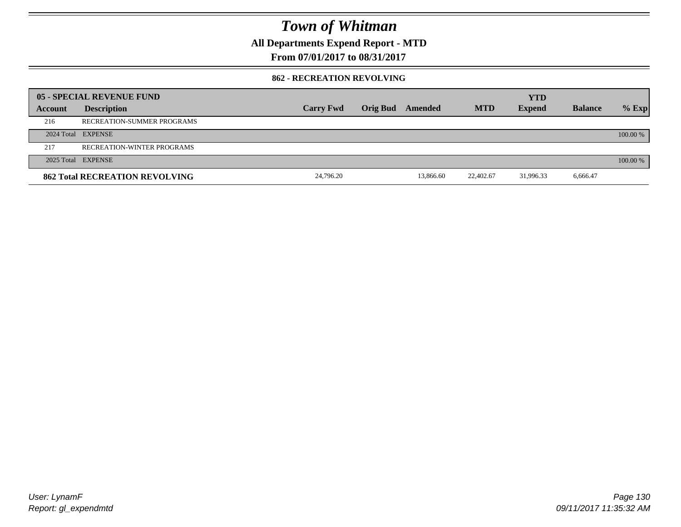**All Departments Expend Report - MTD**

**From 07/01/2017 to 08/31/2017**

#### **862 - RECREATION REVOLVING**

|         | 05 - SPECIAL REVENUE FUND             |                  |                         |            | <b>YTD</b>    |                |          |
|---------|---------------------------------------|------------------|-------------------------|------------|---------------|----------------|----------|
| Account | <b>Description</b>                    | <b>Carry Fwd</b> | <b>Orig Bud</b> Amended | <b>MTD</b> | <b>Expend</b> | <b>Balance</b> | $%$ Exp  |
| 216     | RECREATION-SUMMER PROGRAMS            |                  |                         |            |               |                |          |
|         | 2024 Total EXPENSE                    |                  |                         |            |               |                | 100.00 % |
| 217     | <b>RECREATION-WINTER PROGRAMS</b>     |                  |                         |            |               |                |          |
|         | 2025 Total EXPENSE                    |                  |                         |            |               |                | 100.00 % |
|         | <b>862 Total RECREATION REVOLVING</b> | 24,796.20        | 13,866.60               | 22,402.67  | 31,996.33     | 6,666.47       |          |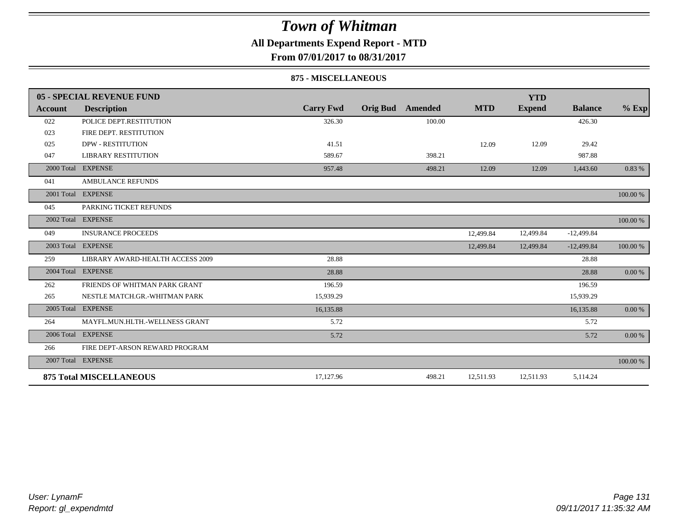### **All Departments Expend Report - MTD**

**From 07/01/2017 to 08/31/2017**

#### **875 - MISCELLANEOUS**

|            | 05 - SPECIAL REVENUE FUND        |                  |                 |         |            | <b>YTD</b>    |                |           |
|------------|----------------------------------|------------------|-----------------|---------|------------|---------------|----------------|-----------|
| Account    | <b>Description</b>               | <b>Carry Fwd</b> | <b>Orig Bud</b> | Amended | <b>MTD</b> | <b>Expend</b> | <b>Balance</b> | $%$ Exp   |
| 022        | POLICE DEPT.RESTITUTION          | 326.30           |                 | 100.00  |            |               | 426.30         |           |
| 023        | FIRE DEPT. RESTITUTION           |                  |                 |         |            |               |                |           |
| 025        | <b>DPW - RESTITUTION</b>         | 41.51            |                 |         | 12.09      | 12.09         | 29.42          |           |
| 047        | <b>LIBRARY RESTITUTION</b>       | 589.67           |                 | 398.21  |            |               | 987.88         |           |
| 2000 Total | <b>EXPENSE</b>                   | 957.48           |                 | 498.21  | 12.09      | 12.09         | 1,443.60       | 0.83 %    |
| 041        | <b>AMBULANCE REFUNDS</b>         |                  |                 |         |            |               |                |           |
|            | 2001 Total EXPENSE               |                  |                 |         |            |               |                | 100.00 %  |
| 045        | PARKING TICKET REFUNDS           |                  |                 |         |            |               |                |           |
|            | 2002 Total EXPENSE               |                  |                 |         |            |               |                | 100.00 %  |
| 049        | <b>INSURANCE PROCEEDS</b>        |                  |                 |         | 12,499.84  | 12,499.84     | $-12,499.84$   |           |
|            | 2003 Total EXPENSE               |                  |                 |         | 12,499.84  | 12,499.84     | $-12,499.84$   | 100.00 %  |
| 259        | LIBRARY AWARD-HEALTH ACCESS 2009 | 28.88            |                 |         |            |               | 28.88          |           |
|            | 2004 Total EXPENSE               | 28.88            |                 |         |            |               | 28.88          | $0.00 \%$ |
| 262        | FRIENDS OF WHITMAN PARK GRANT    | 196.59           |                 |         |            |               | 196.59         |           |
| 265        | NESTLE MATCH.GR.-WHITMAN PARK    | 15,939.29        |                 |         |            |               | 15,939.29      |           |
| 2005 Total | <b>EXPENSE</b>                   | 16,135.88        |                 |         |            |               | 16,135.88      | 0.00 %    |
| 264        | MAYFL.MUN.HLTH.-WELLNESS GRANT   | 5.72             |                 |         |            |               | 5.72           |           |
|            | 2006 Total EXPENSE               | 5.72             |                 |         |            |               | 5.72           | 0.00 %    |
| 266        | FIRE DEPT-ARSON REWARD PROGRAM   |                  |                 |         |            |               |                |           |
|            | 2007 Total EXPENSE               |                  |                 |         |            |               |                | 100.00 %  |
|            | <b>875 Total MISCELLANEOUS</b>   | 17,127.96        |                 | 498.21  | 12,511.93  | 12,511.93     | 5,114.24       |           |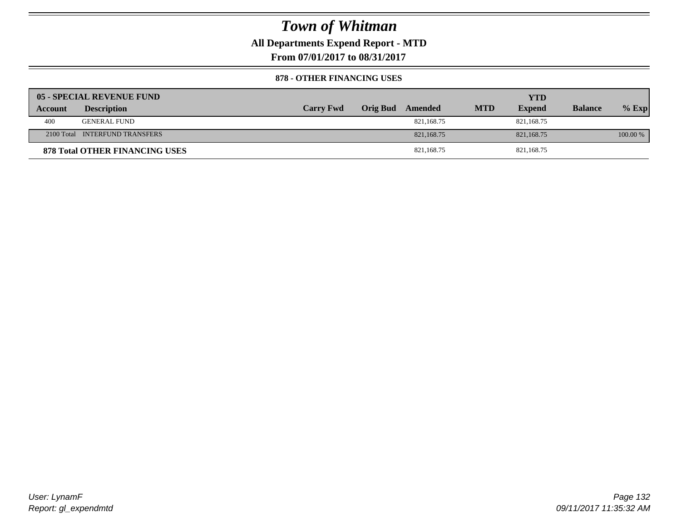**All Departments Expend Report - MTD**

**From 07/01/2017 to 08/31/2017**

#### **878 - OTHER FINANCING USES**

|         | 05 - SPECIAL REVENUE FUND             |                  |                  |            | YTD           |                |          |
|---------|---------------------------------------|------------------|------------------|------------|---------------|----------------|----------|
| Account | <b>Description</b>                    | <b>Carry Fwd</b> | Orig Bud Amended | <b>MTD</b> | <b>Expend</b> | <b>Balance</b> | $%$ Exp  |
| 400     | <b>GENERAL FUND</b>                   |                  | 821,168.75       |            | 821.168.75    |                |          |
|         | 2100 Total INTERFUND TRANSFERS        |                  | 821, 168, 75     |            | 821,168.75    |                | 100.00 % |
|         | <b>878 Total OTHER FINANCING USES</b> |                  | 821,168.75       |            | 821,168.75    |                |          |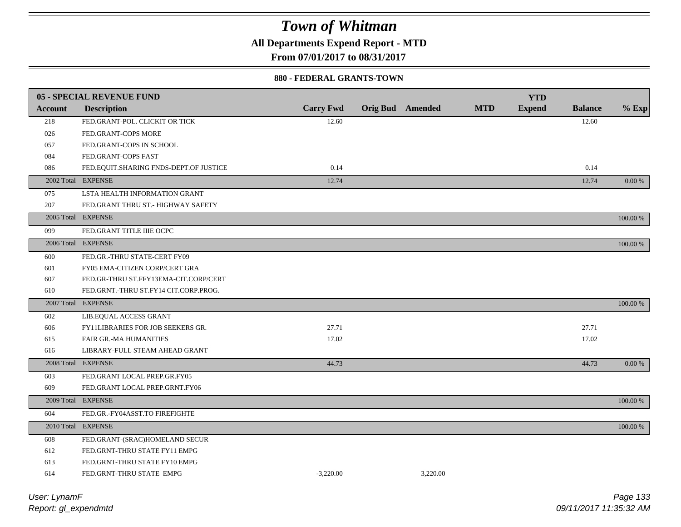**All Departments Expend Report - MTD**

**From 07/01/2017 to 08/31/2017**

#### **880 - FEDERAL GRANTS-TOWN**

|                | 05 - SPECIAL REVENUE FUND              |                  |                         |          |            | <b>YTD</b>    |                |          |
|----------------|----------------------------------------|------------------|-------------------------|----------|------------|---------------|----------------|----------|
| <b>Account</b> | <b>Description</b>                     | <b>Carry Fwd</b> | <b>Orig Bud</b> Amended |          | <b>MTD</b> | <b>Expend</b> | <b>Balance</b> | $%$ Exp  |
| 218            | FED.GRANT-POL. CLICKIT OR TICK         | 12.60            |                         |          |            |               | 12.60          |          |
| 026            | FED.GRANT-COPS MORE                    |                  |                         |          |            |               |                |          |
| 057            | FED.GRANT-COPS IN SCHOOL               |                  |                         |          |            |               |                |          |
| 084            | FED.GRANT-COPS FAST                    |                  |                         |          |            |               |                |          |
| 086            | FED.EQUIT.SHARING FNDS-DEPT.OF JUSTICE | 0.14             |                         |          |            |               | 0.14           |          |
|                | 2002 Total EXPENSE                     | 12.74            |                         |          |            |               | 12.74          | $0.00\%$ |
| 075            | LSTA HEALTH INFORMATION GRANT          |                  |                         |          |            |               |                |          |
| 207            | FED.GRANT THRU ST.- HIGHWAY SAFETY     |                  |                         |          |            |               |                |          |
|                | 2005 Total EXPENSE                     |                  |                         |          |            |               |                | 100.00 % |
| 099            | FED.GRANT TITLE IIIE OCPC              |                  |                         |          |            |               |                |          |
|                | 2006 Total EXPENSE                     |                  |                         |          |            |               |                | 100.00 % |
| 600            | FED.GR.-THRU STATE-CERT FY09           |                  |                         |          |            |               |                |          |
| 601            | FY05 EMA-CITIZEN CORP/CERT GRA         |                  |                         |          |            |               |                |          |
| 607            | FED.GR-THRU ST.FFY13EMA-CIT.CORP/CERT  |                  |                         |          |            |               |                |          |
| 610            | FED.GRNT.-THRU ST.FY14 CIT.CORP.PROG.  |                  |                         |          |            |               |                |          |
|                | 2007 Total EXPENSE                     |                  |                         |          |            |               |                | 100.00 % |
| 602            | LIB.EQUAL ACCESS GRANT                 |                  |                         |          |            |               |                |          |
| 606            | FY11LIBRARIES FOR JOB SEEKERS GR.      | 27.71            |                         |          |            |               | 27.71          |          |
| 615            | <b>FAIR GR.-MA HUMANITIES</b>          | 17.02            |                         |          |            |               | 17.02          |          |
| 616            | LIBRARY-FULL STEAM AHEAD GRANT         |                  |                         |          |            |               |                |          |
|                | 2008 Total EXPENSE                     | 44.73            |                         |          |            |               | 44.73          | $0.00\%$ |
| 603            | FED.GRANT LOCAL PREP.GR.FY05           |                  |                         |          |            |               |                |          |
| 609            | FED.GRANT LOCAL PREP.GRNT.FY06         |                  |                         |          |            |               |                |          |
|                | 2009 Total EXPENSE                     |                  |                         |          |            |               |                | 100.00 % |
| 604            | FED.GR.-FY04ASST.TO FIREFIGHTE         |                  |                         |          |            |               |                |          |
|                | 2010 Total EXPENSE                     |                  |                         |          |            |               |                | 100.00 % |
| 608            | FED.GRANT-(SRAC)HOMELAND SECUR         |                  |                         |          |            |               |                |          |
| 612            | FED.GRNT-THRU STATE FY11 EMPG          |                  |                         |          |            |               |                |          |
| 613            | FED.GRNT-THRU STATE FY10 EMPG          |                  |                         |          |            |               |                |          |
| 614            | FED.GRNT-THRU STATE EMPG               | $-3.220.00$      |                         | 3.220.00 |            |               |                |          |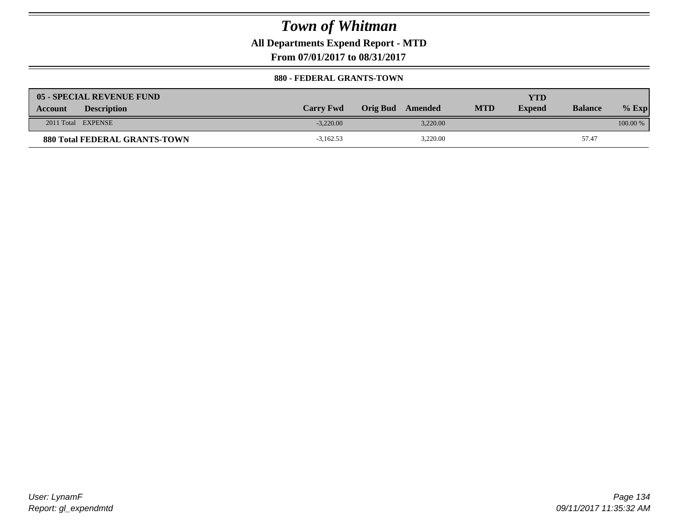**All Departments Expend Report - MTD**

**From 07/01/2017 to 08/31/2017**

#### **880 - FEDERAL GRANTS-TOWN**

| 05 - SPECIAL REVENUE FUND            |                  |                     |            | YTD           |                |            |
|--------------------------------------|------------------|---------------------|------------|---------------|----------------|------------|
| <b>Description</b><br><b>Account</b> | <b>Carry Fwd</b> | Orig Bud<br>Amended | <b>MTD</b> | <b>Expend</b> | <b>Balance</b> | $%$ Exp    |
| 2011 Total EXPENSE                   | $-3.220.00$      | 3.220.00            |            |               |                | $100.00\%$ |
| <b>880 Total FEDERAL GRANTS-TOWN</b> | $-3,162.53$      | 3,220.00            |            |               | 57.47          |            |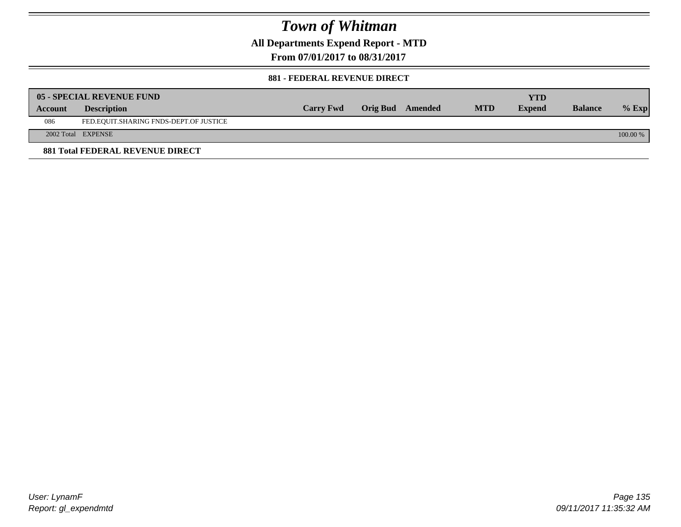**All Departments Expend Report - MTD**

**From 07/01/2017 to 08/31/2017**

#### **881 - FEDERAL REVENUE DIRECT**

|         | <b>05 - SPECIAL REVENUE FUND</b>        |                  |                  |            | YTD           |                |            |
|---------|-----------------------------------------|------------------|------------------|------------|---------------|----------------|------------|
| Account | <b>Description</b>                      | <b>Carry Fwd</b> | Orig Bud Amended | <b>MTD</b> | <b>Expend</b> | <b>Balance</b> | $%$ Exp    |
| 086     | FED.EQUIT.SHARING FNDS-DEPT.OF JUSTICE  |                  |                  |            |               |                |            |
|         | 2002 Total EXPENSE                      |                  |                  |            |               |                | $100.00\%$ |
|         | <b>881 Total FEDERAL REVENUE DIRECT</b> |                  |                  |            |               |                |            |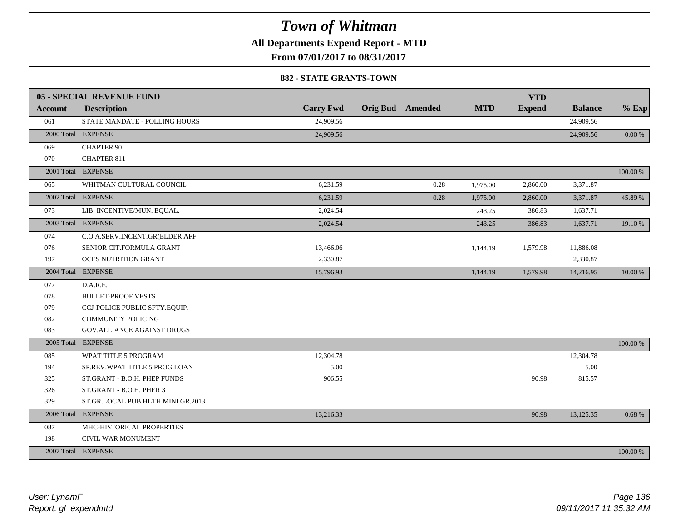**All Departments Expend Report - MTD**

**From 07/01/2017 to 08/31/2017**

#### **882 - STATE GRANTS-TOWN**

|         | <b>05 - SPECIAL REVENUE FUND</b>  |                  |                         |            | <b>YTD</b>    |                |          |
|---------|-----------------------------------|------------------|-------------------------|------------|---------------|----------------|----------|
| Account | <b>Description</b>                | <b>Carry Fwd</b> | <b>Orig Bud</b> Amended | <b>MTD</b> | <b>Expend</b> | <b>Balance</b> | $%$ Exp  |
| 061     | STATE MANDATE - POLLING HOURS     | 24,909.56        |                         |            |               | 24,909.56      |          |
|         | 2000 Total EXPENSE                | 24,909.56        |                         |            |               | 24,909.56      | 0.00 %   |
| 069     | <b>CHAPTER 90</b>                 |                  |                         |            |               |                |          |
| 070     | <b>CHAPTER 811</b>                |                  |                         |            |               |                |          |
|         | 2001 Total EXPENSE                |                  |                         |            |               |                | 100.00 % |
| 065     | WHITMAN CULTURAL COUNCIL          | 6,231.59         | 0.28                    | 1,975.00   | 2,860.00      | 3,371.87       |          |
|         | 2002 Total EXPENSE                | 6,231.59         | 0.28                    | 1,975.00   | 2,860.00      | 3,371.87       | 45.89 %  |
| 073     | LIB. INCENTIVE/MUN. EQUAL.        | 2,024.54         |                         | 243.25     | 386.83        | 1,637.71       |          |
|         | 2003 Total EXPENSE                | 2,024.54         |                         | 243.25     | 386.83        | 1,637.71       | 19.10 %  |
| 074     | C.O.A.SERV.INCENT.GR(ELDER AFF    |                  |                         |            |               |                |          |
| 076     | SENIOR CIT.FORMULA GRANT          | 13,466.06        |                         | 1,144.19   | 1,579.98      | 11,886.08      |          |
| 197     | <b>OCES NUTRITION GRANT</b>       | 2,330.87         |                         |            |               | 2,330.87       |          |
|         | 2004 Total EXPENSE                | 15,796.93        |                         | 1,144.19   | 1,579.98      | 14,216.95      | 10.00 %  |
| 077     | D.A.R.E.                          |                  |                         |            |               |                |          |
| 078     | <b>BULLET-PROOF VESTS</b>         |                  |                         |            |               |                |          |
| 079     | CCJ-POLICE PUBLIC SFTY.EQUIP.     |                  |                         |            |               |                |          |
| 082     | <b>COMMUNITY POLICING</b>         |                  |                         |            |               |                |          |
| 083     | GOV.ALLIANCE AGAINST DRUGS        |                  |                         |            |               |                |          |
|         | 2005 Total EXPENSE                |                  |                         |            |               |                | 100.00 % |
| 085     | WPAT TITLE 5 PROGRAM              | 12,304.78        |                         |            |               | 12,304.78      |          |
| 194     | SP.REV.WPAT TITLE 5 PROG.LOAN     | 5.00             |                         |            |               | 5.00           |          |
| 325     | ST.GRANT - B.O.H. PHEP FUNDS      | 906.55           |                         |            | 90.98         | 815.57         |          |
| 326     | ST.GRANT - B.O.H. PHER 3          |                  |                         |            |               |                |          |
| 329     | ST.GR.LOCAL PUB.HLTH.MINI GR.2013 |                  |                         |            |               |                |          |
|         | 2006 Total EXPENSE                | 13,216.33        |                         |            | 90.98         | 13,125.35      | 0.68%    |
| 087     | MHC-HISTORICAL PROPERTIES         |                  |                         |            |               |                |          |
| 198     | CIVIL WAR MONUMENT                |                  |                         |            |               |                |          |
|         | 2007 Total EXPENSE                |                  |                         |            |               |                | 100.00 % |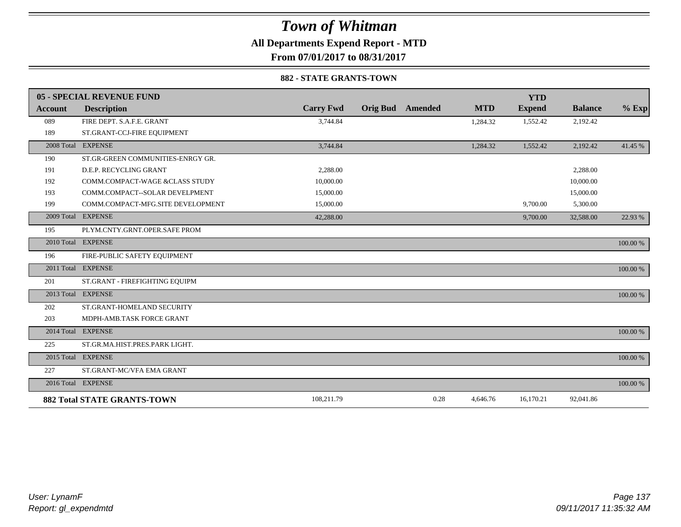**All Departments Expend Report - MTD**

**From 07/01/2017 to 08/31/2017**

#### **882 - STATE GRANTS-TOWN**

|            | 05 - SPECIAL REVENUE FUND          |                  |                 |         |            | <b>YTD</b>    |                |          |
|------------|------------------------------------|------------------|-----------------|---------|------------|---------------|----------------|----------|
| Account    | <b>Description</b>                 | <b>Carry Fwd</b> | <b>Orig Bud</b> | Amended | <b>MTD</b> | <b>Expend</b> | <b>Balance</b> | $%$ Exp  |
| 089        | FIRE DEPT. S.A.F.E. GRANT          | 3,744.84         |                 |         | 1,284.32   | 1,552.42      | 2,192.42       |          |
| 189        | ST.GRANT-CCJ-FIRE EQUIPMENT        |                  |                 |         |            |               |                |          |
|            | 2008 Total EXPENSE                 | 3,744.84         |                 |         | 1,284.32   | 1,552.42      | 2,192.42       | 41.45 %  |
| 190        | ST.GR-GREEN COMMUNITIES-ENRGY GR.  |                  |                 |         |            |               |                |          |
| 191        | D.E.P. RECYCLING GRANT             | 2.288.00         |                 |         |            |               | 2,288.00       |          |
| 192        | COMM.COMPACT-WAGE &CLASS STUDY     | 10,000.00        |                 |         |            |               | 10,000.00      |          |
| 193        | COMM.COMPACT--SOLAR DEVELPMENT     | 15,000.00        |                 |         |            |               | 15,000.00      |          |
| 199        | COMM.COMPACT-MFG.SITE DEVELOPMENT  | 15,000.00        |                 |         |            | 9,700.00      | 5,300.00       |          |
| 2009 Total | <b>EXPENSE</b>                     | 42,288.00        |                 |         |            | 9,700.00      | 32,588.00      | 22.93 %  |
| 195        | PLYM.CNTY.GRNT.OPER.SAFE PROM      |                  |                 |         |            |               |                |          |
|            | 2010 Total EXPENSE                 |                  |                 |         |            |               |                | 100.00 % |
| 196        | FIRE-PUBLIC SAFETY EQUIPMENT       |                  |                 |         |            |               |                |          |
|            | 2011 Total EXPENSE                 |                  |                 |         |            |               |                | 100.00 % |
| 201        | ST.GRANT - FIREFIGHTING EQUIPM     |                  |                 |         |            |               |                |          |
|            | 2013 Total EXPENSE                 |                  |                 |         |            |               |                | 100.00 % |
| 202        | ST.GRANT-HOMELAND SECURITY         |                  |                 |         |            |               |                |          |
| 203        | MDPH-AMB.TASK FORCE GRANT          |                  |                 |         |            |               |                |          |
|            | 2014 Total EXPENSE                 |                  |                 |         |            |               |                | 100.00 % |
| 225        | ST.GR.MA.HIST.PRES.PARK LIGHT.     |                  |                 |         |            |               |                |          |
|            | 2015 Total EXPENSE                 |                  |                 |         |            |               |                | 100.00 % |
| 227        | ST.GRANT-MC/VFA EMA GRANT          |                  |                 |         |            |               |                |          |
|            | 2016 Total EXPENSE                 |                  |                 |         |            |               |                | 100.00 % |
|            | <b>882 Total STATE GRANTS-TOWN</b> | 108,211.79       |                 | 0.28    | 4,646.76   | 16,170.21     | 92,041.86      |          |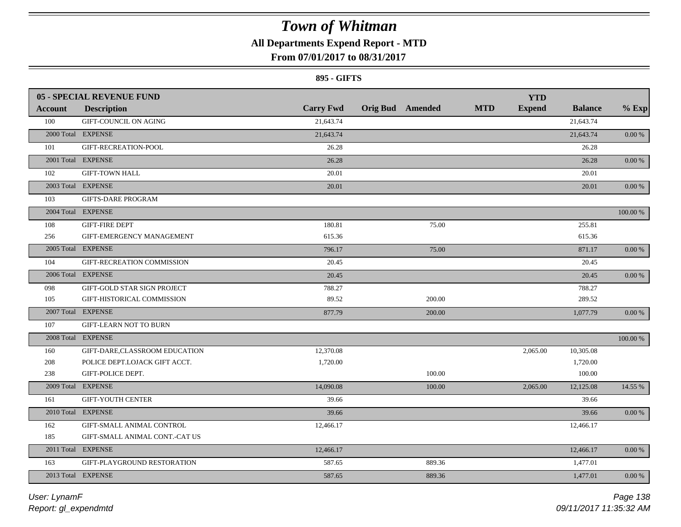### **All Departments Expend Report - MTD**

### **From 07/01/2017 to 08/31/2017**

#### **895 - GIFTS**

|         | <b>05 - SPECIAL REVENUE FUND</b> |                  |                         |            | <b>YTD</b>    |                |             |
|---------|----------------------------------|------------------|-------------------------|------------|---------------|----------------|-------------|
| Account | <b>Description</b>               | <b>Carry Fwd</b> | <b>Orig Bud Amended</b> | <b>MTD</b> | <b>Expend</b> | <b>Balance</b> | $%$ Exp     |
| 100     | GIFT-COUNCIL ON AGING            | 21,643.74        |                         |            |               | 21,643.74      |             |
|         | 2000 Total EXPENSE               | 21,643.74        |                         |            |               | 21,643.74      | 0.00 %      |
| 101     | GIFT-RECREATION-POOL             | 26.28            |                         |            |               | 26.28          |             |
|         | 2001 Total EXPENSE               | 26.28            |                         |            |               | 26.28          | $0.00\ \%$  |
| 102     | <b>GIFT-TOWN HALL</b>            | 20.01            |                         |            |               | 20.01          |             |
|         | 2003 Total EXPENSE               | 20.01            |                         |            |               | 20.01          | 0.00 %      |
| 103     | <b>GIFTS-DARE PROGRAM</b>        |                  |                         |            |               |                |             |
|         | 2004 Total EXPENSE               |                  |                         |            |               |                | 100.00 %    |
| 108     | <b>GIFT-FIRE DEPT</b>            | 180.81           | 75.00                   |            |               | 255.81         |             |
| 256     | GIFT-EMERGENCY MANAGEMENT        | 615.36           |                         |            |               | 615.36         |             |
|         | 2005 Total EXPENSE               | 796.17           | 75.00                   |            |               | 871.17         | $0.00\ \%$  |
| 104     | GIFT-RECREATION COMMISSION       | 20.45            |                         |            |               | 20.45          |             |
|         | 2006 Total EXPENSE               | 20.45            |                         |            |               | 20.45          | $0.00\,\%$  |
| 098     | GIFT-GOLD STAR SIGN PROJECT      | 788.27           |                         |            |               | 788.27         |             |
| 105     | GIFT-HISTORICAL COMMISSION       | 89.52            | 200.00                  |            |               | 289.52         |             |
|         | 2007 Total EXPENSE               | 877.79           | 200.00                  |            |               | 1,077.79       | 0.00 %      |
| 107     | <b>GIFT-LEARN NOT TO BURN</b>    |                  |                         |            |               |                |             |
|         | 2008 Total EXPENSE               |                  |                         |            |               |                | $100.00~\%$ |
| 160     | GIFT-DARE, CLASSROOM EDUCATION   | 12,370.08        |                         |            | 2,065.00      | 10,305.08      |             |
| 208     | POLICE DEPT.LOJACK GIFT ACCT.    | 1,720.00         |                         |            |               | 1,720.00       |             |
| 238     | GIFT-POLICE DEPT.                |                  | 100.00                  |            |               | 100.00         |             |
|         | 2009 Total EXPENSE               | 14,090.08        | 100.00                  |            | 2,065.00      | 12,125.08      | 14.55 %     |
| 161     | <b>GIFT-YOUTH CENTER</b>         | 39.66            |                         |            |               | 39.66          |             |
|         | 2010 Total EXPENSE               | 39.66            |                         |            |               | 39.66          | 0.00 %      |
| 162     | GIFT-SMALL ANIMAL CONTROL        | 12,466.17        |                         |            |               | 12,466.17      |             |
| 185     | GIFT-SMALL ANIMAL CONT.-CAT US   |                  |                         |            |               |                |             |
|         | 2011 Total EXPENSE               | 12,466.17        |                         |            |               | 12,466.17      | 0.00 %      |
| 163     | GIFT-PLAYGROUND RESTORATION      | 587.65           | 889.36                  |            |               | 1,477.01       |             |
|         | 2013 Total EXPENSE               | 587.65           | 889.36                  |            |               | 1,477.01       | 0.00 %      |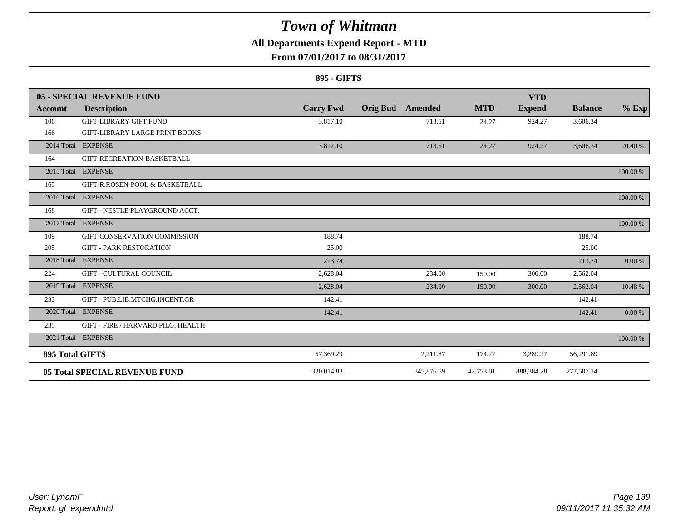### **All Departments Expend Report - MTD**

### **From 07/01/2017 to 08/31/2017**

#### **895 - GIFTS**

|                 | 05 - SPECIAL REVENUE FUND             |                  |                 |            |            | <b>YTD</b>    |                |          |
|-----------------|---------------------------------------|------------------|-----------------|------------|------------|---------------|----------------|----------|
| Account         | <b>Description</b>                    | <b>Carry Fwd</b> | <b>Orig Bud</b> | Amended    | <b>MTD</b> | <b>Expend</b> | <b>Balance</b> | $%$ Exp  |
| 106             | <b>GIFT-LIBRARY GIFT FUND</b>         | 3,817.10         |                 | 713.51     | 24.27      | 924.27        | 3,606.34       |          |
| 166             | <b>GIFT-LIBRARY LARGE PRINT BOOKS</b> |                  |                 |            |            |               |                |          |
|                 | 2014 Total EXPENSE                    | 3,817.10         |                 | 713.51     | 24.27      | 924.27        | 3,606.34       | 20.40 %  |
| 164             | GIFT-RECREATION-BASKETBALL            |                  |                 |            |            |               |                |          |
|                 | 2015 Total EXPENSE                    |                  |                 |            |            |               |                | 100.00 % |
| 165             | GIFT-R.ROSEN-POOL & BASKETBALL        |                  |                 |            |            |               |                |          |
|                 | 2016 Total EXPENSE                    |                  |                 |            |            |               |                | 100.00 % |
| 168             | GIFT - NESTLE PLAYGROUND ACCT.        |                  |                 |            |            |               |                |          |
| 2017 Total      | <b>EXPENSE</b>                        |                  |                 |            |            |               |                | 100.00 % |
| 109             | GIFT-CONSERVATION COMMISSION          | 188.74           |                 |            |            |               | 188.74         |          |
| 205             | <b>GIFT - PARK RESTORATION</b>        | 25.00            |                 |            |            |               | 25.00          |          |
| 2018 Total      | <b>EXPENSE</b>                        | 213.74           |                 |            |            |               | 213.74         | 0.00 %   |
| 224             | <b>GIFT - CULTURAL COUNCIL</b>        | 2,628.04         |                 | 234.00     | 150.00     | 300.00        | 2,562.04       |          |
|                 | 2019 Total EXPENSE                    | 2,628.04         |                 | 234.00     | 150.00     | 300.00        | 2,562.04       | 10.48 %  |
| 233             | GIFT - PUB.LIB.MTCHG.INCENT.GR        | 142.41           |                 |            |            |               | 142.41         |          |
|                 | 2020 Total EXPENSE                    | 142.41           |                 |            |            |               | 142.41         | 0.00 %   |
| 235             | GIFT - FIRE / HARVARD PILG. HEALTH    |                  |                 |            |            |               |                |          |
|                 | 2021 Total EXPENSE                    |                  |                 |            |            |               |                | 100.00 % |
| 895 Total GIFTS |                                       | 57,369.29        |                 | 2,211.87   | 174.27     | 3,289.27      | 56,291.89      |          |
|                 | <b>05 Total SPECIAL REVENUE FUND</b>  | 320,014.83       |                 | 845,876.59 | 42,753.01  | 888,384.28    | 277,507.14     |          |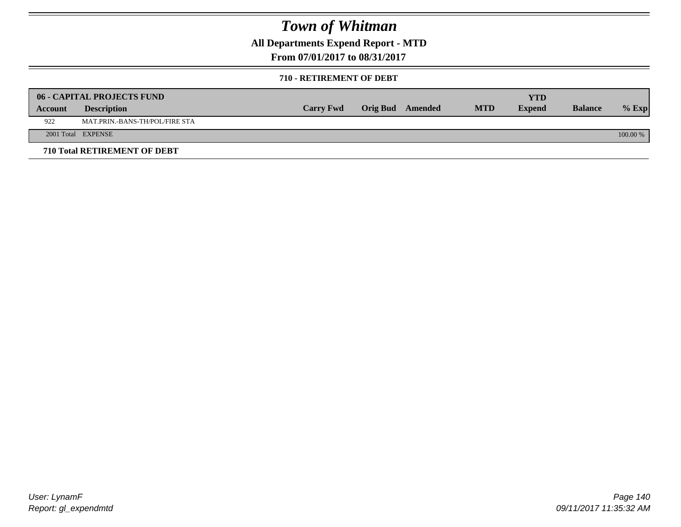**All Departments Expend Report - MTD**

**From 07/01/2017 to 08/31/2017**

#### **710 - RETIREMENT OF DEBT**

|         | <b>06 - CAPITAL PROJECTS FUND</b>     |                  |                  |            | <b>YTD</b>    |                |            |
|---------|---------------------------------------|------------------|------------------|------------|---------------|----------------|------------|
| Account | <b>Description</b>                    | <b>Carry Fwd</b> | Orig Bud Amended | <b>MTD</b> | <b>Expend</b> | <b>Balance</b> | $%$ Exp    |
| 922     | <b>MAT.PRIN.-BANS-TH/POL/FIRE STA</b> |                  |                  |            |               |                |            |
|         | 2001 Total EXPENSE                    |                  |                  |            |               |                | $100.00\%$ |
|         | 710 Total RETIREMENT OF DEBT          |                  |                  |            |               |                |            |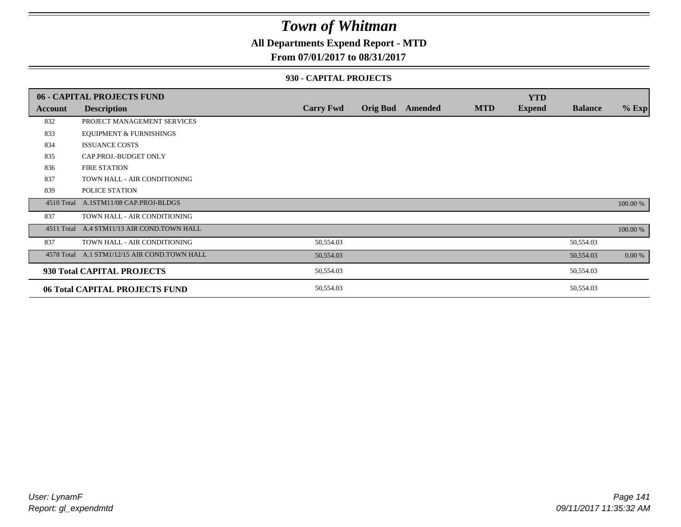### **All Departments Expend Report - MTD**

#### **From 07/01/2017 to 08/31/2017**

#### **930 - CAPITAL PROJECTS**

|            | 06 - CAPITAL PROJECTS FUND                   |                  |                 |         |            | <b>YTD</b>    |                |          |
|------------|----------------------------------------------|------------------|-----------------|---------|------------|---------------|----------------|----------|
| Account    | <b>Description</b>                           | <b>Carry Fwd</b> | <b>Orig Bud</b> | Amended | <b>MTD</b> | <b>Expend</b> | <b>Balance</b> | $%$ Exp  |
| 832        | PROJECT MANAGEMENT SERVICES                  |                  |                 |         |            |               |                |          |
| 833        | <b>EQUIPMENT &amp; FURNISHINGS</b>           |                  |                 |         |            |               |                |          |
| 834        | <b>ISSUANCE COSTS</b>                        |                  |                 |         |            |               |                |          |
| 835        | CAP.PROJ.-BUDGET ONLY                        |                  |                 |         |            |               |                |          |
| 836        | <b>FIRE STATION</b>                          |                  |                 |         |            |               |                |          |
| 837        | TOWN HALL - AIR CONDITIONING                 |                  |                 |         |            |               |                |          |
| 839        | POLICE STATION                               |                  |                 |         |            |               |                |          |
|            | 4510 Total A.1STM11/08 CAP.PROJ-BLDGS        |                  |                 |         |            |               |                | 100.00 % |
| 837        | TOWN HALL - AIR CONDITIONING                 |                  |                 |         |            |               |                |          |
| 4511 Total | A.4 STM11/13 AIR COND.TOWN HALL              |                  |                 |         |            |               |                | 100.00 % |
| 837        | TOWN HALL - AIR CONDITIONING                 | 50,554.03        |                 |         |            |               | 50,554.03      |          |
|            | 4578 Total A.1 STM1/12/15 AIR COND.TOWN HALL | 50,554.03        |                 |         |            |               | 50,554.03      | 0.00 %   |
|            | 930 Total CAPITAL PROJECTS                   | 50,554.03        |                 |         |            |               | 50,554.03      |          |
|            | 06 Total CAPITAL PROJECTS FUND               | 50,554.03        |                 |         |            |               | 50,554.03      |          |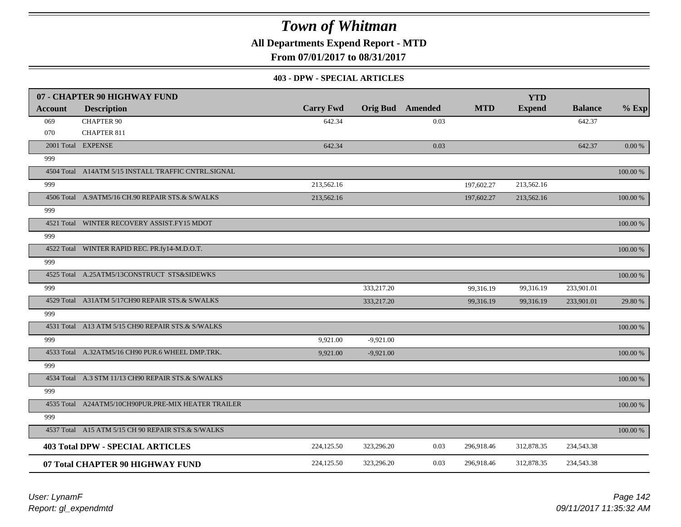**All Departments Expend Report - MTD**

**From 07/01/2017 to 08/31/2017**

#### **403 - DPW - SPECIAL ARTICLES**

|                | 07 - CHAPTER 90 HIGHWAY FUND                        |                  |             |                         |            | <b>YTD</b>    |                |             |
|----------------|-----------------------------------------------------|------------------|-------------|-------------------------|------------|---------------|----------------|-------------|
| <b>Account</b> | <b>Description</b>                                  | <b>Carry Fwd</b> |             | <b>Orig Bud</b> Amended | <b>MTD</b> | <b>Expend</b> | <b>Balance</b> | $%$ Exp     |
| 069            | <b>CHAPTER 90</b>                                   | 642.34           |             | 0.03                    |            |               | 642.37         |             |
| 070            | <b>CHAPTER 811</b>                                  |                  |             |                         |            |               |                |             |
|                | 2001 Total EXPENSE                                  | 642.34           |             | 0.03                    |            |               | 642.37         | $0.00~\%$   |
| 999            |                                                     |                  |             |                         |            |               |                |             |
|                | 4504 Total A14ATM 5/15 INSTALL TRAFFIC CNTRL.SIGNAL |                  |             |                         |            |               |                | 100.00 %    |
| 999            |                                                     | 213,562.16       |             |                         | 197,602.27 | 213,562.16    |                |             |
|                | 4506 Total A.9ATM5/16 CH.90 REPAIR STS.& S/WALKS    | 213,562.16       |             |                         | 197,602.27 | 213,562.16    |                | 100.00 %    |
| 999            |                                                     |                  |             |                         |            |               |                |             |
|                | 4521 Total WINTER RECOVERY ASSIST.FY15 MDOT         |                  |             |                         |            |               |                | 100.00 %    |
| 999            |                                                     |                  |             |                         |            |               |                |             |
|                | 4522 Total WINTER RAPID REC. PR.fy14-M.D.O.T.       |                  |             |                         |            |               |                | $100.00~\%$ |
| 999            |                                                     |                  |             |                         |            |               |                |             |
|                | 4525 Total A.25ATM5/13CONSTRUCT STS&SIDEWKS         |                  |             |                         |            |               |                | 100.00 %    |
| 999            |                                                     |                  | 333,217.20  |                         | 99,316.19  | 99,316.19     | 233,901.01     |             |
|                | 4529 Total A31ATM 5/17CH90 REPAIR STS.& S/WALKS     |                  | 333,217.20  |                         | 99,316.19  | 99,316.19     | 233,901.01     | 29.80 %     |
| 999            |                                                     |                  |             |                         |            |               |                |             |
|                | 4531 Total A13 ATM 5/15 CH90 REPAIR STS.& S/WALKS   |                  |             |                         |            |               |                | 100.00 %    |
| 999            |                                                     | 9,921.00         | $-9,921.00$ |                         |            |               |                |             |
|                | 4533 Total A.32ATM5/16 CH90 PUR.6 WHEEL DMP.TRK.    | 9.921.00         | $-9,921.00$ |                         |            |               |                | 100.00 %    |
| 999            |                                                     |                  |             |                         |            |               |                |             |
|                | 4534 Total A.3 STM 11/13 CH90 REPAIR STS.& S/WALKS  |                  |             |                         |            |               |                | 100.00 %    |
| 999            |                                                     |                  |             |                         |            |               |                |             |
|                | 4535 Total A24ATM5/10CH90PUR.PRE-MIX HEATER TRAILER |                  |             |                         |            |               |                | 100.00 %    |
| 999            |                                                     |                  |             |                         |            |               |                |             |
|                | 4537 Total A15 ATM 5/15 CH 90 REPAIR STS.& S/WALKS  |                  |             |                         |            |               |                | 100.00 %    |
|                | <b>403 Total DPW - SPECIAL ARTICLES</b>             | 224,125.50       | 323,296.20  | 0.03                    | 296,918.46 | 312,878.35    | 234,543.38     |             |
|                | 07 Total CHAPTER 90 HIGHWAY FUND                    | 224,125.50       | 323,296.20  | 0.03                    | 296,918.46 | 312,878.35    | 234,543.38     |             |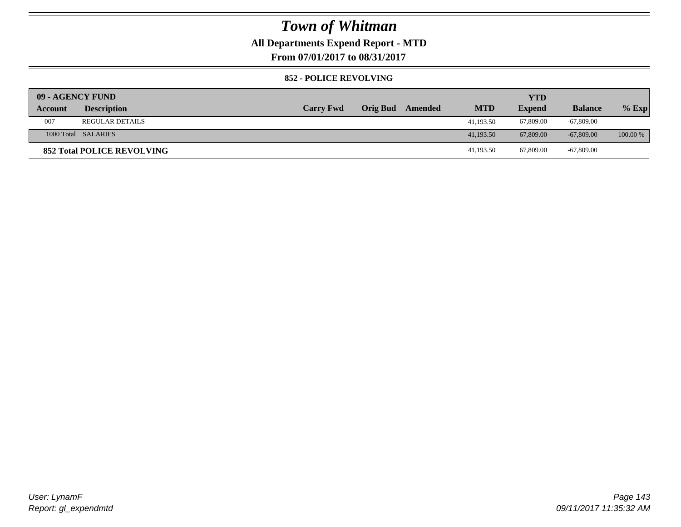### **All Departments Expend Report - MTD**

**From 07/01/2017 to 08/31/2017**

#### **852 - POLICE REVOLVING**

| 09 - AGENCY FUND |                                   |                  |                 |         |            | <b>YTD</b>    |                |            |
|------------------|-----------------------------------|------------------|-----------------|---------|------------|---------------|----------------|------------|
| Account          | <b>Description</b>                | <b>Carry Fwd</b> | <b>Orig Bud</b> | Amended | <b>MTD</b> | <b>Expend</b> | <b>Balance</b> | $%$ Exp    |
| 007              | <b>REGULAR DETAILS</b>            |                  |                 |         | 41,193.50  | 67,809.00     | $-67,809.00$   |            |
|                  | 1000 Total SALARIES               |                  |                 |         | 41,193.50  | 67,809.00     | $-67,809,00$   | $100.00\%$ |
|                  | <b>852 Total POLICE REVOLVING</b> |                  |                 |         | 41,193.50  | 67,809.00     | $-67,809.00$   |            |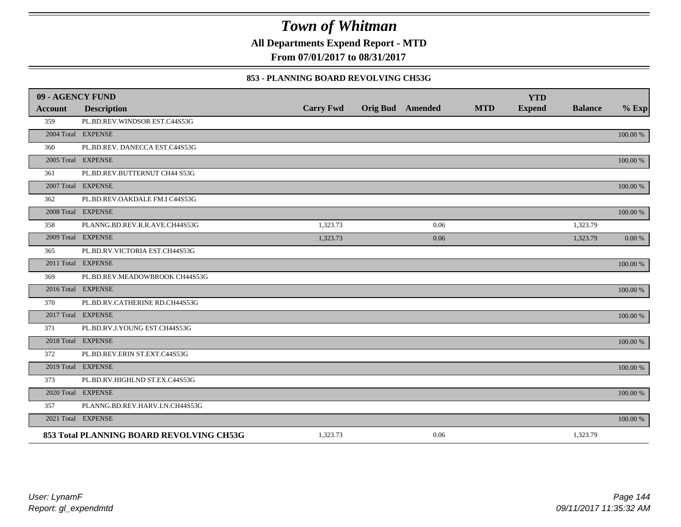**All Departments Expend Report - MTD**

**From 07/01/2017 to 08/31/2017**

#### **853 - PLANNING BOARD REVOLVING CH53G**

| 09 - AGENCY FUND |                                          |                  |                         |            | <b>YTD</b>    |                |             |
|------------------|------------------------------------------|------------------|-------------------------|------------|---------------|----------------|-------------|
| <b>Account</b>   | <b>Description</b>                       | <b>Carry Fwd</b> | <b>Orig Bud</b> Amended | <b>MTD</b> | <b>Expend</b> | <b>Balance</b> | $%$ Exp     |
| 359              | PL.BD.REV.WINDSOR EST.C44S53G            |                  |                         |            |               |                |             |
|                  | 2004 Total EXPENSE                       |                  |                         |            |               |                | 100.00 %    |
| 360              | PL.BD.REV. DANECCA EST.C44S53G           |                  |                         |            |               |                |             |
|                  | 2005 Total EXPENSE                       |                  |                         |            |               |                | 100.00 %    |
| 361              | PL.BD.REV.BUTTERNUT CH44 S53G            |                  |                         |            |               |                |             |
|                  | 2007 Total EXPENSE                       |                  |                         |            |               |                | $100.00~\%$ |
| 362              | PL.BD.REV.OAKDALE FM.I C44S53G           |                  |                         |            |               |                |             |
|                  | 2008 Total EXPENSE                       |                  |                         |            |               |                | 100.00 %    |
| 358              | PLANNG.BD.REV.R.R.AVE.CH44S53G           | 1,323.73         | 0.06                    |            |               | 1,323.79       |             |
|                  | 2009 Total EXPENSE                       | 1,323.73         | 0.06                    |            |               | 1,323.79       | 0.00 %      |
| 365              | PL.BD.RV.VICTORIA EST.CH44S53G           |                  |                         |            |               |                |             |
|                  | 2011 Total EXPENSE                       |                  |                         |            |               |                | $100.00~\%$ |
| 369              | PL.BD.REV.MEADOWBROOK CH44S53G           |                  |                         |            |               |                |             |
|                  | 2016 Total EXPENSE                       |                  |                         |            |               |                | 100.00 %    |
| 370              | PL.BD.RV.CATHERINE RD.CH44S53G           |                  |                         |            |               |                |             |
|                  | 2017 Total EXPENSE                       |                  |                         |            |               |                | 100.00 %    |
| 371              | PL.BD.RV.J.YOUNG EST.CH44S53G            |                  |                         |            |               |                |             |
|                  | 2018 Total EXPENSE                       |                  |                         |            |               |                | 100.00 %    |
| 372              | PL.BD.REV.ERIN ST.EXT.C44S53G            |                  |                         |            |               |                |             |
|                  | 2019 Total EXPENSE                       |                  |                         |            |               |                | 100.00 %    |
| 373              | PL.BD.RV.HIGHLND ST.EX.C44S53G           |                  |                         |            |               |                |             |
|                  | 2020 Total EXPENSE                       |                  |                         |            |               |                | 100.00 %    |
| 357              | PLANNG.BD.REV.HARV.LN.CH44S53G           |                  |                         |            |               |                |             |
|                  | 2021 Total EXPENSE                       |                  |                         |            |               |                | 100.00 %    |
|                  | 853 Total PLANNING BOARD REVOLVING CH53G | 1,323.73         | 0.06                    |            |               | 1,323.79       |             |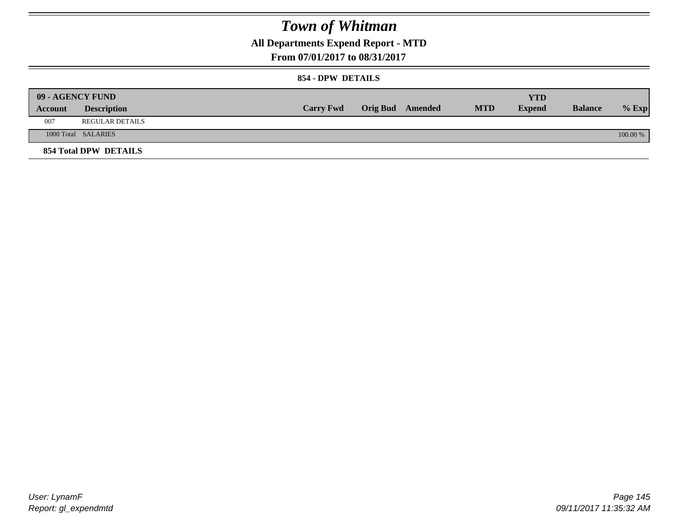## **All Departments Expend Report - MTD**

### **From 07/01/2017 to 08/31/2017**

### **854 - DPW DETAILS**

|         | 09 - AGENCY FUND      |                  |                         |            | YTD           |                |            |
|---------|-----------------------|------------------|-------------------------|------------|---------------|----------------|------------|
| Account | <b>Description</b>    | <b>Carry Fwd</b> | <b>Orig Bud</b> Amended | <b>MTD</b> | <b>Expend</b> | <b>Balance</b> | $%$ Exp    |
| 007     | REGULAR DETAILS       |                  |                         |            |               |                |            |
|         | 1000 Total SALARIES   |                  |                         |            |               |                | $100.00\%$ |
|         | 854 Total DPW DETAILS |                  |                         |            |               |                |            |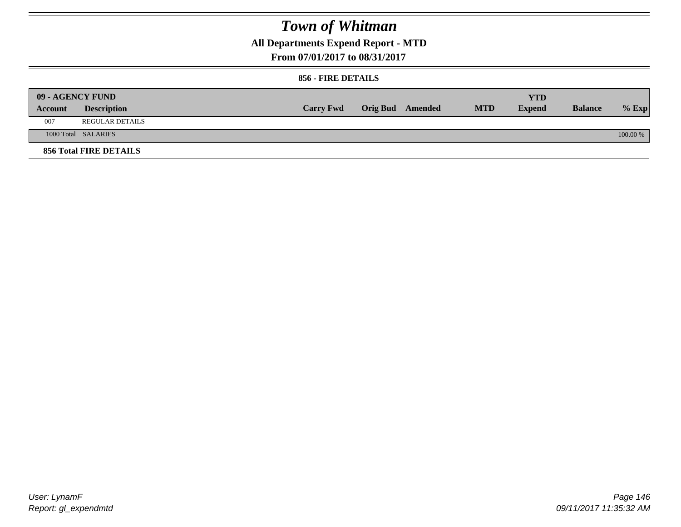## **All Departments Expend Report - MTD**

**From 07/01/2017 to 08/31/2017**

### **856 - FIRE DETAILS**

|         | 09 - AGENCY FUND              |                  |                  |            | <b>YTD</b>    |                |          |
|---------|-------------------------------|------------------|------------------|------------|---------------|----------------|----------|
| Account | <b>Description</b>            | <b>Carry Fwd</b> | Orig Bud Amended | <b>MTD</b> | <b>Expend</b> | <b>Balance</b> | $%$ Exp  |
| 007     | <b>REGULAR DETAILS</b>        |                  |                  |            |               |                |          |
|         | 1000 Total SALARIES           |                  |                  |            |               |                | 100.00 % |
|         | <b>856 Total FIRE DETAILS</b> |                  |                  |            |               |                |          |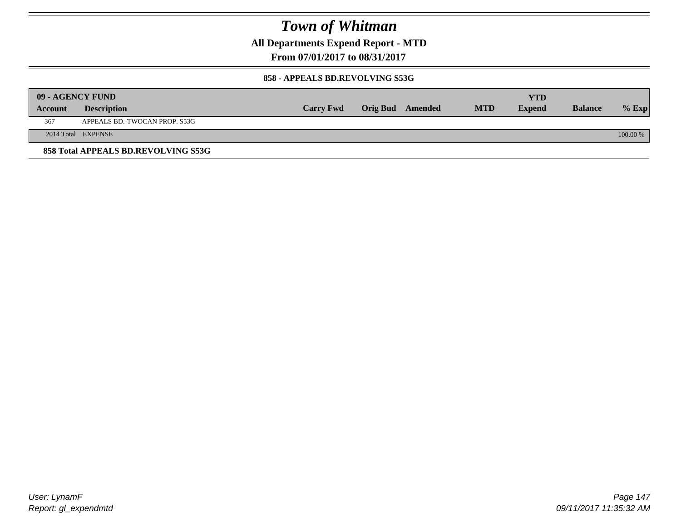**All Departments Expend Report - MTD**

**From 07/01/2017 to 08/31/2017**

### **858 - APPEALS BD.REVOLVING S53G**

|         | 09 - AGENCY FUND                    |                  |                  |            | YTD           |                |            |
|---------|-------------------------------------|------------------|------------------|------------|---------------|----------------|------------|
| Account | <b>Description</b>                  | <b>Carry Fwd</b> | Orig Bud Amended | <b>MTD</b> | <b>Expend</b> | <b>Balance</b> | $%$ Exp    |
| 367     | APPEALS BD.-TWOCAN PROP. S53G       |                  |                  |            |               |                |            |
|         | 2014 Total EXPENSE                  |                  |                  |            |               |                | $100.00\%$ |
|         | 858 Total APPEALS BD.REVOLVING S53G |                  |                  |            |               |                |            |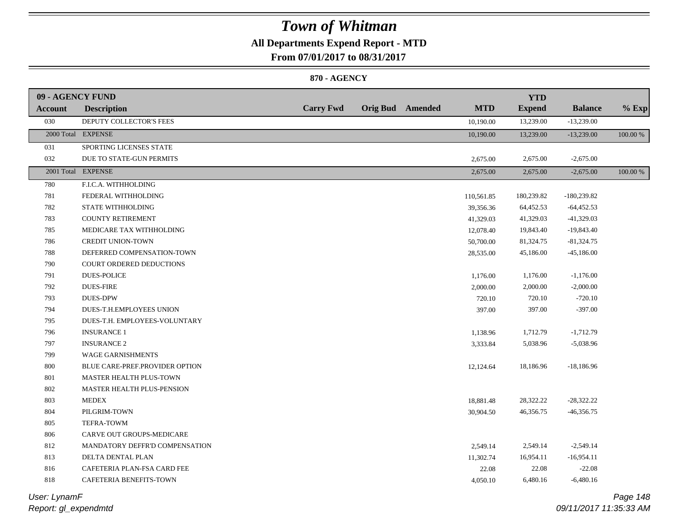## **All Departments Expend Report - MTD**

**From 07/01/2017 to 08/31/2017**

### **870 - AGENCY**

| 09 - AGENCY FUND |                                |                  |                         |            | <b>YTD</b>    |                |          |
|------------------|--------------------------------|------------------|-------------------------|------------|---------------|----------------|----------|
| <b>Account</b>   | <b>Description</b>             | <b>Carry Fwd</b> | <b>Orig Bud</b> Amended | <b>MTD</b> | <b>Expend</b> | <b>Balance</b> | $%$ Exp  |
| 030              | DEPUTY COLLECTOR'S FEES        |                  |                         | 10,190.00  | 13,239.00     | $-13,239.00$   |          |
|                  | 2000 Total EXPENSE             |                  |                         | 10,190.00  | 13,239.00     | $-13,239.00$   | 100.00 % |
| 031              | SPORTING LICENSES STATE        |                  |                         |            |               |                |          |
| 032              | DUE TO STATE-GUN PERMITS       |                  |                         | 2,675.00   | 2,675.00      | $-2,675.00$    |          |
|                  | 2001 Total EXPENSE             |                  |                         | 2,675.00   | 2,675.00      | $-2,675.00$    | 100.00 % |
| 780              | F.I.C.A. WITHHOLDING           |                  |                         |            |               |                |          |
| 781              | FEDERAL WITHHOLDING            |                  |                         | 110,561.85 | 180,239.82    | $-180,239.82$  |          |
| 782              | STATE WITHHOLDING              |                  |                         | 39,356.36  | 64,452.53     | $-64,452.53$   |          |
| 783              | <b>COUNTY RETIREMENT</b>       |                  |                         | 41,329.03  | 41,329.03     | $-41,329.03$   |          |
| 785              | MEDICARE TAX WITHHOLDING       |                  |                         | 12,078.40  | 19,843.40     | $-19,843.40$   |          |
| 786              | <b>CREDIT UNION-TOWN</b>       |                  |                         | 50,700.00  | 81,324.75     | $-81,324.75$   |          |
| 788              | DEFERRED COMPENSATION-TOWN     |                  |                         | 28,535.00  | 45,186.00     | $-45,186.00$   |          |
| 790              | COURT ORDERED DEDUCTIONS       |                  |                         |            |               |                |          |
| 791              | <b>DUES-POLICE</b>             |                  |                         | 1,176.00   | 1,176.00      | $-1,176.00$    |          |
| 792              | <b>DUES-FIRE</b>               |                  |                         | 2,000.00   | 2,000.00      | $-2,000.00$    |          |
| 793              | <b>DUES-DPW</b>                |                  |                         | 720.10     | 720.10        | $-720.10$      |          |
| 794              | DUES-T.H.EMPLOYEES UNION       |                  |                         | 397.00     | 397.00        | $-397.00$      |          |
| 795              | DUES-T.H. EMPLOYEES-VOLUNTARY  |                  |                         |            |               |                |          |
| 796              | <b>INSURANCE 1</b>             |                  |                         | 1,138.96   | 1,712.79      | $-1,712.79$    |          |
| 797              | <b>INSURANCE 2</b>             |                  |                         | 3,333.84   | 5,038.96      | $-5,038.96$    |          |
| 799              | <b>WAGE GARNISHMENTS</b>       |                  |                         |            |               |                |          |
| 800              | BLUE CARE-PREF.PROVIDER OPTION |                  |                         | 12,124.64  | 18,186.96     | $-18,186.96$   |          |
| 801              | MASTER HEALTH PLUS-TOWN        |                  |                         |            |               |                |          |
| 802              | MASTER HEALTH PLUS-PENSION     |                  |                         |            |               |                |          |
| 803              | <b>MEDEX</b>                   |                  |                         | 18,881.48  | 28,322.22     | $-28,322.22$   |          |
| 804              | PILGRIM-TOWN                   |                  |                         | 30,904.50  | 46,356.75     | $-46,356.75$   |          |
| 805              | TEFRA-TOWM                     |                  |                         |            |               |                |          |
| 806              | CARVE OUT GROUPS-MEDICARE      |                  |                         |            |               |                |          |
| 812              | MANDATORY DEFFR'D COMPENSATION |                  |                         | 2,549.14   | 2,549.14      | $-2,549.14$    |          |
| 813              | DELTA DENTAL PLAN              |                  |                         | 11,302.74  | 16,954.11     | $-16,954.11$   |          |
| 816              | CAFETERIA PLAN-FSA CARD FEE    |                  |                         | 22.08      | 22.08         | $-22.08$       |          |
| 818              | CAFETERIA BENEFITS-TOWN        |                  |                         | 4,050.10   | 6,480.16      | $-6,480.16$    |          |
|                  |                                |                  |                         |            |               |                |          |

*Report: gl\_expendmtd User: LynamF*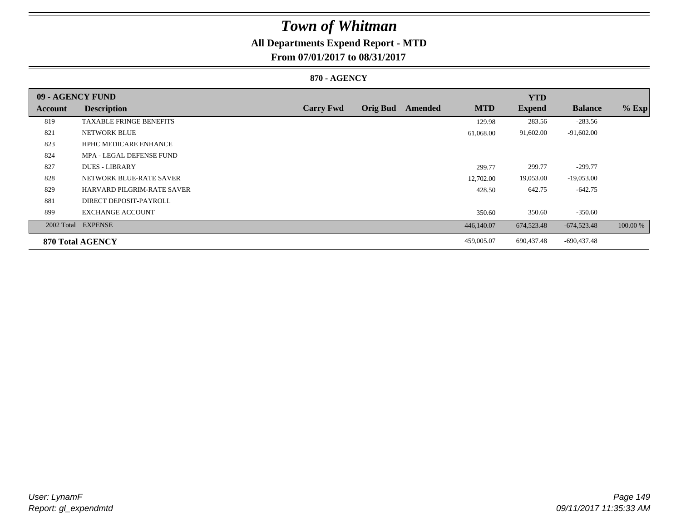## **All Departments Expend Report - MTD**

**From 07/01/2017 to 08/31/2017**

### **870 - AGENCY**

| 09 - AGENCY FUND |                                   |                  |                 |         |            | <b>YTD</b>    |                |          |
|------------------|-----------------------------------|------------------|-----------------|---------|------------|---------------|----------------|----------|
| <b>Account</b>   | <b>Description</b>                | <b>Carry Fwd</b> | <b>Orig Bud</b> | Amended | <b>MTD</b> | <b>Expend</b> | <b>Balance</b> | $%$ Exp  |
| 819              | <b>TAXABLE FRINGE BENEFITS</b>    |                  |                 |         | 129.98     | 283.56        | $-283.56$      |          |
| 821              | <b>NETWORK BLUE</b>               |                  |                 |         | 61,068.00  | 91,602.00     | $-91,602.00$   |          |
| 823              | <b>HPHC MEDICARE ENHANCE</b>      |                  |                 |         |            |               |                |          |
| 824              | MPA - LEGAL DEFENSE FUND          |                  |                 |         |            |               |                |          |
| 827              | <b>DUES - LIBRARY</b>             |                  |                 |         | 299.77     | 299.77        | $-299.77$      |          |
| 828              | NETWORK BLUE-RATE SAVER           |                  |                 |         | 12,702.00  | 19,053.00     | $-19,053.00$   |          |
| 829              | <b>HARVARD PILGRIM-RATE SAVER</b> |                  |                 |         | 428.50     | 642.75        | $-642.75$      |          |
| 881              | DIRECT DEPOSIT-PAYROLL            |                  |                 |         |            |               |                |          |
| 899              | <b>EXCHANGE ACCOUNT</b>           |                  |                 |         | 350.60     | 350.60        | $-350.60$      |          |
|                  | 2002 Total EXPENSE                |                  |                 |         | 446,140.07 | 674,523.48    | $-674,523.48$  | 100.00 % |
|                  | 870 Total AGENCY                  |                  |                 |         | 459,005.07 | 690,437.48    | -690,437.48    |          |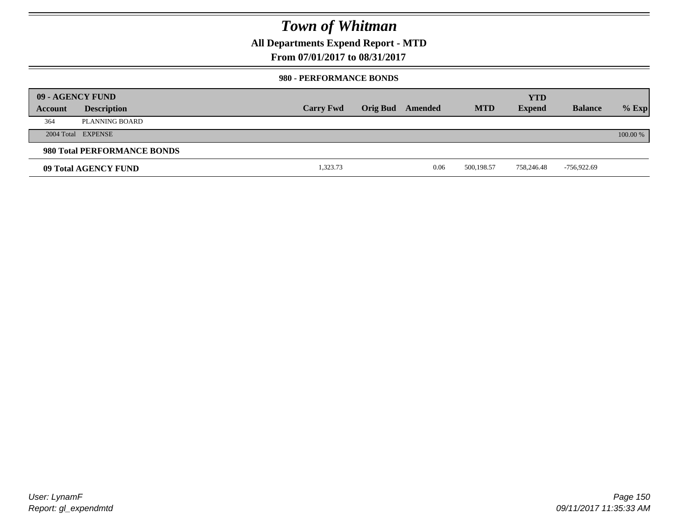### **All Departments Expend Report - MTD**

**From 07/01/2017 to 08/31/2017**

### **980 - PERFORMANCE BONDS**

|         | 09 - AGENCY FUND            |                  |                 |         |            | <b>YTD</b>    |                |          |
|---------|-----------------------------|------------------|-----------------|---------|------------|---------------|----------------|----------|
| Account | <b>Description</b>          | <b>Carry Fwd</b> | <b>Orig Bud</b> | Amended | <b>MTD</b> | <b>Expend</b> | <b>Balance</b> | $%$ Exp  |
| 364     | PLANNING BOARD              |                  |                 |         |            |               |                |          |
|         | 2004 Total EXPENSE          |                  |                 |         |            |               |                | 100.00 % |
|         | 980 Total PERFORMANCE BONDS |                  |                 |         |            |               |                |          |
|         | 09 Total AGENCY FUND        | 1,323.73         |                 | 0.06    | 500,198.57 | 758,246.48    | -756,922.69    |          |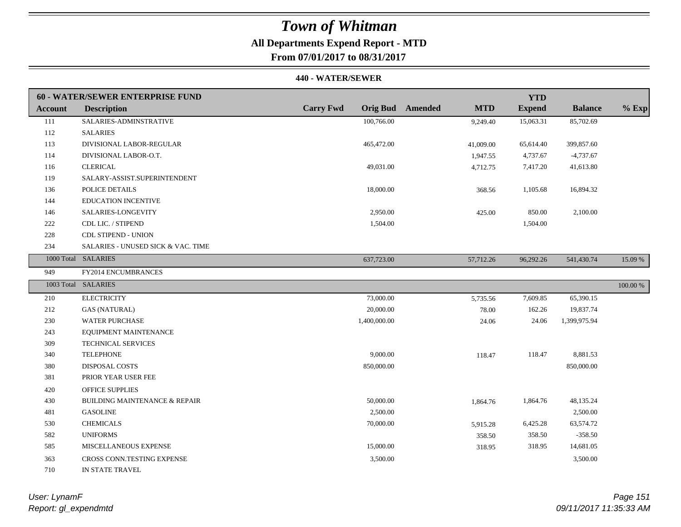## **All Departments Expend Report - MTD**

**From 07/01/2017 to 08/31/2017**

#### **440 - WATER/SEWER**

|                | 60 - WATER/SEWER ENTERPRISE FUND         |                  |                                       | <b>YTD</b>    |                |          |
|----------------|------------------------------------------|------------------|---------------------------------------|---------------|----------------|----------|
| <b>Account</b> | <b>Description</b>                       | <b>Carry Fwd</b> | <b>Orig Bud</b> Amended<br><b>MTD</b> | <b>Expend</b> | <b>Balance</b> | $%$ Exp  |
| 111            | SALARIES-ADMINSTRATIVE                   | 100,766.00       | 9,249.40                              | 15,063.31     | 85,702.69      |          |
| 112            | <b>SALARIES</b>                          |                  |                                       |               |                |          |
| 113            | DIVISIONAL LABOR-REGULAR                 | 465,472.00       | 41,009.00                             | 65,614.40     | 399,857.60     |          |
| 114            | DIVISIONAL LABOR-O.T.                    |                  | 1,947.55                              | 4,737.67      | $-4,737.67$    |          |
| 116            | <b>CLERICAL</b>                          | 49,031.00        | 4,712.75                              | 7,417.20      | 41,613.80      |          |
| 119            | SALARY-ASSIST.SUPERINTENDENT             |                  |                                       |               |                |          |
| 136            | POLICE DETAILS                           | 18,000.00        | 368.56                                | 1,105.68      | 16,894.32      |          |
| 144            | <b>EDUCATION INCENTIVE</b>               |                  |                                       |               |                |          |
| 146            | SALARIES-LONGEVITY                       | 2,950.00         | 425.00                                | 850.00        | 2,100.00       |          |
| 222            | CDL LIC. / STIPEND                       | 1,504.00         |                                       | 1,504.00      |                |          |
| 228            | <b>CDL STIPEND - UNION</b>               |                  |                                       |               |                |          |
| 234            | SALARIES - UNUSED SICK & VAC. TIME       |                  |                                       |               |                |          |
|                | 1000 Total SALARIES                      | 637,723.00       | 57,712.26                             | 96,292.26     | 541,430.74     | 15.09 %  |
| 949            | FY2014 ENCUMBRANCES                      |                  |                                       |               |                |          |
|                | 1003 Total SALARIES                      |                  |                                       |               |                | 100.00 % |
| 210            | <b>ELECTRICITY</b>                       | 73,000.00        | 5,735.56                              | 7,609.85      | 65,390.15      |          |
| 212            | <b>GAS (NATURAL)</b>                     | 20,000.00        | 78.00                                 | 162.26        | 19,837.74      |          |
| 230            | <b>WATER PURCHASE</b>                    | 1,400,000.00     | 24.06                                 | 24.06         | 1,399,975.94   |          |
| 243            | EQUIPMENT MAINTENANCE                    |                  |                                       |               |                |          |
| 309            | <b>TECHNICAL SERVICES</b>                |                  |                                       |               |                |          |
| 340            | <b>TELEPHONE</b>                         | 9,000.00         | 118.47                                | 118.47        | 8,881.53       |          |
| 380            | DISPOSAL COSTS                           | 850,000.00       |                                       |               | 850,000.00     |          |
| 381            | PRIOR YEAR USER FEE                      |                  |                                       |               |                |          |
| 420            | <b>OFFICE SUPPLIES</b>                   |                  |                                       |               |                |          |
| 430            | <b>BUILDING MAINTENANCE &amp; REPAIR</b> | 50,000.00        | 1,864.76                              | 1,864.76      | 48,135.24      |          |
| 481            | <b>GASOLINE</b>                          | 2,500.00         |                                       |               | 2,500.00       |          |
| 530            | <b>CHEMICALS</b>                         | 70,000.00        | 5,915.28                              | 6,425.28      | 63,574.72      |          |
| 582            | <b>UNIFORMS</b>                          |                  | 358.50                                | 358.50        | $-358.50$      |          |
| 585            | MISCELLANEOUS EXPENSE                    | 15,000.00        | 318.95                                | 318.95        | 14,681.05      |          |
|                |                                          |                  |                                       |               |                |          |
| 363            | CROSS CONN.TESTING EXPENSE               | 3,500.00         |                                       |               | 3,500.00       |          |

*Report: gl\_expendmtd User: LynamF*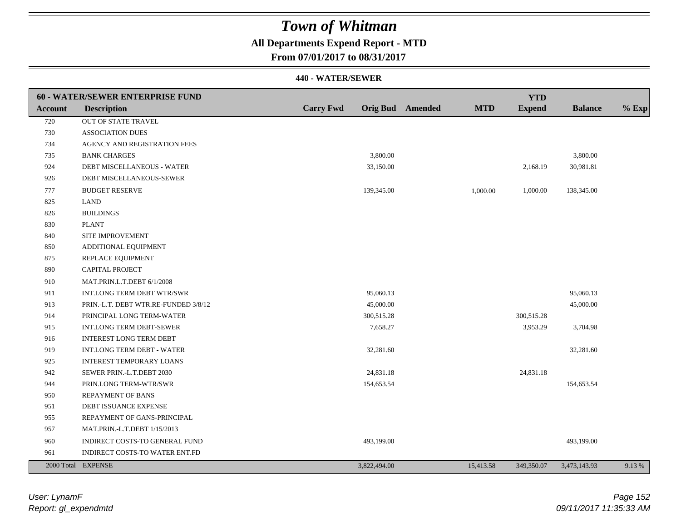## **All Departments Expend Report - MTD**

**From 07/01/2017 to 08/31/2017**

|         | 60 - WATER/SEWER ENTERPRISE FUND     |                  |                  |            | <b>YTD</b>    |                |         |
|---------|--------------------------------------|------------------|------------------|------------|---------------|----------------|---------|
| Account | <b>Description</b>                   | <b>Carry Fwd</b> | Orig Bud Amended | <b>MTD</b> | <b>Expend</b> | <b>Balance</b> | $%$ Exp |
| 720     | OUT OF STATE TRAVEL                  |                  |                  |            |               |                |         |
| 730     | <b>ASSOCIATION DUES</b>              |                  |                  |            |               |                |         |
| 734     | AGENCY AND REGISTRATION FEES         |                  |                  |            |               |                |         |
| 735     | <b>BANK CHARGES</b>                  |                  | 3,800.00         |            |               | 3,800.00       |         |
| 924     | DEBT MISCELLANEOUS - WATER           |                  | 33,150.00        |            | 2,168.19      | 30,981.81      |         |
| 926     | DEBT MISCELLANEOUS-SEWER             |                  |                  |            |               |                |         |
| 777     | <b>BUDGET RESERVE</b>                |                  | 139,345.00       | 1,000.00   | 1,000.00      | 138,345.00     |         |
| 825     | <b>LAND</b>                          |                  |                  |            |               |                |         |
| 826     | <b>BUILDINGS</b>                     |                  |                  |            |               |                |         |
| 830     | <b>PLANT</b>                         |                  |                  |            |               |                |         |
| 840     | SITE IMPROVEMENT                     |                  |                  |            |               |                |         |
| 850     | ADDITIONAL EQUIPMENT                 |                  |                  |            |               |                |         |
| 875     | REPLACE EQUIPMENT                    |                  |                  |            |               |                |         |
| 890     | CAPITAL PROJECT                      |                  |                  |            |               |                |         |
| 910     | MAT.PRIN.L.T.DEBT 6/1/2008           |                  |                  |            |               |                |         |
| 911     | INT.LONG TERM DEBT WTR/SWR           |                  | 95,060.13        |            |               | 95,060.13      |         |
| 913     | PRIN.-L.T. DEBT WTR.RE-FUNDED 3/8/12 |                  | 45,000.00        |            |               | 45,000.00      |         |
| 914     | PRINCIPAL LONG TERM-WATER            |                  | 300,515.28       |            | 300,515.28    |                |         |
| 915     | INT.LONG TERM DEBT-SEWER             |                  | 7,658.27         |            | 3,953.29      | 3,704.98       |         |
| 916     | <b>INTEREST LONG TERM DEBT</b>       |                  |                  |            |               |                |         |
| 919     | <b>INT.LONG TERM DEBT - WATER</b>    |                  | 32,281.60        |            |               | 32,281.60      |         |
| 925     | <b>INTEREST TEMPORARY LOANS</b>      |                  |                  |            |               |                |         |
| 942     | SEWER PRIN.-L.T.DEBT 2030            |                  | 24,831.18        |            | 24,831.18     |                |         |
| 944     | PRIN.LONG TERM-WTR/SWR               |                  | 154,653.54       |            |               | 154,653.54     |         |
| 950     | <b>REPAYMENT OF BANS</b>             |                  |                  |            |               |                |         |
| 951     | DEBT ISSUANCE EXPENSE                |                  |                  |            |               |                |         |
| 955     | REPAYMENT OF GANS-PRINCIPAL          |                  |                  |            |               |                |         |
| 957     | MAT.PRIN.-L.T.DEBT 1/15/2013         |                  |                  |            |               |                |         |
| 960     | INDIRECT COSTS-TO GENERAL FUND       |                  | 493,199.00       |            |               | 493,199.00     |         |
| 961     | INDIRECT COSTS-TO WATER ENT.FD       |                  |                  |            |               |                |         |
|         | 2000 Total EXPENSE                   |                  | 3,822,494.00     | 15,413.58  | 349,350.07    | 3,473,143.93   | 9.13 %  |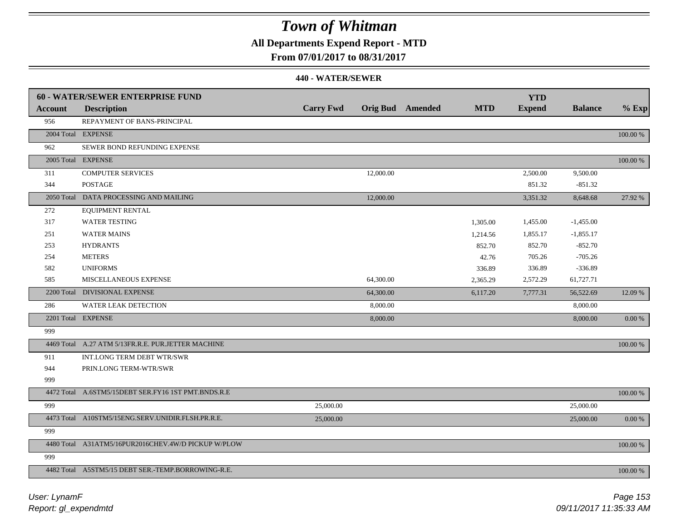### **All Departments Expend Report - MTD**

**From 07/01/2017 to 08/31/2017**

|                | 60 - WATER/SEWER ENTERPRISE FUND                    |                  |           |                         |            | <b>YTD</b>    |                |            |
|----------------|-----------------------------------------------------|------------------|-----------|-------------------------|------------|---------------|----------------|------------|
| <b>Account</b> | <b>Description</b>                                  | <b>Carry Fwd</b> |           | <b>Orig Bud</b> Amended | <b>MTD</b> | <b>Expend</b> | <b>Balance</b> | $%$ Exp    |
| 956            | REPAYMENT OF BANS-PRINCIPAL                         |                  |           |                         |            |               |                |            |
|                | 2004 Total EXPENSE                                  |                  |           |                         |            |               |                | 100.00 %   |
| 962            | SEWER BOND REFUNDING EXPENSE                        |                  |           |                         |            |               |                |            |
|                | 2005 Total EXPENSE                                  |                  |           |                         |            |               |                | 100.00 %   |
| 311            | <b>COMPUTER SERVICES</b>                            |                  | 12,000.00 |                         |            | 2,500.00      | 9,500.00       |            |
| 344            | <b>POSTAGE</b>                                      |                  |           |                         |            | 851.32        | $-851.32$      |            |
|                | 2050 Total DATA PROCESSING AND MAILING              |                  | 12,000.00 |                         |            | 3,351.32      | 8,648.68       | 27.92 %    |
| 272            | <b>EQUIPMENT RENTAL</b>                             |                  |           |                         |            |               |                |            |
| 317            | <b>WATER TESTING</b>                                |                  |           |                         | 1,305.00   | 1,455.00      | $-1,455.00$    |            |
| 251            | <b>WATER MAINS</b>                                  |                  |           |                         | 1,214.56   | 1,855.17      | $-1,855.17$    |            |
| 253            | <b>HYDRANTS</b>                                     |                  |           |                         | 852.70     | 852.70        | $-852.70$      |            |
| 254            | <b>METERS</b>                                       |                  |           |                         | 42.76      | 705.26        | $-705.26$      |            |
| 582            | <b>UNIFORMS</b>                                     |                  |           |                         | 336.89     | 336.89        | $-336.89$      |            |
| 585            | MISCELLANEOUS EXPENSE                               |                  | 64,300.00 |                         | 2,365.29   | 2,572.29      | 61,727.71      |            |
|                | 2200 Total DIVISIONAL EXPENSE                       |                  | 64,300.00 |                         | 6,117.20   | 7,777.31      | 56,522.69      | 12.09 %    |
| 286            | <b>WATER LEAK DETECTION</b>                         |                  | 8,000.00  |                         |            |               | 8,000.00       |            |
|                | 2201 Total EXPENSE                                  |                  | 8,000.00  |                         |            |               | 8,000.00       | $0.00\ \%$ |
| 999            |                                                     |                  |           |                         |            |               |                |            |
|                | 4469 Total A.27 ATM 5/13FR.R.E. PUR.JETTER MACHINE  |                  |           |                         |            |               |                | 100.00 %   |
| 911            | INT.LONG TERM DEBT WTR/SWR                          |                  |           |                         |            |               |                |            |
| 944            | PRIN.LONG TERM-WTR/SWR                              |                  |           |                         |            |               |                |            |
| 999            |                                                     |                  |           |                         |            |               |                |            |
|                | 4472 Total A.6STM5/15DEBT SER.FY16 1ST PMT.BNDS.R.E |                  |           |                         |            |               |                | 100.00 %   |
| 999            |                                                     | 25,000.00        |           |                         |            |               | 25,000.00      |            |
|                | 4473 Total A10STM5/15ENG.SERV.UNIDIR.FLSH.PR.R.E.   | 25,000.00        |           |                         |            |               | 25,000.00      | $0.00\ \%$ |
| 999            |                                                     |                  |           |                         |            |               |                |            |
|                | 4480 Total A31ATM5/16PUR2016CHEV.4W/D PICKUP W/PLOW |                  |           |                         |            |               |                | 100.00 %   |
| 999            |                                                     |                  |           |                         |            |               |                |            |
|                | 4482 Total A5STM5/15 DEBT SER.-TEMP.BORROWING-R.E.  |                  |           |                         |            |               |                | 100.00 %   |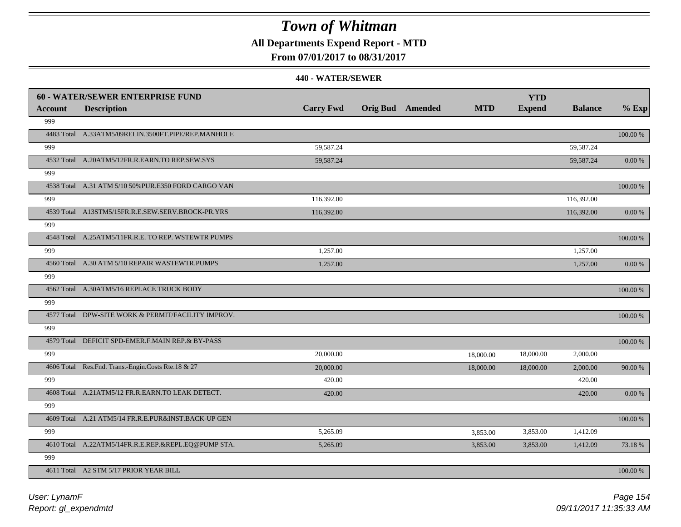### **All Departments Expend Report - MTD**

### **From 07/01/2017 to 08/31/2017**

|         | <b>60 - WATER/SEWER ENTERPRISE FUND</b>              |                  |                         |            | <b>YTD</b>    |                |            |
|---------|------------------------------------------------------|------------------|-------------------------|------------|---------------|----------------|------------|
| Account | <b>Description</b>                                   | <b>Carry Fwd</b> | <b>Orig Bud</b> Amended | <b>MTD</b> | <b>Expend</b> | <b>Balance</b> | $%$ Exp    |
| 999     |                                                      |                  |                         |            |               |                |            |
|         | 4483 Total A.33ATM5/09RELIN.3500FT.PIPE/REP.MANHOLE  |                  |                         |            |               |                | 100.00 %   |
| 999     |                                                      | 59,587.24        |                         |            |               | 59,587.24      |            |
|         | 4532 Total A.20ATM5/12FR.R.EARN.TO REP.SEW.SYS       | 59,587.24        |                         |            |               | 59,587.24      | $0.00\ \%$ |
| 999     |                                                      |                  |                         |            |               |                |            |
|         | 4538 Total A.31 ATM 5/10 50% PUR.E350 FORD CARGO VAN |                  |                         |            |               |                | 100.00 %   |
| 999     |                                                      | 116,392.00       |                         |            |               | 116,392.00     |            |
|         | 4539 Total A13STM5/15FR.R.E.SEW.SERV.BROCK-PR.YRS    | 116,392.00       |                         |            |               | 116,392.00     | 0.00 %     |
| 999     |                                                      |                  |                         |            |               |                |            |
|         | 4548 Total A.25ATM5/11FR.R.E. TO REP. WSTEWTR PUMPS  |                  |                         |            |               |                | 100.00 %   |
| 999     |                                                      | 1,257.00         |                         |            |               | 1,257.00       |            |
|         | 4560 Total A.30 ATM 5/10 REPAIR WASTEWTR.PUMPS       | 1,257.00         |                         |            |               | 1,257.00       | 0.00 %     |
| 999     |                                                      |                  |                         |            |               |                |            |
|         | 4562 Total A.30ATM5/16 REPLACE TRUCK BODY            |                  |                         |            |               |                | 100.00 %   |
| 999     |                                                      |                  |                         |            |               |                |            |
|         | 4577 Total DPW-SITE WORK & PERMIT/FACILITY IMPROV.   |                  |                         |            |               |                | 100.00 %   |
| 999     |                                                      |                  |                         |            |               |                |            |
|         | 4579 Total DEFICIT SPD-EMER.F.MAIN REP.& BY-PASS     |                  |                         |            |               |                | 100.00 %   |
| 999     |                                                      | 20,000.00        |                         | 18,000.00  | 18,000.00     | 2,000.00       |            |
|         | 4606 Total Res.Fnd. Trans.-Engin.Costs Rte.18 & 27   | 20,000.00        |                         | 18,000.00  | 18,000.00     | 2,000.00       | 90.00 %    |
| 999     |                                                      | 420.00           |                         |            |               | 420.00         |            |
|         | 4608 Total A.21ATM5/12 FR.R.EARN.TO LEAK DETECT.     | 420.00           |                         |            |               | 420.00         | $0.00\,\%$ |
| 999     |                                                      |                  |                         |            |               |                |            |
|         | 4609 Total A.21 ATM5/14 FR.R.E.PUR&INST.BACK-UP GEN  |                  |                         |            |               |                | 100.00 %   |
| 999     |                                                      | 5,265.09         |                         | 3,853.00   | 3,853.00      | 1,412.09       |            |
|         | 4610 Total A.22ATM5/14FR.R.E.REP.&REPL.EQ@PUMP STA.  | 5,265.09         |                         | 3,853.00   | 3,853.00      | 1,412.09       | 73.18%     |
| 999     |                                                      |                  |                         |            |               |                |            |
|         | 4611 Total A2 STM 5/17 PRIOR YEAR BILL               |                  |                         |            |               |                | 100.00 %   |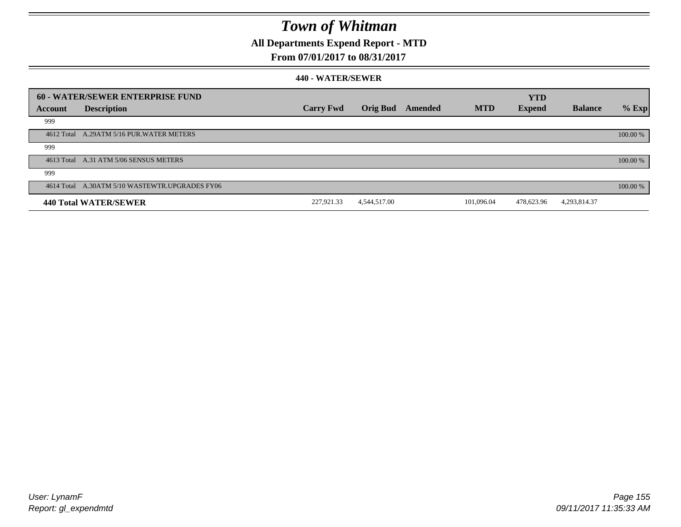### **All Departments Expend Report - MTD**

### **From 07/01/2017 to 08/31/2017**

| Account | 60 - WATER/SEWER ENTERPRISE FUND<br><b>Description</b> | <b>Carry Fwd</b> | <b>Orig Bud</b> | Amended | <b>MTD</b> | <b>YTD</b><br><b>Expend</b> | <b>Balance</b> | $%$ Exp  |
|---------|--------------------------------------------------------|------------------|-----------------|---------|------------|-----------------------------|----------------|----------|
| 999     |                                                        |                  |                 |         |            |                             |                |          |
|         | 4612 Total A.29ATM 5/16 PUR. WATER METERS              |                  |                 |         |            |                             |                | 100.00 % |
| 999     |                                                        |                  |                 |         |            |                             |                |          |
|         | 4613 Total A.31 ATM 5/06 SENSUS METERS                 |                  |                 |         |            |                             |                | 100.00 % |
| 999     |                                                        |                  |                 |         |            |                             |                |          |
|         | 4614 Total A.30ATM 5/10 WASTEWTR.UPGRADES FY06         |                  |                 |         |            |                             |                | 100.00 % |
|         | 440 Total WATER/SEWER                                  | 227,921.33       | 4,544,517.00    |         | 101.096.04 | 478,623.96                  | 4,293,814.37   |          |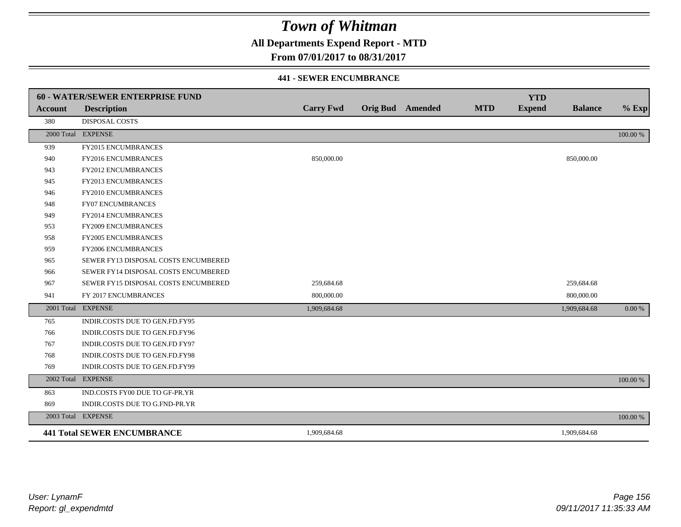### **All Departments Expend Report - MTD**

### **From 07/01/2017 to 08/31/2017**

#### **441 - SEWER ENCUMBRANCE**

|                | <b>60 - WATER/SEWER ENTERPRISE FUND</b> |                  |                         |            | <b>YTD</b>    |                |          |
|----------------|-----------------------------------------|------------------|-------------------------|------------|---------------|----------------|----------|
| <b>Account</b> | <b>Description</b>                      | <b>Carry Fwd</b> | <b>Orig Bud</b> Amended | <b>MTD</b> | <b>Expend</b> | <b>Balance</b> | $%$ Exp  |
| 380            | <b>DISPOSAL COSTS</b>                   |                  |                         |            |               |                |          |
|                | 2000 Total EXPENSE                      |                  |                         |            |               |                | 100.00 % |
| 939            | FY2015 ENCUMBRANCES                     |                  |                         |            |               |                |          |
| 940            | FY2016 ENCUMBRANCES                     | 850,000.00       |                         |            |               | 850,000.00     |          |
| 943            | <b>FY2012 ENCUMBRANCES</b>              |                  |                         |            |               |                |          |
| 945            | FY2013 ENCUMBRANCES                     |                  |                         |            |               |                |          |
| 946            | <b>FY2010 ENCUMBRANCES</b>              |                  |                         |            |               |                |          |
| 948            | <b>FY07 ENCUMBRANCES</b>                |                  |                         |            |               |                |          |
| 949            | FY2014 ENCUMBRANCES                     |                  |                         |            |               |                |          |
| 953            | <b>FY2009 ENCUMBRANCES</b>              |                  |                         |            |               |                |          |
| 958            | FY2005 ENCUMBRANCES                     |                  |                         |            |               |                |          |
| 959            | <b>FY2006 ENCUMBRANCES</b>              |                  |                         |            |               |                |          |
| 965            | SEWER FY13 DISPOSAL COSTS ENCUMBERED    |                  |                         |            |               |                |          |
| 966            | SEWER FY14 DISPOSAL COSTS ENCUMBERED    |                  |                         |            |               |                |          |
| 967            | SEWER FY15 DISPOSAL COSTS ENCUMBERED    | 259,684.68       |                         |            |               | 259,684.68     |          |
| 941            | FY 2017 ENCUMBRANCES                    | 800,000.00       |                         |            |               | 800,000.00     |          |
|                | 2001 Total EXPENSE                      | 1,909,684.68     |                         |            |               | 1,909,684.68   | 0.00 %   |
| 765            | INDIR.COSTS DUE TO GEN.FD.FY95          |                  |                         |            |               |                |          |
| 766            | INDIR.COSTS DUE TO GEN.FD.FY96          |                  |                         |            |               |                |          |
| 767            | INDIR.COSTS DUE TO GEN.FD FY97          |                  |                         |            |               |                |          |
| 768            | INDIR.COSTS DUE TO GEN.FD.FY98          |                  |                         |            |               |                |          |
| 769            | INDIR.COSTS DUE TO GEN.FD.FY99          |                  |                         |            |               |                |          |
|                | 2002 Total EXPENSE                      |                  |                         |            |               |                | 100.00 % |
| 863            | IND.COSTS FY00 DUE TO GF-PR.YR          |                  |                         |            |               |                |          |
| 869            | INDIR.COSTS DUE TO G.FND-PR.YR          |                  |                         |            |               |                |          |
|                | 2003 Total EXPENSE                      |                  |                         |            |               |                | 100.00 % |
|                | <b>441 Total SEWER ENCUMBRANCE</b>      | 1,909,684.68     |                         |            |               | 1,909,684.68   |          |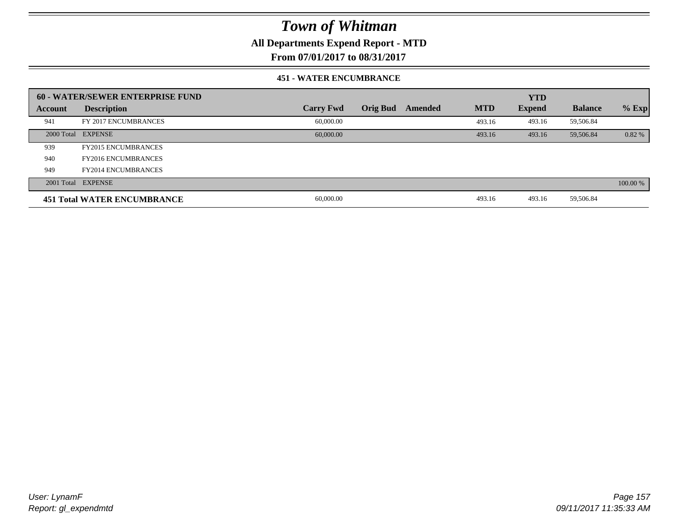**All Departments Expend Report - MTD**

**From 07/01/2017 to 08/31/2017**

#### **451 - WATER ENCUMBRANCE**

|         | 60 - WATER/SEWER ENTERPRISE FUND   |                  |                 |         |            | <b>YTD</b>    |                |          |
|---------|------------------------------------|------------------|-----------------|---------|------------|---------------|----------------|----------|
| Account | <b>Description</b>                 | <b>Carry Fwd</b> | <b>Orig Bud</b> | Amended | <b>MTD</b> | <b>Expend</b> | <b>Balance</b> | $%$ Exp  |
| 941     | FY 2017 ENCUMBRANCES               | 60,000.00        |                 |         | 493.16     | 493.16        | 59,506.84      |          |
|         | 2000 Total EXPENSE                 | 60,000.00        |                 |         | 493.16     | 493.16        | 59,506.84      | $0.82\%$ |
| 939     | <b>FY2015 ENCUMBRANCES</b>         |                  |                 |         |            |               |                |          |
| 940     | <b>FY2016 ENCUMBRANCES</b>         |                  |                 |         |            |               |                |          |
| 949     | <b>FY2014 ENCUMBRANCES</b>         |                  |                 |         |            |               |                |          |
|         | 2001 Total EXPENSE                 |                  |                 |         |            |               |                | 100.00 % |
|         | <b>451 Total WATER ENCUMBRANCE</b> | 60,000.00        |                 |         | 493.16     | 493.16        | 59,506.84      |          |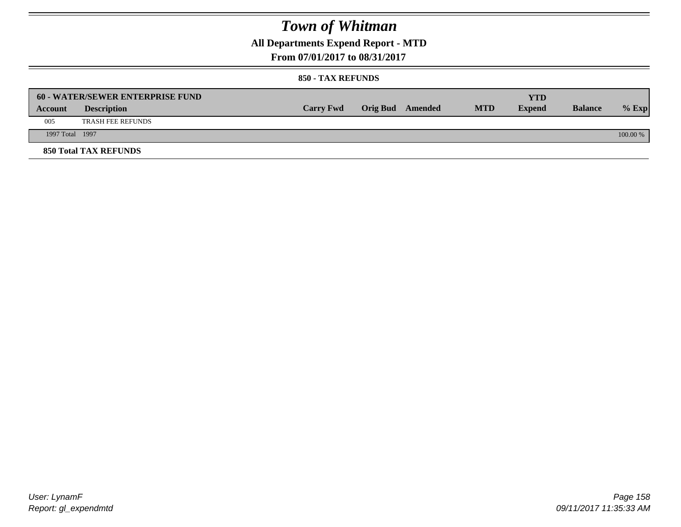## **All Departments Expend Report - MTD**

**From 07/01/2017 to 08/31/2017**

|                 | <b>60 - WATER/SEWER ENTERPRISE FUND</b> |                  |                         |            | YTD           |                |            |
|-----------------|-----------------------------------------|------------------|-------------------------|------------|---------------|----------------|------------|
| Account         | <b>Description</b>                      | <b>Carry Fwd</b> | <b>Orig Bud</b> Amended | <b>MTD</b> | <b>Expend</b> | <b>Balance</b> | $%$ Exp    |
| 005             | <b>TRASH FEE REFUNDS</b>                |                  |                         |            |               |                |            |
| 1997 Total 1997 |                                         |                  |                         |            |               |                | $100.00\%$ |
|                 | <b>850 Total TAX REFUNDS</b>            |                  |                         |            |               |                |            |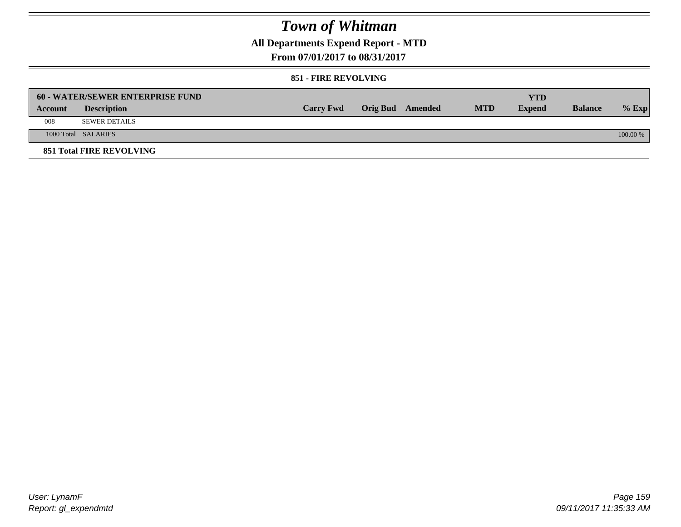## **All Departments Expend Report - MTD**

**From 07/01/2017 to 08/31/2017**

### **851 - FIRE REVOLVING**

|         | 60 - WATER/SEWER ENTERPRISE FUND |                  |                  |            | YTD           |                |          |
|---------|----------------------------------|------------------|------------------|------------|---------------|----------------|----------|
| Account | <b>Description</b>               | <b>Carry Fwd</b> | Orig Bud Amended | <b>MTD</b> | <b>Expend</b> | <b>Balance</b> | $%$ Exp  |
| 008     | <b>SEWER DETAILS</b>             |                  |                  |            |               |                |          |
|         | 1000 Total SALARIES              |                  |                  |            |               |                | 100.00 % |
|         | <b>851 Total FIRE REVOLVING</b>  |                  |                  |            |               |                |          |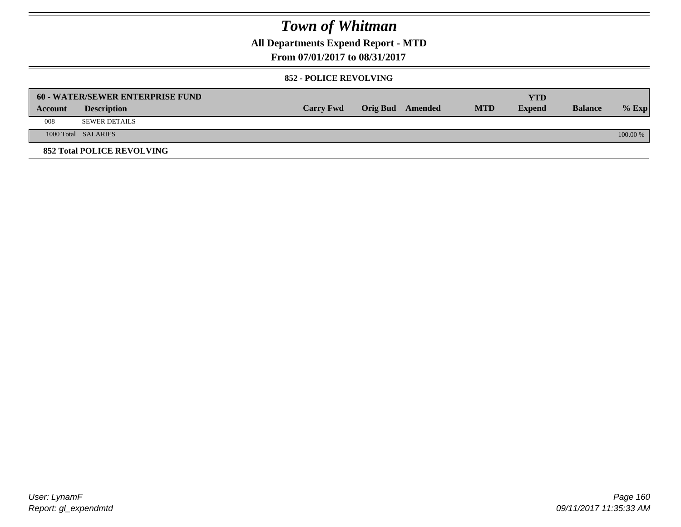## **All Departments Expend Report - MTD**

**From 07/01/2017 to 08/31/2017**

#### **852 - POLICE REVOLVING**

|         | 60 - WATER/SEWER ENTERPRISE FUND  |                  |                  |            | YTD           |                |          |
|---------|-----------------------------------|------------------|------------------|------------|---------------|----------------|----------|
| Account | <b>Description</b>                | <b>Carry Fwd</b> | Orig Bud Amended | <b>MTD</b> | <b>Expend</b> | <b>Balance</b> | $%$ Exp  |
| 008     | <b>SEWER DETAILS</b>              |                  |                  |            |               |                |          |
|         | 1000 Total SALARIES               |                  |                  |            |               |                | 100.00 % |
|         | <b>852 Total POLICE REVOLVING</b> |                  |                  |            |               |                |          |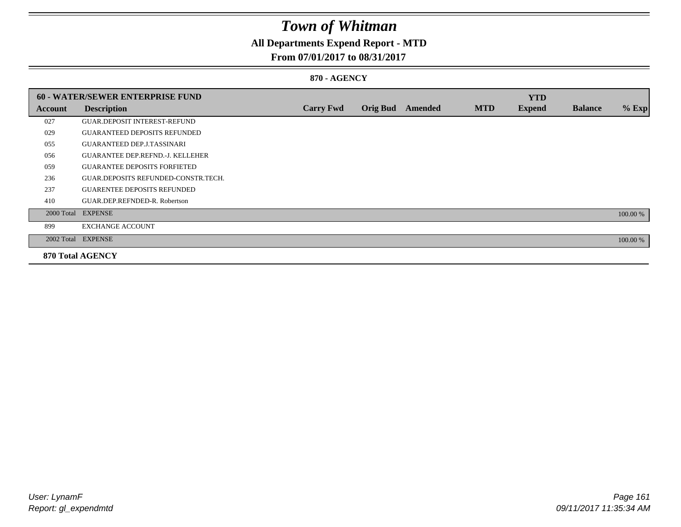## **All Departments Expend Report - MTD**

### **From 07/01/2017 to 08/31/2017**

### **870 - AGENCY**

|         | <b>60 - WATER/SEWER ENTERPRISE FUND</b> |                  |                 |         |            | <b>YTD</b>    |                |          |
|---------|-----------------------------------------|------------------|-----------------|---------|------------|---------------|----------------|----------|
| Account | <b>Description</b>                      | <b>Carry Fwd</b> | <b>Orig Bud</b> | Amended | <b>MTD</b> | <b>Expend</b> | <b>Balance</b> | $%$ Exp  |
| 027     | <b>GUAR.DEPOSIT INTEREST-REFUND</b>     |                  |                 |         |            |               |                |          |
| 029     | <b>GUARANTEED DEPOSITS REFUNDED</b>     |                  |                 |         |            |               |                |          |
| 055     | <b>GUARANTEED DEP.J.TASSINARI</b>       |                  |                 |         |            |               |                |          |
| 056     | <b>GUARANTEE DEP.REFND.-J. KELLEHER</b> |                  |                 |         |            |               |                |          |
| 059     | <b>GUARANTEE DEPOSITS FORFIETED</b>     |                  |                 |         |            |               |                |          |
| 236     | GUAR.DEPOSITS REFUNDED-CONSTR.TECH.     |                  |                 |         |            |               |                |          |
| 237     | <b>GUARENTEE DEPOSITS REFUNDED</b>      |                  |                 |         |            |               |                |          |
| 410     | GUAR.DEP.REFNDED-R. Robertson           |                  |                 |         |            |               |                |          |
|         | 2000 Total EXPENSE                      |                  |                 |         |            |               |                | 100.00 % |
| 899     | <b>EXCHANGE ACCOUNT</b>                 |                  |                 |         |            |               |                |          |
|         | 2002 Total EXPENSE                      |                  |                 |         |            |               |                | 100.00 % |
|         | <b>870 Total AGENCY</b>                 |                  |                 |         |            |               |                |          |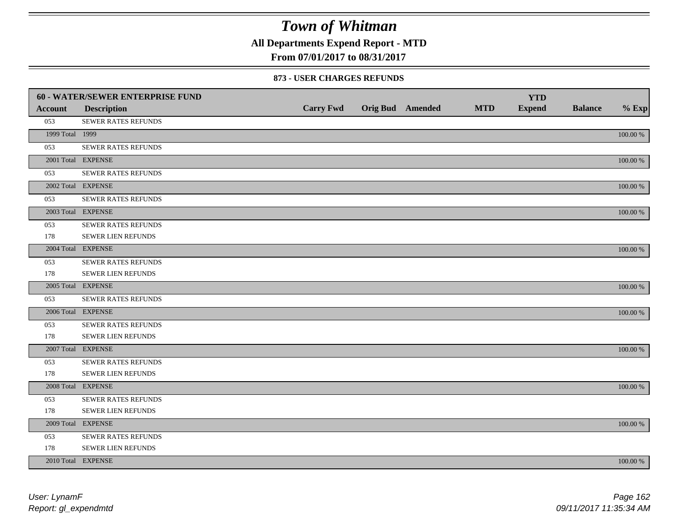**All Departments Expend Report - MTD**

**From 07/01/2017 to 08/31/2017**

#### **873 - USER CHARGES REFUNDS**

|                 | <b>60 - WATER/SEWER ENTERPRISE FUND</b> |                  |                         |            | <b>YTD</b>    |                |             |
|-----------------|-----------------------------------------|------------------|-------------------------|------------|---------------|----------------|-------------|
| <b>Account</b>  | <b>Description</b>                      | <b>Carry Fwd</b> | <b>Orig Bud</b> Amended | <b>MTD</b> | <b>Expend</b> | <b>Balance</b> | $%$ Exp     |
| 053             | SEWER RATES REFUNDS                     |                  |                         |            |               |                |             |
| 1999 Total 1999 |                                         |                  |                         |            |               |                | 100.00 %    |
| 053             | <b>SEWER RATES REFUNDS</b>              |                  |                         |            |               |                |             |
|                 | 2001 Total EXPENSE                      |                  |                         |            |               |                | $100.00~\%$ |
| 053             | SEWER RATES REFUNDS                     |                  |                         |            |               |                |             |
|                 | 2002 Total EXPENSE                      |                  |                         |            |               |                | $100.00~\%$ |
| 053             | <b>SEWER RATES REFUNDS</b>              |                  |                         |            |               |                |             |
|                 | 2003 Total EXPENSE                      |                  |                         |            |               |                | 100.00 %    |
| 053             | <b>SEWER RATES REFUNDS</b>              |                  |                         |            |               |                |             |
| 178             | SEWER LIEN REFUNDS                      |                  |                         |            |               |                |             |
|                 | 2004 Total EXPENSE                      |                  |                         |            |               |                | 100.00 %    |
| 053             | SEWER RATES REFUNDS                     |                  |                         |            |               |                |             |
| 178             | SEWER LIEN REFUNDS                      |                  |                         |            |               |                |             |
|                 | 2005 Total EXPENSE                      |                  |                         |            |               |                | 100.00 %    |
| 053             | SEWER RATES REFUNDS                     |                  |                         |            |               |                |             |
|                 | 2006 Total EXPENSE                      |                  |                         |            |               |                | 100.00 %    |
| 053             | SEWER RATES REFUNDS                     |                  |                         |            |               |                |             |
| 178             | <b>SEWER LIEN REFUNDS</b>               |                  |                         |            |               |                |             |
|                 | 2007 Total EXPENSE                      |                  |                         |            |               |                | $100.00~\%$ |
| 053             | SEWER RATES REFUNDS                     |                  |                         |            |               |                |             |
| 178             | SEWER LIEN REFUNDS                      |                  |                         |            |               |                |             |
|                 | 2008 Total EXPENSE                      |                  |                         |            |               |                | 100.00 %    |
| 053             | <b>SEWER RATES REFUNDS</b>              |                  |                         |            |               |                |             |
| 178             | SEWER LIEN REFUNDS                      |                  |                         |            |               |                |             |
|                 | 2009 Total EXPENSE                      |                  |                         |            |               |                | 100.00 %    |
| 053             | SEWER RATES REFUNDS                     |                  |                         |            |               |                |             |
| 178             | SEWER LIEN REFUNDS                      |                  |                         |            |               |                |             |
|                 | 2010 Total EXPENSE                      |                  |                         |            |               |                | 100.00 %    |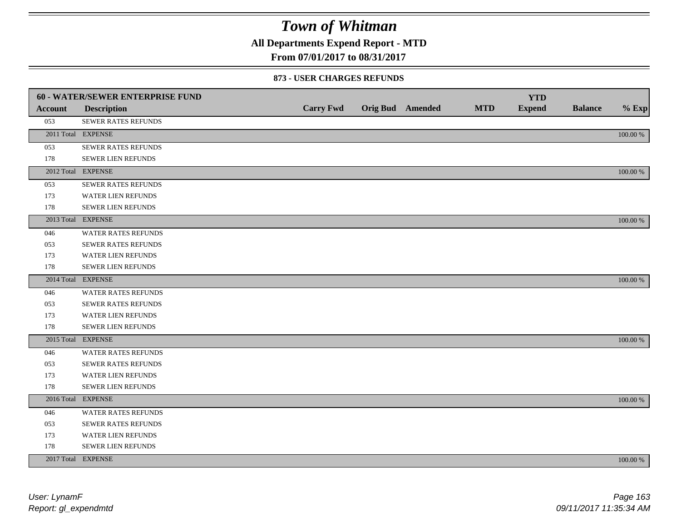**All Departments Expend Report - MTD**

### **From 07/01/2017 to 08/31/2017**

#### **873 - USER CHARGES REFUNDS**

|         | <b>60 - WATER/SEWER ENTERPRISE FUND</b> |                  |                         |            | <b>YTD</b>    |                |          |
|---------|-----------------------------------------|------------------|-------------------------|------------|---------------|----------------|----------|
| Account | <b>Description</b>                      | <b>Carry Fwd</b> | <b>Orig Bud</b> Amended | <b>MTD</b> | <b>Expend</b> | <b>Balance</b> | $%$ Exp  |
| 053     | SEWER RATES REFUNDS                     |                  |                         |            |               |                |          |
|         | 2011 Total EXPENSE                      |                  |                         |            |               |                | 100.00 % |
| 053     | SEWER RATES REFUNDS                     |                  |                         |            |               |                |          |
| 178     | SEWER LIEN REFUNDS                      |                  |                         |            |               |                |          |
|         | 2012 Total EXPENSE                      |                  |                         |            |               |                | 100.00 % |
| 053     | SEWER RATES REFUNDS                     |                  |                         |            |               |                |          |
| 173     | <b>WATER LIEN REFUNDS</b>               |                  |                         |            |               |                |          |
| 178     | SEWER LIEN REFUNDS                      |                  |                         |            |               |                |          |
|         | 2013 Total EXPENSE                      |                  |                         |            |               |                | 100.00 % |
| 046     | WATER RATES REFUNDS                     |                  |                         |            |               |                |          |
| 053     | <b>SEWER RATES REFUNDS</b>              |                  |                         |            |               |                |          |
| 173     | WATER LIEN REFUNDS                      |                  |                         |            |               |                |          |
| 178     | <b>SEWER LIEN REFUNDS</b>               |                  |                         |            |               |                |          |
|         | 2014 Total EXPENSE                      |                  |                         |            |               |                | 100.00 % |
| 046     | <b>WATER RATES REFUNDS</b>              |                  |                         |            |               |                |          |
| 053     | SEWER RATES REFUNDS                     |                  |                         |            |               |                |          |
| 173     | WATER LIEN REFUNDS                      |                  |                         |            |               |                |          |
| 178     | SEWER LIEN REFUNDS                      |                  |                         |            |               |                |          |
|         | 2015 Total EXPENSE                      |                  |                         |            |               |                | 100.00 % |
| 046     | WATER RATES REFUNDS                     |                  |                         |            |               |                |          |
| 053     | SEWER RATES REFUNDS                     |                  |                         |            |               |                |          |
| 173     | <b>WATER LIEN REFUNDS</b>               |                  |                         |            |               |                |          |
| 178     | SEWER LIEN REFUNDS                      |                  |                         |            |               |                |          |
|         | 2016 Total EXPENSE                      |                  |                         |            |               |                | 100.00 % |
| 046     | <b>WATER RATES REFUNDS</b>              |                  |                         |            |               |                |          |
| 053     | <b>SEWER RATES REFUNDS</b>              |                  |                         |            |               |                |          |
| 173     | WATER LIEN REFUNDS                      |                  |                         |            |               |                |          |
| 178     | SEWER LIEN REFUNDS                      |                  |                         |            |               |                |          |
|         | 2017 Total EXPENSE                      |                  |                         |            |               |                | 100.00 % |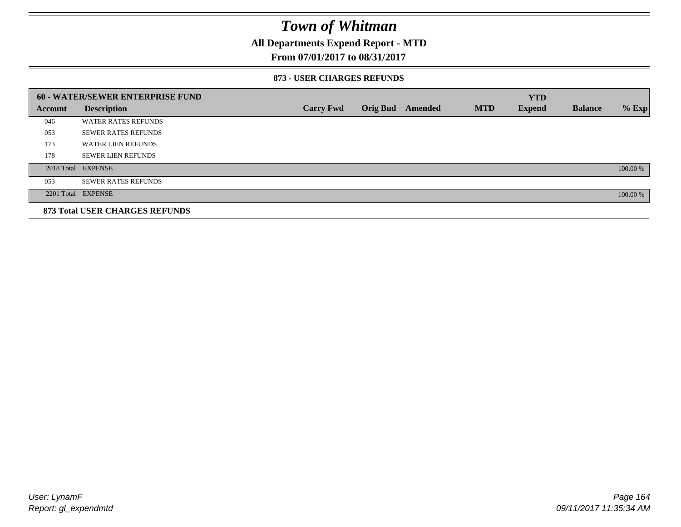### **All Departments Expend Report - MTD**

### **From 07/01/2017 to 08/31/2017**

#### **873 - USER CHARGES REFUNDS**

|         | <b>60 - WATER/SEWER ENTERPRISE FUND</b> |                  |                 |         |            | <b>YTD</b>    |                |          |
|---------|-----------------------------------------|------------------|-----------------|---------|------------|---------------|----------------|----------|
| Account | <b>Description</b>                      | <b>Carry Fwd</b> | <b>Orig Bud</b> | Amended | <b>MTD</b> | <b>Expend</b> | <b>Balance</b> | $%$ Exp  |
| 046     | <b>WATER RATES REFUNDS</b>              |                  |                 |         |            |               |                |          |
| 053     | <b>SEWER RATES REFUNDS</b>              |                  |                 |         |            |               |                |          |
| 173     | <b>WATER LIEN REFUNDS</b>               |                  |                 |         |            |               |                |          |
| 178     | <b>SEWER LIEN REFUNDS</b>               |                  |                 |         |            |               |                |          |
|         | 2018 Total EXPENSE                      |                  |                 |         |            |               |                | 100.00 % |
| 053     | <b>SEWER RATES REFUNDS</b>              |                  |                 |         |            |               |                |          |
|         | 2201 Total EXPENSE                      |                  |                 |         |            |               |                | 100.00 % |
|         | 873 Total USER CHARGES REFUNDS          |                  |                 |         |            |               |                |          |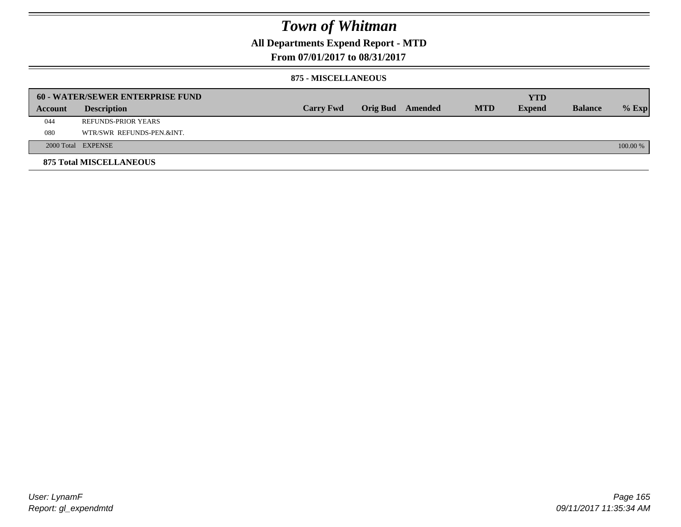### **All Departments Expend Report - MTD**

**From 07/01/2017 to 08/31/2017**

#### **875 - MISCELLANEOUS**

|         | <b>60 - WATER/SEWER ENTERPRISE FUND</b> |                  |  |                  |            | <b>YTD</b>    |                |          |
|---------|-----------------------------------------|------------------|--|------------------|------------|---------------|----------------|----------|
| Account | <b>Description</b>                      | <b>Carry Fwd</b> |  | Orig Bud Amended | <b>MTD</b> | <b>Expend</b> | <b>Balance</b> | $%$ Exp  |
| 044     | <b>REFUNDS-PRIOR YEARS</b>              |                  |  |                  |            |               |                |          |
| 080     | WTR/SWR REFUNDS-PEN.&INT.               |                  |  |                  |            |               |                |          |
|         | 2000 Total EXPENSE                      |                  |  |                  |            |               |                | 100.00 % |
|         | <b>875 Total MISCELLANEOUS</b>          |                  |  |                  |            |               |                |          |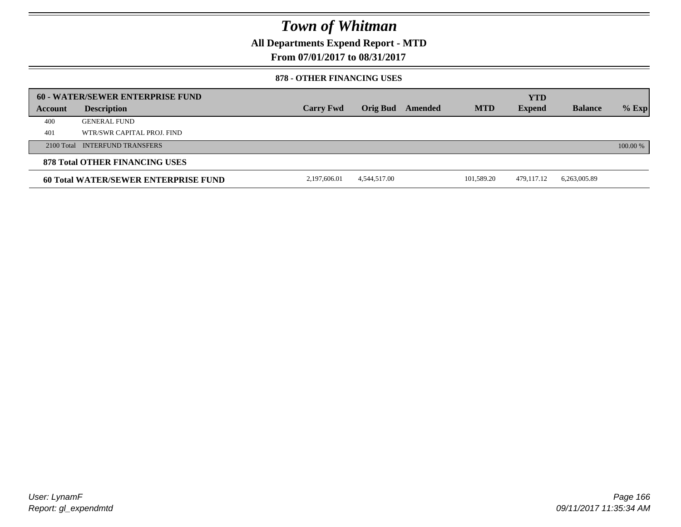**All Departments Expend Report - MTD**

**From 07/01/2017 to 08/31/2017**

#### **878 - OTHER FINANCING USES**

|         | 60 - WATER/SEWER ENTERPRISE FUND     |                  |                 |         |            | <b>YTD</b>    |                |          |
|---------|--------------------------------------|------------------|-----------------|---------|------------|---------------|----------------|----------|
| Account | <b>Description</b>                   | <b>Carry Fwd</b> | <b>Orig Bud</b> | Amended | <b>MTD</b> | <b>Expend</b> | <b>Balance</b> | $%$ Exp  |
| 400     | <b>GENERAL FUND</b>                  |                  |                 |         |            |               |                |          |
| 401     | WTR/SWR CAPITAL PROJ. FIND           |                  |                 |         |            |               |                |          |
|         | 2100 Total INTERFUND TRANSFERS       |                  |                 |         |            |               |                | 100.00 % |
|         | 878 Total OTHER FINANCING USES       |                  |                 |         |            |               |                |          |
|         | 60 Total WATER/SEWER ENTERPRISE FUND | 2,197,606.01     | 4,544,517.00    |         | 101.589.20 | 479,117.12    | 6,263,005.89   |          |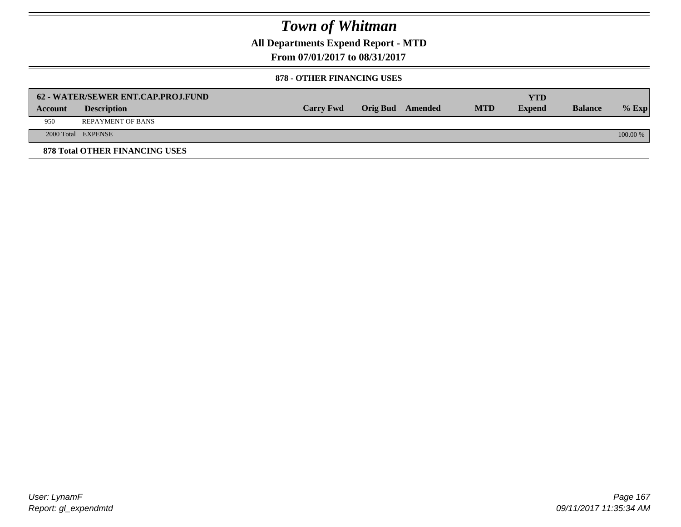**All Departments Expend Report - MTD**

**From 07/01/2017 to 08/31/2017**

### **878 - OTHER FINANCING USES**

|         | 62 - WATER/SEWER ENT.CAP.PROJ.FUND    |                  |                  |            | <b>YTD</b>    |                |            |
|---------|---------------------------------------|------------------|------------------|------------|---------------|----------------|------------|
| Account | <b>Description</b>                    | <b>Carry Fwd</b> | Orig Bud Amended | <b>MTD</b> | <b>Expend</b> | <b>Balance</b> | $%$ Exp    |
| 950     | <b>REPAYMENT OF BANS</b>              |                  |                  |            |               |                |            |
|         | 2000 Total EXPENSE                    |                  |                  |            |               |                | $100.00\%$ |
|         | <b>878 Total OTHER FINANCING USES</b> |                  |                  |            |               |                |            |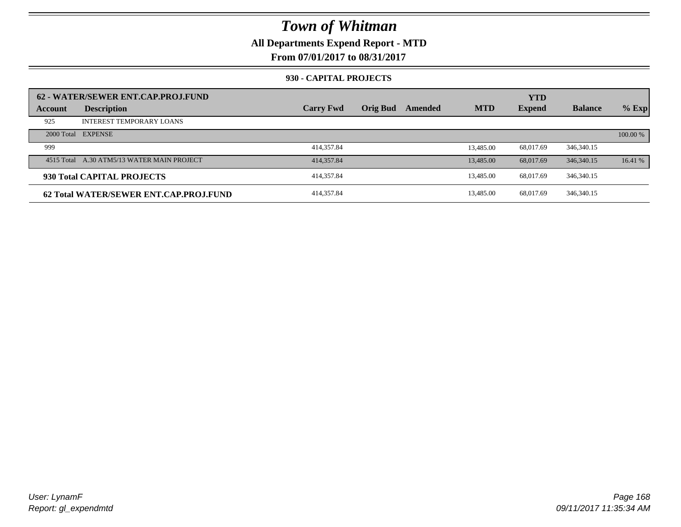### **All Departments Expend Report - MTD**

**From 07/01/2017 to 08/31/2017**

### **930 - CAPITAL PROJECTS**

| Account | 62 - WATER/SEWER ENT.CAP.PROJ.FUND<br><b>Description</b> | <b>Carry Fwd</b> | <b>Orig Bud</b> | Amended | <b>MTD</b> | <b>YTD</b><br><b>Expend</b> | <b>Balance</b> | $%$ Exp  |
|---------|----------------------------------------------------------|------------------|-----------------|---------|------------|-----------------------------|----------------|----------|
| 925     | <b>INTEREST TEMPORARY LOANS</b>                          |                  |                 |         |            |                             |                |          |
|         | 2000 Total EXPENSE                                       |                  |                 |         |            |                             |                | 100.00 % |
| 999     |                                                          | 414,357.84       |                 |         | 13,485.00  | 68,017.69                   | 346, 340, 15   |          |
|         | 4515 Total A.30 ATM5/13 WATER MAIN PROJECT               | 414,357.84       |                 |         | 13,485.00  | 68,017.69                   | 346, 340, 15   | 16.41%   |
|         | 930 Total CAPITAL PROJECTS                               | 414,357.84       |                 |         | 13,485.00  | 68,017.69                   | 346, 340, 15   |          |
|         | 62 Total WATER/SEWER ENT.CAP.PROJ.FUND                   | 414,357.84       |                 |         | 13,485.00  | 68,017.69                   | 346, 340. 15   |          |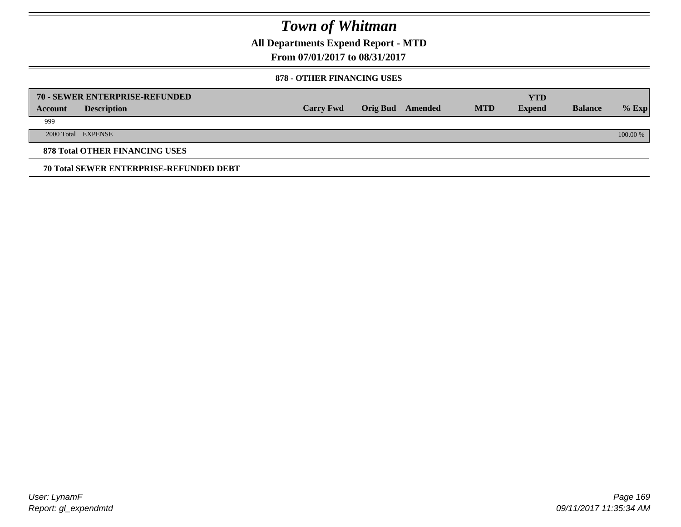**All Departments Expend Report - MTD**

**From 07/01/2017 to 08/31/2017**

### **878 - OTHER FINANCING USES**

|         | 70 - SEWER ENTERPRISE-REFUNDED                 |                  |                 |         |            | <b>YTD</b>    |                |          |
|---------|------------------------------------------------|------------------|-----------------|---------|------------|---------------|----------------|----------|
| Account | <b>Description</b>                             | <b>Carry Fwd</b> | <b>Orig Bud</b> | Amended | <b>MTD</b> | <b>Expend</b> | <b>Balance</b> | $%$ Exp  |
| 999     |                                                |                  |                 |         |            |               |                |          |
|         | 2000 Total EXPENSE                             |                  |                 |         |            |               |                | 100.00 % |
|         | <b>878 Total OTHER FINANCING USES</b>          |                  |                 |         |            |               |                |          |
|         | <b>70 Total SEWER ENTERPRISE-REFUNDED DEBT</b> |                  |                 |         |            |               |                |          |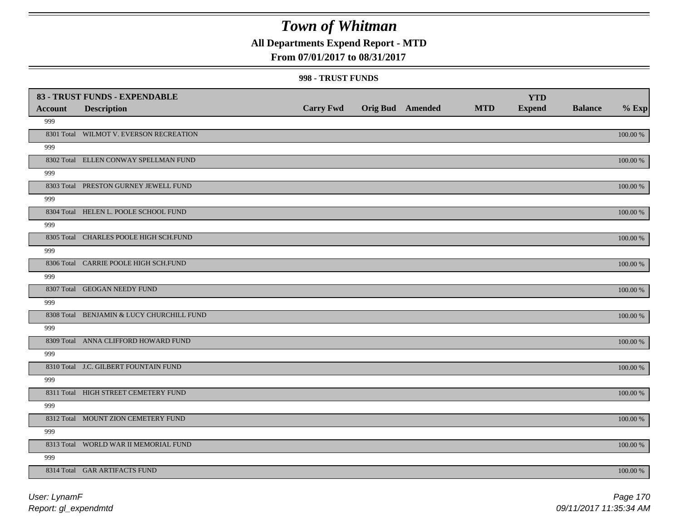### **All Departments Expend Report - MTD**

### **From 07/01/2017 to 08/31/2017**

| <b>Account</b> | 83 - TRUST FUNDS - EXPENDABLE             | <b>Carry Fwd</b> | <b>Orig Bud Amended</b> | <b>MTD</b> | <b>YTD</b><br><b>Expend</b> | <b>Balance</b> | $%$ Exp     |
|----------------|-------------------------------------------|------------------|-------------------------|------------|-----------------------------|----------------|-------------|
| 999            | <b>Description</b>                        |                  |                         |            |                             |                |             |
|                | 8301 Total WILMOT V. EVERSON RECREATION   |                  |                         |            |                             |                | $100.00~\%$ |
| 999            |                                           |                  |                         |            |                             |                |             |
|                | 8302 Total ELLEN CONWAY SPELLMAN FUND     |                  |                         |            |                             |                | 100.00 %    |
| 999            |                                           |                  |                         |            |                             |                |             |
|                | 8303 Total PRESTON GURNEY JEWELL FUND     |                  |                         |            |                             |                | 100.00 %    |
| 999            |                                           |                  |                         |            |                             |                |             |
|                | 8304 Total HELEN L. POOLE SCHOOL FUND     |                  |                         |            |                             |                | 100.00 %    |
| 999            |                                           |                  |                         |            |                             |                |             |
|                | 8305 Total CHARLES POOLE HIGH SCH.FUND    |                  |                         |            |                             |                | 100.00 %    |
| 999            |                                           |                  |                         |            |                             |                |             |
|                | 8306 Total CARRIE POOLE HIGH SCH.FUND     |                  |                         |            |                             |                | 100.00 %    |
| 999            |                                           |                  |                         |            |                             |                |             |
|                | 8307 Total GEOGAN NEEDY FUND              |                  |                         |            |                             |                | 100.00 %    |
| 999            |                                           |                  |                         |            |                             |                |             |
|                | 8308 Total BENJAMIN & LUCY CHURCHILL FUND |                  |                         |            |                             |                | 100.00 %    |
| 999            |                                           |                  |                         |            |                             |                |             |
|                | 8309 Total ANNA CLIFFORD HOWARD FUND      |                  |                         |            |                             |                | $100.00~\%$ |
| 999            |                                           |                  |                         |            |                             |                |             |
|                | 8310 Total J.C. GILBERT FOUNTAIN FUND     |                  |                         |            |                             |                | 100.00 %    |
| 999            |                                           |                  |                         |            |                             |                |             |
|                | 8311 Total HIGH STREET CEMETERY FUND      |                  |                         |            |                             |                | 100.00 %    |
| 999            |                                           |                  |                         |            |                             |                |             |
|                | 8312 Total MOUNT ZION CEMETERY FUND       |                  |                         |            |                             |                | 100.00 %    |
| 999            | 8313 Total WORLD WAR II MEMORIAL FUND     |                  |                         |            |                             |                |             |
| 999            |                                           |                  |                         |            |                             |                | $100.00~\%$ |
|                | 8314 Total GAR ARTIFACTS FUND             |                  |                         |            |                             |                | 100.00 %    |
|                |                                           |                  |                         |            |                             |                |             |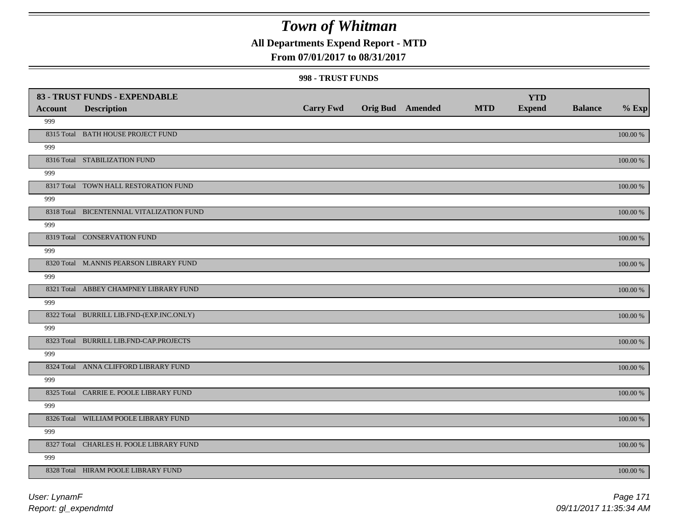### **All Departments Expend Report - MTD**

### **From 07/01/2017 to 08/31/2017**

|                | 83 - TRUST FUNDS - EXPENDABLE             |                  |                         |            | <b>YTD</b>    |                |          |
|----------------|-------------------------------------------|------------------|-------------------------|------------|---------------|----------------|----------|
| <b>Account</b> | <b>Description</b>                        | <b>Carry Fwd</b> | <b>Orig Bud Amended</b> | <b>MTD</b> | <b>Expend</b> | <b>Balance</b> | $%$ Exp  |
| 999            |                                           |                  |                         |            |               |                |          |
|                | 8315 Total BATH HOUSE PROJECT FUND        |                  |                         |            |               |                | 100.00 % |
| 999            |                                           |                  |                         |            |               |                |          |
|                | 8316 Total STABILIZATION FUND             |                  |                         |            |               |                | 100.00 % |
| 999            |                                           |                  |                         |            |               |                |          |
|                | 8317 Total TOWN HALL RESTORATION FUND     |                  |                         |            |               |                | 100.00 % |
| 999            |                                           |                  |                         |            |               |                |          |
|                | 8318 Total BICENTENNIAL VITALIZATION FUND |                  |                         |            |               |                | 100.00 % |
| 999            |                                           |                  |                         |            |               |                |          |
|                | 8319 Total CONSERVATION FUND              |                  |                         |            |               |                | 100.00 % |
| 999            |                                           |                  |                         |            |               |                |          |
|                | 8320 Total M.ANNIS PEARSON LIBRARY FUND   |                  |                         |            |               |                | 100.00 % |
| 999            |                                           |                  |                         |            |               |                |          |
|                | 8321 Total ABBEY CHAMPNEY LIBRARY FUND    |                  |                         |            |               |                | 100.00 % |
| 999            |                                           |                  |                         |            |               |                |          |
|                | 8322 Total BURRILL LIB.FND-(EXP.INC.ONLY) |                  |                         |            |               |                | 100.00 % |
| 999            |                                           |                  |                         |            |               |                |          |
|                | 8323 Total BURRILL LIB.FND-CAP.PROJECTS   |                  |                         |            |               |                | 100.00 % |
| 999            |                                           |                  |                         |            |               |                |          |
|                | 8324 Total ANNA CLIFFORD LIBRARY FUND     |                  |                         |            |               |                | 100.00 % |
| 999            |                                           |                  |                         |            |               |                |          |
|                | 8325 Total CARRIE E. POOLE LIBRARY FUND   |                  |                         |            |               |                | 100.00 % |
| 999            |                                           |                  |                         |            |               |                |          |
|                | 8326 Total WILLIAM POOLE LIBRARY FUND     |                  |                         |            |               |                | 100.00 % |
| 999            |                                           |                  |                         |            |               |                |          |
|                | 8327 Total CHARLES H. POOLE LIBRARY FUND  |                  |                         |            |               |                | 100.00 % |
| 999            |                                           |                  |                         |            |               |                |          |
|                | 8328 Total HIRAM POOLE LIBRARY FUND       |                  |                         |            |               |                | 100.00 % |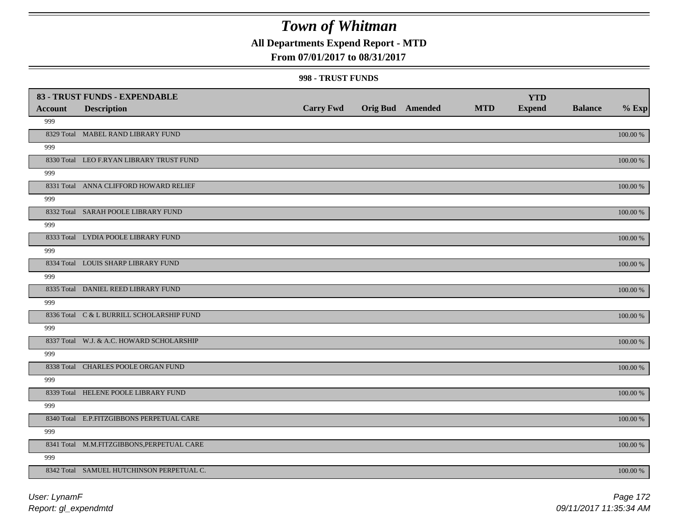### **All Departments Expend Report - MTD**

### **From 07/01/2017 to 08/31/2017**

| <b>Account</b> | 83 - TRUST FUNDS - EXPENDABLE<br><b>Description</b> | <b>Carry Fwd</b> | <b>Orig Bud</b> Amended | <b>MTD</b> | <b>YTD</b><br><b>Expend</b> | <b>Balance</b> | $%$ Exp     |
|----------------|-----------------------------------------------------|------------------|-------------------------|------------|-----------------------------|----------------|-------------|
| 999            |                                                     |                  |                         |            |                             |                |             |
|                | 8329 Total MABEL RAND LIBRARY FUND                  |                  |                         |            |                             |                | $100.00~\%$ |
| 999            |                                                     |                  |                         |            |                             |                |             |
|                | 8330 Total LEO F.RYAN LIBRARY TRUST FUND            |                  |                         |            |                             |                | 100.00 %    |
| 999            |                                                     |                  |                         |            |                             |                |             |
|                | 8331 Total ANNA CLIFFORD HOWARD RELIEF              |                  |                         |            |                             |                | 100.00 %    |
| 999            |                                                     |                  |                         |            |                             |                |             |
|                | 8332 Total SARAH POOLE LIBRARY FUND                 |                  |                         |            |                             |                | 100.00 %    |
| 999            |                                                     |                  |                         |            |                             |                |             |
|                | 8333 Total LYDIA POOLE LIBRARY FUND                 |                  |                         |            |                             |                | 100.00 %    |
| 999            |                                                     |                  |                         |            |                             |                |             |
|                | 8334 Total LOUIS SHARP LIBRARY FUND                 |                  |                         |            |                             |                | 100.00 %    |
| 999            |                                                     |                  |                         |            |                             |                |             |
|                | 8335 Total DANIEL REED LIBRARY FUND                 |                  |                         |            |                             |                | 100.00 %    |
| 999            |                                                     |                  |                         |            |                             |                |             |
|                | 8336 Total C & L BURRILL SCHOLARSHIP FUND           |                  |                         |            |                             |                | 100.00 %    |
| 999            |                                                     |                  |                         |            |                             |                |             |
|                | 8337 Total W.J. & A.C. HOWARD SCHOLARSHIP           |                  |                         |            |                             |                | $100.00~\%$ |
| 999            |                                                     |                  |                         |            |                             |                |             |
|                | 8338 Total CHARLES POOLE ORGAN FUND                 |                  |                         |            |                             |                | 100.00 %    |
| 999            |                                                     |                  |                         |            |                             |                |             |
|                | 8339 Total HELENE POOLE LIBRARY FUND                |                  |                         |            |                             |                | 100.00 %    |
| 999            |                                                     |                  |                         |            |                             |                |             |
|                | 8340 Total E.P.FITZGIBBONS PERPETUAL CARE           |                  |                         |            |                             |                | 100.00 %    |
| 999            |                                                     |                  |                         |            |                             |                |             |
|                | 8341 Total M.M.FITZGIBBONS, PERPETUAL CARE          |                  |                         |            |                             |                | $100.00~\%$ |
| 999            |                                                     |                  |                         |            |                             |                |             |
|                | 8342 Total SAMUEL HUTCHINSON PERPETUAL C.           |                  |                         |            |                             |                | 100.00 %    |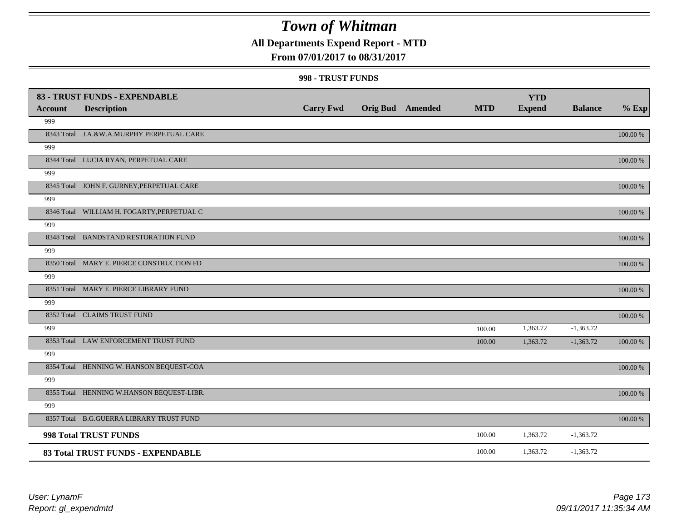## **All Departments Expend Report - MTD**

### **From 07/01/2017 to 08/31/2017**

|                | 83 - TRUST FUNDS - EXPENDABLE              |                  |                         |            | <b>YTD</b>    |                |             |
|----------------|--------------------------------------------|------------------|-------------------------|------------|---------------|----------------|-------------|
| <b>Account</b> | <b>Description</b>                         | <b>Carry Fwd</b> | <b>Orig Bud</b> Amended | <b>MTD</b> | <b>Expend</b> | <b>Balance</b> | $%$ Exp     |
| 999            |                                            |                  |                         |            |               |                |             |
|                | 8343 Total J.A.&W.A.MURPHY PERPETUAL CARE  |                  |                         |            |               |                | 100.00 %    |
| 999            |                                            |                  |                         |            |               |                |             |
|                | 8344 Total LUCIA RYAN, PERPETUAL CARE      |                  |                         |            |               |                | 100.00 %    |
| 999            |                                            |                  |                         |            |               |                |             |
|                | 8345 Total JOHN F. GURNEY, PERPETUAL CARE  |                  |                         |            |               |                | 100.00 %    |
| 999            |                                            |                  |                         |            |               |                |             |
|                | 8346 Total WILLIAM H. FOGARTY, PERPETUAL C |                  |                         |            |               |                | $100.00~\%$ |
| 999            |                                            |                  |                         |            |               |                |             |
|                | 8348 Total BANDSTAND RESTORATION FUND      |                  |                         |            |               |                | 100.00 %    |
| 999            |                                            |                  |                         |            |               |                |             |
|                | 8350 Total MARY E. PIERCE CONSTRUCTION FD  |                  |                         |            |               |                | 100.00 %    |
| 999            |                                            |                  |                         |            |               |                |             |
|                | 8351 Total MARY E. PIERCE LIBRARY FUND     |                  |                         |            |               |                | 100.00 %    |
| 999            |                                            |                  |                         |            |               |                |             |
|                | 8352 Total CLAIMS TRUST FUND               |                  |                         |            |               |                | 100.00 %    |
| 999            |                                            |                  |                         | 100.00     | 1,363.72      | $-1,363.72$    |             |
|                | 8353 Total LAW ENFORCEMENT TRUST FUND      |                  |                         | 100.00     | 1,363.72      | $-1,363.72$    | $100.00~\%$ |
| 999            |                                            |                  |                         |            |               |                |             |
|                | 8354 Total HENNING W. HANSON BEQUEST-COA   |                  |                         |            |               |                | 100.00 %    |
| 999            |                                            |                  |                         |            |               |                |             |
|                | 8355 Total HENNING W.HANSON BEQUEST-LIBR.  |                  |                         |            |               |                | 100.00 %    |
| 999            |                                            |                  |                         |            |               |                |             |
|                | 8357 Total B.G.GUERRA LIBRARY TRUST FUND   |                  |                         |            |               |                | $100.00~\%$ |
|                | 998 Total TRUST FUNDS                      |                  |                         | 100.00     | 1,363.72      | $-1,363.72$    |             |
|                | 83 Total TRUST FUNDS - EXPENDABLE          |                  |                         | 100.00     | 1,363.72      | $-1,363.72$    |             |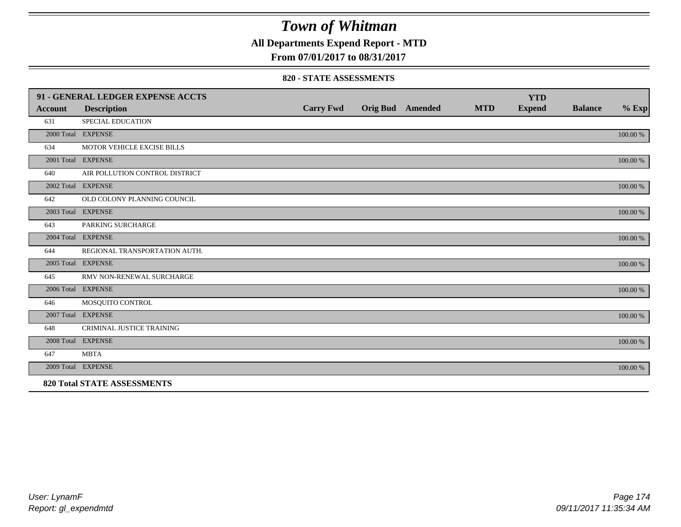### **All Departments Expend Report - MTD**

### **From 07/01/2017 to 08/31/2017**

#### **820 - STATE ASSESSMENTS**

|                | 91 - GENERAL LEDGER EXPENSE ACCTS  |                  |                         |            | <b>YTD</b>    |                |          |
|----------------|------------------------------------|------------------|-------------------------|------------|---------------|----------------|----------|
| <b>Account</b> | <b>Description</b>                 | <b>Carry Fwd</b> | <b>Orig Bud</b> Amended | <b>MTD</b> | <b>Expend</b> | <b>Balance</b> | $%$ Exp  |
| 631            | SPECIAL EDUCATION                  |                  |                         |            |               |                |          |
|                | 2000 Total EXPENSE                 |                  |                         |            |               |                | 100.00 % |
| 634            | MOTOR VEHICLE EXCISE BILLS         |                  |                         |            |               |                |          |
|                | 2001 Total EXPENSE                 |                  |                         |            |               |                | 100.00 % |
| 640            | AIR POLLUTION CONTROL DISTRICT     |                  |                         |            |               |                |          |
|                | 2002 Total EXPENSE                 |                  |                         |            |               |                | 100.00 % |
| 642            | OLD COLONY PLANNING COUNCIL        |                  |                         |            |               |                |          |
|                | 2003 Total EXPENSE                 |                  |                         |            |               |                | 100.00 % |
| 643            | PARKING SURCHARGE                  |                  |                         |            |               |                |          |
|                | 2004 Total EXPENSE                 |                  |                         |            |               |                | 100.00 % |
| 644            | REGIONAL TRANSPORTATION AUTH.      |                  |                         |            |               |                |          |
|                | 2005 Total EXPENSE                 |                  |                         |            |               |                | 100.00 % |
| 645            | RMV NON-RENEWAL SURCHARGE          |                  |                         |            |               |                |          |
|                | 2006 Total EXPENSE                 |                  |                         |            |               |                | 100.00 % |
| 646            | MOSQUITO CONTROL                   |                  |                         |            |               |                |          |
|                | 2007 Total EXPENSE                 |                  |                         |            |               |                | 100.00 % |
| 648            | CRIMINAL JUSTICE TRAINING          |                  |                         |            |               |                |          |
|                | 2008 Total EXPENSE                 |                  |                         |            |               |                | 100.00 % |
| 647            | <b>MBTA</b>                        |                  |                         |            |               |                |          |
|                | 2009 Total EXPENSE                 |                  |                         |            |               |                | 100.00 % |
|                | <b>820 Total STATE ASSESSMENTS</b> |                  |                         |            |               |                |          |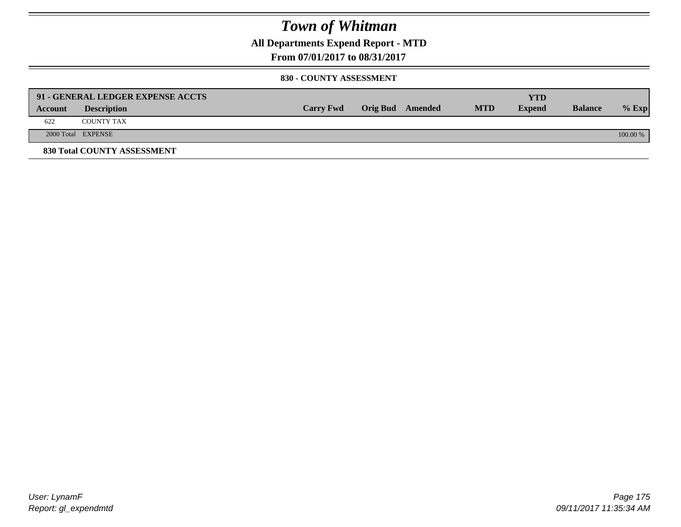**All Departments Expend Report - MTD**

**From 07/01/2017 to 08/31/2017**

#### **830 - COUNTY ASSESSMENT**

|         | 91 - GENERAL LEDGER EXPENSE ACCTS |                  |                  |            | <b>YTD</b>    |                |            |
|---------|-----------------------------------|------------------|------------------|------------|---------------|----------------|------------|
| Account | <b>Description</b>                | <b>Carry Fwd</b> | Orig Bud Amended | <b>MTD</b> | <b>Expend</b> | <b>Balance</b> | $%$ Exp    |
| 622     | <b>COUNTY TAX</b>                 |                  |                  |            |               |                |            |
|         | 2000 Total EXPENSE                |                  |                  |            |               |                | $100.00\%$ |
|         | 830 Total COUNTY ASSESSMENT       |                  |                  |            |               |                |            |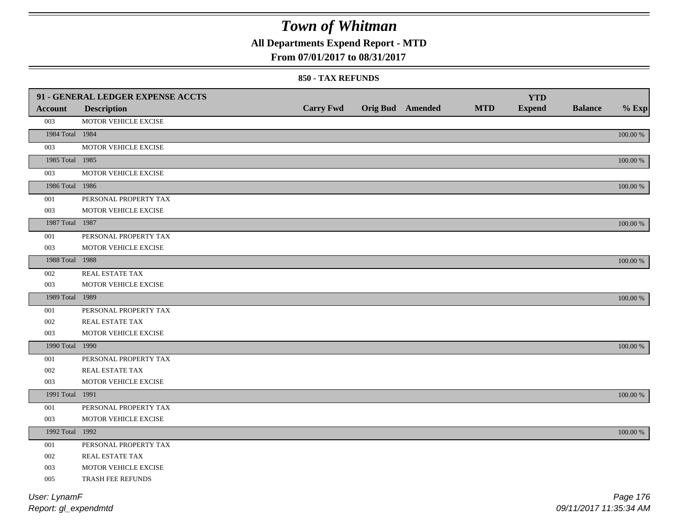## **All Departments Expend Report - MTD**

### **From 07/01/2017 to 08/31/2017**

#### **850 - TAX REFUNDS**

|                 | 91 - GENERAL LEDGER EXPENSE ACCTS |                  |                         |            | <b>YTD</b>    |                |             |
|-----------------|-----------------------------------|------------------|-------------------------|------------|---------------|----------------|-------------|
| <b>Account</b>  | <b>Description</b>                | <b>Carry Fwd</b> | <b>Orig Bud</b> Amended | <b>MTD</b> | <b>Expend</b> | <b>Balance</b> | $%$ Exp     |
| 003             | MOTOR VEHICLE EXCISE              |                  |                         |            |               |                |             |
| 1984 Total 1984 |                                   |                  |                         |            |               |                | 100.00 %    |
| 003             | MOTOR VEHICLE EXCISE              |                  |                         |            |               |                |             |
| 1985 Total 1985 |                                   |                  |                         |            |               |                | 100.00 %    |
| 003             | MOTOR VEHICLE EXCISE              |                  |                         |            |               |                |             |
| 1986 Total 1986 |                                   |                  |                         |            |               |                | $100.00~\%$ |
| 001             | PERSONAL PROPERTY TAX             |                  |                         |            |               |                |             |
| 003             | MOTOR VEHICLE EXCISE              |                  |                         |            |               |                |             |
| 1987 Total 1987 |                                   |                  |                         |            |               |                | 100.00 %    |
| 001             | PERSONAL PROPERTY TAX             |                  |                         |            |               |                |             |
| 003             | MOTOR VEHICLE EXCISE              |                  |                         |            |               |                |             |
| 1988 Total 1988 |                                   |                  |                         |            |               |                | 100.00 %    |
| 002             | REAL ESTATE TAX                   |                  |                         |            |               |                |             |
| 003             | MOTOR VEHICLE EXCISE              |                  |                         |            |               |                |             |
| 1989 Total 1989 |                                   |                  |                         |            |               |                | $100.00~\%$ |
| 001             | PERSONAL PROPERTY TAX             |                  |                         |            |               |                |             |
| 002             | REAL ESTATE TAX                   |                  |                         |            |               |                |             |
| 003             | MOTOR VEHICLE EXCISE              |                  |                         |            |               |                |             |
| 1990 Total 1990 |                                   |                  |                         |            |               |                | $100.00~\%$ |
| 001             | PERSONAL PROPERTY TAX             |                  |                         |            |               |                |             |
| 002             | REAL ESTATE TAX                   |                  |                         |            |               |                |             |
| 003             | MOTOR VEHICLE EXCISE              |                  |                         |            |               |                |             |
| 1991 Total 1991 |                                   |                  |                         |            |               |                | 100.00 %    |
| 001             | PERSONAL PROPERTY TAX             |                  |                         |            |               |                |             |
| 003             | MOTOR VEHICLE EXCISE              |                  |                         |            |               |                |             |
| 1992 Total 1992 |                                   |                  |                         |            |               |                | 100.00 %    |
| 001             | PERSONAL PROPERTY TAX             |                  |                         |            |               |                |             |
| 002             | REAL ESTATE TAX                   |                  |                         |            |               |                |             |
| 003             | MOTOR VEHICLE EXCISE              |                  |                         |            |               |                |             |
| 005             | TRASH FEE REFUNDS                 |                  |                         |            |               |                |             |
| User: LynamF    |                                   |                  |                         |            |               |                | Page 176    |

*Report: gl\_expendmtd*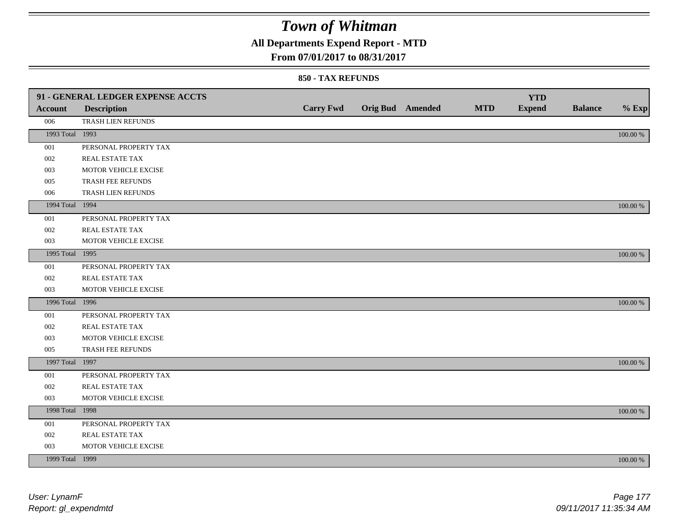## **All Departments Expend Report - MTD**

### **From 07/01/2017 to 08/31/2017**

|                 | 91 - GENERAL LEDGER EXPENSE ACCTS |                  |  |                         |            |                             |                |             |
|-----------------|-----------------------------------|------------------|--|-------------------------|------------|-----------------------------|----------------|-------------|
| <b>Account</b>  | <b>Description</b>                | <b>Carry Fwd</b> |  | <b>Orig Bud</b> Amended | <b>MTD</b> | <b>YTD</b><br><b>Expend</b> | <b>Balance</b> | $%$ Exp     |
| 006             | TRASH LIEN REFUNDS                |                  |  |                         |            |                             |                |             |
| 1993 Total 1993 |                                   |                  |  |                         |            |                             |                |             |
|                 |                                   |                  |  |                         |            |                             |                | $100.00~\%$ |
| 001             | PERSONAL PROPERTY TAX             |                  |  |                         |            |                             |                |             |
| 002             | REAL ESTATE TAX                   |                  |  |                         |            |                             |                |             |
| 003             | MOTOR VEHICLE EXCISE              |                  |  |                         |            |                             |                |             |
| 005             | TRASH FEE REFUNDS                 |                  |  |                         |            |                             |                |             |
| 006             | TRASH LIEN REFUNDS                |                  |  |                         |            |                             |                |             |
| 1994 Total 1994 |                                   |                  |  |                         |            |                             |                | 100.00 %    |
| 001             | PERSONAL PROPERTY TAX             |                  |  |                         |            |                             |                |             |
| 002             | REAL ESTATE TAX                   |                  |  |                         |            |                             |                |             |
| 003             | MOTOR VEHICLE EXCISE              |                  |  |                         |            |                             |                |             |
| 1995 Total 1995 |                                   |                  |  |                         |            |                             |                | 100.00 %    |
| 001             | PERSONAL PROPERTY TAX             |                  |  |                         |            |                             |                |             |
| 002             | REAL ESTATE TAX                   |                  |  |                         |            |                             |                |             |
| 003             | MOTOR VEHICLE EXCISE              |                  |  |                         |            |                             |                |             |
| 1996 Total 1996 |                                   |                  |  |                         |            |                             |                | 100.00 %    |
| 001             | PERSONAL PROPERTY TAX             |                  |  |                         |            |                             |                |             |
| 002             | REAL ESTATE TAX                   |                  |  |                         |            |                             |                |             |
| 003             | MOTOR VEHICLE EXCISE              |                  |  |                         |            |                             |                |             |
| 005             | TRASH FEE REFUNDS                 |                  |  |                         |            |                             |                |             |
| 1997 Total 1997 |                                   |                  |  |                         |            |                             |                | 100.00 %    |
| 001             | PERSONAL PROPERTY TAX             |                  |  |                         |            |                             |                |             |
| 002             | REAL ESTATE TAX                   |                  |  |                         |            |                             |                |             |
| 003             | MOTOR VEHICLE EXCISE              |                  |  |                         |            |                             |                |             |
| 1998 Total 1998 |                                   |                  |  |                         |            |                             |                | 100.00 %    |
| 001             | PERSONAL PROPERTY TAX             |                  |  |                         |            |                             |                |             |
| 002             | REAL ESTATE TAX                   |                  |  |                         |            |                             |                |             |
| 003             | MOTOR VEHICLE EXCISE              |                  |  |                         |            |                             |                |             |
| 1999 Total 1999 |                                   |                  |  |                         |            |                             |                | 100.00 %    |
|                 |                                   |                  |  |                         |            |                             |                |             |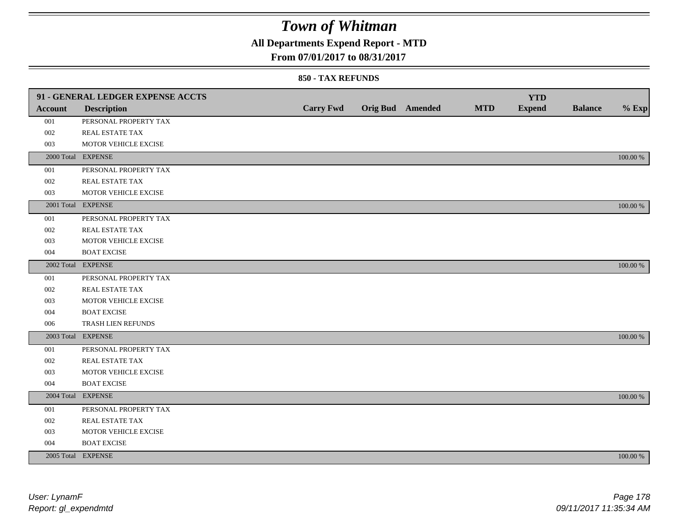## **All Departments Expend Report - MTD**

### **From 07/01/2017 to 08/31/2017**

|                | 91 - GENERAL LEDGER EXPENSE ACCTS |                  |                         |            | <b>YTD</b>    |                |             |
|----------------|-----------------------------------|------------------|-------------------------|------------|---------------|----------------|-------------|
| <b>Account</b> | <b>Description</b>                | <b>Carry Fwd</b> | <b>Orig Bud</b> Amended | <b>MTD</b> | <b>Expend</b> | <b>Balance</b> | $%$ Exp     |
| 001            | PERSONAL PROPERTY TAX             |                  |                         |            |               |                |             |
| 002            | <b>REAL ESTATE TAX</b>            |                  |                         |            |               |                |             |
| 003            | MOTOR VEHICLE EXCISE              |                  |                         |            |               |                |             |
|                | 2000 Total EXPENSE                |                  |                         |            |               |                | 100.00 %    |
| 001            | PERSONAL PROPERTY TAX             |                  |                         |            |               |                |             |
| 002            | REAL ESTATE TAX                   |                  |                         |            |               |                |             |
| 003            | MOTOR VEHICLE EXCISE              |                  |                         |            |               |                |             |
|                | 2001 Total EXPENSE                |                  |                         |            |               |                | 100.00 %    |
| 001            | PERSONAL PROPERTY TAX             |                  |                         |            |               |                |             |
| 002            | REAL ESTATE TAX                   |                  |                         |            |               |                |             |
| 003            | MOTOR VEHICLE EXCISE              |                  |                         |            |               |                |             |
| 004            | <b>BOAT EXCISE</b>                |                  |                         |            |               |                |             |
|                | 2002 Total EXPENSE                |                  |                         |            |               |                | 100.00 %    |
| 001            | PERSONAL PROPERTY TAX             |                  |                         |            |               |                |             |
| 002            | REAL ESTATE TAX                   |                  |                         |            |               |                |             |
| 003            | MOTOR VEHICLE EXCISE              |                  |                         |            |               |                |             |
| 004            | <b>BOAT EXCISE</b>                |                  |                         |            |               |                |             |
| 006            | TRASH LIEN REFUNDS                |                  |                         |            |               |                |             |
|                | 2003 Total EXPENSE                |                  |                         |            |               |                | 100.00 %    |
| 001            | PERSONAL PROPERTY TAX             |                  |                         |            |               |                |             |
| 002            | REAL ESTATE TAX                   |                  |                         |            |               |                |             |
| 003            | MOTOR VEHICLE EXCISE              |                  |                         |            |               |                |             |
| 004            | <b>BOAT EXCISE</b>                |                  |                         |            |               |                |             |
|                | 2004 Total EXPENSE                |                  |                         |            |               |                | 100.00 %    |
| 001            | PERSONAL PROPERTY TAX             |                  |                         |            |               |                |             |
| 002            | REAL ESTATE TAX                   |                  |                         |            |               |                |             |
| 003            | MOTOR VEHICLE EXCISE              |                  |                         |            |               |                |             |
| 004            | <b>BOAT EXCISE</b>                |                  |                         |            |               |                |             |
|                | 2005 Total EXPENSE                |                  |                         |            |               |                | $100.00~\%$ |
|                |                                   |                  |                         |            |               |                |             |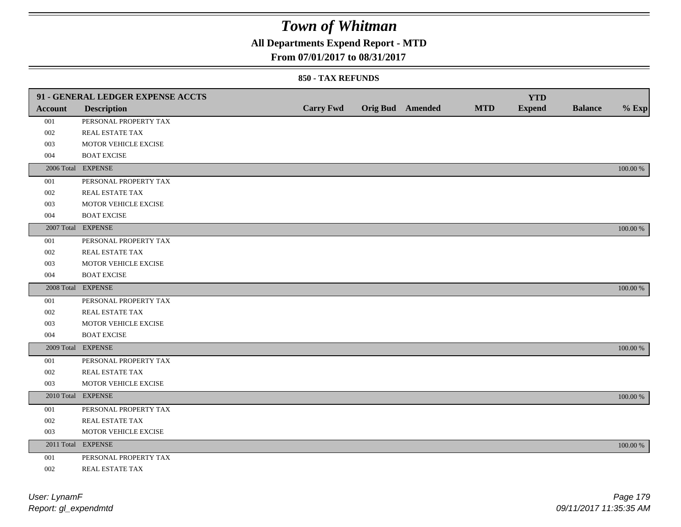## **All Departments Expend Report - MTD**

### **From 07/01/2017 to 08/31/2017**

|         | 91 - GENERAL LEDGER EXPENSE ACCTS |                  |                         |            | <b>YTD</b>    |                |             |
|---------|-----------------------------------|------------------|-------------------------|------------|---------------|----------------|-------------|
| Account | <b>Description</b>                | <b>Carry Fwd</b> | <b>Orig Bud</b> Amended | <b>MTD</b> | <b>Expend</b> | <b>Balance</b> | $%$ Exp     |
| 001     | PERSONAL PROPERTY TAX             |                  |                         |            |               |                |             |
| 002     | REAL ESTATE TAX                   |                  |                         |            |               |                |             |
| 003     | MOTOR VEHICLE EXCISE              |                  |                         |            |               |                |             |
| 004     | <b>BOAT EXCISE</b>                |                  |                         |            |               |                |             |
|         | 2006 Total EXPENSE                |                  |                         |            |               |                | 100.00 %    |
| 001     | PERSONAL PROPERTY TAX             |                  |                         |            |               |                |             |
| 002     | REAL ESTATE TAX                   |                  |                         |            |               |                |             |
| 003     | MOTOR VEHICLE EXCISE              |                  |                         |            |               |                |             |
| 004     | <b>BOAT EXCISE</b>                |                  |                         |            |               |                |             |
|         | 2007 Total EXPENSE                |                  |                         |            |               |                | 100.00 %    |
| 001     | PERSONAL PROPERTY TAX             |                  |                         |            |               |                |             |
| 002     | REAL ESTATE TAX                   |                  |                         |            |               |                |             |
| 003     | MOTOR VEHICLE EXCISE              |                  |                         |            |               |                |             |
| 004     | <b>BOAT EXCISE</b>                |                  |                         |            |               |                |             |
|         | 2008 Total EXPENSE                |                  |                         |            |               |                | 100.00 %    |
| 001     | PERSONAL PROPERTY TAX             |                  |                         |            |               |                |             |
| 002     | <b>REAL ESTATE TAX</b>            |                  |                         |            |               |                |             |
| 003     | MOTOR VEHICLE EXCISE              |                  |                         |            |               |                |             |
| 004     | <b>BOAT EXCISE</b>                |                  |                         |            |               |                |             |
|         | 2009 Total EXPENSE                |                  |                         |            |               |                | 100.00 %    |
| 001     | PERSONAL PROPERTY TAX             |                  |                         |            |               |                |             |
| 002     | REAL ESTATE TAX                   |                  |                         |            |               |                |             |
| 003     | MOTOR VEHICLE EXCISE              |                  |                         |            |               |                |             |
|         | 2010 Total EXPENSE                |                  |                         |            |               |                | 100.00 %    |
| 001     | PERSONAL PROPERTY TAX             |                  |                         |            |               |                |             |
| 002     | REAL ESTATE TAX                   |                  |                         |            |               |                |             |
| 003     | MOTOR VEHICLE EXCISE              |                  |                         |            |               |                |             |
|         | 2011 Total EXPENSE                |                  |                         |            |               |                | $100.00~\%$ |
| 001     | PERSONAL PROPERTY TAX             |                  |                         |            |               |                |             |
| 002     | REAL ESTATE TAX                   |                  |                         |            |               |                |             |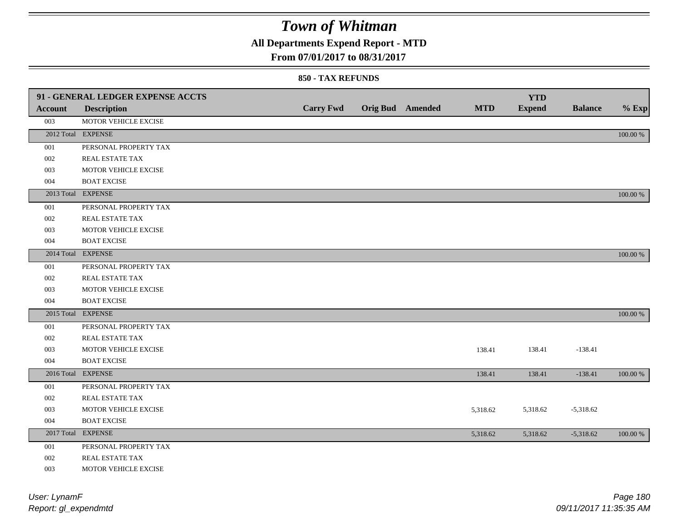## **All Departments Expend Report - MTD**

### **From 07/01/2017 to 08/31/2017**

|         | 91 - GENERAL LEDGER EXPENSE ACCTS |                  |                         |            | <b>YTD</b>    |                |          |
|---------|-----------------------------------|------------------|-------------------------|------------|---------------|----------------|----------|
| Account | <b>Description</b>                | <b>Carry Fwd</b> | <b>Orig Bud</b> Amended | <b>MTD</b> | <b>Expend</b> | <b>Balance</b> | $%$ Exp  |
| 003     | MOTOR VEHICLE EXCISE              |                  |                         |            |               |                |          |
|         | 2012 Total EXPENSE                |                  |                         |            |               |                | 100.00 % |
| 001     | PERSONAL PROPERTY TAX             |                  |                         |            |               |                |          |
| 002     | REAL ESTATE TAX                   |                  |                         |            |               |                |          |
| 003     | MOTOR VEHICLE EXCISE              |                  |                         |            |               |                |          |
| 004     | <b>BOAT EXCISE</b>                |                  |                         |            |               |                |          |
|         | 2013 Total EXPENSE                |                  |                         |            |               |                | 100.00 % |
| 001     | PERSONAL PROPERTY TAX             |                  |                         |            |               |                |          |
| 002     | REAL ESTATE TAX                   |                  |                         |            |               |                |          |
| 003     | MOTOR VEHICLE EXCISE              |                  |                         |            |               |                |          |
| 004     | <b>BOAT EXCISE</b>                |                  |                         |            |               |                |          |
|         | 2014 Total EXPENSE                |                  |                         |            |               |                | 100.00 % |
| 001     | PERSONAL PROPERTY TAX             |                  |                         |            |               |                |          |
| 002     | REAL ESTATE TAX                   |                  |                         |            |               |                |          |
| 003     | MOTOR VEHICLE EXCISE              |                  |                         |            |               |                |          |
| 004     | <b>BOAT EXCISE</b>                |                  |                         |            |               |                |          |
|         | 2015 Total EXPENSE                |                  |                         |            |               |                | 100.00 % |
| 001     | PERSONAL PROPERTY TAX             |                  |                         |            |               |                |          |
| 002     | REAL ESTATE TAX                   |                  |                         |            |               |                |          |
| 003     | MOTOR VEHICLE EXCISE              |                  |                         | 138.41     | 138.41        | $-138.41$      |          |
| 004     | <b>BOAT EXCISE</b>                |                  |                         |            |               |                |          |
|         | 2016 Total EXPENSE                |                  |                         | 138.41     | 138.41        | $-138.41$      | 100.00 % |
| 001     | PERSONAL PROPERTY TAX             |                  |                         |            |               |                |          |
| 002     | REAL ESTATE TAX                   |                  |                         |            |               |                |          |
| 003     | MOTOR VEHICLE EXCISE              |                  |                         | 5,318.62   | 5,318.62      | $-5,318.62$    |          |
| 004     | <b>BOAT EXCISE</b>                |                  |                         |            |               |                |          |
|         | 2017 Total EXPENSE                |                  |                         | 5,318.62   | 5,318.62      | $-5,318.62$    | 100.00 % |
| 001     | PERSONAL PROPERTY TAX             |                  |                         |            |               |                |          |
| 002     | REAL ESTATE TAX                   |                  |                         |            |               |                |          |
| 003     | MOTOR VEHICLE EXCISE              |                  |                         |            |               |                |          |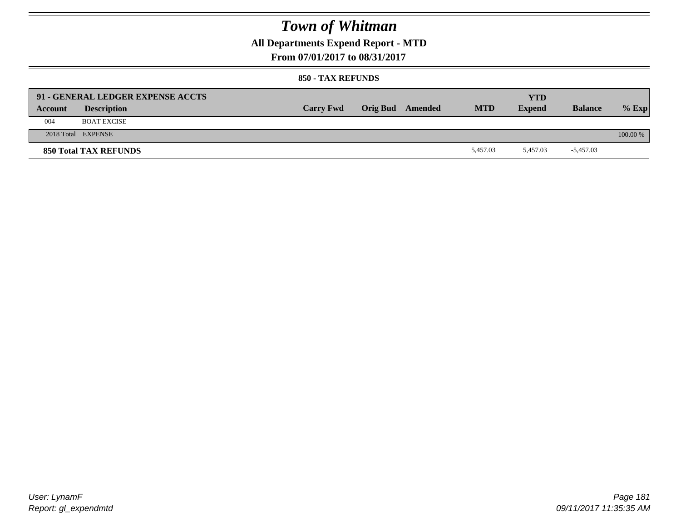### **All Departments Expend Report - MTD**

**From 07/01/2017 to 08/31/2017**

#### **850 - TAX REFUNDS**

| Account | 91 - GENERAL LEDGER EXPENSE ACCTS<br><b>Description</b> | <b>Carry Fwd</b> | Orig Bud Amended | <b>MTD</b> | YTD<br><b>Expend</b> | <b>Balance</b> | $%$ Exp  |
|---------|---------------------------------------------------------|------------------|------------------|------------|----------------------|----------------|----------|
| 004     | <b>BOAT EXCISE</b>                                      |                  |                  |            |                      |                |          |
|         | 2018 Total EXPENSE                                      |                  |                  |            |                      |                | 100.00 % |
|         | <b>850 Total TAX REFUNDS</b>                            |                  |                  | 5.457.03   | 5.457.03             | $-5,457.03$    |          |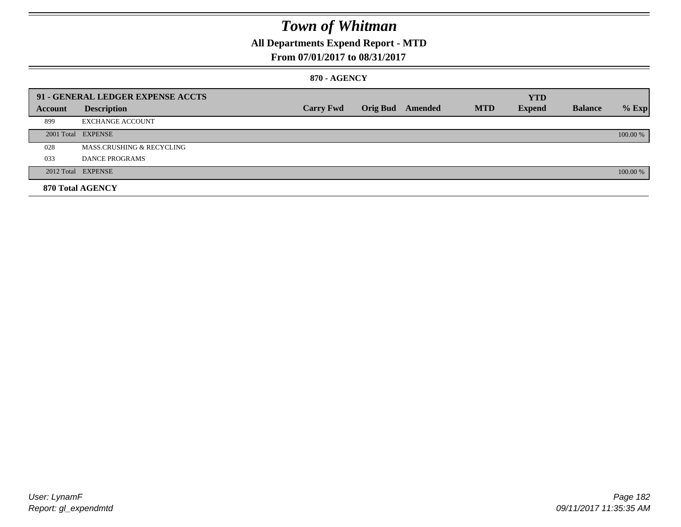### **All Departments Expend Report - MTD**

### **From 07/01/2017 to 08/31/2017**

#### **870 - AGENCY**

|         | 91 - GENERAL LEDGER EXPENSE ACCTS |                  |                         |            | <b>YTD</b>    |                |          |
|---------|-----------------------------------|------------------|-------------------------|------------|---------------|----------------|----------|
| Account | <b>Description</b>                | <b>Carry Fwd</b> | <b>Orig Bud</b> Amended | <b>MTD</b> | <b>Expend</b> | <b>Balance</b> | $%$ Exp  |
| 899     | <b>EXCHANGE ACCOUNT</b>           |                  |                         |            |               |                |          |
|         | 2001 Total EXPENSE                |                  |                         |            |               |                | 100.00 % |
| 028     | MASS.CRUSHING & RECYCLING         |                  |                         |            |               |                |          |
| 033     | <b>DANCE PROGRAMS</b>             |                  |                         |            |               |                |          |
|         | 2012 Total EXPENSE                |                  |                         |            |               |                | 100.00 % |
|         | 870 Total AGENCY                  |                  |                         |            |               |                |          |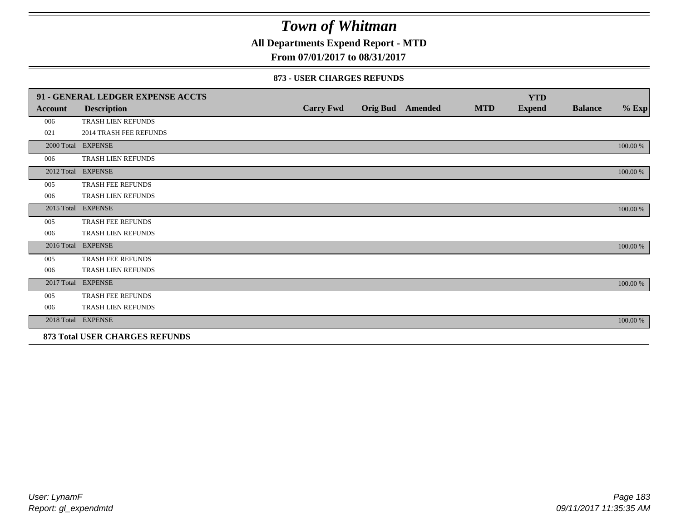**All Departments Expend Report - MTD**

**From 07/01/2017 to 08/31/2017**

#### **873 - USER CHARGES REFUNDS**

|         | 91 - GENERAL LEDGER EXPENSE ACCTS |                  |                         |            | <b>YTD</b>    |                |          |
|---------|-----------------------------------|------------------|-------------------------|------------|---------------|----------------|----------|
| Account | <b>Description</b>                | <b>Carry Fwd</b> | <b>Orig Bud</b> Amended | <b>MTD</b> | <b>Expend</b> | <b>Balance</b> | $\%$ Exp |
| 006     | TRASH LIEN REFUNDS                |                  |                         |            |               |                |          |
| 021     | <b>2014 TRASH FEE REFUNDS</b>     |                  |                         |            |               |                |          |
|         | 2000 Total EXPENSE                |                  |                         |            |               |                | 100.00 % |
| 006     | TRASH LIEN REFUNDS                |                  |                         |            |               |                |          |
|         | 2012 Total EXPENSE                |                  |                         |            |               |                | 100.00 % |
| 005     | <b>TRASH FEE REFUNDS</b>          |                  |                         |            |               |                |          |
| 006     | TRASH LIEN REFUNDS                |                  |                         |            |               |                |          |
|         | 2015 Total EXPENSE                |                  |                         |            |               |                | 100.00 % |
| 005     | TRASH FEE REFUNDS                 |                  |                         |            |               |                |          |
| 006     | TRASH LIEN REFUNDS                |                  |                         |            |               |                |          |
|         | 2016 Total EXPENSE                |                  |                         |            |               |                | 100.00 % |
| 005     | <b>TRASH FEE REFUNDS</b>          |                  |                         |            |               |                |          |
| 006     | <b>TRASH LIEN REFUNDS</b>         |                  |                         |            |               |                |          |
|         | 2017 Total EXPENSE                |                  |                         |            |               |                | 100.00 % |
| 005     | TRASH FEE REFUNDS                 |                  |                         |            |               |                |          |
| 006     | TRASH LIEN REFUNDS                |                  |                         |            |               |                |          |
|         | 2018 Total EXPENSE                |                  |                         |            |               |                | 100.00 % |
|         | 873 Total USER CHARGES REFUNDS    |                  |                         |            |               |                |          |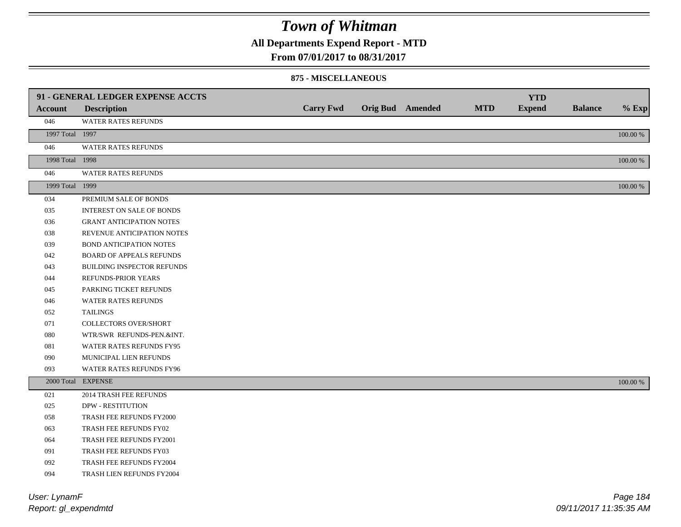### **All Departments Expend Report - MTD**

**From 07/01/2017 to 08/31/2017**

#### **875 - MISCELLANEOUS**

|                            | 91 - GENERAL LEDGER EXPENSE ACCTS |                  |                         |            | <b>YTD</b>    |                |          |
|----------------------------|-----------------------------------|------------------|-------------------------|------------|---------------|----------------|----------|
| <b>Account</b>             | <b>Description</b>                | <b>Carry Fwd</b> | <b>Orig Bud</b> Amended | <b>MTD</b> | <b>Expend</b> | <b>Balance</b> | $%$ Exp  |
| 046                        | <b>WATER RATES REFUNDS</b>        |                  |                         |            |               |                |          |
| 1997 Total 1997            |                                   |                  |                         |            |               |                | 100.00 % |
| 046                        | <b>WATER RATES REFUNDS</b>        |                  |                         |            |               |                |          |
| 1998 Total 1998            |                                   |                  |                         |            |               |                | 100.00 % |
| 046                        | WATER RATES REFUNDS               |                  |                         |            |               |                |          |
| 1999 Total 1999            |                                   |                  |                         |            |               |                | 100.00 % |
| 034                        | PREMIUM SALE OF BONDS             |                  |                         |            |               |                |          |
| 035                        | <b>INTEREST ON SALE OF BONDS</b>  |                  |                         |            |               |                |          |
| 036                        | <b>GRANT ANTICIPATION NOTES</b>   |                  |                         |            |               |                |          |
| 038                        | REVENUE ANTICIPATION NOTES        |                  |                         |            |               |                |          |
| 039                        | BOND ANTICIPATION NOTES           |                  |                         |            |               |                |          |
| 042                        | BOARD OF APPEALS REFUNDS          |                  |                         |            |               |                |          |
| 043                        | BUILDING INSPECTOR REFUNDS        |                  |                         |            |               |                |          |
| 044                        | REFUNDS-PRIOR YEARS               |                  |                         |            |               |                |          |
| 045                        | PARKING TICKET REFUNDS            |                  |                         |            |               |                |          |
| 046                        | WATER RATES REFUNDS               |                  |                         |            |               |                |          |
| 052                        | <b>TAILINGS</b>                   |                  |                         |            |               |                |          |
| 071                        | <b>COLLECTORS OVER/SHORT</b>      |                  |                         |            |               |                |          |
| 080                        | WTR/SWR REFUNDS-PEN.&INT.         |                  |                         |            |               |                |          |
| 081                        | WATER RATES REFUNDS FY95          |                  |                         |            |               |                |          |
| 090                        | MUNICIPAL LIEN REFUNDS            |                  |                         |            |               |                |          |
| 093                        | WATER RATES REFUNDS FY96          |                  |                         |            |               |                |          |
|                            | 2000 Total EXPENSE                |                  |                         |            |               |                | 100.00 % |
| 021                        | 2014 TRASH FEE REFUNDS            |                  |                         |            |               |                |          |
| 025                        | <b>DPW - RESTITUTION</b>          |                  |                         |            |               |                |          |
| 058                        | TRASH FEE REFUNDS FY2000          |                  |                         |            |               |                |          |
| 063                        | TRASH FEE REFUNDS FY02            |                  |                         |            |               |                |          |
| 064                        | TRASH FEE REFUNDS FY2001          |                  |                         |            |               |                |          |
| 091                        | TRASH FEE REFUNDS FY03            |                  |                         |            |               |                |          |
| 092                        | TRASH FEE REFUNDS FY2004          |                  |                         |            |               |                |          |
| 094                        | TRASH LIEN REFUNDS FY2004         |                  |                         |            |               |                |          |
| $11.2.41$ $1.4.42$ $1.4.7$ |                                   |                  |                         |            |               |                | $D = 40$ |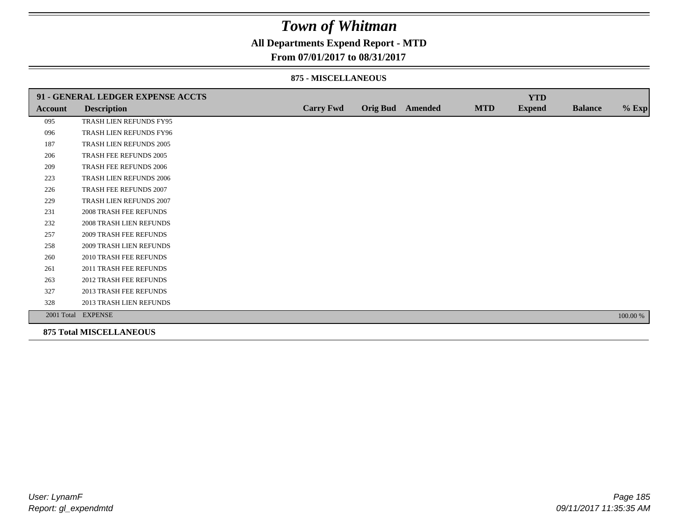### **All Departments Expend Report - MTD**

#### **From 07/01/2017 to 08/31/2017**

#### **875 - MISCELLANEOUS**

|         | 91 - GENERAL LEDGER EXPENSE ACCTS |                  |                         |            | <b>YTD</b>    |                |          |
|---------|-----------------------------------|------------------|-------------------------|------------|---------------|----------------|----------|
| Account | <b>Description</b>                | <b>Carry Fwd</b> | <b>Orig Bud</b> Amended | <b>MTD</b> | <b>Expend</b> | <b>Balance</b> | $%$ Exp  |
| 095     | TRASH LIEN REFUNDS FY95           |                  |                         |            |               |                |          |
| 096     | TRASH LIEN REFUNDS FY96           |                  |                         |            |               |                |          |
| 187     | TRASH LIEN REFUNDS 2005           |                  |                         |            |               |                |          |
| 206     | TRASH FEE REFUNDS 2005            |                  |                         |            |               |                |          |
| 209     | TRASH FEE REFUNDS 2006            |                  |                         |            |               |                |          |
| 223     | TRASH LIEN REFUNDS 2006           |                  |                         |            |               |                |          |
| 226     | TRASH FEE REFUNDS 2007            |                  |                         |            |               |                |          |
| 229     | TRASH LIEN REFUNDS 2007           |                  |                         |            |               |                |          |
| 231     | <b>2008 TRASH FEE REFUNDS</b>     |                  |                         |            |               |                |          |
| 232     | <b>2008 TRASH LIEN REFUNDS</b>    |                  |                         |            |               |                |          |
| 257     | <b>2009 TRASH FEE REFUNDS</b>     |                  |                         |            |               |                |          |
| 258     | <b>2009 TRASH LIEN REFUNDS</b>    |                  |                         |            |               |                |          |
| 260     | 2010 TRASH FEE REFUNDS            |                  |                         |            |               |                |          |
| 261     | 2011 TRASH FEE REFUNDS            |                  |                         |            |               |                |          |
| 263     | <b>2012 TRASH FEE REFUNDS</b>     |                  |                         |            |               |                |          |
| 327     | 2013 TRASH FEE REFUNDS            |                  |                         |            |               |                |          |
| 328     | 2013 TRASH LIEN REFUNDS           |                  |                         |            |               |                |          |
|         | 2001 Total EXPENSE                |                  |                         |            |               |                | 100.00 % |

**875 Total MISCELLANEOUS**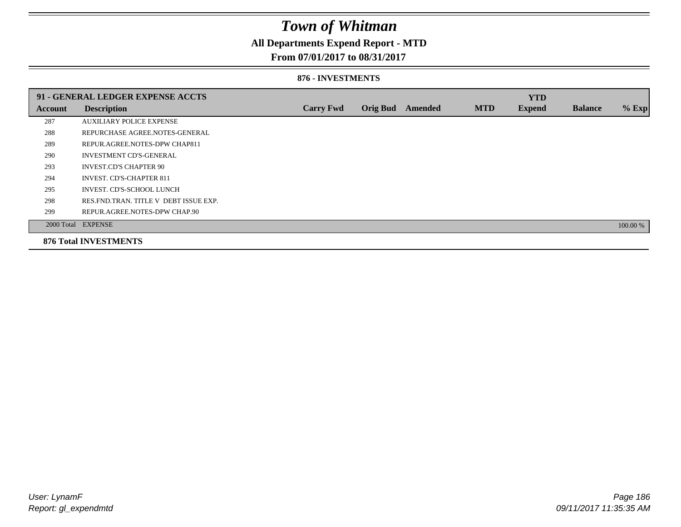### **All Departments Expend Report - MTD**

### **From 07/01/2017 to 08/31/2017**

#### **876 - INVESTMENTS**

|         | 91 - GENERAL LEDGER EXPENSE ACCTS       |                  |                 |                |            | <b>YTD</b>    |                |          |
|---------|-----------------------------------------|------------------|-----------------|----------------|------------|---------------|----------------|----------|
| Account | <b>Description</b>                      | <b>Carry Fwd</b> | <b>Orig Bud</b> | <b>Amended</b> | <b>MTD</b> | <b>Expend</b> | <b>Balance</b> | $%$ Exp  |
| 287     | <b>AUXILIARY POLICE EXPENSE</b>         |                  |                 |                |            |               |                |          |
| 288     | REPURCHASE AGREE.NOTES-GENERAL          |                  |                 |                |            |               |                |          |
| 289     | REPUR.AGREE.NOTES-DPW CHAP811           |                  |                 |                |            |               |                |          |
| 290     | <b>INVESTMENT CD'S-GENERAL</b>          |                  |                 |                |            |               |                |          |
| 293     | <b>INVEST.CD'S CHAPTER 90</b>           |                  |                 |                |            |               |                |          |
| 294     | <b>INVEST. CD'S-CHAPTER 811</b>         |                  |                 |                |            |               |                |          |
| 295     | INVEST. CD'S-SCHOOL LUNCH               |                  |                 |                |            |               |                |          |
| 298     | RES. FND. TRAN. TITLE V DEBT ISSUE EXP. |                  |                 |                |            |               |                |          |
| 299     | REPUR.AGREE.NOTES-DPW CHAP.90           |                  |                 |                |            |               |                |          |
|         | 2000 Total EXPENSE                      |                  |                 |                |            |               |                | 100.00 % |
|         | <b>876 Total INVESTMENTS</b>            |                  |                 |                |            |               |                |          |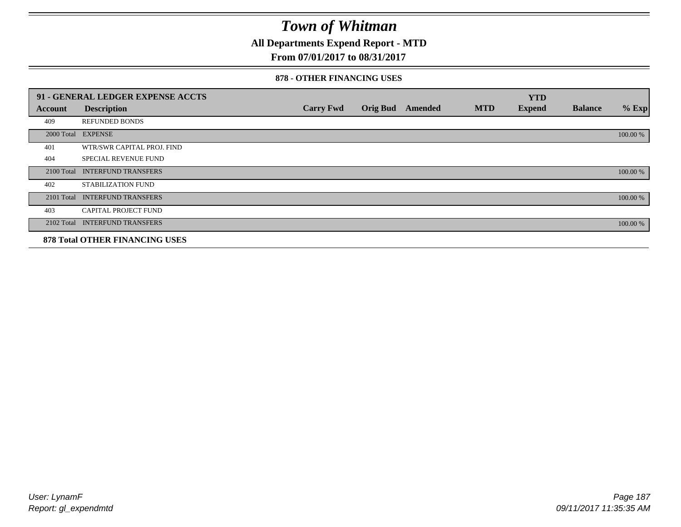**All Departments Expend Report - MTD**

### **From 07/01/2017 to 08/31/2017**

#### **878 - OTHER FINANCING USES**

|            | 91 - GENERAL LEDGER EXPENSE ACCTS     |                  |                 |         |            | <b>YTD</b>    |                |          |
|------------|---------------------------------------|------------------|-----------------|---------|------------|---------------|----------------|----------|
| Account    | <b>Description</b>                    | <b>Carry Fwd</b> | <b>Orig Bud</b> | Amended | <b>MTD</b> | <b>Expend</b> | <b>Balance</b> | $%$ Exp  |
| 409        | <b>REFUNDED BONDS</b>                 |                  |                 |         |            |               |                |          |
| 2000 Total | <b>EXPENSE</b>                        |                  |                 |         |            |               |                | 100.00 % |
| 401        | WTR/SWR CAPITAL PROJ. FIND            |                  |                 |         |            |               |                |          |
| 404        | <b>SPECIAL REVENUE FUND</b>           |                  |                 |         |            |               |                |          |
| 2100 Total | <b>INTERFUND TRANSFERS</b>            |                  |                 |         |            |               |                | 100.00 % |
| 402        | STABILIZATION FUND                    |                  |                 |         |            |               |                |          |
| 2101 Total | <b>INTERFUND TRANSFERS</b>            |                  |                 |         |            |               |                | 100.00 % |
| 403        | <b>CAPITAL PROJECT FUND</b>           |                  |                 |         |            |               |                |          |
|            | 2102 Total INTERFUND TRANSFERS        |                  |                 |         |            |               |                | 100.00 % |
|            | <b>878 Total OTHER FINANCING USES</b> |                  |                 |         |            |               |                |          |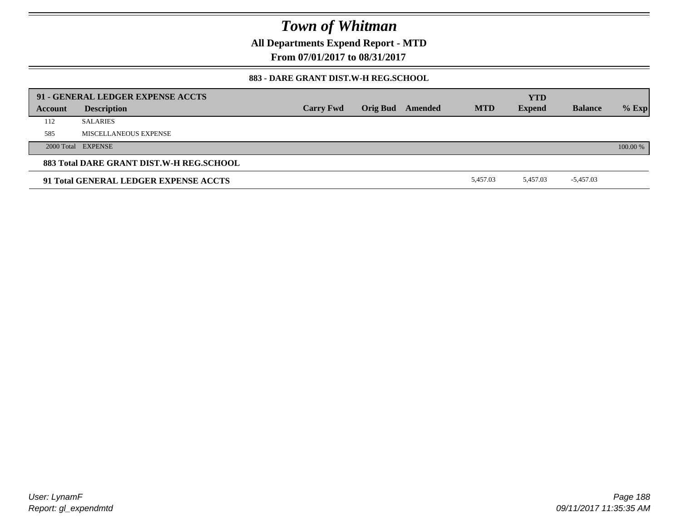**All Departments Expend Report - MTD**

**From 07/01/2017 to 08/31/2017**

### **883 - DARE GRANT DIST.W-H REG.SCHOOL**

|         | 91 - GENERAL LEDGER EXPENSE ACCTS        |                  |                         |            | <b>YTD</b>    |                |          |
|---------|------------------------------------------|------------------|-------------------------|------------|---------------|----------------|----------|
| Account | <b>Description</b>                       | <b>Carry Fwd</b> | <b>Orig Bud</b> Amended | <b>MTD</b> | <b>Expend</b> | <b>Balance</b> | $%$ Exp  |
| 112     | <b>SALARIES</b>                          |                  |                         |            |               |                |          |
| 585     | MISCELLANEOUS EXPENSE                    |                  |                         |            |               |                |          |
|         | 2000 Total EXPENSE                       |                  |                         |            |               |                | 100.00 % |
|         | 883 Total DARE GRANT DIST.W-H REG.SCHOOL |                  |                         |            |               |                |          |
|         | 91 Total GENERAL LEDGER EXPENSE ACCTS    |                  |                         | 5.457.03   | 5.457.03      | $-5,457.03$    |          |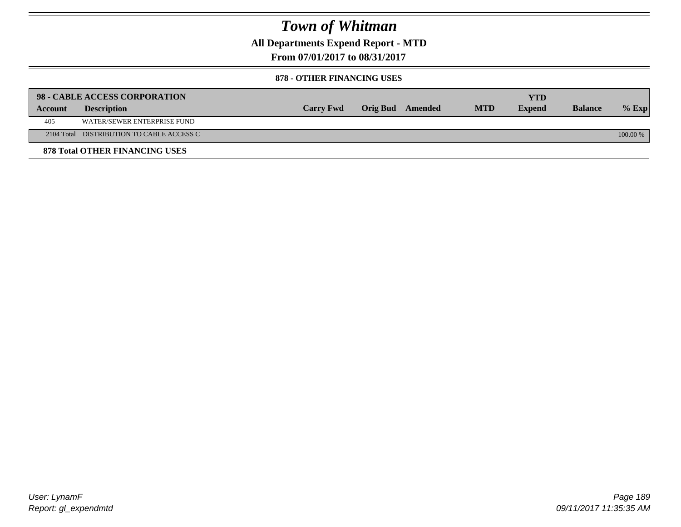**All Departments Expend Report - MTD**

**From 07/01/2017 to 08/31/2017**

#### **878 - OTHER FINANCING USES**

|         | 98 - CABLE ACCESS CORPORATION             |                  |                  |            | YTD           |                |          |
|---------|-------------------------------------------|------------------|------------------|------------|---------------|----------------|----------|
| Account | <b>Description</b>                        | <b>Carry Fwd</b> | Orig Bud Amended | <b>MTD</b> | <b>Expend</b> | <b>Balance</b> | $%$ Exp  |
| 405     | WATER/SEWER ENTERPRISE FUND               |                  |                  |            |               |                |          |
|         | 2104 Total DISTRIBUTION TO CABLE ACCESS C |                  |                  |            |               |                | 100.00 % |
|         | <b>878 Total OTHER FINANCING USES</b>     |                  |                  |            |               |                |          |